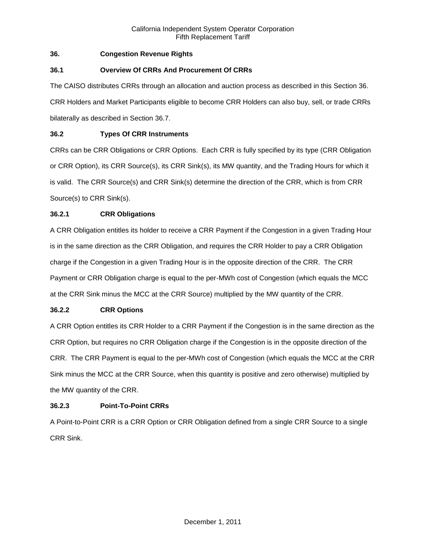# **36. Congestion Revenue Rights**

# **36.1 Overview Of CRRs And Procurement Of CRRs**

The CAISO distributes CRRs through an allocation and auction process as described in this Section 36. CRR Holders and Market Participants eligible to become CRR Holders can also buy, sell, or trade CRRs bilaterally as described in Section 36.7.

# **36.2 Types Of CRR Instruments**

CRRs can be CRR Obligations or CRR Options. Each CRR is fully specified by its type (CRR Obligation or CRR Option), its CRR Source(s), its CRR Sink(s), its MW quantity, and the Trading Hours for which it is valid. The CRR Source(s) and CRR Sink(s) determine the direction of the CRR, which is from CRR Source(s) to CRR Sink(s).

# **36.2.1 CRR Obligations**

A CRR Obligation entitles its holder to receive a CRR Payment if the Congestion in a given Trading Hour is in the same direction as the CRR Obligation, and requires the CRR Holder to pay a CRR Obligation charge if the Congestion in a given Trading Hour is in the opposite direction of the CRR. The CRR Payment or CRR Obligation charge is equal to the per-MWh cost of Congestion (which equals the MCC at the CRR Sink minus the MCC at the CRR Source) multiplied by the MW quantity of the CRR.

## **36.2.2 CRR Options**

A CRR Option entitles its CRR Holder to a CRR Payment if the Congestion is in the same direction as the CRR Option, but requires no CRR Obligation charge if the Congestion is in the opposite direction of the CRR. The CRR Payment is equal to the per-MWh cost of Congestion (which equals the MCC at the CRR Sink minus the MCC at the CRR Source, when this quantity is positive and zero otherwise) multiplied by the MW quantity of the CRR.

# **36.2.3 Point-To-Point CRRs**

A Point-to-Point CRR is a CRR Option or CRR Obligation defined from a single CRR Source to a single CRR Sink.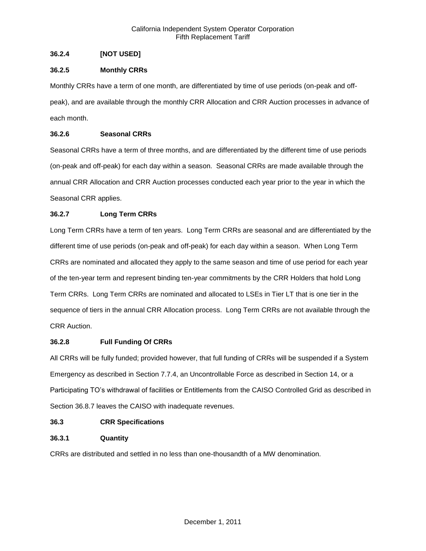# **36.2.4 [NOT USED]**

# **36.2.5 Monthly CRRs**

Monthly CRRs have a term of one month, are differentiated by time of use periods (on-peak and offpeak), and are available through the monthly CRR Allocation and CRR Auction processes in advance of each month.

# **36.2.6 Seasonal CRRs**

Seasonal CRRs have a term of three months, and are differentiated by the different time of use periods (on-peak and off-peak) for each day within a season. Seasonal CRRs are made available through the annual CRR Allocation and CRR Auction processes conducted each year prior to the year in which the Seasonal CRR applies.

# **36.2.7 Long Term CRRs**

Long Term CRRs have a term of ten years. Long Term CRRs are seasonal and are differentiated by the different time of use periods (on-peak and off-peak) for each day within a season. When Long Term CRRs are nominated and allocated they apply to the same season and time of use period for each year of the ten-year term and represent binding ten-year commitments by the CRR Holders that hold Long Term CRRs. Long Term CRRs are nominated and allocated to LSEs in Tier LT that is one tier in the sequence of tiers in the annual CRR Allocation process. Long Term CRRs are not available through the CRR Auction.

## **36.2.8 Full Funding Of CRRs**

All CRRs will be fully funded; provided however, that full funding of CRRs will be suspended if a System Emergency as described in Section 7.7.4, an Uncontrollable Force as described in Section 14, or a Participating TO's withdrawal of facilities or Entitlements from the CAISO Controlled Grid as described in Section 36.8.7 leaves the CAISO with inadequate revenues.

# **36.3 CRR Specifications**

# **36.3.1 Quantity**

CRRs are distributed and settled in no less than one-thousandth of a MW denomination.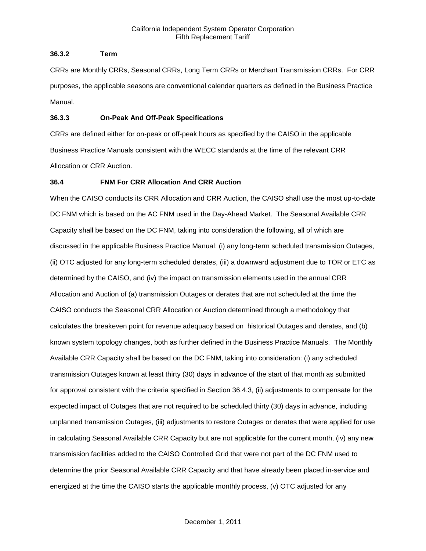# **36.3.2 Term**

CRRs are Monthly CRRs, Seasonal CRRs, Long Term CRRs or Merchant Transmission CRRs. For CRR purposes, the applicable seasons are conventional calendar quarters as defined in the Business Practice Manual.

# **36.3.3 On-Peak And Off-Peak Specifications**

CRRs are defined either for on-peak or off-peak hours as specified by the CAISO in the applicable Business Practice Manuals consistent with the WECC standards at the time of the relevant CRR Allocation or CRR Auction.

# **36.4 FNM For CRR Allocation And CRR Auction**

When the CAISO conducts its CRR Allocation and CRR Auction, the CAISO shall use the most up-to-date DC FNM which is based on the AC FNM used in the Day-Ahead Market. The Seasonal Available CRR Capacity shall be based on the DC FNM, taking into consideration the following, all of which are discussed in the applicable Business Practice Manual: (i) any long-term scheduled transmission Outages, (ii) OTC adjusted for any long-term scheduled derates, (iii) a downward adjustment due to TOR or ETC as determined by the CAISO, and (iv) the impact on transmission elements used in the annual CRR Allocation and Auction of (a) transmission Outages or derates that are not scheduled at the time the CAISO conducts the Seasonal CRR Allocation or Auction determined through a methodology that calculates the breakeven point for revenue adequacy based on historical Outages and derates, and (b) known system topology changes, both as further defined in the Business Practice Manuals. The Monthly Available CRR Capacity shall be based on the DC FNM, taking into consideration: (i) any scheduled transmission Outages known at least thirty (30) days in advance of the start of that month as submitted for approval consistent with the criteria specified in Section 36.4.3, (ii) adjustments to compensate for the expected impact of Outages that are not required to be scheduled thirty (30) days in advance, including unplanned transmission Outages, (iii) adjustments to restore Outages or derates that were applied for use in calculating Seasonal Available CRR Capacity but are not applicable for the current month, (iv) any new transmission facilities added to the CAISO Controlled Grid that were not part of the DC FNM used to determine the prior Seasonal Available CRR Capacity and that have already been placed in-service and energized at the time the CAISO starts the applicable monthly process, (v) OTC adjusted for any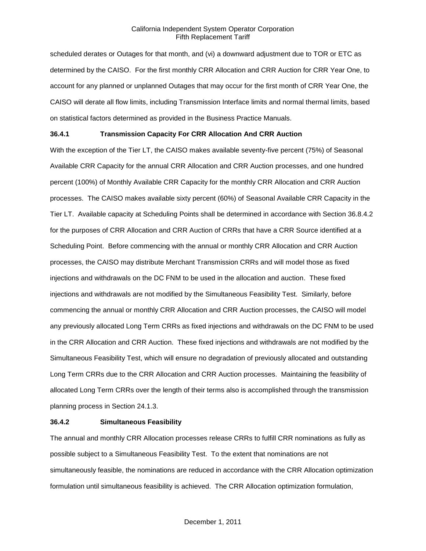scheduled derates or Outages for that month, and (vi) a downward adjustment due to TOR or ETC as determined by the CAISO. For the first monthly CRR Allocation and CRR Auction for CRR Year One, to account for any planned or unplanned Outages that may occur for the first month of CRR Year One, the CAISO will derate all flow limits, including Transmission Interface limits and normal thermal limits, based on statistical factors determined as provided in the Business Practice Manuals.

# **36.4.1 Transmission Capacity For CRR Allocation And CRR Auction**

With the exception of the Tier LT, the CAISO makes available seventy-five percent (75%) of Seasonal Available CRR Capacity for the annual CRR Allocation and CRR Auction processes, and one hundred percent (100%) of Monthly Available CRR Capacity for the monthly CRR Allocation and CRR Auction processes. The CAISO makes available sixty percent (60%) of Seasonal Available CRR Capacity in the Tier LT. Available capacity at Scheduling Points shall be determined in accordance with Section 36.8.4.2 for the purposes of CRR Allocation and CRR Auction of CRRs that have a CRR Source identified at a Scheduling Point. Before commencing with the annual or monthly CRR Allocation and CRR Auction processes, the CAISO may distribute Merchant Transmission CRRs and will model those as fixed injections and withdrawals on the DC FNM to be used in the allocation and auction. These fixed injections and withdrawals are not modified by the Simultaneous Feasibility Test. Similarly, before commencing the annual or monthly CRR Allocation and CRR Auction processes, the CAISO will model any previously allocated Long Term CRRs as fixed injections and withdrawals on the DC FNM to be used in the CRR Allocation and CRR Auction. These fixed injections and withdrawals are not modified by the Simultaneous Feasibility Test, which will ensure no degradation of previously allocated and outstanding Long Term CRRs due to the CRR Allocation and CRR Auction processes. Maintaining the feasibility of allocated Long Term CRRs over the length of their terms also is accomplished through the transmission planning process in Section 24.1.3.

#### **36.4.2 Simultaneous Feasibility**

The annual and monthly CRR Allocation processes release CRRs to fulfill CRR nominations as fully as possible subject to a Simultaneous Feasibility Test. To the extent that nominations are not simultaneously feasible, the nominations are reduced in accordance with the CRR Allocation optimization formulation until simultaneous feasibility is achieved. The CRR Allocation optimization formulation,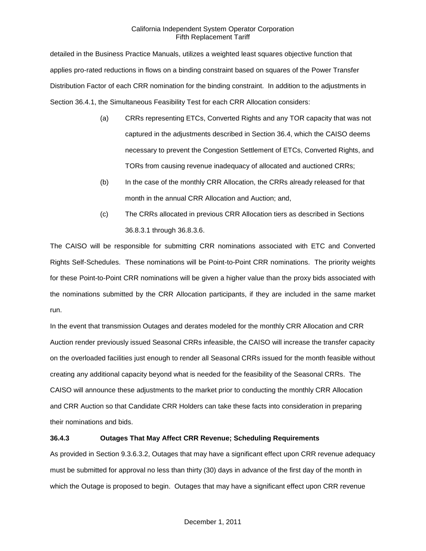detailed in the Business Practice Manuals, utilizes a weighted least squares objective function that applies pro-rated reductions in flows on a binding constraint based on squares of the Power Transfer Distribution Factor of each CRR nomination for the binding constraint. In addition to the adjustments in Section 36.4.1, the Simultaneous Feasibility Test for each CRR Allocation considers:

- (a) CRRs representing ETCs, Converted Rights and any TOR capacity that was not captured in the adjustments described in Section 36.4, which the CAISO deems necessary to prevent the Congestion Settlement of ETCs, Converted Rights, and TORs from causing revenue inadequacy of allocated and auctioned CRRs;
- (b) In the case of the monthly CRR Allocation, the CRRs already released for that month in the annual CRR Allocation and Auction; and,
- (c) The CRRs allocated in previous CRR Allocation tiers as described in Sections 36.8.3.1 through 36.8.3.6.

The CAISO will be responsible for submitting CRR nominations associated with ETC and Converted Rights Self-Schedules. These nominations will be Point-to-Point CRR nominations. The priority weights for these Point-to-Point CRR nominations will be given a higher value than the proxy bids associated with the nominations submitted by the CRR Allocation participants, if they are included in the same market run.

In the event that transmission Outages and derates modeled for the monthly CRR Allocation and CRR Auction render previously issued Seasonal CRRs infeasible, the CAISO will increase the transfer capacity on the overloaded facilities just enough to render all Seasonal CRRs issued for the month feasible without creating any additional capacity beyond what is needed for the feasibility of the Seasonal CRRs. The CAISO will announce these adjustments to the market prior to conducting the monthly CRR Allocation and CRR Auction so that Candidate CRR Holders can take these facts into consideration in preparing their nominations and bids.

# **36.4.3 Outages That May Affect CRR Revenue; Scheduling Requirements**

As provided in Section 9.3.6.3.2, Outages that may have a significant effect upon CRR revenue adequacy must be submitted for approval no less than thirty (30) days in advance of the first day of the month in which the Outage is proposed to begin. Outages that may have a significant effect upon CRR revenue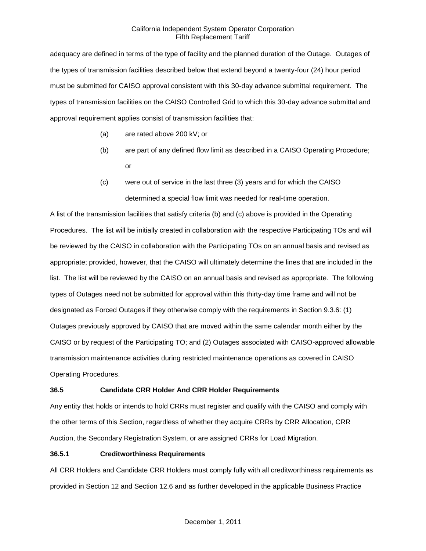adequacy are defined in terms of the type of facility and the planned duration of the Outage. Outages of the types of transmission facilities described below that extend beyond a twenty-four (24) hour period must be submitted for CAISO approval consistent with this 30-day advance submittal requirement. The types of transmission facilities on the CAISO Controlled Grid to which this 30-day advance submittal and approval requirement applies consist of transmission facilities that:

- (a) are rated above 200 kV; or
- (b) are part of any defined flow limit as described in a CAISO Operating Procedure; or
- (c) were out of service in the last three (3) years and for which the CAISO determined a special flow limit was needed for real-time operation.

A list of the transmission facilities that satisfy criteria (b) and (c) above is provided in the Operating Procedures. The list will be initially created in collaboration with the respective Participating TOs and will be reviewed by the CAISO in collaboration with the Participating TOs on an annual basis and revised as appropriate; provided, however, that the CAISO will ultimately determine the lines that are included in the list. The list will be reviewed by the CAISO on an annual basis and revised as appropriate. The following types of Outages need not be submitted for approval within this thirty-day time frame and will not be designated as Forced Outages if they otherwise comply with the requirements in Section 9.3.6: (1) Outages previously approved by CAISO that are moved within the same calendar month either by the CAISO or by request of the Participating TO; and (2) Outages associated with CAISO-approved allowable transmission maintenance activities during restricted maintenance operations as covered in CAISO Operating Procedures.

# **36.5 Candidate CRR Holder And CRR Holder Requirements**

Any entity that holds or intends to hold CRRs must register and qualify with the CAISO and comply with the other terms of this Section, regardless of whether they acquire CRRs by CRR Allocation, CRR Auction, the Secondary Registration System, or are assigned CRRs for Load Migration.

## **36.5.1 Creditworthiness Requirements**

All CRR Holders and Candidate CRR Holders must comply fully with all creditworthiness requirements as provided in Section 12 and Section 12.6 and as further developed in the applicable Business Practice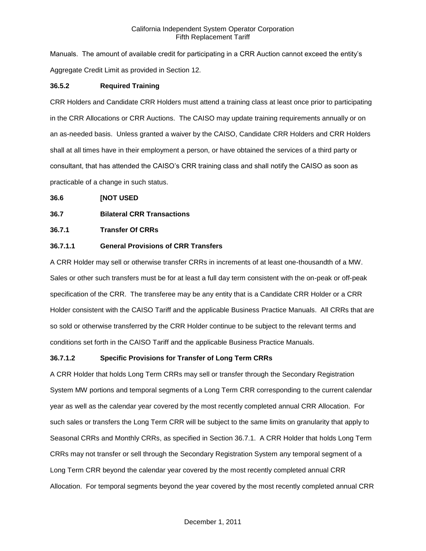Manuals. The amount of available credit for participating in a CRR Auction cannot exceed the entity's Aggregate Credit Limit as provided in Section 12.

# **36.5.2 Required Training**

CRR Holders and Candidate CRR Holders must attend a training class at least once prior to participating in the CRR Allocations or CRR Auctions. The CAISO may update training requirements annually or on an as-needed basis. Unless granted a waiver by the CAISO, Candidate CRR Holders and CRR Holders shall at all times have in their employment a person, or have obtained the services of a third party or consultant, that has attended the CAISO's CRR training class and shall notify the CAISO as soon as practicable of a change in such status.

## **36.6 [NOT USED**

# **36.7 Bilateral CRR Transactions**

# **36.7.1 Transfer Of CRRs**

# **36.7.1.1 General Provisions of CRR Transfers**

A CRR Holder may sell or otherwise transfer CRRs in increments of at least one-thousandth of a MW. Sales or other such transfers must be for at least a full day term consistent with the on-peak or off-peak specification of the CRR. The transferee may be any entity that is a Candidate CRR Holder or a CRR Holder consistent with the CAISO Tariff and the applicable Business Practice Manuals. All CRRs that are so sold or otherwise transferred by the CRR Holder continue to be subject to the relevant terms and conditions set forth in the CAISO Tariff and the applicable Business Practice Manuals.

## **36.7.1.2 Specific Provisions for Transfer of Long Term CRRs**

A CRR Holder that holds Long Term CRRs may sell or transfer through the Secondary Registration System MW portions and temporal segments of a Long Term CRR corresponding to the current calendar year as well as the calendar year covered by the most recently completed annual CRR Allocation. For such sales or transfers the Long Term CRR will be subject to the same limits on granularity that apply to Seasonal CRRs and Monthly CRRs, as specified in Section 36.7.1. A CRR Holder that holds Long Term CRRs may not transfer or sell through the Secondary Registration System any temporal segment of a Long Term CRR beyond the calendar year covered by the most recently completed annual CRR Allocation. For temporal segments beyond the year covered by the most recently completed annual CRR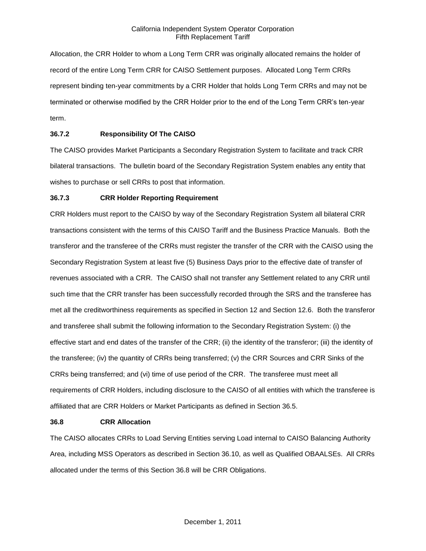Allocation, the CRR Holder to whom a Long Term CRR was originally allocated remains the holder of record of the entire Long Term CRR for CAISO Settlement purposes. Allocated Long Term CRRs represent binding ten-year commitments by a CRR Holder that holds Long Term CRRs and may not be terminated or otherwise modified by the CRR Holder prior to the end of the Long Term CRR's ten-year term.

# **36.7.2 Responsibility Of The CAISO**

The CAISO provides Market Participants a Secondary Registration System to facilitate and track CRR bilateral transactions. The bulletin board of the Secondary Registration System enables any entity that wishes to purchase or sell CRRs to post that information.

## **36.7.3 CRR Holder Reporting Requirement**

CRR Holders must report to the CAISO by way of the Secondary Registration System all bilateral CRR transactions consistent with the terms of this CAISO Tariff and the Business Practice Manuals. Both the transferor and the transferee of the CRRs must register the transfer of the CRR with the CAISO using the Secondary Registration System at least five (5) Business Days prior to the effective date of transfer of revenues associated with a CRR. The CAISO shall not transfer any Settlement related to any CRR until such time that the CRR transfer has been successfully recorded through the SRS and the transferee has met all the creditworthiness requirements as specified in Section 12 and Section 12.6. Both the transferor and transferee shall submit the following information to the Secondary Registration System: (i) the effective start and end dates of the transfer of the CRR; (ii) the identity of the transferor; (iii) the identity of the transferee; (iv) the quantity of CRRs being transferred; (v) the CRR Sources and CRR Sinks of the CRRs being transferred; and (vi) time of use period of the CRR. The transferee must meet all requirements of CRR Holders, including disclosure to the CAISO of all entities with which the transferee is affiliated that are CRR Holders or Market Participants as defined in Section 36.5.

#### **36.8 CRR Allocation**

The CAISO allocates CRRs to Load Serving Entities serving Load internal to CAISO Balancing Authority Area, including MSS Operators as described in Section 36.10, as well as Qualified OBAALSEs. All CRRs allocated under the terms of this Section 36.8 will be CRR Obligations.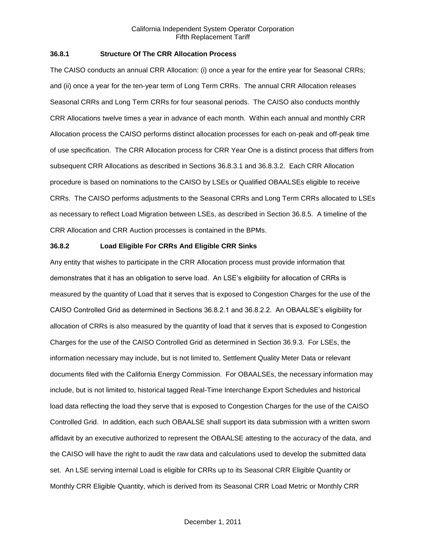# **36.8.1 Structure Of The CRR Allocation Process**

The CAISO conducts an annual CRR Allocation: (i) once a year for the entire year for Seasonal CRRs; and (ii) once a year for the ten-year term of Long Term CRRs. The annual CRR Allocation releases Seasonal CRRs and Long Term CRRs for four seasonal periods. The CAISO also conducts monthly CRR Allocations twelve times a year in advance of each month. Within each annual and monthly CRR Allocation process the CAISO performs distinct allocation processes for each on-peak and off-peak time of use specification. The CRR Allocation process for CRR Year One is a distinct process that differs from subsequent CRR Allocations as described in Sections 36.8.3.1 and 36.8.3.2. Each CRR Allocation procedure is based on nominations to the CAISO by LSEs or Qualified OBAALSEs eligible to receive CRRs. The CAISO performs adjustments to the Seasonal CRRs and Long Term CRRs allocated to LSEs as necessary to reflect Load Migration between LSEs, as described in Section 36.8.5. A timeline of the CRR Allocation and CRR Auction processes is contained in the BPMs.

## **36.8.2 Load Eligible For CRRs And Eligible CRR Sinks**

Any entity that wishes to participate in the CRR Allocation process must provide information that demonstrates that it has an obligation to serve load. An LSE's eligibility for allocation of CRRs is measured by the quantity of Load that it serves that is exposed to Congestion Charges for the use of the CAISO Controlled Grid as determined in Sections 36.8.2.1 and 36.8.2.2. An OBAALSE's eligibility for allocation of CRRs is also measured by the quantity of load that it serves that is exposed to Congestion Charges for the use of the CAISO Controlled Grid as determined in Section 36.9.3. For LSEs, the information necessary may include, but is not limited to, Settlement Quality Meter Data or relevant documents filed with the California Energy Commission. For OBAALSEs, the necessary information may include, but is not limited to, historical tagged Real-Time Interchange Export Schedules and historical load data reflecting the load they serve that is exposed to Congestion Charges for the use of the CAISO Controlled Grid. In addition, each such OBAALSE shall support its data submission with a written sworn affidavit by an executive authorized to represent the OBAALSE attesting to the accuracy of the data, and the CAISO will have the right to audit the raw data and calculations used to develop the submitted data set. An LSE serving internal Load is eligible for CRRs up to its Seasonal CRR Eligible Quantity or Monthly CRR Eligible Quantity, which is derived from its Seasonal CRR Load Metric or Monthly CRR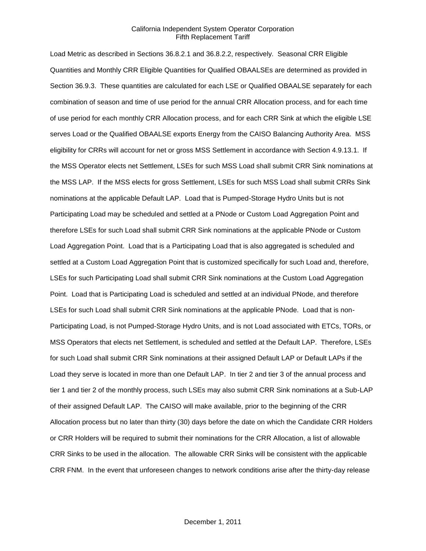Load Metric as described in Sections 36.8.2.1 and 36.8.2.2, respectively. Seasonal CRR Eligible Quantities and Monthly CRR Eligible Quantities for Qualified OBAALSEs are determined as provided in Section 36.9.3. These quantities are calculated for each LSE or Qualified OBAALSE separately for each combination of season and time of use period for the annual CRR Allocation process, and for each time of use period for each monthly CRR Allocation process, and for each CRR Sink at which the eligible LSE serves Load or the Qualified OBAALSE exports Energy from the CAISO Balancing Authority Area. MSS eligibility for CRRs will account for net or gross MSS Settlement in accordance with Section 4.9.13.1. If the MSS Operator elects net Settlement, LSEs for such MSS Load shall submit CRR Sink nominations at the MSS LAP. If the MSS elects for gross Settlement, LSEs for such MSS Load shall submit CRRs Sink nominations at the applicable Default LAP. Load that is Pumped-Storage Hydro Units but is not Participating Load may be scheduled and settled at a PNode or Custom Load Aggregation Point and therefore LSEs for such Load shall submit CRR Sink nominations at the applicable PNode or Custom Load Aggregation Point. Load that is a Participating Load that is also aggregated is scheduled and settled at a Custom Load Aggregation Point that is customized specifically for such Load and, therefore, LSEs for such Participating Load shall submit CRR Sink nominations at the Custom Load Aggregation Point. Load that is Participating Load is scheduled and settled at an individual PNode, and therefore LSEs for such Load shall submit CRR Sink nominations at the applicable PNode. Load that is non-Participating Load, is not Pumped-Storage Hydro Units, and is not Load associated with ETCs, TORs, or MSS Operators that elects net Settlement, is scheduled and settled at the Default LAP. Therefore, LSEs for such Load shall submit CRR Sink nominations at their assigned Default LAP or Default LAPs if the Load they serve is located in more than one Default LAP. In tier 2 and tier 3 of the annual process and tier 1 and tier 2 of the monthly process, such LSEs may also submit CRR Sink nominations at a Sub-LAP of their assigned Default LAP. The CAISO will make available, prior to the beginning of the CRR Allocation process but no later than thirty (30) days before the date on which the Candidate CRR Holders or CRR Holders will be required to submit their nominations for the CRR Allocation, a list of allowable CRR Sinks to be used in the allocation. The allowable CRR Sinks will be consistent with the applicable CRR FNM. In the event that unforeseen changes to network conditions arise after the thirty-day release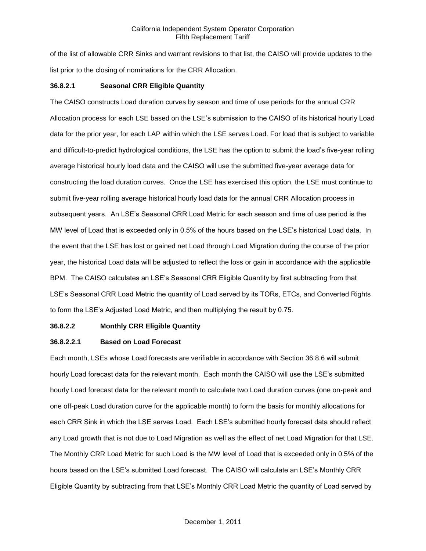of the list of allowable CRR Sinks and warrant revisions to that list, the CAISO will provide updates to the list prior to the closing of nominations for the CRR Allocation.

# **36.8.2.1 Seasonal CRR Eligible Quantity**

The CAISO constructs Load duration curves by season and time of use periods for the annual CRR Allocation process for each LSE based on the LSE's submission to the CAISO of its historical hourly Load data for the prior year, for each LAP within which the LSE serves Load. For load that is subject to variable and difficult-to-predict hydrological conditions, the LSE has the option to submit the load's five-year rolling average historical hourly load data and the CAISO will use the submitted five-year average data for constructing the load duration curves. Once the LSE has exercised this option, the LSE must continue to submit five-year rolling average historical hourly load data for the annual CRR Allocation process in subsequent years. An LSE's Seasonal CRR Load Metric for each season and time of use period is the MW level of Load that is exceeded only in 0.5% of the hours based on the LSE's historical Load data. In the event that the LSE has lost or gained net Load through Load Migration during the course of the prior year, the historical Load data will be adjusted to reflect the loss or gain in accordance with the applicable BPM. The CAISO calculates an LSE's Seasonal CRR Eligible Quantity by first subtracting from that LSE's Seasonal CRR Load Metric the quantity of Load served by its TORs, ETCs, and Converted Rights to form the LSE's Adjusted Load Metric, and then multiplying the result by 0.75.

# **36.8.2.2 Monthly CRR Eligible Quantity**

## **36.8.2.2.1 Based on Load Forecast**

Each month, LSEs whose Load forecasts are verifiable in accordance with Section 36.8.6 will submit hourly Load forecast data for the relevant month. Each month the CAISO will use the LSE's submitted hourly Load forecast data for the relevant month to calculate two Load duration curves (one on-peak and one off-peak Load duration curve for the applicable month) to form the basis for monthly allocations for each CRR Sink in which the LSE serves Load. Each LSE's submitted hourly forecast data should reflect any Load growth that is not due to Load Migration as well as the effect of net Load Migration for that LSE. The Monthly CRR Load Metric for such Load is the MW level of Load that is exceeded only in 0.5% of the hours based on the LSE's submitted Load forecast. The CAISO will calculate an LSE's Monthly CRR Eligible Quantity by subtracting from that LSE's Monthly CRR Load Metric the quantity of Load served by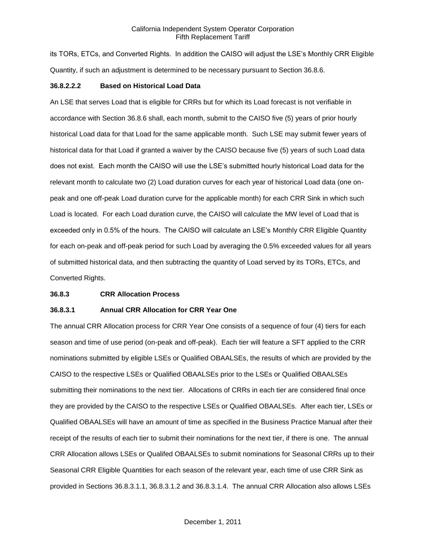its TORs, ETCs, and Converted Rights. In addition the CAISO will adjust the LSE's Monthly CRR Eligible Quantity, if such an adjustment is determined to be necessary pursuant to Section 36.8.6.

#### **36.8.2.2.2 Based on Historical Load Data**

An LSE that serves Load that is eligible for CRRs but for which its Load forecast is not verifiable in accordance with Section 36.8.6 shall, each month, submit to the CAISO five (5) years of prior hourly historical Load data for that Load for the same applicable month. Such LSE may submit fewer years of historical data for that Load if granted a waiver by the CAISO because five (5) years of such Load data does not exist. Each month the CAISO will use the LSE's submitted hourly historical Load data for the relevant month to calculate two (2) Load duration curves for each year of historical Load data (one onpeak and one off-peak Load duration curve for the applicable month) for each CRR Sink in which such Load is located. For each Load duration curve, the CAISO will calculate the MW level of Load that is exceeded only in 0.5% of the hours. The CAISO will calculate an LSE's Monthly CRR Eligible Quantity for each on-peak and off-peak period for such Load by averaging the 0.5% exceeded values for all years of submitted historical data, and then subtracting the quantity of Load served by its TORs, ETCs, and Converted Rights.

#### **36.8.3 CRR Allocation Process**

## **36.8.3.1 Annual CRR Allocation for CRR Year One**

The annual CRR Allocation process for CRR Year One consists of a sequence of four (4) tiers for each season and time of use period (on-peak and off-peak). Each tier will feature a SFT applied to the CRR nominations submitted by eligible LSEs or Qualified OBAALSEs, the results of which are provided by the CAISO to the respective LSEs or Qualified OBAALSEs prior to the LSEs or Qualified OBAALSEs submitting their nominations to the next tier. Allocations of CRRs in each tier are considered final once they are provided by the CAISO to the respective LSEs or Qualified OBAALSEs. After each tier, LSEs or Qualified OBAALSEs will have an amount of time as specified in the Business Practice Manual after their receipt of the results of each tier to submit their nominations for the next tier, if there is one. The annual CRR Allocation allows LSEs or Qualifed OBAALSEs to submit nominations for Seasonal CRRs up to their Seasonal CRR Eligible Quantities for each season of the relevant year, each time of use CRR Sink as provided in Sections 36.8.3.1.1, 36.8.3.1.2 and 36.8.3.1.4. The annual CRR Allocation also allows LSEs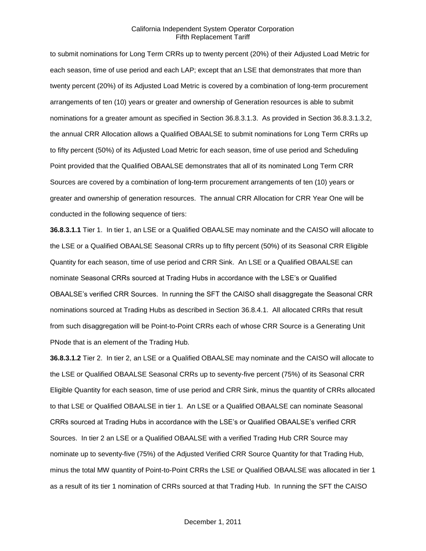to submit nominations for Long Term CRRs up to twenty percent (20%) of their Adjusted Load Metric for each season, time of use period and each LAP; except that an LSE that demonstrates that more than twenty percent (20%) of its Adjusted Load Metric is covered by a combination of long-term procurement arrangements of ten (10) years or greater and ownership of Generation resources is able to submit nominations for a greater amount as specified in Section 36.8.3.1.3. As provided in Section 36.8.3.1.3.2, the annual CRR Allocation allows a Qualified OBAALSE to submit nominations for Long Term CRRs up to fifty percent (50%) of its Adjusted Load Metric for each season, time of use period and Scheduling Point provided that the Qualified OBAALSE demonstrates that all of its nominated Long Term CRR Sources are covered by a combination of long-term procurement arrangements of ten (10) years or greater and ownership of generation resources. The annual CRR Allocation for CRR Year One will be conducted in the following sequence of tiers:

**36.8.3.1.1** Tier 1. In tier 1, an LSE or a Qualified OBAALSE may nominate and the CAISO will allocate to the LSE or a Qualified OBAALSE Seasonal CRRs up to fifty percent (50%) of its Seasonal CRR Eligible Quantity for each season, time of use period and CRR Sink. An LSE or a Qualified OBAALSE can nominate Seasonal CRRs sourced at Trading Hubs in accordance with the LSE's or Qualified OBAALSE's verified CRR Sources. In running the SFT the CAISO shall disaggregate the Seasonal CRR nominations sourced at Trading Hubs as described in Section 36.8.4.1. All allocated CRRs that result from such disaggregation will be Point-to-Point CRRs each of whose CRR Source is a Generating Unit PNode that is an element of the Trading Hub.

**36.8.3.1.2** Tier 2. In tier 2, an LSE or a Qualified OBAALSE may nominate and the CAISO will allocate to the LSE or Qualified OBAALSE Seasonal CRRs up to seventy-five percent (75%) of its Seasonal CRR Eligible Quantity for each season, time of use period and CRR Sink, minus the quantity of CRRs allocated to that LSE or Qualified OBAALSE in tier 1. An LSE or a Qualified OBAALSE can nominate Seasonal CRRs sourced at Trading Hubs in accordance with the LSE's or Qualified OBAALSE's verified CRR Sources. In tier 2 an LSE or a Qualified OBAALSE with a verified Trading Hub CRR Source may nominate up to seventy-five (75%) of the Adjusted Verified CRR Source Quantity for that Trading Hub, minus the total MW quantity of Point-to-Point CRRs the LSE or Qualified OBAALSE was allocated in tier 1 as a result of its tier 1 nomination of CRRs sourced at that Trading Hub. In running the SFT the CAISO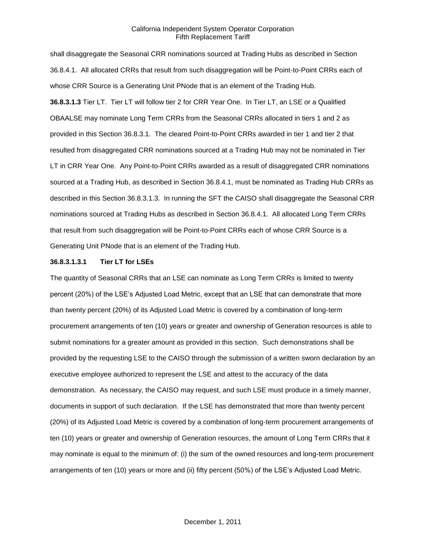shall disaggregate the Seasonal CRR nominations sourced at Trading Hubs as described in Section 36.8.4.1. All allocated CRRs that result from such disaggregation will be Point-to-Point CRRs each of whose CRR Source is a Generating Unit PNode that is an element of the Trading Hub. **36.8.3.1.3** Tier LT. Tier LT will follow tier 2 for CRR Year One. In Tier LT, an LSE or a Qualified OBAALSE may nominate Long Term CRRs from the Seasonal CRRs allocated in tiers 1 and 2 as provided in this Section 36.8.3.1. The cleared Point-to-Point CRRs awarded in tier 1 and tier 2 that resulted from disaggregated CRR nominations sourced at a Trading Hub may not be nominated in Tier LT in CRR Year One. Any Point-to-Point CRRs awarded as a result of disaggregated CRR nominations sourced at a Trading Hub, as described in Section 36.8.4.1, must be nominated as Trading Hub CRRs as described in this Section 36.8.3.1.3. In running the SFT the CAISO shall disaggregate the Seasonal CRR nominations sourced at Trading Hubs as described in Section 36.8.4.1. All allocated Long Term CRRs that result from such disaggregation will be Point-to-Point CRRs each of whose CRR Source is a Generating Unit PNode that is an element of the Trading Hub.

## **36.8.3.1.3.1 Tier LT for LSEs**

The quantity of Seasonal CRRs that an LSE can nominate as Long Term CRRs is limited to twenty percent (20%) of the LSE's Adjusted Load Metric, except that an LSE that can demonstrate that more than twenty percent (20%) of its Adjusted Load Metric is covered by a combination of long-term procurement arrangements of ten (10) years or greater and ownership of Generation resources is able to submit nominations for a greater amount as provided in this section. Such demonstrations shall be provided by the requesting LSE to the CAISO through the submission of a written sworn declaration by an executive employee authorized to represent the LSE and attest to the accuracy of the data demonstration. As necessary, the CAISO may request, and such LSE must produce in a timely manner, documents in support of such declaration. If the LSE has demonstrated that more than twenty percent (20%) of its Adjusted Load Metric is covered by a combination of long-term procurement arrangements of ten (10) years or greater and ownership of Generation resources, the amount of Long Term CRRs that it may nominate is equal to the minimum of: (i) the sum of the owned resources and long-term procurement arrangements of ten (10) years or more and (ii) fifty percent (50%) of the LSE's Adjusted Load Metric.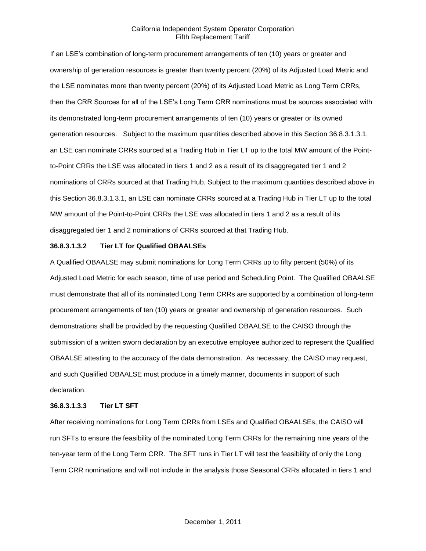If an LSE's combination of long-term procurement arrangements of ten (10) years or greater and ownership of generation resources is greater than twenty percent (20%) of its Adjusted Load Metric and the LSE nominates more than twenty percent (20%) of its Adjusted Load Metric as Long Term CRRs, then the CRR Sources for all of the LSE's Long Term CRR nominations must be sources associated with its demonstrated long-term procurement arrangements of ten (10) years or greater or its owned generation resources. Subject to the maximum quantities described above in this Section 36.8.3.1.3.1, an LSE can nominate CRRs sourced at a Trading Hub in Tier LT up to the total MW amount of the Pointto-Point CRRs the LSE was allocated in tiers 1 and 2 as a result of its disaggregated tier 1 and 2 nominations of CRRs sourced at that Trading Hub. Subject to the maximum quantities described above in this Section 36.8.3.1.3.1, an LSE can nominate CRRs sourced at a Trading Hub in Tier LT up to the total MW amount of the Point-to-Point CRRs the LSE was allocated in tiers 1 and 2 as a result of its disaggregated tier 1 and 2 nominations of CRRs sourced at that Trading Hub.

#### **36.8.3.1.3.2 Tier LT for Qualified OBAALSEs**

A Qualified OBAALSE may submit nominations for Long Term CRRs up to fifty percent (50%) of its Adjusted Load Metric for each season, time of use period and Scheduling Point. The Qualified OBAALSE must demonstrate that all of its nominated Long Term CRRs are supported by a combination of long-term procurement arrangements of ten (10) years or greater and ownership of generation resources. Such demonstrations shall be provided by the requesting Qualified OBAALSE to the CAISO through the submission of a written sworn declaration by an executive employee authorized to represent the Qualified OBAALSE attesting to the accuracy of the data demonstration. As necessary, the CAISO may request, and such Qualified OBAALSE must produce in a timely manner, documents in support of such declaration.

#### **36.8.3.1.3.3 Tier LT SFT**

After receiving nominations for Long Term CRRs from LSEs and Qualified OBAALSEs, the CAISO will run SFTs to ensure the feasibility of the nominated Long Term CRRs for the remaining nine years of the ten-year term of the Long Term CRR. The SFT runs in Tier LT will test the feasibility of only the Long Term CRR nominations and will not include in the analysis those Seasonal CRRs allocated in tiers 1 and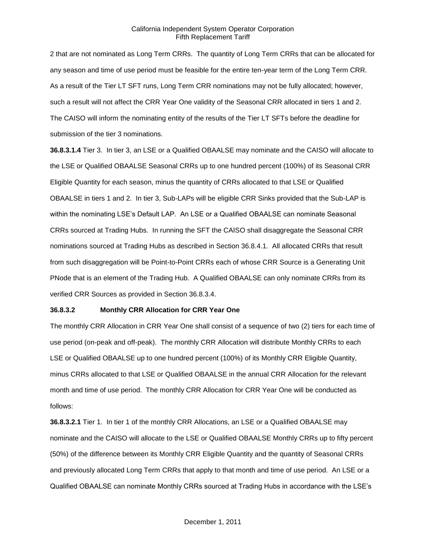2 that are not nominated as Long Term CRRs. The quantity of Long Term CRRs that can be allocated for any season and time of use period must be feasible for the entire ten-year term of the Long Term CRR. As a result of the Tier LT SFT runs, Long Term CRR nominations may not be fully allocated; however, such a result will not affect the CRR Year One validity of the Seasonal CRR allocated in tiers 1 and 2. The CAISO will inform the nominating entity of the results of the Tier LT SFTs before the deadline for submission of the tier 3 nominations.

**36.8.3.1.4** Tier 3. In tier 3, an LSE or a Qualified OBAALSE may nominate and the CAISO will allocate to the LSE or Qualified OBAALSE Seasonal CRRs up to one hundred percent (100%) of its Seasonal CRR Eligible Quantity for each season, minus the quantity of CRRs allocated to that LSE or Qualified OBAALSE in tiers 1 and 2. In tier 3, Sub-LAPs will be eligible CRR Sinks provided that the Sub-LAP is within the nominating LSE's Default LAP. An LSE or a Qualified OBAALSE can nominate Seasonal CRRs sourced at Trading Hubs. In running the SFT the CAISO shall disaggregate the Seasonal CRR nominations sourced at Trading Hubs as described in Section 36.8.4.1. All allocated CRRs that result from such disaggregation will be Point-to-Point CRRs each of whose CRR Source is a Generating Unit PNode that is an element of the Trading Hub. A Qualified OBAALSE can only nominate CRRs from its verified CRR Sources as provided in Section 36.8.3.4.

## **36.8.3.2 Monthly CRR Allocation for CRR Year One**

The monthly CRR Allocation in CRR Year One shall consist of a sequence of two (2) tiers for each time of use period (on-peak and off-peak). The monthly CRR Allocation will distribute Monthly CRRs to each LSE or Qualified OBAALSE up to one hundred percent (100%) of its Monthly CRR Eligible Quantity, minus CRRs allocated to that LSE or Qualified OBAALSE in the annual CRR Allocation for the relevant month and time of use period. The monthly CRR Allocation for CRR Year One will be conducted as follows:

**36.8.3.2.1** Tier 1. In tier 1 of the monthly CRR Allocations, an LSE or a Qualified OBAALSE may nominate and the CAISO will allocate to the LSE or Qualified OBAALSE Monthly CRRs up to fifty percent (50%) of the difference between its Monthly CRR Eligible Quantity and the quantity of Seasonal CRRs and previously allocated Long Term CRRs that apply to that month and time of use period. An LSE or a Qualified OBAALSE can nominate Monthly CRRs sourced at Trading Hubs in accordance with the LSE's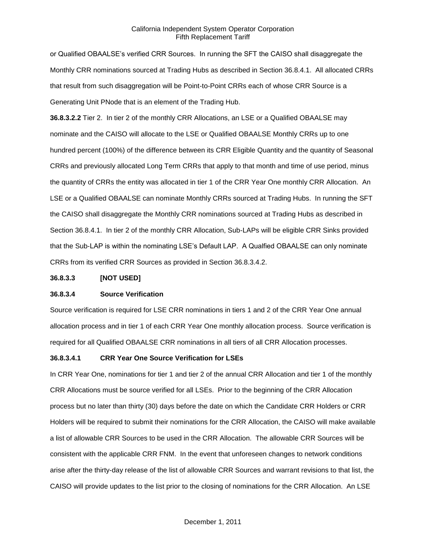or Qualified OBAALSE's verified CRR Sources. In running the SFT the CAISO shall disaggregate the Monthly CRR nominations sourced at Trading Hubs as described in Section 36.8.4.1. All allocated CRRs that result from such disaggregation will be Point-to-Point CRRs each of whose CRR Source is a Generating Unit PNode that is an element of the Trading Hub.

**36.8.3.2.2** Tier 2. In tier 2 of the monthly CRR Allocations, an LSE or a Qualified OBAALSE may nominate and the CAISO will allocate to the LSE or Qualified OBAALSE Monthly CRRs up to one hundred percent (100%) of the difference between its CRR Eligible Quantity and the quantity of Seasonal CRRs and previously allocated Long Term CRRs that apply to that month and time of use period, minus the quantity of CRRs the entity was allocated in tier 1 of the CRR Year One monthly CRR Allocation. An LSE or a Qualified OBAALSE can nominate Monthly CRRs sourced at Trading Hubs. In running the SFT the CAISO shall disaggregate the Monthly CRR nominations sourced at Trading Hubs as described in Section 36.8.4.1. In tier 2 of the monthly CRR Allocation, Sub-LAPs will be eligible CRR Sinks provided that the Sub-LAP is within the nominating LSE's Default LAP. A Qualfied OBAALSE can only nominate CRRs from its verified CRR Sources as provided in Section 36.8.3.4.2.

#### **36.8.3.3 [NOT USED]**

## **36.8.3.4 Source Verification**

Source verification is required for LSE CRR nominations in tiers 1 and 2 of the CRR Year One annual allocation process and in tier 1 of each CRR Year One monthly allocation process. Source verification is required for all Qualified OBAALSE CRR nominations in all tiers of all CRR Allocation processes.

#### **36.8.3.4.1 CRR Year One Source Verification for LSEs**

In CRR Year One, nominations for tier 1 and tier 2 of the annual CRR Allocation and tier 1 of the monthly CRR Allocations must be source verified for all LSEs. Prior to the beginning of the CRR Allocation process but no later than thirty (30) days before the date on which the Candidate CRR Holders or CRR Holders will be required to submit their nominations for the CRR Allocation, the CAISO will make available a list of allowable CRR Sources to be used in the CRR Allocation. The allowable CRR Sources will be consistent with the applicable CRR FNM. In the event that unforeseen changes to network conditions arise after the thirty-day release of the list of allowable CRR Sources and warrant revisions to that list, the CAISO will provide updates to the list prior to the closing of nominations for the CRR Allocation. An LSE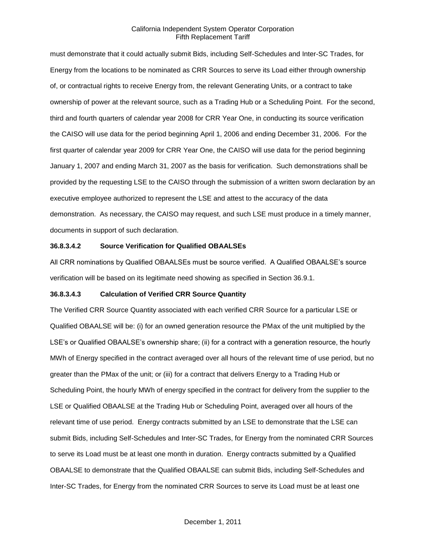must demonstrate that it could actually submit Bids, including Self-Schedules and Inter-SC Trades, for Energy from the locations to be nominated as CRR Sources to serve its Load either through ownership of, or contractual rights to receive Energy from, the relevant Generating Units, or a contract to take ownership of power at the relevant source, such as a Trading Hub or a Scheduling Point. For the second, third and fourth quarters of calendar year 2008 for CRR Year One, in conducting its source verification the CAISO will use data for the period beginning April 1, 2006 and ending December 31, 2006. For the first quarter of calendar year 2009 for CRR Year One, the CAISO will use data for the period beginning January 1, 2007 and ending March 31, 2007 as the basis for verification. Such demonstrations shall be provided by the requesting LSE to the CAISO through the submission of a written sworn declaration by an executive employee authorized to represent the LSE and attest to the accuracy of the data demonstration. As necessary, the CAISO may request, and such LSE must produce in a timely manner, documents in support of such declaration.

# **36.8.3.4.2 Source Verification for Qualified OBAALSEs**

All CRR nominations by Qualified OBAALSEs must be source verified. A Qualified OBAALSE's source verification will be based on its legitimate need showing as specified in Section 36.9.1.

## **36.8.3.4.3 Calculation of Verified CRR Source Quantity**

The Verified CRR Source Quantity associated with each verified CRR Source for a particular LSE or Qualified OBAALSE will be: (i) for an owned generation resource the PMax of the unit multiplied by the LSE's or Qualified OBAALSE's ownership share; (ii) for a contract with a generation resource, the hourly MWh of Energy specified in the contract averaged over all hours of the relevant time of use period, but no greater than the PMax of the unit; or (iii) for a contract that delivers Energy to a Trading Hub or Scheduling Point, the hourly MWh of energy specified in the contract for delivery from the supplier to the LSE or Qualified OBAALSE at the Trading Hub or Scheduling Point, averaged over all hours of the relevant time of use period. Energy contracts submitted by an LSE to demonstrate that the LSE can submit Bids, including Self-Schedules and Inter-SC Trades, for Energy from the nominated CRR Sources to serve its Load must be at least one month in duration. Energy contracts submitted by a Qualified OBAALSE to demonstrate that the Qualified OBAALSE can submit Bids, including Self-Schedules and Inter-SC Trades, for Energy from the nominated CRR Sources to serve its Load must be at least one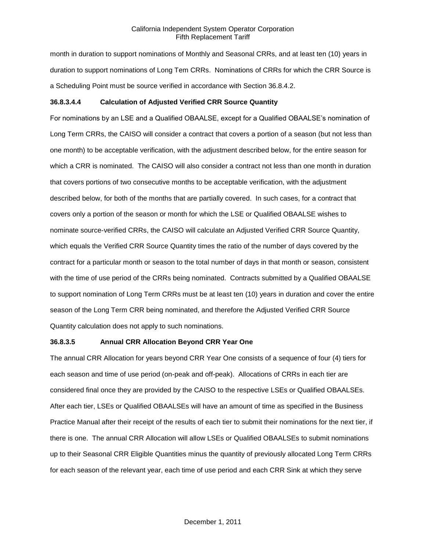month in duration to support nominations of Monthly and Seasonal CRRs, and at least ten (10) years in duration to support nominations of Long Tem CRRs. Nominations of CRRs for which the CRR Source is a Scheduling Point must be source verified in accordance with Section 36.8.4.2.

# **36.8.3.4.4 Calculation of Adjusted Verified CRR Source Quantity**

For nominations by an LSE and a Qualified OBAALSE, except for a Qualified OBAALSE's nomination of Long Term CRRs, the CAISO will consider a contract that covers a portion of a season (but not less than one month) to be acceptable verification, with the adjustment described below, for the entire season for which a CRR is nominated. The CAISO will also consider a contract not less than one month in duration that covers portions of two consecutive months to be acceptable verification, with the adjustment described below, for both of the months that are partially covered. In such cases, for a contract that covers only a portion of the season or month for which the LSE or Qualified OBAALSE wishes to nominate source-verified CRRs, the CAISO will calculate an Adjusted Verified CRR Source Quantity, which equals the Verified CRR Source Quantity times the ratio of the number of days covered by the contract for a particular month or season to the total number of days in that month or season, consistent with the time of use period of the CRRs being nominated. Contracts submitted by a Qualified OBAALSE to support nomination of Long Term CRRs must be at least ten (10) years in duration and cover the entire season of the Long Term CRR being nominated, and therefore the Adjusted Verified CRR Source Quantity calculation does not apply to such nominations.

## **36.8.3.5 Annual CRR Allocation Beyond CRR Year One**

The annual CRR Allocation for years beyond CRR Year One consists of a sequence of four (4) tiers for each season and time of use period (on-peak and off-peak). Allocations of CRRs in each tier are considered final once they are provided by the CAISO to the respective LSEs or Qualified OBAALSEs. After each tier, LSEs or Qualified OBAALSEs will have an amount of time as specified in the Business Practice Manual after their receipt of the results of each tier to submit their nominations for the next tier, if there is one. The annual CRR Allocation will allow LSEs or Qualified OBAALSEs to submit nominations up to their Seasonal CRR Eligible Quantities minus the quantity of previously allocated Long Term CRRs for each season of the relevant year, each time of use period and each CRR Sink at which they serve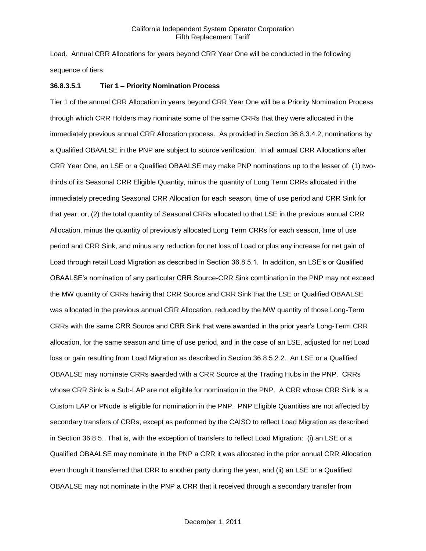Load. Annual CRR Allocations for years beyond CRR Year One will be conducted in the following sequence of tiers:

#### **36.8.3.5.1 Tier 1 – Priority Nomination Process**

Tier 1 of the annual CRR Allocation in years beyond CRR Year One will be a Priority Nomination Process through which CRR Holders may nominate some of the same CRRs that they were allocated in the immediately previous annual CRR Allocation process. As provided in Section 36.8.3.4.2, nominations by a Qualified OBAALSE in the PNP are subject to source verification. In all annual CRR Allocations after CRR Year One, an LSE or a Qualified OBAALSE may make PNP nominations up to the lesser of: (1) twothirds of its Seasonal CRR Eligible Quantity, minus the quantity of Long Term CRRs allocated in the immediately preceding Seasonal CRR Allocation for each season, time of use period and CRR Sink for that year; or, (2) the total quantity of Seasonal CRRs allocated to that LSE in the previous annual CRR Allocation, minus the quantity of previously allocated Long Term CRRs for each season, time of use period and CRR Sink, and minus any reduction for net loss of Load or plus any increase for net gain of Load through retail Load Migration as described in Section 36.8.5.1. In addition, an LSE's or Qualified OBAALSE's nomination of any particular CRR Source-CRR Sink combination in the PNP may not exceed the MW quantity of CRRs having that CRR Source and CRR Sink that the LSE or Qualified OBAALSE was allocated in the previous annual CRR Allocation, reduced by the MW quantity of those Long-Term CRRs with the same CRR Source and CRR Sink that were awarded in the prior year's Long-Term CRR allocation, for the same season and time of use period, and in the case of an LSE, adjusted for net Load loss or gain resulting from Load Migration as described in Section 36.8.5.2.2. An LSE or a Qualified OBAALSE may nominate CRRs awarded with a CRR Source at the Trading Hubs in the PNP. CRRs whose CRR Sink is a Sub-LAP are not eligible for nomination in the PNP. A CRR whose CRR Sink is a Custom LAP or PNode is eligible for nomination in the PNP. PNP Eligible Quantities are not affected by secondary transfers of CRRs, except as performed by the CAISO to reflect Load Migration as described in Section 36.8.5. That is, with the exception of transfers to reflect Load Migration: (i) an LSE or a Qualified OBAALSE may nominate in the PNP a CRR it was allocated in the prior annual CRR Allocation even though it transferred that CRR to another party during the year, and (ii) an LSE or a Qualified OBAALSE may not nominate in the PNP a CRR that it received through a secondary transfer from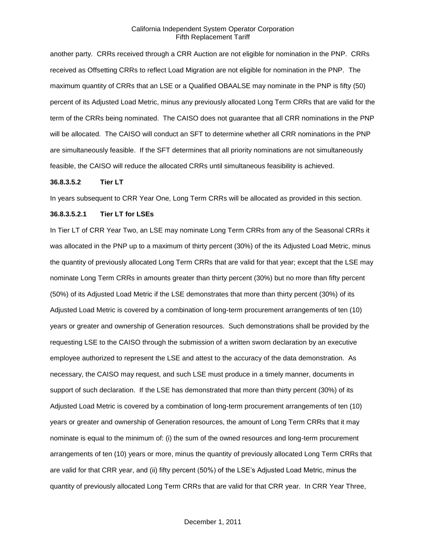another party. CRRs received through a CRR Auction are not eligible for nomination in the PNP. CRRs received as Offsetting CRRs to reflect Load Migration are not eligible for nomination in the PNP. The maximum quantity of CRRs that an LSE or a Qualified OBAALSE may nominate in the PNP is fifty (50) percent of its Adjusted Load Metric, minus any previously allocated Long Term CRRs that are valid for the term of the CRRs being nominated. The CAISO does not guarantee that all CRR nominations in the PNP will be allocated. The CAISO will conduct an SFT to determine whether all CRR nominations in the PNP are simultaneously feasible. If the SFT determines that all priority nominations are not simultaneously feasible, the CAISO will reduce the allocated CRRs until simultaneous feasibility is achieved.

#### **36.8.3.5.2 Tier LT**

In years subsequent to CRR Year One, Long Term CRRs will be allocated as provided in this section.

# **36.8.3.5.2.1 Tier LT for LSEs**

In Tier LT of CRR Year Two, an LSE may nominate Long Term CRRs from any of the Seasonal CRRs it was allocated in the PNP up to a maximum of thirty percent (30%) of the its Adjusted Load Metric, minus the quantity of previously allocated Long Term CRRs that are valid for that year; except that the LSE may nominate Long Term CRRs in amounts greater than thirty percent (30%) but no more than fifty percent (50%) of its Adjusted Load Metric if the LSE demonstrates that more than thirty percent (30%) of its Adjusted Load Metric is covered by a combination of long-term procurement arrangements of ten (10) years or greater and ownership of Generation resources. Such demonstrations shall be provided by the requesting LSE to the CAISO through the submission of a written sworn declaration by an executive employee authorized to represent the LSE and attest to the accuracy of the data demonstration. As necessary, the CAISO may request, and such LSE must produce in a timely manner, documents in support of such declaration. If the LSE has demonstrated that more than thirty percent (30%) of its Adjusted Load Metric is covered by a combination of long-term procurement arrangements of ten (10) years or greater and ownership of Generation resources, the amount of Long Term CRRs that it may nominate is equal to the minimum of: (i) the sum of the owned resources and long-term procurement arrangements of ten (10) years or more, minus the quantity of previously allocated Long Term CRRs that are valid for that CRR year, and (ii) fifty percent (50%) of the LSE's Adjusted Load Metric, minus the quantity of previously allocated Long Term CRRs that are valid for that CRR year. In CRR Year Three,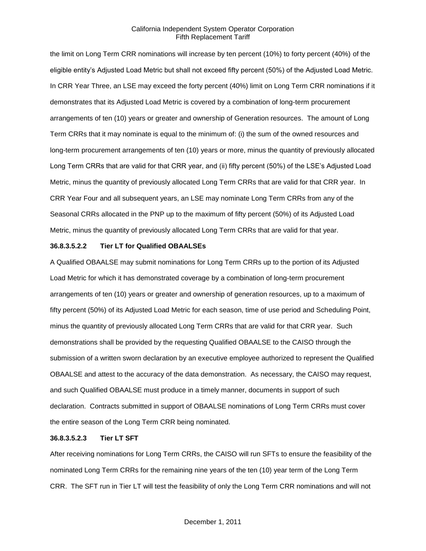the limit on Long Term CRR nominations will increase by ten percent (10%) to forty percent (40%) of the eligible entity's Adjusted Load Metric but shall not exceed fifty percent (50%) of the Adjusted Load Metric. In CRR Year Three, an LSE may exceed the forty percent (40%) limit on Long Term CRR nominations if it demonstrates that its Adjusted Load Metric is covered by a combination of long-term procurement arrangements of ten (10) years or greater and ownership of Generation resources. The amount of Long Term CRRs that it may nominate is equal to the minimum of: (i) the sum of the owned resources and long-term procurement arrangements of ten (10) years or more, minus the quantity of previously allocated Long Term CRRs that are valid for that CRR year, and (ii) fifty percent (50%) of the LSE's Adjusted Load Metric, minus the quantity of previously allocated Long Term CRRs that are valid for that CRR year. In CRR Year Four and all subsequent years, an LSE may nominate Long Term CRRs from any of the Seasonal CRRs allocated in the PNP up to the maximum of fifty percent (50%) of its Adjusted Load Metric, minus the quantity of previously allocated Long Term CRRs that are valid for that year.

#### **36.8.3.5.2.2 Tier LT for Qualified OBAALSEs**

A Qualified OBAALSE may submit nominations for Long Term CRRs up to the portion of its Adjusted Load Metric for which it has demonstrated coverage by a combination of long-term procurement arrangements of ten (10) years or greater and ownership of generation resources, up to a maximum of fifty percent (50%) of its Adjusted Load Metric for each season, time of use period and Scheduling Point, minus the quantity of previously allocated Long Term CRRs that are valid for that CRR year. Such demonstrations shall be provided by the requesting Qualified OBAALSE to the CAISO through the submission of a written sworn declaration by an executive employee authorized to represent the Qualified OBAALSE and attest to the accuracy of the data demonstration. As necessary, the CAISO may request, and such Qualified OBAALSE must produce in a timely manner, documents in support of such declaration. Contracts submitted in support of OBAALSE nominations of Long Term CRRs must cover the entire season of the Long Term CRR being nominated.

#### **36.8.3.5.2.3 Tier LT SFT**

After receiving nominations for Long Term CRRs, the CAISO will run SFTs to ensure the feasibility of the nominated Long Term CRRs for the remaining nine years of the ten (10) year term of the Long Term CRR. The SFT run in Tier LT will test the feasibility of only the Long Term CRR nominations and will not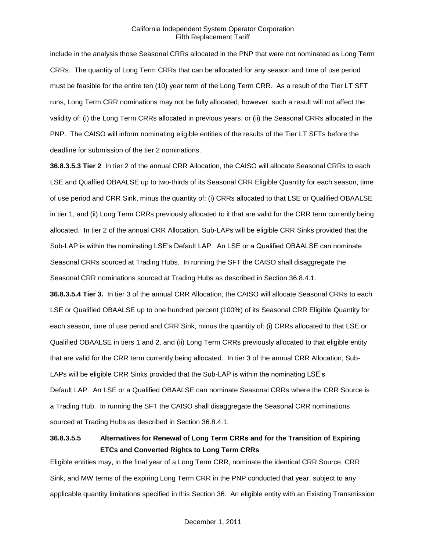include in the analysis those Seasonal CRRs allocated in the PNP that were not nominated as Long Term CRRs. The quantity of Long Term CRRs that can be allocated for any season and time of use period must be feasible for the entire ten (10) year term of the Long Term CRR. As a result of the Tier LT SFT runs, Long Term CRR nominations may not be fully allocated; however, such a result will not affect the validity of: (i) the Long Term CRRs allocated in previous years, or (ii) the Seasonal CRRs allocated in the PNP. The CAISO will inform nominating eligible entities of the results of the Tier LT SFTs before the deadline for submission of the tier 2 nominations.

**36.8.3.5.3 Tier 2** In tier 2 of the annual CRR Allocation, the CAISO will allocate Seasonal CRRs to each LSE and Qualfied OBAALSE up to two-thirds of its Seasonal CRR Eligible Quantity for each season, time of use period and CRR Sink, minus the quantity of: (i) CRRs allocated to that LSE or Qualified OBAALSE in tier 1, and (ii) Long Term CRRs previously allocated to it that are valid for the CRR term currently being allocated. In tier 2 of the annual CRR Allocation, Sub-LAPs will be eligible CRR Sinks provided that the Sub-LAP is within the nominating LSE's Default LAP. An LSE or a Qualified OBAALSE can nominate Seasonal CRRs sourced at Trading Hubs. In running the SFT the CAISO shall disaggregate the Seasonal CRR nominations sourced at Trading Hubs as described in Section 36.8.4.1.

**36.8.3.5.4 Tier 3.** In tier 3 of the annual CRR Allocation, the CAISO will allocate Seasonal CRRs to each LSE or Qualified OBAALSE up to one hundred percent (100%) of its Seasonal CRR Eligible Quantity for each season, time of use period and CRR Sink, minus the quantity of: (i) CRRs allocated to that LSE or Qualified OBAALSE in tiers 1 and 2, and (ii) Long Term CRRs previously allocated to that eligible entity that are valid for the CRR term currently being allocated. In tier 3 of the annual CRR Allocation, Sub-LAPs will be eligible CRR Sinks provided that the Sub-LAP is within the nominating LSE's Default LAP. An LSE or a Qualified OBAALSE can nominate Seasonal CRRs where the CRR Source is a Trading Hub. In running the SFT the CAISO shall disaggregate the Seasonal CRR nominations sourced at Trading Hubs as described in Section 36.8.4.1.

# **36.8.3.5.5 Alternatives for Renewal of Long Term CRRs and for the Transition of Expiring ETCs and Converted Rights to Long Term CRRs**

Eligible entities may, in the final year of a Long Term CRR, nominate the identical CRR Source, CRR Sink, and MW terms of the expiring Long Term CRR in the PNP conducted that year, subject to any applicable quantity limitations specified in this Section 36. An eligible entity with an Existing Transmission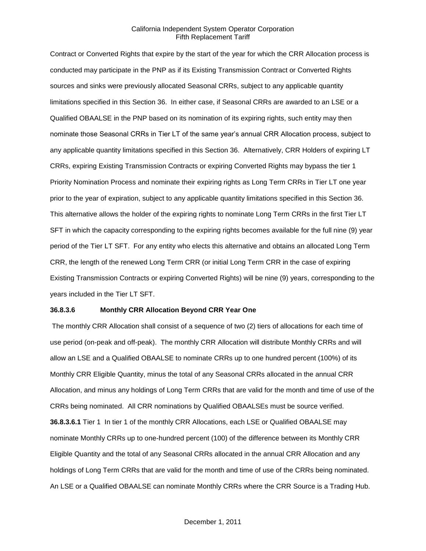Contract or Converted Rights that expire by the start of the year for which the CRR Allocation process is conducted may participate in the PNP as if its Existing Transmission Contract or Converted Rights sources and sinks were previously allocated Seasonal CRRs, subject to any applicable quantity limitations specified in this Section 36. In either case, if Seasonal CRRs are awarded to an LSE or a Qualified OBAALSE in the PNP based on its nomination of its expiring rights, such entity may then nominate those Seasonal CRRs in Tier LT of the same year's annual CRR Allocation process, subject to any applicable quantity limitations specified in this Section 36. Alternatively, CRR Holders of expiring LT CRRs, expiring Existing Transmission Contracts or expiring Converted Rights may bypass the tier 1 Priority Nomination Process and nominate their expiring rights as Long Term CRRs in Tier LT one year prior to the year of expiration, subject to any applicable quantity limitations specified in this Section 36. This alternative allows the holder of the expiring rights to nominate Long Term CRRs in the first Tier LT SFT in which the capacity corresponding to the expiring rights becomes available for the full nine (9) year period of the Tier LT SFT. For any entity who elects this alternative and obtains an allocated Long Term CRR, the length of the renewed Long Term CRR (or initial Long Term CRR in the case of expiring Existing Transmission Contracts or expiring Converted Rights) will be nine (9) years, corresponding to the years included in the Tier LT SFT.

## **36.8.3.6 Monthly CRR Allocation Beyond CRR Year One**

The monthly CRR Allocation shall consist of a sequence of two (2) tiers of allocations for each time of use period (on-peak and off-peak). The monthly CRR Allocation will distribute Monthly CRRs and will allow an LSE and a Qualified OBAALSE to nominate CRRs up to one hundred percent (100%) of its Monthly CRR Eligible Quantity, minus the total of any Seasonal CRRs allocated in the annual CRR Allocation, and minus any holdings of Long Term CRRs that are valid for the month and time of use of the CRRs being nominated. All CRR nominations by Qualified OBAALSEs must be source verified. **36.8.3.6.1** Tier 1 In tier 1 of the monthly CRR Allocations, each LSE or Qualified OBAALSE may nominate Monthly CRRs up to one-hundred percent (100) of the difference between its Monthly CRR Eligible Quantity and the total of any Seasonal CRRs allocated in the annual CRR Allocation and any holdings of Long Term CRRs that are valid for the month and time of use of the CRRs being nominated. An LSE or a Qualified OBAALSE can nominate Monthly CRRs where the CRR Source is a Trading Hub.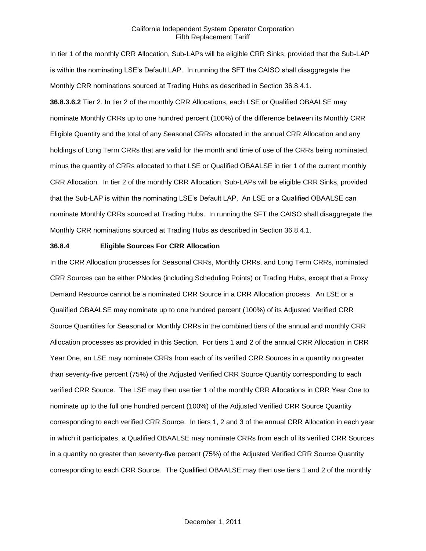In tier 1 of the monthly CRR Allocation, Sub-LAPs will be eligible CRR Sinks, provided that the Sub-LAP is within the nominating LSE's Default LAP. In running the SFT the CAISO shall disaggregate the Monthly CRR nominations sourced at Trading Hubs as described in Section 36.8.4.1. **36.8.3.6.2** Tier 2. In tier 2 of the monthly CRR Allocations, each LSE or Qualified OBAALSE may nominate Monthly CRRs up to one hundred percent (100%) of the difference between its Monthly CRR Eligible Quantity and the total of any Seasonal CRRs allocated in the annual CRR Allocation and any holdings of Long Term CRRs that are valid for the month and time of use of the CRRs being nominated, minus the quantity of CRRs allocated to that LSE or Qualified OBAALSE in tier 1 of the current monthly CRR Allocation. In tier 2 of the monthly CRR Allocation, Sub-LAPs will be eligible CRR Sinks, provided that the Sub-LAP is within the nominating LSE's Default LAP. An LSE or a Qualified OBAALSE can nominate Monthly CRRs sourced at Trading Hubs. In running the SFT the CAISO shall disaggregate the Monthly CRR nominations sourced at Trading Hubs as described in Section 36.8.4.1.

#### **36.8.4 Eligible Sources For CRR Allocation**

In the CRR Allocation processes for Seasonal CRRs, Monthly CRRs, and Long Term CRRs, nominated CRR Sources can be either PNodes (including Scheduling Points) or Trading Hubs, except that a Proxy Demand Resource cannot be a nominated CRR Source in a CRR Allocation process. An LSE or a Qualified OBAALSE may nominate up to one hundred percent (100%) of its Adjusted Verified CRR Source Quantities for Seasonal or Monthly CRRs in the combined tiers of the annual and monthly CRR Allocation processes as provided in this Section. For tiers 1 and 2 of the annual CRR Allocation in CRR Year One, an LSE may nominate CRRs from each of its verified CRR Sources in a quantity no greater than seventy-five percent (75%) of the Adjusted Verified CRR Source Quantity corresponding to each verified CRR Source. The LSE may then use tier 1 of the monthly CRR Allocations in CRR Year One to nominate up to the full one hundred percent (100%) of the Adjusted Verified CRR Source Quantity corresponding to each verified CRR Source. In tiers 1, 2 and 3 of the annual CRR Allocation in each year in which it participates, a Qualified OBAALSE may nominate CRRs from each of its verified CRR Sources in a quantity no greater than seventy-five percent (75%) of the Adjusted Verified CRR Source Quantity corresponding to each CRR Source. The Qualified OBAALSE may then use tiers 1 and 2 of the monthly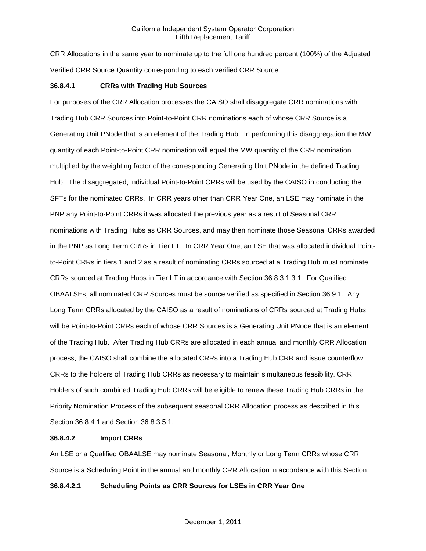CRR Allocations in the same year to nominate up to the full one hundred percent (100%) of the Adjusted Verified CRR Source Quantity corresponding to each verified CRR Source.

#### **36.8.4.1 CRRs with Trading Hub Sources**

For purposes of the CRR Allocation processes the CAISO shall disaggregate CRR nominations with Trading Hub CRR Sources into Point-to-Point CRR nominations each of whose CRR Source is a Generating Unit PNode that is an element of the Trading Hub. In performing this disaggregation the MW quantity of each Point-to-Point CRR nomination will equal the MW quantity of the CRR nomination multiplied by the weighting factor of the corresponding Generating Unit PNode in the defined Trading Hub. The disaggregated, individual Point-to-Point CRRs will be used by the CAISO in conducting the SFTs for the nominated CRRs. In CRR years other than CRR Year One, an LSE may nominate in the PNP any Point-to-Point CRRs it was allocated the previous year as a result of Seasonal CRR nominations with Trading Hubs as CRR Sources, and may then nominate those Seasonal CRRs awarded in the PNP as Long Term CRRs in Tier LT. In CRR Year One, an LSE that was allocated individual Pointto-Point CRRs in tiers 1 and 2 as a result of nominating CRRs sourced at a Trading Hub must nominate CRRs sourced at Trading Hubs in Tier LT in accordance with Section 36.8.3.1.3.1. For Qualified OBAALSEs, all nominated CRR Sources must be source verified as specified in Section 36.9.1. Any Long Term CRRs allocated by the CAISO as a result of nominations of CRRs sourced at Trading Hubs will be Point-to-Point CRRs each of whose CRR Sources is a Generating Unit PNode that is an element of the Trading Hub. After Trading Hub CRRs are allocated in each annual and monthly CRR Allocation process, the CAISO shall combine the allocated CRRs into a Trading Hub CRR and issue counterflow CRRs to the holders of Trading Hub CRRs as necessary to maintain simultaneous feasibility. CRR Holders of such combined Trading Hub CRRs will be eligible to renew these Trading Hub CRRs in the Priority Nomination Process of the subsequent seasonal CRR Allocation process as described in this Section 36.8.4.1 and Section 36.8.3.5.1.

# **36.8.4.2 Import CRRs**

An LSE or a Qualified OBAALSE may nominate Seasonal, Monthly or Long Term CRRs whose CRR Source is a Scheduling Point in the annual and monthly CRR Allocation in accordance with this Section.

## **36.8.4.2.1 Scheduling Points as CRR Sources for LSEs in CRR Year One**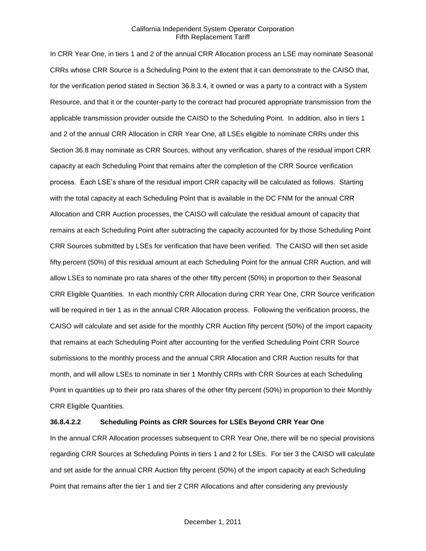In CRR Year One, in tiers 1 and 2 of the annual CRR Allocation process an LSE may nominate Seasonal CRRs whose CRR Source is a Scheduling Point to the extent that it can demonstrate to the CAISO that, for the verification period stated in Section 36.8.3.4, it owned or was a party to a contract with a System Resource, and that it or the counter-party to the contract had procured appropriate transmission from the applicable transmission provider outside the CAISO to the Scheduling Point. In addition, also in tiers 1 and 2 of the annual CRR Allocation in CRR Year One, all LSEs eligible to nominate CRRs under this Section 36.8 may nominate as CRR Sources, without any verification, shares of the residual import CRR capacity at each Scheduling Point that remains after the completion of the CRR Source verification process. Each LSE's share of the residual import CRR capacity will be calculated as follows. Starting with the total capacity at each Scheduling Point that is available in the DC FNM for the annual CRR Allocation and CRR Auction processes, the CAISO will calculate the residual amount of capacity that remains at each Scheduling Point after subtracting the capacity accounted for by those Scheduling Point CRR Sources submitted by LSEs for verification that have been verified. The CAISO will then set aside fifty percent (50%) of this residual amount at each Scheduling Point for the annual CRR Auction, and will allow LSEs to nominate pro rata shares of the other fifty percent (50%) in proportion to their Seasonal CRR Eligible Quantities. In each monthly CRR Allocation during CRR Year One, CRR Source verification will be required in tier 1 as in the annual CRR Allocation process. Following the verification process, the CAISO will calculate and set aside for the monthly CRR Auction fifty percent (50%) of the import capacity that remains at each Scheduling Point after accounting for the verified Scheduling Point CRR Source submissions to the monthly process and the annual CRR Allocation and CRR Auction results for that month, and will allow LSEs to nominate in tier 1 Monthly CRRs with CRR Sources at each Scheduling Point in quantities up to their pro rata shares of the other fifty percent (50%) in proportion to their Monthly CRR Eligible Quantities.

# **36.8.4.2.2 Scheduling Points as CRR Sources for LSEs Beyond CRR Year One**

In the annual CRR Allocation processes subsequent to CRR Year One, there will be no special provisions regarding CRR Sources at Scheduling Points in tiers 1 and 2 for LSEs. For tier 3 the CAISO will calculate and set aside for the annual CRR Auction fifty percent (50%) of the import capacity at each Scheduling Point that remains after the tier 1 and tier 2 CRR Allocations and after considering any previously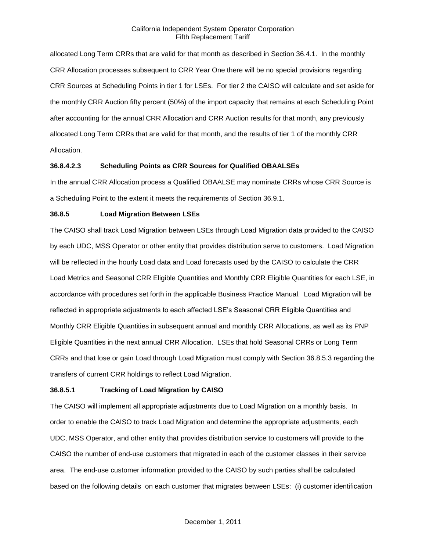allocated Long Term CRRs that are valid for that month as described in Section 36.4.1. In the monthly CRR Allocation processes subsequent to CRR Year One there will be no special provisions regarding CRR Sources at Scheduling Points in tier 1 for LSEs. For tier 2 the CAISO will calculate and set aside for the monthly CRR Auction fifty percent (50%) of the import capacity that remains at each Scheduling Point after accounting for the annual CRR Allocation and CRR Auction results for that month, any previously allocated Long Term CRRs that are valid for that month, and the results of tier 1 of the monthly CRR Allocation.

## **36.8.4.2.3 Scheduling Points as CRR Sources for Qualified OBAALSEs**

In the annual CRR Allocation process a Qualified OBAALSE may nominate CRRs whose CRR Source is a Scheduling Point to the extent it meets the requirements of Section 36.9.1.

#### **36.8.5 Load Migration Between LSEs**

The CAISO shall track Load Migration between LSEs through Load Migration data provided to the CAISO by each UDC, MSS Operator or other entity that provides distribution serve to customers. Load Migration will be reflected in the hourly Load data and Load forecasts used by the CAISO to calculate the CRR Load Metrics and Seasonal CRR Eligible Quantities and Monthly CRR Eligible Quantities for each LSE, in accordance with procedures set forth in the applicable Business Practice Manual. Load Migration will be reflected in appropriate adjustments to each affected LSE's Seasonal CRR Eligible Quantities and Monthly CRR Eligible Quantities in subsequent annual and monthly CRR Allocations, as well as its PNP Eligible Quantities in the next annual CRR Allocation. LSEs that hold Seasonal CRRs or Long Term CRRs and that lose or gain Load through Load Migration must comply with Section 36.8.5.3 regarding the transfers of current CRR holdings to reflect Load Migration.

#### **36.8.5.1 Tracking of Load Migration by CAISO**

The CAISO will implement all appropriate adjustments due to Load Migration on a monthly basis. In order to enable the CAISO to track Load Migration and determine the appropriate adjustments, each UDC, MSS Operator, and other entity that provides distribution service to customers will provide to the CAISO the number of end-use customers that migrated in each of the customer classes in their service area. The end-use customer information provided to the CAISO by such parties shall be calculated based on the following details on each customer that migrates between LSEs: (i) customer identification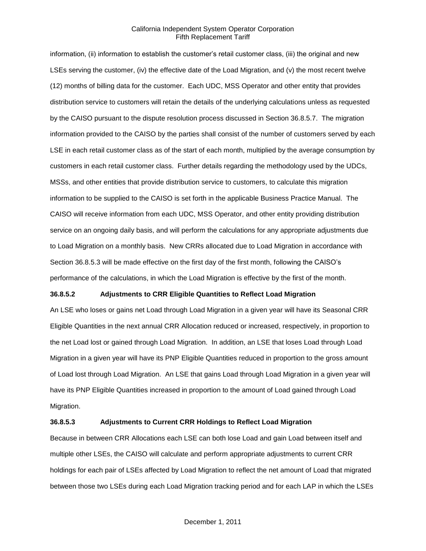information, (ii) information to establish the customer's retail customer class, (iii) the original and new LSEs serving the customer, (iv) the effective date of the Load Migration, and (v) the most recent twelve (12) months of billing data for the customer. Each UDC, MSS Operator and other entity that provides distribution service to customers will retain the details of the underlying calculations unless as requested by the CAISO pursuant to the dispute resolution process discussed in Section 36.8.5.7. The migration information provided to the CAISO by the parties shall consist of the number of customers served by each LSE in each retail customer class as of the start of each month, multiplied by the average consumption by customers in each retail customer class. Further details regarding the methodology used by the UDCs, MSSs, and other entities that provide distribution service to customers, to calculate this migration information to be supplied to the CAISO is set forth in the applicable Business Practice Manual. The CAISO will receive information from each UDC, MSS Operator, and other entity providing distribution service on an ongoing daily basis, and will perform the calculations for any appropriate adjustments due to Load Migration on a monthly basis. New CRRs allocated due to Load Migration in accordance with Section 36.8.5.3 will be made effective on the first day of the first month, following the CAISO's performance of the calculations, in which the Load Migration is effective by the first of the month.

## **36.8.5.2 Adjustments to CRR Eligible Quantities to Reflect Load Migration**

An LSE who loses or gains net Load through Load Migration in a given year will have its Seasonal CRR Eligible Quantities in the next annual CRR Allocation reduced or increased, respectively, in proportion to the net Load lost or gained through Load Migration. In addition, an LSE that loses Load through Load Migration in a given year will have its PNP Eligible Quantities reduced in proportion to the gross amount of Load lost through Load Migration. An LSE that gains Load through Load Migration in a given year will have its PNP Eligible Quantities increased in proportion to the amount of Load gained through Load Migration.

## **36.8.5.3 Adjustments to Current CRR Holdings to Reflect Load Migration**

Because in between CRR Allocations each LSE can both lose Load and gain Load between itself and multiple other LSEs, the CAISO will calculate and perform appropriate adjustments to current CRR holdings for each pair of LSEs affected by Load Migration to reflect the net amount of Load that migrated between those two LSEs during each Load Migration tracking period and for each LAP in which the LSEs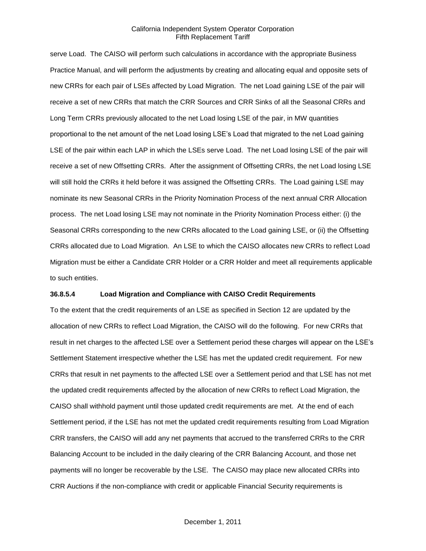serve Load. The CAISO will perform such calculations in accordance with the appropriate Business Practice Manual, and will perform the adjustments by creating and allocating equal and opposite sets of new CRRs for each pair of LSEs affected by Load Migration. The net Load gaining LSE of the pair will receive a set of new CRRs that match the CRR Sources and CRR Sinks of all the Seasonal CRRs and Long Term CRRs previously allocated to the net Load losing LSE of the pair, in MW quantities proportional to the net amount of the net Load losing LSE's Load that migrated to the net Load gaining LSE of the pair within each LAP in which the LSEs serve Load. The net Load losing LSE of the pair will receive a set of new Offsetting CRRs. After the assignment of Offsetting CRRs, the net Load losing LSE will still hold the CRRs it held before it was assigned the Offsetting CRRs. The Load gaining LSE may nominate its new Seasonal CRRs in the Priority Nomination Process of the next annual CRR Allocation process. The net Load losing LSE may not nominate in the Priority Nomination Process either: (i) the Seasonal CRRs corresponding to the new CRRs allocated to the Load gaining LSE, or (ii) the Offsetting CRRs allocated due to Load Migration. An LSE to which the CAISO allocates new CRRs to reflect Load Migration must be either a Candidate CRR Holder or a CRR Holder and meet all requirements applicable to such entities.

## **36.8.5.4 Load Migration and Compliance with CAISO Credit Requirements**

To the extent that the credit requirements of an LSE as specified in Section 12 are updated by the allocation of new CRRs to reflect Load Migration, the CAISO will do the following. For new CRRs that result in net charges to the affected LSE over a Settlement period these charges will appear on the LSE's Settlement Statement irrespective whether the LSE has met the updated credit requirement. For new CRRs that result in net payments to the affected LSE over a Settlement period and that LSE has not met the updated credit requirements affected by the allocation of new CRRs to reflect Load Migration, the CAISO shall withhold payment until those updated credit requirements are met. At the end of each Settlement period, if the LSE has not met the updated credit requirements resulting from Load Migration CRR transfers, the CAISO will add any net payments that accrued to the transferred CRRs to the CRR Balancing Account to be included in the daily clearing of the CRR Balancing Account, and those net payments will no longer be recoverable by the LSE. The CAISO may place new allocated CRRs into CRR Auctions if the non-compliance with credit or applicable Financial Security requirements is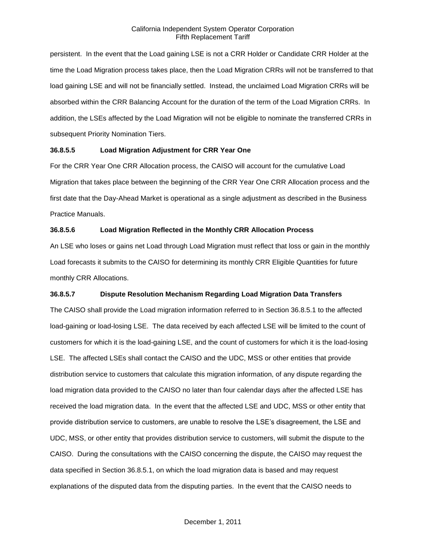persistent. In the event that the Load gaining LSE is not a CRR Holder or Candidate CRR Holder at the time the Load Migration process takes place, then the Load Migration CRRs will not be transferred to that load gaining LSE and will not be financially settled. Instead, the unclaimed Load Migration CRRs will be absorbed within the CRR Balancing Account for the duration of the term of the Load Migration CRRs. In addition, the LSEs affected by the Load Migration will not be eligible to nominate the transferred CRRs in subsequent Priority Nomination Tiers.

# **36.8.5.5 Load Migration Adjustment for CRR Year One**

For the CRR Year One CRR Allocation process, the CAISO will account for the cumulative Load Migration that takes place between the beginning of the CRR Year One CRR Allocation process and the first date that the Day-Ahead Market is operational as a single adjustment as described in the Business Practice Manuals.

# **36.8.5.6 Load Migration Reflected in the Monthly CRR Allocation Process**

An LSE who loses or gains net Load through Load Migration must reflect that loss or gain in the monthly Load forecasts it submits to the CAISO for determining its monthly CRR Eligible Quantities for future monthly CRR Allocations.

## **36.8.5.7 Dispute Resolution Mechanism Regarding Load Migration Data Transfers**

The CAISO shall provide the Load migration information referred to in Section 36.8.5.1 to the affected load-gaining or load-losing LSE. The data received by each affected LSE will be limited to the count of customers for which it is the load-gaining LSE, and the count of customers for which it is the load-losing LSE. The affected LSEs shall contact the CAISO and the UDC, MSS or other entities that provide distribution service to customers that calculate this migration information, of any dispute regarding the load migration data provided to the CAISO no later than four calendar days after the affected LSE has received the load migration data. In the event that the affected LSE and UDC, MSS or other entity that provide distribution service to customers, are unable to resolve the LSE's disagreement, the LSE and UDC, MSS, or other entity that provides distribution service to customers, will submit the dispute to the CAISO. During the consultations with the CAISO concerning the dispute, the CAISO may request the data specified in Section 36.8.5.1, on which the load migration data is based and may request explanations of the disputed data from the disputing parties. In the event that the CAISO needs to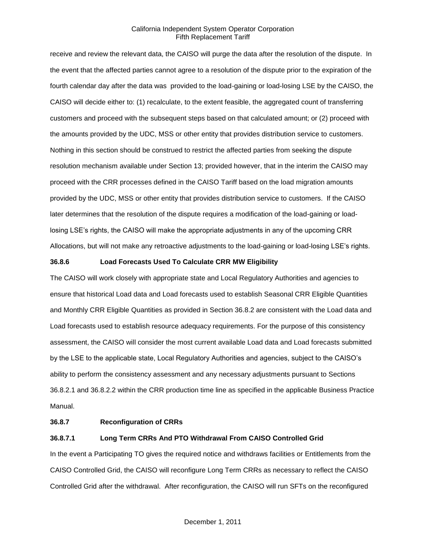receive and review the relevant data, the CAISO will purge the data after the resolution of the dispute. In the event that the affected parties cannot agree to a resolution of the dispute prior to the expiration of the fourth calendar day after the data was provided to the load-gaining or load-losing LSE by the CAISO, the CAISO will decide either to: (1) recalculate, to the extent feasible, the aggregated count of transferring customers and proceed with the subsequent steps based on that calculated amount; or (2) proceed with the amounts provided by the UDC, MSS or other entity that provides distribution service to customers. Nothing in this section should be construed to restrict the affected parties from seeking the dispute resolution mechanism available under Section 13; provided however, that in the interim the CAISO may proceed with the CRR processes defined in the CAISO Tariff based on the load migration amounts provided by the UDC, MSS or other entity that provides distribution service to customers. If the CAISO later determines that the resolution of the dispute requires a modification of the load-gaining or loadlosing LSE's rights, the CAISO will make the appropriate adjustments in any of the upcoming CRR Allocations, but will not make any retroactive adjustments to the load-gaining or load-losing LSE's rights.

## **36.8.6 Load Forecasts Used To Calculate CRR MW Eligibility**

The CAISO will work closely with appropriate state and Local Regulatory Authorities and agencies to ensure that historical Load data and Load forecasts used to establish Seasonal CRR Eligible Quantities and Monthly CRR Eligible Quantities as provided in Section 36.8.2 are consistent with the Load data and Load forecasts used to establish resource adequacy requirements. For the purpose of this consistency assessment, the CAISO will consider the most current available Load data and Load forecasts submitted by the LSE to the applicable state, Local Regulatory Authorities and agencies, subject to the CAISO's ability to perform the consistency assessment and any necessary adjustments pursuant to Sections 36.8.2.1 and 36.8.2.2 within the CRR production time line as specified in the applicable Business Practice Manual.

#### **36.8.7 Reconfiguration of CRRs**

### **36.8.7.1 Long Term CRRs And PTO Withdrawal From CAISO Controlled Grid**

In the event a Participating TO gives the required notice and withdraws facilities or Entitlements from the CAISO Controlled Grid, the CAISO will reconfigure Long Term CRRs as necessary to reflect the CAISO Controlled Grid after the withdrawal. After reconfiguration, the CAISO will run SFTs on the reconfigured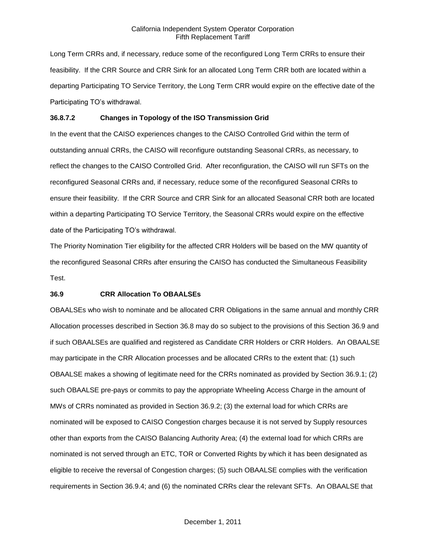Long Term CRRs and, if necessary, reduce some of the reconfigured Long Term CRRs to ensure their feasibility. If the CRR Source and CRR Sink for an allocated Long Term CRR both are located within a departing Participating TO Service Territory, the Long Term CRR would expire on the effective date of the Participating TO's withdrawal.

## **36.8.7.2 Changes in Topology of the ISO Transmission Grid**

In the event that the CAISO experiences changes to the CAISO Controlled Grid within the term of outstanding annual CRRs, the CAISO will reconfigure outstanding Seasonal CRRs, as necessary, to reflect the changes to the CAISO Controlled Grid. After reconfiguration, the CAISO will run SFTs on the reconfigured Seasonal CRRs and, if necessary, reduce some of the reconfigured Seasonal CRRs to ensure their feasibility. If the CRR Source and CRR Sink for an allocated Seasonal CRR both are located within a departing Participating TO Service Territory, the Seasonal CRRs would expire on the effective date of the Participating TO's withdrawal.

The Priority Nomination Tier eligibility for the affected CRR Holders will be based on the MW quantity of the reconfigured Seasonal CRRs after ensuring the CAISO has conducted the Simultaneous Feasibility Test.

#### **36.9 CRR Allocation To OBAALSEs**

OBAALSEs who wish to nominate and be allocated CRR Obligations in the same annual and monthly CRR Allocation processes described in Section 36.8 may do so subject to the provisions of this Section 36.9 and if such OBAALSEs are qualified and registered as Candidate CRR Holders or CRR Holders. An OBAALSE may participate in the CRR Allocation processes and be allocated CRRs to the extent that: (1) such OBAALSE makes a showing of legitimate need for the CRRs nominated as provided by Section 36.9.1; (2) such OBAALSE pre-pays or commits to pay the appropriate Wheeling Access Charge in the amount of MWs of CRRs nominated as provided in Section 36.9.2; (3) the external load for which CRRs are nominated will be exposed to CAISO Congestion charges because it is not served by Supply resources other than exports from the CAISO Balancing Authority Area; (4) the external load for which CRRs are nominated is not served through an ETC, TOR or Converted Rights by which it has been designated as eligible to receive the reversal of Congestion charges; (5) such OBAALSE complies with the verification requirements in Section 36.9.4; and (6) the nominated CRRs clear the relevant SFTs. An OBAALSE that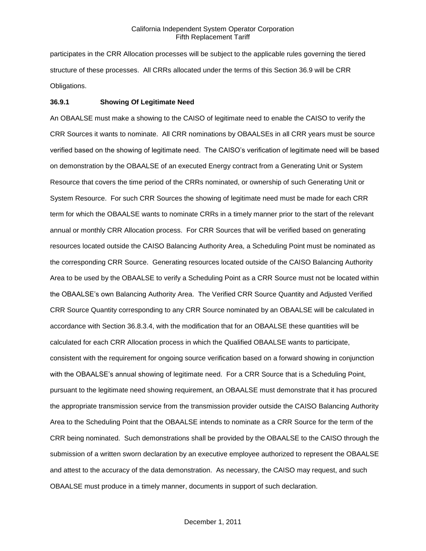participates in the CRR Allocation processes will be subject to the applicable rules governing the tiered structure of these processes. All CRRs allocated under the terms of this Section 36.9 will be CRR Obligations.

#### **36.9.1 Showing Of Legitimate Need**

An OBAALSE must make a showing to the CAISO of legitimate need to enable the CAISO to verify the CRR Sources it wants to nominate. All CRR nominations by OBAALSEs in all CRR years must be source verified based on the showing of legitimate need. The CAISO's verification of legitimate need will be based on demonstration by the OBAALSE of an executed Energy contract from a Generating Unit or System Resource that covers the time period of the CRRs nominated, or ownership of such Generating Unit or System Resource. For such CRR Sources the showing of legitimate need must be made for each CRR term for which the OBAALSE wants to nominate CRRs in a timely manner prior to the start of the relevant annual or monthly CRR Allocation process. For CRR Sources that will be verified based on generating resources located outside the CAISO Balancing Authority Area, a Scheduling Point must be nominated as the corresponding CRR Source. Generating resources located outside of the CAISO Balancing Authority Area to be used by the OBAALSE to verify a Scheduling Point as a CRR Source must not be located within the OBAALSE's own Balancing Authority Area. The Verified CRR Source Quantity and Adjusted Verified CRR Source Quantity corresponding to any CRR Source nominated by an OBAALSE will be calculated in accordance with Section 36.8.3.4, with the modification that for an OBAALSE these quantities will be calculated for each CRR Allocation process in which the Qualified OBAALSE wants to participate, consistent with the requirement for ongoing source verification based on a forward showing in conjunction with the OBAALSE's annual showing of legitimate need. For a CRR Source that is a Scheduling Point, pursuant to the legitimate need showing requirement, an OBAALSE must demonstrate that it has procured the appropriate transmission service from the transmission provider outside the CAISO Balancing Authority Area to the Scheduling Point that the OBAALSE intends to nominate as a CRR Source for the term of the CRR being nominated. Such demonstrations shall be provided by the OBAALSE to the CAISO through the submission of a written sworn declaration by an executive employee authorized to represent the OBAALSE and attest to the accuracy of the data demonstration. As necessary, the CAISO may request, and such OBAALSE must produce in a timely manner, documents in support of such declaration.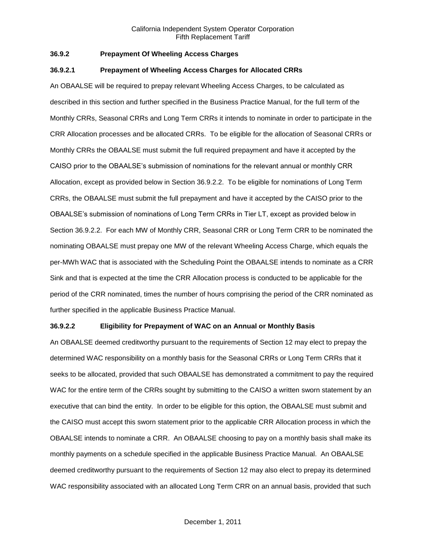# **36.9.2 Prepayment Of Wheeling Access Charges**

#### **36.9.2.1 Prepayment of Wheeling Access Charges for Allocated CRRs**

An OBAALSE will be required to prepay relevant Wheeling Access Charges, to be calculated as described in this section and further specified in the Business Practice Manual, for the full term of the Monthly CRRs, Seasonal CRRs and Long Term CRRs it intends to nominate in order to participate in the CRR Allocation processes and be allocated CRRs. To be eligible for the allocation of Seasonal CRRs or Monthly CRRs the OBAALSE must submit the full required prepayment and have it accepted by the CAISO prior to the OBAALSE's submission of nominations for the relevant annual or monthly CRR Allocation, except as provided below in Section 36.9.2.2. To be eligible for nominations of Long Term CRRs, the OBAALSE must submit the full prepayment and have it accepted by the CAISO prior to the OBAALSE's submission of nominations of Long Term CRRs in Tier LT, except as provided below in Section 36.9.2.2. For each MW of Monthly CRR, Seasonal CRR or Long Term CRR to be nominated the nominating OBAALSE must prepay one MW of the relevant Wheeling Access Charge, which equals the per-MWh WAC that is associated with the Scheduling Point the OBAALSE intends to nominate as a CRR Sink and that is expected at the time the CRR Allocation process is conducted to be applicable for the period of the CRR nominated, times the number of hours comprising the period of the CRR nominated as further specified in the applicable Business Practice Manual.

#### **36.9.2.2 Eligibility for Prepayment of WAC on an Annual or Monthly Basis**

An OBAALSE deemed creditworthy pursuant to the requirements of Section 12 may elect to prepay the determined WAC responsibility on a monthly basis for the Seasonal CRRs or Long Term CRRs that it seeks to be allocated, provided that such OBAALSE has demonstrated a commitment to pay the required WAC for the entire term of the CRRs sought by submitting to the CAISO a written sworn statement by an executive that can bind the entity. In order to be eligible for this option, the OBAALSE must submit and the CAISO must accept this sworn statement prior to the applicable CRR Allocation process in which the OBAALSE intends to nominate a CRR. An OBAALSE choosing to pay on a monthly basis shall make its monthly payments on a schedule specified in the applicable Business Practice Manual. An OBAALSE deemed creditworthy pursuant to the requirements of Section 12 may also elect to prepay its determined WAC responsibility associated with an allocated Long Term CRR on an annual basis, provided that such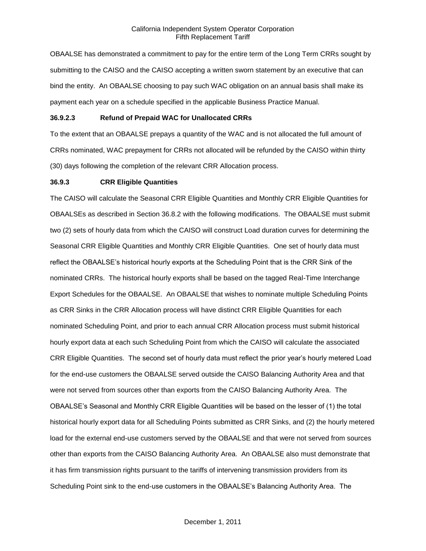OBAALSE has demonstrated a commitment to pay for the entire term of the Long Term CRRs sought by submitting to the CAISO and the CAISO accepting a written sworn statement by an executive that can bind the entity. An OBAALSE choosing to pay such WAC obligation on an annual basis shall make its payment each year on a schedule specified in the applicable Business Practice Manual.

## **36.9.2.3 Refund of Prepaid WAC for Unallocated CRRs**

To the extent that an OBAALSE prepays a quantity of the WAC and is not allocated the full amount of CRRs nominated, WAC prepayment for CRRs not allocated will be refunded by the CAISO within thirty (30) days following the completion of the relevant CRR Allocation process.

#### **36.9.3 CRR Eligible Quantities**

The CAISO will calculate the Seasonal CRR Eligible Quantities and Monthly CRR Eligible Quantities for OBAALSEs as described in Section 36.8.2 with the following modifications. The OBAALSE must submit two (2) sets of hourly data from which the CAISO will construct Load duration curves for determining the Seasonal CRR Eligible Quantities and Monthly CRR Eligible Quantities. One set of hourly data must reflect the OBAALSE's historical hourly exports at the Scheduling Point that is the CRR Sink of the nominated CRRs. The historical hourly exports shall be based on the tagged Real-Time Interchange Export Schedules for the OBAALSE. An OBAALSE that wishes to nominate multiple Scheduling Points as CRR Sinks in the CRR Allocation process will have distinct CRR Eligible Quantities for each nominated Scheduling Point, and prior to each annual CRR Allocation process must submit historical hourly export data at each such Scheduling Point from which the CAISO will calculate the associated CRR Eligible Quantities. The second set of hourly data must reflect the prior year's hourly metered Load for the end-use customers the OBAALSE served outside the CAISO Balancing Authority Area and that were not served from sources other than exports from the CAISO Balancing Authority Area. The OBAALSE's Seasonal and Monthly CRR Eligible Quantities will be based on the lesser of (1) the total historical hourly export data for all Scheduling Points submitted as CRR Sinks, and (2) the hourly metered load for the external end-use customers served by the OBAALSE and that were not served from sources other than exports from the CAISO Balancing Authority Area. An OBAALSE also must demonstrate that it has firm transmission rights pursuant to the tariffs of intervening transmission providers from its Scheduling Point sink to the end-use customers in the OBAALSE's Balancing Authority Area. The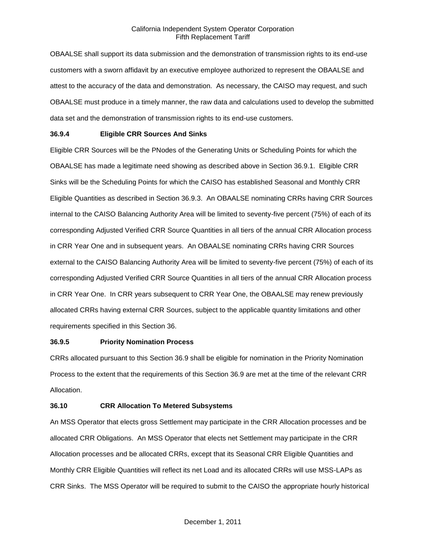OBAALSE shall support its data submission and the demonstration of transmission rights to its end-use customers with a sworn affidavit by an executive employee authorized to represent the OBAALSE and attest to the accuracy of the data and demonstration. As necessary, the CAISO may request, and such OBAALSE must produce in a timely manner, the raw data and calculations used to develop the submitted data set and the demonstration of transmission rights to its end-use customers.

## **36.9.4 Eligible CRR Sources And Sinks**

Eligible CRR Sources will be the PNodes of the Generating Units or Scheduling Points for which the OBAALSE has made a legitimate need showing as described above in Section 36.9.1. Eligible CRR Sinks will be the Scheduling Points for which the CAISO has established Seasonal and Monthly CRR Eligible Quantities as described in Section 36.9.3. An OBAALSE nominating CRRs having CRR Sources internal to the CAISO Balancing Authority Area will be limited to seventy-five percent (75%) of each of its corresponding Adjusted Verified CRR Source Quantities in all tiers of the annual CRR Allocation process in CRR Year One and in subsequent years. An OBAALSE nominating CRRs having CRR Sources external to the CAISO Balancing Authority Area will be limited to seventy-five percent (75%) of each of its corresponding Adjusted Verified CRR Source Quantities in all tiers of the annual CRR Allocation process in CRR Year One. In CRR years subsequent to CRR Year One, the OBAALSE may renew previously allocated CRRs having external CRR Sources, subject to the applicable quantity limitations and other requirements specified in this Section 36.

## **36.9.5 Priority Nomination Process**

CRRs allocated pursuant to this Section 36.9 shall be eligible for nomination in the Priority Nomination Process to the extent that the requirements of this Section 36.9 are met at the time of the relevant CRR Allocation.

## **36.10 CRR Allocation To Metered Subsystems**

An MSS Operator that elects gross Settlement may participate in the CRR Allocation processes and be allocated CRR Obligations. An MSS Operator that elects net Settlement may participate in the CRR Allocation processes and be allocated CRRs, except that its Seasonal CRR Eligible Quantities and Monthly CRR Eligible Quantities will reflect its net Load and its allocated CRRs will use MSS-LAPs as CRR Sinks. The MSS Operator will be required to submit to the CAISO the appropriate hourly historical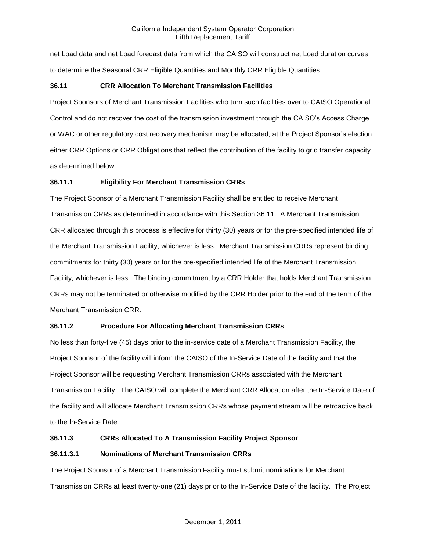net Load data and net Load forecast data from which the CAISO will construct net Load duration curves to determine the Seasonal CRR Eligible Quantities and Monthly CRR Eligible Quantities.

# **36.11 CRR Allocation To Merchant Transmission Facilities**

Project Sponsors of Merchant Transmission Facilities who turn such facilities over to CAISO Operational Control and do not recover the cost of the transmission investment through the CAISO's Access Charge or WAC or other regulatory cost recovery mechanism may be allocated, at the Project Sponsor's election, either CRR Options or CRR Obligations that reflect the contribution of the facility to grid transfer capacity as determined below.

## **36.11.1 Eligibility For Merchant Transmission CRRs**

The Project Sponsor of a Merchant Transmission Facility shall be entitled to receive Merchant Transmission CRRs as determined in accordance with this Section 36.11. A Merchant Transmission CRR allocated through this process is effective for thirty (30) years or for the pre-specified intended life of the Merchant Transmission Facility, whichever is less. Merchant Transmission CRRs represent binding commitments for thirty (30) years or for the pre-specified intended life of the Merchant Transmission Facility, whichever is less. The binding commitment by a CRR Holder that holds Merchant Transmission CRRs may not be terminated or otherwise modified by the CRR Holder prior to the end of the term of the Merchant Transmission CRR.

## **36.11.2 Procedure For Allocating Merchant Transmission CRRs**

No less than forty-five (45) days prior to the in-service date of a Merchant Transmission Facility, the Project Sponsor of the facility will inform the CAISO of the In-Service Date of the facility and that the Project Sponsor will be requesting Merchant Transmission CRRs associated with the Merchant Transmission Facility. The CAISO will complete the Merchant CRR Allocation after the In-Service Date of the facility and will allocate Merchant Transmission CRRs whose payment stream will be retroactive back to the In-Service Date.

# **36.11.3 CRRs Allocated To A Transmission Facility Project Sponsor**

## **36.11.3.1 Nominations of Merchant Transmission CRRs**

The Project Sponsor of a Merchant Transmission Facility must submit nominations for Merchant Transmission CRRs at least twenty-one (21) days prior to the In-Service Date of the facility. The Project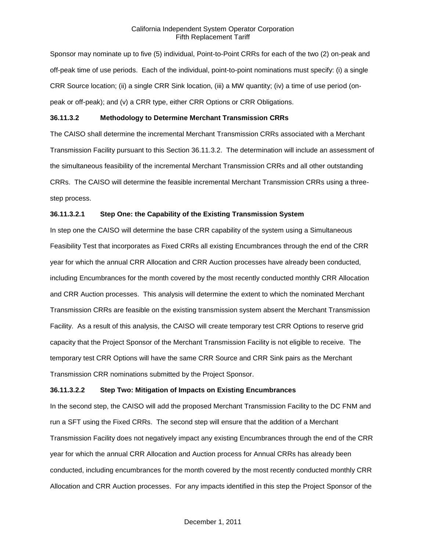Sponsor may nominate up to five (5) individual, Point-to-Point CRRs for each of the two (2) on-peak and off-peak time of use periods. Each of the individual, point-to-point nominations must specify: (i) a single CRR Source location; (ii) a single CRR Sink location, (iii) a MW quantity; (iv) a time of use period (onpeak or off-peak); and (v) a CRR type, either CRR Options or CRR Obligations.

## **36.11.3.2 Methodology to Determine Merchant Transmission CRRs**

The CAISO shall determine the incremental Merchant Transmission CRRs associated with a Merchant Transmission Facility pursuant to this Section 36.11.3.2. The determination will include an assessment of the simultaneous feasibility of the incremental Merchant Transmission CRRs and all other outstanding CRRs. The CAISO will determine the feasible incremental Merchant Transmission CRRs using a threestep process.

## **36.11.3.2.1 Step One: the Capability of the Existing Transmission System**

In step one the CAISO will determine the base CRR capability of the system using a Simultaneous Feasibility Test that incorporates as Fixed CRRs all existing Encumbrances through the end of the CRR year for which the annual CRR Allocation and CRR Auction processes have already been conducted, including Encumbrances for the month covered by the most recently conducted monthly CRR Allocation and CRR Auction processes. This analysis will determine the extent to which the nominated Merchant Transmission CRRs are feasible on the existing transmission system absent the Merchant Transmission Facility. As a result of this analysis, the CAISO will create temporary test CRR Options to reserve grid capacity that the Project Sponsor of the Merchant Transmission Facility is not eligible to receive. The temporary test CRR Options will have the same CRR Source and CRR Sink pairs as the Merchant Transmission CRR nominations submitted by the Project Sponsor.

## **36.11.3.2.2 Step Two: Mitigation of Impacts on Existing Encumbrances**

In the second step, the CAISO will add the proposed Merchant Transmission Facility to the DC FNM and run a SFT using the Fixed CRRs. The second step will ensure that the addition of a Merchant Transmission Facility does not negatively impact any existing Encumbrances through the end of the CRR year for which the annual CRR Allocation and Auction process for Annual CRRs has already been conducted, including encumbrances for the month covered by the most recently conducted monthly CRR Allocation and CRR Auction processes. For any impacts identified in this step the Project Sponsor of the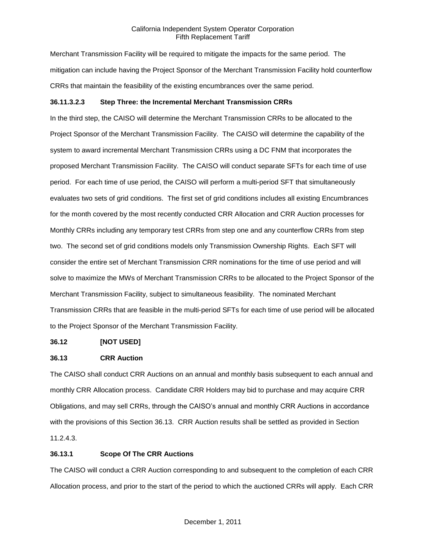Merchant Transmission Facility will be required to mitigate the impacts for the same period. The mitigation can include having the Project Sponsor of the Merchant Transmission Facility hold counterflow CRRs that maintain the feasibility of the existing encumbrances over the same period.

## **36.11.3.2.3 Step Three: the Incremental Merchant Transmission CRRs**

In the third step, the CAISO will determine the Merchant Transmission CRRs to be allocated to the Project Sponsor of the Merchant Transmission Facility. The CAISO will determine the capability of the system to award incremental Merchant Transmission CRRs using a DC FNM that incorporates the proposed Merchant Transmission Facility. The CAISO will conduct separate SFTs for each time of use period. For each time of use period, the CAISO will perform a multi-period SFT that simultaneously evaluates two sets of grid conditions. The first set of grid conditions includes all existing Encumbrances for the month covered by the most recently conducted CRR Allocation and CRR Auction processes for Monthly CRRs including any temporary test CRRs from step one and any counterflow CRRs from step two. The second set of grid conditions models only Transmission Ownership Rights. Each SFT will consider the entire set of Merchant Transmission CRR nominations for the time of use period and will solve to maximize the MWs of Merchant Transmission CRRs to be allocated to the Project Sponsor of the Merchant Transmission Facility, subject to simultaneous feasibility. The nominated Merchant Transmission CRRs that are feasible in the multi-period SFTs for each time of use period will be allocated to the Project Sponsor of the Merchant Transmission Facility.

## **36.12 [NOT USED]**

## **36.13 CRR Auction**

The CAISO shall conduct CRR Auctions on an annual and monthly basis subsequent to each annual and monthly CRR Allocation process. Candidate CRR Holders may bid to purchase and may acquire CRR Obligations, and may sell CRRs, through the CAISO's annual and monthly CRR Auctions in accordance with the provisions of this Section 36.13. CRR Auction results shall be settled as provided in Section 11.2.4.3.

## **36.13.1 Scope Of The CRR Auctions**

The CAISO will conduct a CRR Auction corresponding to and subsequent to the completion of each CRR Allocation process, and prior to the start of the period to which the auctioned CRRs will apply. Each CRR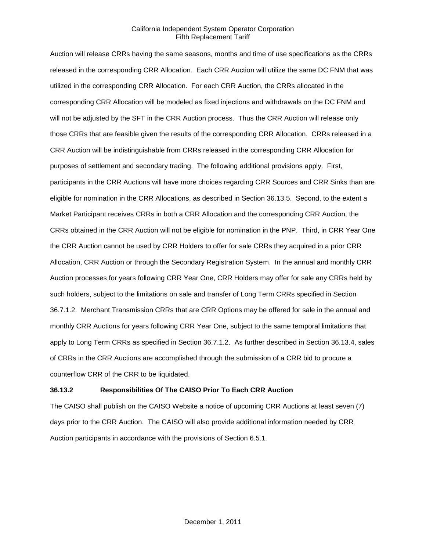Auction will release CRRs having the same seasons, months and time of use specifications as the CRRs released in the corresponding CRR Allocation. Each CRR Auction will utilize the same DC FNM that was utilized in the corresponding CRR Allocation. For each CRR Auction, the CRRs allocated in the corresponding CRR Allocation will be modeled as fixed injections and withdrawals on the DC FNM and will not be adjusted by the SFT in the CRR Auction process. Thus the CRR Auction will release only those CRRs that are feasible given the results of the corresponding CRR Allocation. CRRs released in a CRR Auction will be indistinguishable from CRRs released in the corresponding CRR Allocation for purposes of settlement and secondary trading. The following additional provisions apply. First, participants in the CRR Auctions will have more choices regarding CRR Sources and CRR Sinks than are eligible for nomination in the CRR Allocations, as described in Section 36.13.5. Second, to the extent a Market Participant receives CRRs in both a CRR Allocation and the corresponding CRR Auction, the CRRs obtained in the CRR Auction will not be eligible for nomination in the PNP. Third, in CRR Year One the CRR Auction cannot be used by CRR Holders to offer for sale CRRs they acquired in a prior CRR Allocation, CRR Auction or through the Secondary Registration System. In the annual and monthly CRR Auction processes for years following CRR Year One, CRR Holders may offer for sale any CRRs held by such holders, subject to the limitations on sale and transfer of Long Term CRRs specified in Section 36.7.1.2. Merchant Transmission CRRs that are CRR Options may be offered for sale in the annual and monthly CRR Auctions for years following CRR Year One, subject to the same temporal limitations that apply to Long Term CRRs as specified in Section 36.7.1.2. As further described in Section 36.13.4, sales of CRRs in the CRR Auctions are accomplished through the submission of a CRR bid to procure a counterflow CRR of the CRR to be liquidated.

## **36.13.2 Responsibilities Of The CAISO Prior To Each CRR Auction**

The CAISO shall publish on the CAISO Website a notice of upcoming CRR Auctions at least seven (7) days prior to the CRR Auction. The CAISO will also provide additional information needed by CRR Auction participants in accordance with the provisions of Section 6.5.1.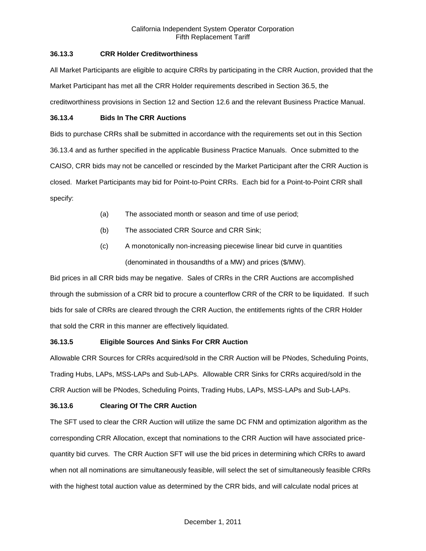## **36.13.3 CRR Holder Creditworthiness**

All Market Participants are eligible to acquire CRRs by participating in the CRR Auction, provided that the Market Participant has met all the CRR Holder requirements described in Section 36.5, the creditworthiness provisions in Section 12 and Section 12.6 and the relevant Business Practice Manual.

## **36.13.4 Bids In The CRR Auctions**

Bids to purchase CRRs shall be submitted in accordance with the requirements set out in this Section 36.13.4 and as further specified in the applicable Business Practice Manuals. Once submitted to the CAISO, CRR bids may not be cancelled or rescinded by the Market Participant after the CRR Auction is closed. Market Participants may bid for Point-to-Point CRRs. Each bid for a Point-to-Point CRR shall specify:

- (a) The associated month or season and time of use period;
- (b) The associated CRR Source and CRR Sink;
- (c) A monotonically non-increasing piecewise linear bid curve in quantities (denominated in thousandths of a MW) and prices (\$/MW).

Bid prices in all CRR bids may be negative. Sales of CRRs in the CRR Auctions are accomplished through the submission of a CRR bid to procure a counterflow CRR of the CRR to be liquidated. If such bids for sale of CRRs are cleared through the CRR Auction, the entitlements rights of the CRR Holder that sold the CRR in this manner are effectively liquidated.

# **36.13.5 Eligible Sources And Sinks For CRR Auction**

Allowable CRR Sources for CRRs acquired/sold in the CRR Auction will be PNodes, Scheduling Points, Trading Hubs, LAPs, MSS-LAPs and Sub-LAPs. Allowable CRR Sinks for CRRs acquired/sold in the CRR Auction will be PNodes, Scheduling Points, Trading Hubs, LAPs, MSS-LAPs and Sub-LAPs.

# **36.13.6 Clearing Of The CRR Auction**

The SFT used to clear the CRR Auction will utilize the same DC FNM and optimization algorithm as the corresponding CRR Allocation, except that nominations to the CRR Auction will have associated pricequantity bid curves. The CRR Auction SFT will use the bid prices in determining which CRRs to award when not all nominations are simultaneously feasible, will select the set of simultaneously feasible CRRs with the highest total auction value as determined by the CRR bids, and will calculate nodal prices at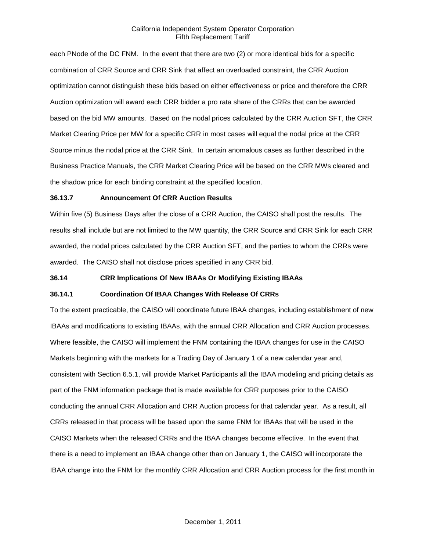each PNode of the DC FNM. In the event that there are two (2) or more identical bids for a specific combination of CRR Source and CRR Sink that affect an overloaded constraint, the CRR Auction optimization cannot distinguish these bids based on either effectiveness or price and therefore the CRR Auction optimization will award each CRR bidder a pro rata share of the CRRs that can be awarded based on the bid MW amounts. Based on the nodal prices calculated by the CRR Auction SFT, the CRR Market Clearing Price per MW for a specific CRR in most cases will equal the nodal price at the CRR Source minus the nodal price at the CRR Sink. In certain anomalous cases as further described in the Business Practice Manuals, the CRR Market Clearing Price will be based on the CRR MWs cleared and the shadow price for each binding constraint at the specified location.

#### **36.13.7 Announcement Of CRR Auction Results**

Within five (5) Business Days after the close of a CRR Auction, the CAISO shall post the results. The results shall include but are not limited to the MW quantity, the CRR Source and CRR Sink for each CRR awarded, the nodal prices calculated by the CRR Auction SFT, and the parties to whom the CRRs were awarded. The CAISO shall not disclose prices specified in any CRR bid.

## **36.14 CRR Implications Of New IBAAs Or Modifying Existing IBAAs**

#### **36.14.1 Coordination Of IBAA Changes With Release Of CRRs**

To the extent practicable, the CAISO will coordinate future IBAA changes, including establishment of new IBAAs and modifications to existing IBAAs, with the annual CRR Allocation and CRR Auction processes. Where feasible, the CAISO will implement the FNM containing the IBAA changes for use in the CAISO Markets beginning with the markets for a Trading Day of January 1 of a new calendar year and, consistent with Section 6.5.1, will provide Market Participants all the IBAA modeling and pricing details as part of the FNM information package that is made available for CRR purposes prior to the CAISO conducting the annual CRR Allocation and CRR Auction process for that calendar year. As a result, all CRRs released in that process will be based upon the same FNM for IBAAs that will be used in the CAISO Markets when the released CRRs and the IBAA changes become effective. In the event that there is a need to implement an IBAA change other than on January 1, the CAISO will incorporate the IBAA change into the FNM for the monthly CRR Allocation and CRR Auction process for the first month in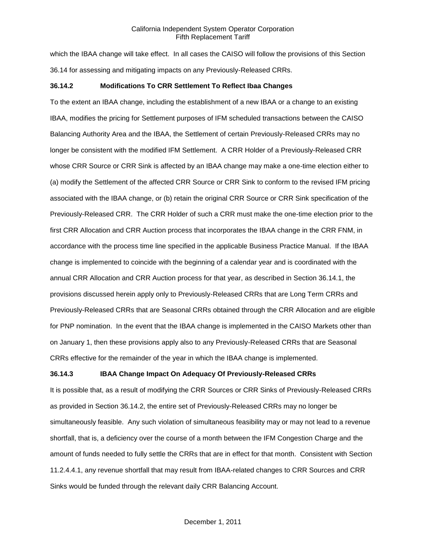which the IBAA change will take effect. In all cases the CAISO will follow the provisions of this Section 36.14 for assessing and mitigating impacts on any Previously-Released CRRs.

## **36.14.2 Modifications To CRR Settlement To Reflect Ibaa Changes**

To the extent an IBAA change, including the establishment of a new IBAA or a change to an existing IBAA, modifies the pricing for Settlement purposes of IFM scheduled transactions between the CAISO Balancing Authority Area and the IBAA, the Settlement of certain Previously-Released CRRs may no longer be consistent with the modified IFM Settlement. A CRR Holder of a Previously-Released CRR whose CRR Source or CRR Sink is affected by an IBAA change may make a one-time election either to (a) modify the Settlement of the affected CRR Source or CRR Sink to conform to the revised IFM pricing associated with the IBAA change, or (b) retain the original CRR Source or CRR Sink specification of the Previously-Released CRR. The CRR Holder of such a CRR must make the one-time election prior to the first CRR Allocation and CRR Auction process that incorporates the IBAA change in the CRR FNM, in accordance with the process time line specified in the applicable Business Practice Manual. If the IBAA change is implemented to coincide with the beginning of a calendar year and is coordinated with the annual CRR Allocation and CRR Auction process for that year, as described in Section 36.14.1, the provisions discussed herein apply only to Previously-Released CRRs that are Long Term CRRs and Previously-Released CRRs that are Seasonal CRRs obtained through the CRR Allocation and are eligible for PNP nomination. In the event that the IBAA change is implemented in the CAISO Markets other than on January 1, then these provisions apply also to any Previously-Released CRRs that are Seasonal CRRs effective for the remainder of the year in which the IBAA change is implemented.

# **36.14.3 IBAA Change Impact On Adequacy Of Previously-Released CRRs**

It is possible that, as a result of modifying the CRR Sources or CRR Sinks of Previously-Released CRRs as provided in Section 36.14.2, the entire set of Previously-Released CRRs may no longer be simultaneously feasible. Any such violation of simultaneous feasibility may or may not lead to a revenue shortfall, that is, a deficiency over the course of a month between the IFM Congestion Charge and the amount of funds needed to fully settle the CRRs that are in effect for that month. Consistent with Section 11.2.4.4.1, any revenue shortfall that may result from IBAA-related changes to CRR Sources and CRR Sinks would be funded through the relevant daily CRR Balancing Account.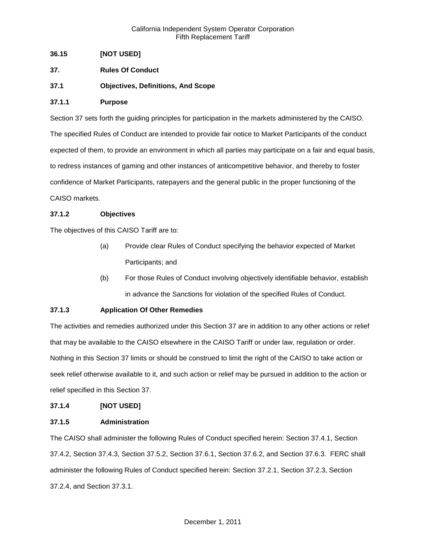# **36.15 [NOT USED]**

- **37. Rules Of Conduct**
- **37.1 Objectives, Definitions, And Scope**

## **37.1.1 Purpose**

Section 37 sets forth the guiding principles for participation in the markets administered by the CAISO. The specified Rules of Conduct are intended to provide fair notice to Market Participants of the conduct expected of them, to provide an environment in which all parties may participate on a fair and equal basis, to redress instances of gaming and other instances of anticompetitive behavior, and thereby to foster confidence of Market Participants, ratepayers and the general public in the proper functioning of the CAISO markets.

## **37.1.2 Objectives**

The objectives of this CAISO Tariff are to:

- (a) Provide clear Rules of Conduct specifying the behavior expected of Market Participants; and
- (b) For those Rules of Conduct involving objectively identifiable behavior, establish in advance the Sanctions for violation of the specified Rules of Conduct.

# **37.1.3 Application Of Other Remedies**

The activities and remedies authorized under this Section 37 are in addition to any other actions or relief that may be available to the CAISO elsewhere in the CAISO Tariff or under law, regulation or order. Nothing in this Section 37 limits or should be construed to limit the right of the CAISO to take action or seek relief otherwise available to it, and such action or relief may be pursued in addition to the action or relief specified in this Section 37.

## **37.1.4 [NOT USED]**

## **37.1.5 Administration**

The CAISO shall administer the following Rules of Conduct specified herein: Section 37.4.1, Section 37.4.2, Section 37.4.3, Section 37.5.2, Section 37.6.1, Section 37.6.2, and Section 37.6.3. FERC shall administer the following Rules of Conduct specified herein: Section 37.2.1, Section 37.2.3, Section 37.2.4, and Section 37.3.1.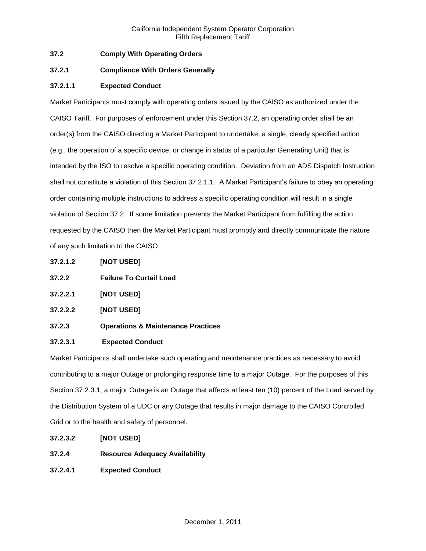# **37.2 Comply With Operating Orders**

## **37.2.1 Compliance With Orders Generally**

# **37.2.1.1 Expected Conduct**

Market Participants must comply with operating orders issued by the CAISO as authorized under the CAISO Tariff. For purposes of enforcement under this Section 37.2, an operating order shall be an order(s) from the CAISO directing a Market Participant to undertake, a single, clearly specified action (e.g., the operation of a specific device, or change in status of a particular Generating Unit) that is intended by the ISO to resolve a specific operating condition. Deviation from an ADS Dispatch Instruction shall not constitute a violation of this Section 37.2.1.1. A Market Participant's failure to obey an operating order containing multiple instructions to address a specific operating condition will result in a single violation of Section 37.2. If some limitation prevents the Market Participant from fulfilling the action requested by the CAISO then the Market Participant must promptly and directly communicate the nature of any such limitation to the CAISO.

- **37.2.1.2 [NOT USED]**
- **37.2.2 Failure To Curtail Load**
- **37.2.2.1 [NOT USED]**
- **37.2.2.2 [NOT USED]**
- **37.2.3 Operations & Maintenance Practices**

## **37.2.3.1 Expected Conduct**

Market Participants shall undertake such operating and maintenance practices as necessary to avoid contributing to a major Outage or prolonging response time to a major Outage. For the purposes of this Section 37.2.3.1, a major Outage is an Outage that affects at least ten (10) percent of the Load served by the Distribution System of a UDC or any Outage that results in major damage to the CAISO Controlled Grid or to the health and safety of personnel.

- **37.2.3.2 [NOT USED]**
- **37.2.4 Resource Adequacy Availability**
- **37.2.4.1 Expected Conduct**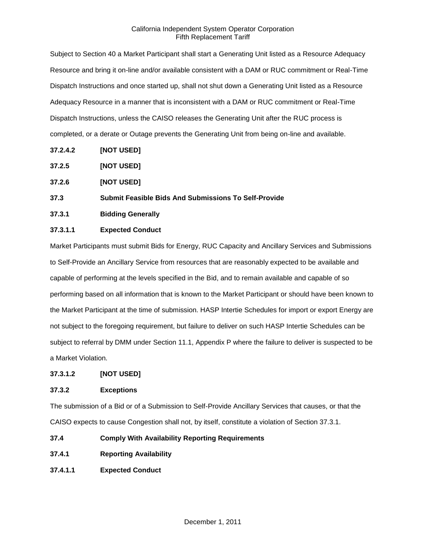Subject to Section 40 a Market Participant shall start a Generating Unit listed as a Resource Adequacy Resource and bring it on-line and/or available consistent with a DAM or RUC commitment or Real-Time Dispatch Instructions and once started up, shall not shut down a Generating Unit listed as a Resource Adequacy Resource in a manner that is inconsistent with a DAM or RUC commitment or Real-Time Dispatch Instructions, unless the CAISO releases the Generating Unit after the RUC process is completed, or a derate or Outage prevents the Generating Unit from being on-line and available.

- **37.2.4.2 [NOT USED]**
- **37.2.5 [NOT USED]**
- **37.2.6 [NOT USED]**
- **37.3 Submit Feasible Bids And Submissions To Self-Provide**
- **37.3.1 Bidding Generally**

# **37.3.1.1 Expected Conduct**

Market Participants must submit Bids for Energy, RUC Capacity and Ancillary Services and Submissions to Self-Provide an Ancillary Service from resources that are reasonably expected to be available and capable of performing at the levels specified in the Bid, and to remain available and capable of so performing based on all information that is known to the Market Participant or should have been known to the Market Participant at the time of submission. HASP Intertie Schedules for import or export Energy are not subject to the foregoing requirement, but failure to deliver on such HASP Intertie Schedules can be subject to referral by DMM under Section 11.1, Appendix P where the failure to deliver is suspected to be a Market Violation.

# **37.3.1.2 [NOT USED]**

# **37.3.2 Exceptions**

The submission of a Bid or of a Submission to Self-Provide Ancillary Services that causes, or that the CAISO expects to cause Congestion shall not, by itself, constitute a violation of Section 37.3.1.

**37.4 Comply With Availability Reporting Requirements**

- **37.4.1 Reporting Availability**
- **37.4.1.1 Expected Conduct**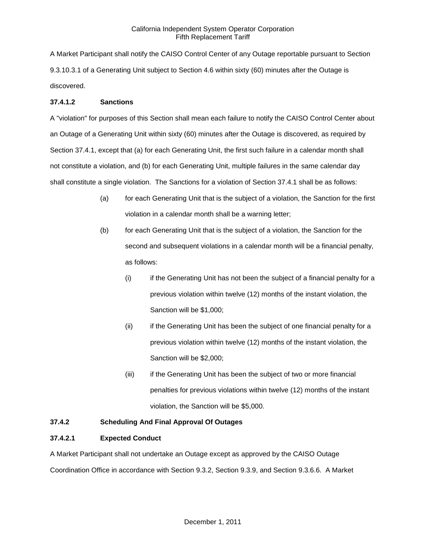A Market Participant shall notify the CAISO Control Center of any Outage reportable pursuant to Section 9.3.10.3.1 of a Generating Unit subject to Section 4.6 within sixty (60) minutes after the Outage is discovered.

## **37.4.1.2 Sanctions**

A "violation" for purposes of this Section shall mean each failure to notify the CAISO Control Center about an Outage of a Generating Unit within sixty (60) minutes after the Outage is discovered, as required by Section 37.4.1, except that (a) for each Generating Unit, the first such failure in a calendar month shall not constitute a violation, and (b) for each Generating Unit, multiple failures in the same calendar day shall constitute a single violation. The Sanctions for a violation of Section 37.4.1 shall be as follows:

- (a) for each Generating Unit that is the subject of a violation, the Sanction for the first violation in a calendar month shall be a warning letter;
- (b) for each Generating Unit that is the subject of a violation, the Sanction for the second and subsequent violations in a calendar month will be a financial penalty, as follows:
	- (i) if the Generating Unit has not been the subject of a financial penalty for a previous violation within twelve (12) months of the instant violation, the Sanction will be \$1,000;
	- (ii) if the Generating Unit has been the subject of one financial penalty for a previous violation within twelve (12) months of the instant violation, the Sanction will be \$2,000;
	- (iii) if the Generating Unit has been the subject of two or more financial penalties for previous violations within twelve (12) months of the instant violation, the Sanction will be \$5,000.

# **37.4.2 Scheduling And Final Approval Of Outages**

# **37.4.2.1 Expected Conduct**

A Market Participant shall not undertake an Outage except as approved by the CAISO Outage Coordination Office in accordance with Section 9.3.2, Section 9.3.9, and Section 9.3.6.6. A Market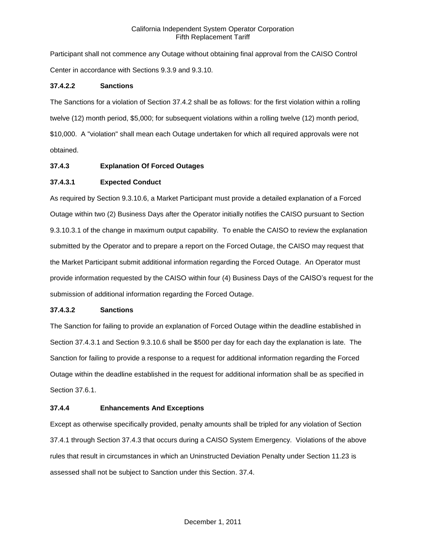Participant shall not commence any Outage without obtaining final approval from the CAISO Control Center in accordance with Sections 9.3.9 and 9.3.10.

## **37.4.2.2 Sanctions**

The Sanctions for a violation of Section 37.4.2 shall be as follows: for the first violation within a rolling twelve (12) month period, \$5,000; for subsequent violations within a rolling twelve (12) month period, \$10,000. A "violation" shall mean each Outage undertaken for which all required approvals were not obtained.

## **37.4.3 Explanation Of Forced Outages**

## **37.4.3.1 Expected Conduct**

As required by Section 9.3.10.6, a Market Participant must provide a detailed explanation of a Forced Outage within two (2) Business Days after the Operator initially notifies the CAISO pursuant to Section 9.3.10.3.1 of the change in maximum output capability. To enable the CAISO to review the explanation submitted by the Operator and to prepare a report on the Forced Outage, the CAISO may request that the Market Participant submit additional information regarding the Forced Outage. An Operator must provide information requested by the CAISO within four (4) Business Days of the CAISO's request for the submission of additional information regarding the Forced Outage.

## **37.4.3.2 Sanctions**

The Sanction for failing to provide an explanation of Forced Outage within the deadline established in Section 37.4.3.1 and Section 9.3.10.6 shall be \$500 per day for each day the explanation is late. The Sanction for failing to provide a response to a request for additional information regarding the Forced Outage within the deadline established in the request for additional information shall be as specified in Section 37.6.1.

## **37.4.4 Enhancements And Exceptions**

Except as otherwise specifically provided, penalty amounts shall be tripled for any violation of Section 37.4.1 through Section 37.4.3 that occurs during a CAISO System Emergency. Violations of the above rules that result in circumstances in which an Uninstructed Deviation Penalty under Section 11.23 is assessed shall not be subject to Sanction under this Section. 37.4.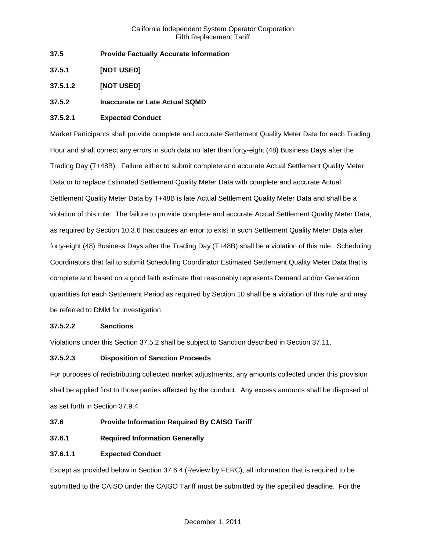- **37.5 Provide Factually Accurate Information**
- **37.5.1 [NOT USED]**
- **37.5.1.2 [NOT USED]**

# **37.5.2 Inaccurate or Late Actual SQMD**

## **37.5.2.1 Expected Conduct**

Market Participants shall provide complete and accurate Settlement Quality Meter Data for each Trading Hour and shall correct any errors in such data no later than forty-eight (48) Business Days after the Trading Day (T+48B). Failure either to submit complete and accurate Actual Settlement Quality Meter Data or to replace Estimated Settlement Quality Meter Data with complete and accurate Actual Settlement Quality Meter Data by T+48B is late Actual Settlement Quality Meter Data and shall be a violation of this rule. The failure to provide complete and accurate Actual Settlement Quality Meter Data, as required by Section 10.3.6 that causes an error to exist in such Settlement Quality Meter Data after forty-eight (48) Business Days after the Trading Day (T+48B) shall be a violation of this rule. Scheduling Coordinators that fail to submit Scheduling Coordinator Estimated Settlement Quality Meter Data that is complete and based on a good faith estimate that reasonably represents Demand and/or Generation quantities for each Settlement Period as required by Section 10 shall be a violation of this rule and may be referred to DMM for investigation.

## **37.5.2.2 Sanctions**

Violations under this Section 37.5.2 shall be subject to Sanction described in Section 37.11.

# **37.5.2.3 Disposition of Sanction Proceeds**

For purposes of redistributing collected market adjustments, any amounts collected under this provision shall be applied first to those parties affected by the conduct. Any excess amounts shall be disposed of as set forth in Section 37.9.4.

# **37.6 Provide Information Required By CAISO Tariff**

**37.6.1 Required Information Generally**

# **37.6.1.1 Expected Conduct**

Except as provided below in Section 37.6.4 (Review by FERC), all information that is required to be submitted to the CAISO under the CAISO Tariff must be submitted by the specified deadline. For the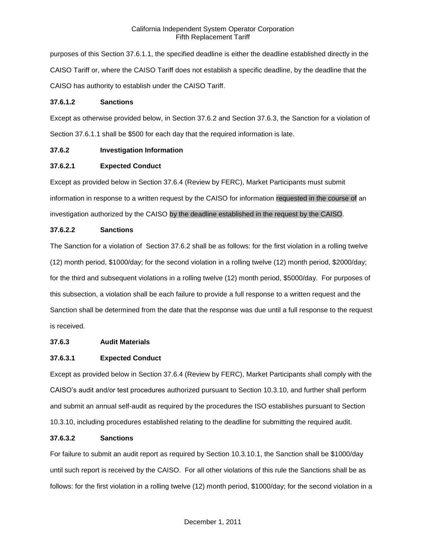purposes of this Section 37.6.1.1, the specified deadline is either the deadline established directly in the CAISO Tariff or, where the CAISO Tariff does not establish a specific deadline, by the deadline that the CAISO has authority to establish under the CAISO Tariff.

## **37.6.1.2 Sanctions**

Except as otherwise provided below, in Section 37.6.2 and Section 37.6.3, the Sanction for a violation of Section 37.6.1.1 shall be \$500 for each day that the required information is late.

# **37.6.2 Investigation Information**

# **37.6.2.1 Expected Conduct**

Except as provided below in Section 37.6.4 (Review by FERC), Market Participants must submit information in response to a written request by the CAISO for information requested in the course of an investigation authorized by the CAISO by the deadline established in the request by the CAISO.

# **37.6.2.2 Sanctions**

The Sanction for a violation of Section 37.6.2 shall be as follows: for the first violation in a rolling twelve (12) month period, \$1000/day; for the second violation in a rolling twelve (12) month period, \$2000/day; for the third and subsequent violations in a rolling twelve (12) month period, \$5000/day. For purposes of this subsection, a violation shall be each failure to provide a full response to a written request and the Sanction shall be determined from the date that the response was due until a full response to the request is received.

# **37.6.3 Audit Materials**

# **37.6.3.1 Expected Conduct**

Except as provided below in Section 37.6.4 (Review by FERC), Market Participants shall comply with the CAISO's audit and/or test procedures authorized pursuant to Section 10.3.10, and further shall perform and submit an annual self-audit as required by the procedures the ISO establishes pursuant to Section 10.3.10, including procedures established relating to the deadline for submitting the required audit.

# **37.6.3.2 Sanctions**

For failure to submit an audit report as required by Section 10.3.10.1, the Sanction shall be \$1000/day until such report is received by the CAISO. For all other violations of this rule the Sanctions shall be as follows: for the first violation in a rolling twelve (12) month period, \$1000/day; for the second violation in a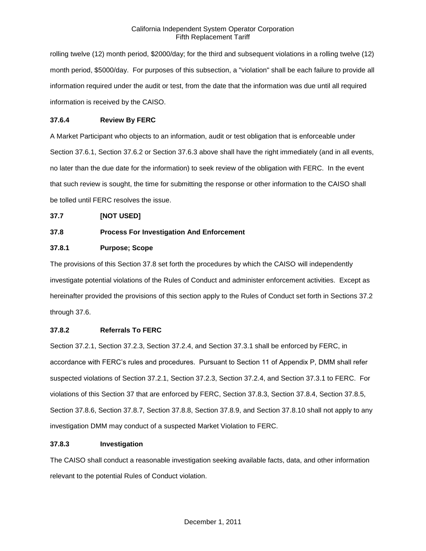rolling twelve (12) month period, \$2000/day; for the third and subsequent violations in a rolling twelve (12) month period, \$5000/day. For purposes of this subsection, a "violation" shall be each failure to provide all information required under the audit or test, from the date that the information was due until all required information is received by the CAISO.

# **37.6.4 Review By FERC**

A Market Participant who objects to an information, audit or test obligation that is enforceable under Section 37.6.1, Section 37.6.2 or Section 37.6.3 above shall have the right immediately (and in all events, no later than the due date for the information) to seek review of the obligation with FERC. In the event that such review is sought, the time for submitting the response or other information to the CAISO shall be tolled until FERC resolves the issue.

# **37.7 [NOT USED]**

# **37.8 Process For Investigation And Enforcement**

# **37.8.1 Purpose; Scope**

The provisions of this Section 37.8 set forth the procedures by which the CAISO will independently investigate potential violations of the Rules of Conduct and administer enforcement activities. Except as hereinafter provided the provisions of this section apply to the Rules of Conduct set forth in Sections 37.2 through 37.6.

# **37.8.2 Referrals To FERC**

Section 37.2.1, Section 37.2.3, Section 37.2.4, and Section 37.3.1 shall be enforced by FERC, in accordance with FERC's rules and procedures. Pursuant to Section 11 of Appendix P, DMM shall refer suspected violations of Section 37.2.1, Section 37.2.3, Section 37.2.4, and Section 37.3.1 to FERC. For violations of this Section 37 that are enforced by FERC, Section 37.8.3, Section 37.8.4, Section 37.8.5, Section 37.8.6, Section 37.8.7, Section 37.8.8, Section 37.8.9, and Section 37.8.10 shall not apply to any investigation DMM may conduct of a suspected Market Violation to FERC.

## **37.8.3 Investigation**

The CAISO shall conduct a reasonable investigation seeking available facts, data, and other information relevant to the potential Rules of Conduct violation.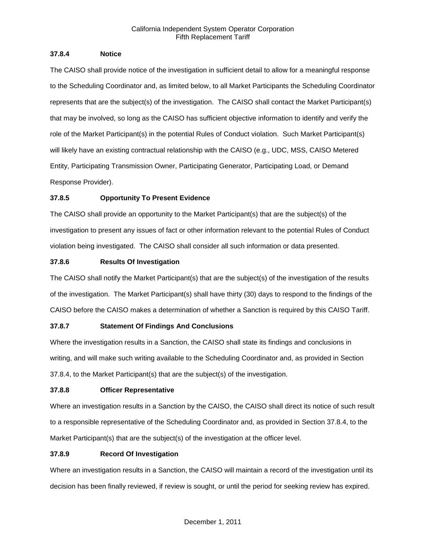## **37.8.4 Notice**

The CAISO shall provide notice of the investigation in sufficient detail to allow for a meaningful response to the Scheduling Coordinator and, as limited below, to all Market Participants the Scheduling Coordinator represents that are the subject(s) of the investigation. The CAISO shall contact the Market Participant(s) that may be involved, so long as the CAISO has sufficient objective information to identify and verify the role of the Market Participant(s) in the potential Rules of Conduct violation. Such Market Participant(s) will likely have an existing contractual relationship with the CAISO (e.g., UDC, MSS, CAISO Metered Entity, Participating Transmission Owner, Participating Generator, Participating Load, or Demand Response Provider).

# **37.8.5 Opportunity To Present Evidence**

The CAISO shall provide an opportunity to the Market Participant(s) that are the subject(s) of the investigation to present any issues of fact or other information relevant to the potential Rules of Conduct violation being investigated. The CAISO shall consider all such information or data presented.

# **37.8.6 Results Of Investigation**

The CAISO shall notify the Market Participant(s) that are the subject(s) of the investigation of the results of the investigation. The Market Participant(s) shall have thirty (30) days to respond to the findings of the CAISO before the CAISO makes a determination of whether a Sanction is required by this CAISO Tariff.

# **37.8.7 Statement Of Findings And Conclusions**

Where the investigation results in a Sanction, the CAISO shall state its findings and conclusions in writing, and will make such writing available to the Scheduling Coordinator and, as provided in Section 37.8.4, to the Market Participant(s) that are the subject(s) of the investigation.

# **37.8.8 Officer Representative**

Where an investigation results in a Sanction by the CAISO, the CAISO shall direct its notice of such result to a responsible representative of the Scheduling Coordinator and, as provided in Section 37.8.4, to the Market Participant(s) that are the subject(s) of the investigation at the officer level.

# **37.8.9 Record Of Investigation**

Where an investigation results in a Sanction, the CAISO will maintain a record of the investigation until its decision has been finally reviewed, if review is sought, or until the period for seeking review has expired.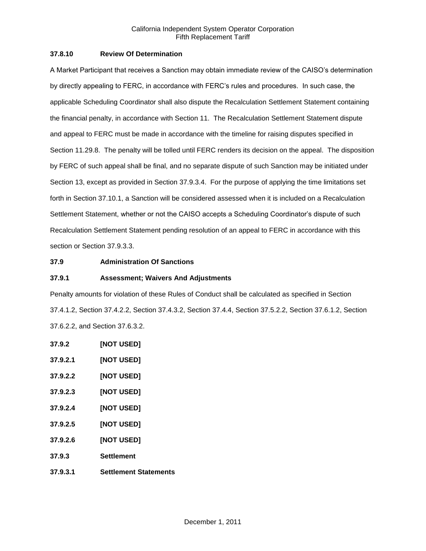## **37.8.10 Review Of Determination**

A Market Participant that receives a Sanction may obtain immediate review of the CAISO's determination by directly appealing to FERC, in accordance with FERC's rules and procedures. In such case, the applicable Scheduling Coordinator shall also dispute the Recalculation Settlement Statement containing the financial penalty, in accordance with Section 11. The Recalculation Settlement Statement dispute and appeal to FERC must be made in accordance with the timeline for raising disputes specified in Section 11.29.8. The penalty will be tolled until FERC renders its decision on the appeal. The disposition by FERC of such appeal shall be final, and no separate dispute of such Sanction may be initiated under Section 13, except as provided in Section 37.9.3.4. For the purpose of applying the time limitations set forth in Section 37.10.1, a Sanction will be considered assessed when it is included on a Recalculation Settlement Statement, whether or not the CAISO accepts a Scheduling Coordinator's dispute of such Recalculation Settlement Statement pending resolution of an appeal to FERC in accordance with this section or Section 37.9.3.3.

## **37.9 Administration Of Sanctions**

## **37.9.1 Assessment; Waivers And Adjustments**

Penalty amounts for violation of these Rules of Conduct shall be calculated as specified in Section 37.4.1.2, Section 37.4.2.2, Section 37.4.3.2, Section 37.4.4, Section 37.5.2.2, Section 37.6.1.2, Section 37.6.2.2, and Section 37.6.3.2.

**37.9.2 [NOT USED] 37.9.2.1 [NOT USED] 37.9.2.2 [NOT USED] 37.9.2.3 [NOT USED] 37.9.2.4 [NOT USED] 37.9.2.5 [NOT USED] 37.9.2.6 [NOT USED] 37.9.3 Settlement 37.9.3.1 Settlement Statements**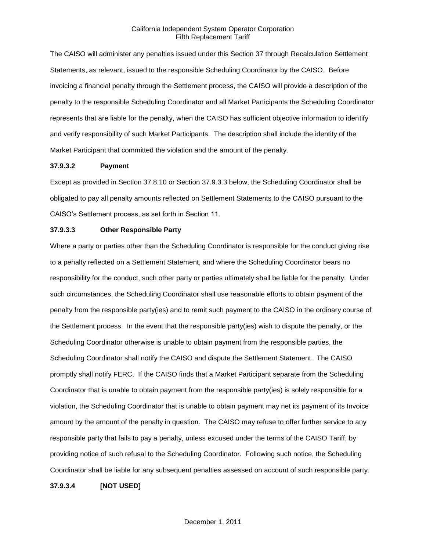The CAISO will administer any penalties issued under this Section 37 through Recalculation Settlement Statements, as relevant, issued to the responsible Scheduling Coordinator by the CAISO. Before invoicing a financial penalty through the Settlement process, the CAISO will provide a description of the penalty to the responsible Scheduling Coordinator and all Market Participants the Scheduling Coordinator represents that are liable for the penalty, when the CAISO has sufficient objective information to identify and verify responsibility of such Market Participants. The description shall include the identity of the Market Participant that committed the violation and the amount of the penalty.

#### **37.9.3.2 Payment**

Except as provided in Section 37.8.10 or Section 37.9.3.3 below, the Scheduling Coordinator shall be obligated to pay all penalty amounts reflected on Settlement Statements to the CAISO pursuant to the CAISO's Settlement process, as set forth in Section 11.

## **37.9.3.3 Other Responsible Party**

Where a party or parties other than the Scheduling Coordinator is responsible for the conduct giving rise to a penalty reflected on a Settlement Statement, and where the Scheduling Coordinator bears no responsibility for the conduct, such other party or parties ultimately shall be liable for the penalty. Under such circumstances, the Scheduling Coordinator shall use reasonable efforts to obtain payment of the penalty from the responsible party(ies) and to remit such payment to the CAISO in the ordinary course of the Settlement process. In the event that the responsible party(ies) wish to dispute the penalty, or the Scheduling Coordinator otherwise is unable to obtain payment from the responsible parties, the Scheduling Coordinator shall notify the CAISO and dispute the Settlement Statement. The CAISO promptly shall notify FERC. If the CAISO finds that a Market Participant separate from the Scheduling Coordinator that is unable to obtain payment from the responsible party(ies) is solely responsible for a violation, the Scheduling Coordinator that is unable to obtain payment may net its payment of its Invoice amount by the amount of the penalty in question. The CAISO may refuse to offer further service to any responsible party that fails to pay a penalty, unless excused under the terms of the CAISO Tariff, by providing notice of such refusal to the Scheduling Coordinator. Following such notice, the Scheduling Coordinator shall be liable for any subsequent penalties assessed on account of such responsible party.

**37.9.3.4 [NOT USED]**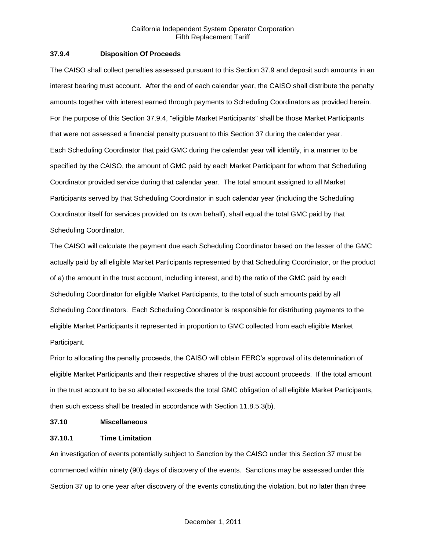## **37.9.4 Disposition Of Proceeds**

The CAISO shall collect penalties assessed pursuant to this Section 37.9 and deposit such amounts in an interest bearing trust account. After the end of each calendar year, the CAISO shall distribute the penalty amounts together with interest earned through payments to Scheduling Coordinators as provided herein. For the purpose of this Section 37.9.4, "eligible Market Participants" shall be those Market Participants that were not assessed a financial penalty pursuant to this Section 37 during the calendar year. Each Scheduling Coordinator that paid GMC during the calendar year will identify, in a manner to be specified by the CAISO, the amount of GMC paid by each Market Participant for whom that Scheduling Coordinator provided service during that calendar year. The total amount assigned to all Market Participants served by that Scheduling Coordinator in such calendar year (including the Scheduling Coordinator itself for services provided on its own behalf), shall equal the total GMC paid by that Scheduling Coordinator.

The CAISO will calculate the payment due each Scheduling Coordinator based on the lesser of the GMC actually paid by all eligible Market Participants represented by that Scheduling Coordinator, or the product of a) the amount in the trust account, including interest, and b) the ratio of the GMC paid by each Scheduling Coordinator for eligible Market Participants, to the total of such amounts paid by all Scheduling Coordinators. Each Scheduling Coordinator is responsible for distributing payments to the eligible Market Participants it represented in proportion to GMC collected from each eligible Market Participant.

Prior to allocating the penalty proceeds, the CAISO will obtain FERC's approval of its determination of eligible Market Participants and their respective shares of the trust account proceeds. If the total amount in the trust account to be so allocated exceeds the total GMC obligation of all eligible Market Participants, then such excess shall be treated in accordance with Section 11.8.5.3(b).

## **37.10 Miscellaneous**

## **37.10.1 Time Limitation**

An investigation of events potentially subject to Sanction by the CAISO under this Section 37 must be commenced within ninety (90) days of discovery of the events. Sanctions may be assessed under this Section 37 up to one year after discovery of the events constituting the violation, but no later than three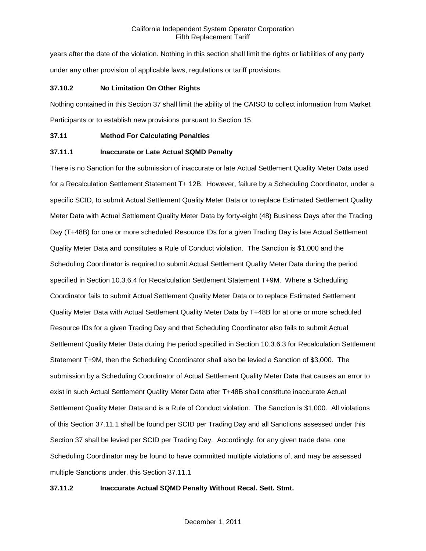years after the date of the violation. Nothing in this section shall limit the rights or liabilities of any party under any other provision of applicable laws, regulations or tariff provisions.

## **37.10.2 No Limitation On Other Rights**

Nothing contained in this Section 37 shall limit the ability of the CAISO to collect information from Market Participants or to establish new provisions pursuant to Section 15.

## **37.11 Method For Calculating Penalties**

## **37.11.1 Inaccurate or Late Actual SQMD Penalty**

There is no Sanction for the submission of inaccurate or late Actual Settlement Quality Meter Data used for a Recalculation Settlement Statement T+ 12B. However, failure by a Scheduling Coordinator, under a specific SCID, to submit Actual Settlement Quality Meter Data or to replace Estimated Settlement Quality Meter Data with Actual Settlement Quality Meter Data by forty-eight (48) Business Days after the Trading Day (T+48B) for one or more scheduled Resource IDs for a given Trading Day is late Actual Settlement Quality Meter Data and constitutes a Rule of Conduct violation. The Sanction is \$1,000 and the Scheduling Coordinator is required to submit Actual Settlement Quality Meter Data during the period specified in Section 10.3.6.4 for Recalculation Settlement Statement T+9M. Where a Scheduling Coordinator fails to submit Actual Settlement Quality Meter Data or to replace Estimated Settlement Quality Meter Data with Actual Settlement Quality Meter Data by T+48B for at one or more scheduled Resource IDs for a given Trading Day and that Scheduling Coordinator also fails to submit Actual Settlement Quality Meter Data during the period specified in Section 10.3.6.3 for Recalculation Settlement Statement T+9M, then the Scheduling Coordinator shall also be levied a Sanction of \$3,000. The submission by a Scheduling Coordinator of Actual Settlement Quality Meter Data that causes an error to exist in such Actual Settlement Quality Meter Data after T+48B shall constitute inaccurate Actual Settlement Quality Meter Data and is a Rule of Conduct violation. The Sanction is \$1,000. All violations of this Section 37.11.1 shall be found per SCID per Trading Day and all Sanctions assessed under this Section 37 shall be levied per SCID per Trading Day. Accordingly, for any given trade date, one Scheduling Coordinator may be found to have committed multiple violations of, and may be assessed multiple Sanctions under, this Section 37.11.1

# **37.11.2 Inaccurate Actual SQMD Penalty Without Recal. Sett. Stmt.**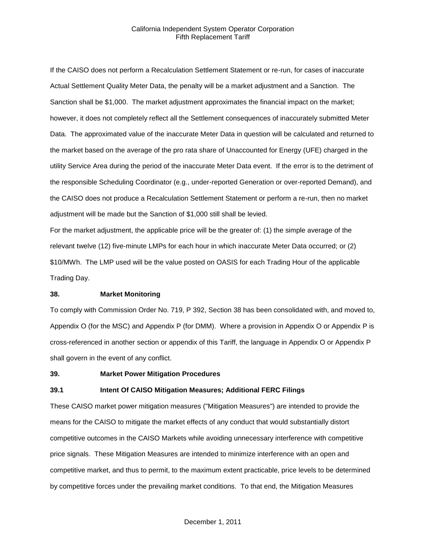If the CAISO does not perform a Recalculation Settlement Statement or re-run, for cases of inaccurate Actual Settlement Quality Meter Data, the penalty will be a market adjustment and a Sanction. The Sanction shall be \$1,000. The market adjustment approximates the financial impact on the market; however, it does not completely reflect all the Settlement consequences of inaccurately submitted Meter Data. The approximated value of the inaccurate Meter Data in question will be calculated and returned to the market based on the average of the pro rata share of Unaccounted for Energy (UFE) charged in the utility Service Area during the period of the inaccurate Meter Data event. If the error is to the detriment of the responsible Scheduling Coordinator (e.g., under-reported Generation or over-reported Demand), and the CAISO does not produce a Recalculation Settlement Statement or perform a re-run, then no market adjustment will be made but the Sanction of \$1,000 still shall be levied.

For the market adjustment, the applicable price will be the greater of: (1) the simple average of the relevant twelve (12) five-minute LMPs for each hour in which inaccurate Meter Data occurred; or (2) \$10/MWh. The LMP used will be the value posted on OASIS for each Trading Hour of the applicable Trading Day.

#### **38. Market Monitoring**

To comply with Commission Order No. 719, P 392, Section 38 has been consolidated with, and moved to, Appendix O (for the MSC) and Appendix P (for DMM). Where a provision in Appendix O or Appendix P is cross-referenced in another section or appendix of this Tariff, the language in Appendix O or Appendix P shall govern in the event of any conflict.

#### **39. Market Power Mitigation Procedures**

#### **39.1 Intent Of CAISO Mitigation Measures; Additional FERC Filings**

These CAISO market power mitigation measures ("Mitigation Measures") are intended to provide the means for the CAISO to mitigate the market effects of any conduct that would substantially distort competitive outcomes in the CAISO Markets while avoiding unnecessary interference with competitive price signals. These Mitigation Measures are intended to minimize interference with an open and competitive market, and thus to permit, to the maximum extent practicable, price levels to be determined by competitive forces under the prevailing market conditions. To that end, the Mitigation Measures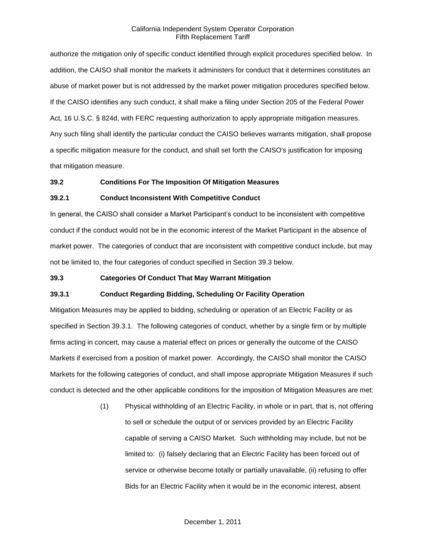authorize the mitigation only of specific conduct identified through explicit procedures specified below. In addition, the CAISO shall monitor the markets it administers for conduct that it determines constitutes an abuse of market power but is not addressed by the market power mitigation procedures specified below. If the CAISO identifies any such conduct, it shall make a filing under Section 205 of the Federal Power Act, 16 U.S.C. § 824d, with FERC requesting authorization to apply appropriate mitigation measures. Any such filing shall identify the particular conduct the CAISO believes warrants mitigation, shall propose a specific mitigation measure for the conduct, and shall set forth the CAISO's justification for imposing that mitigation measure.

## **39.2 Conditions For The Imposition Of Mitigation Measures**

#### **39.2.1 Conduct Inconsistent With Competitive Conduct**

In general, the CAISO shall consider a Market Participant's conduct to be inconsistent with competitive conduct if the conduct would not be in the economic interest of the Market Participant in the absence of market power. The categories of conduct that are inconsistent with competitive conduct include, but may not be limited to, the four categories of conduct specified in Section 39.3 below.

#### **39.3 Categories Of Conduct That May Warrant Mitigation**

## **39.3.1 Conduct Regarding Bidding, Scheduling Or Facility Operation**

Mitigation Measures may be applied to bidding, scheduling or operation of an Electric Facility or as specified in Section 39.3.1. The following categories of conduct, whether by a single firm or by multiple firms acting in concert, may cause a material effect on prices or generally the outcome of the CAISO Markets if exercised from a position of market power. Accordingly, the CAISO shall monitor the CAISO Markets for the following categories of conduct, and shall impose appropriate Mitigation Measures if such conduct is detected and the other applicable conditions for the imposition of Mitigation Measures are met:

> (1) Physical withholding of an Electric Facility, in whole or in part, that is, not offering to sell or schedule the output of or services provided by an Electric Facility capable of serving a CAISO Market. Such withholding may include, but not be limited to: (i) falsely declaring that an Electric Facility has been forced out of service or otherwise become totally or partially unavailable, (ii) refusing to offer Bids for an Electric Facility when it would be in the economic interest, absent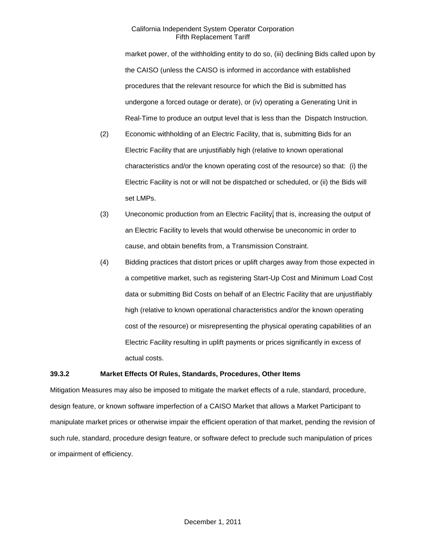market power, of the withholding entity to do so, (iii) declining Bids called upon by the CAISO (unless the CAISO is informed in accordance with established procedures that the relevant resource for which the Bid is submitted has undergone a forced outage or derate), or (iv) operating a Generating Unit in Real-Time to produce an output level that is less than the Dispatch Instruction.

- (2) Economic withholding of an Electric Facility, that is, submitting Bids for an Electric Facility that are unjustifiably high (relative to known operational characteristics and/or the known operating cost of the resource) so that: (i) the Electric Facility is not or will not be dispatched or scheduled, or (ii) the Bids will set LMPs.
- (3) Uneconomic production from an Electric Facility, that is, increasing the output of an Electric Facility to levels that would otherwise be uneconomic in order to cause, and obtain benefits from, a Transmission Constraint.
- (4) Bidding practices that distort prices or uplift charges away from those expected in a competitive market, such as registering Start-Up Cost and Minimum Load Cost data or submitting Bid Costs on behalf of an Electric Facility that are unjustifiably high (relative to known operational characteristics and/or the known operating cost of the resource) or misrepresenting the physical operating capabilities of an Electric Facility resulting in uplift payments or prices significantly in excess of actual costs.

## **39.3.2 Market Effects Of Rules, Standards, Procedures, Other Items**

Mitigation Measures may also be imposed to mitigate the market effects of a rule, standard, procedure, design feature, or known software imperfection of a CAISO Market that allows a Market Participant to manipulate market prices or otherwise impair the efficient operation of that market, pending the revision of such rule, standard, procedure design feature, or software defect to preclude such manipulation of prices or impairment of efficiency.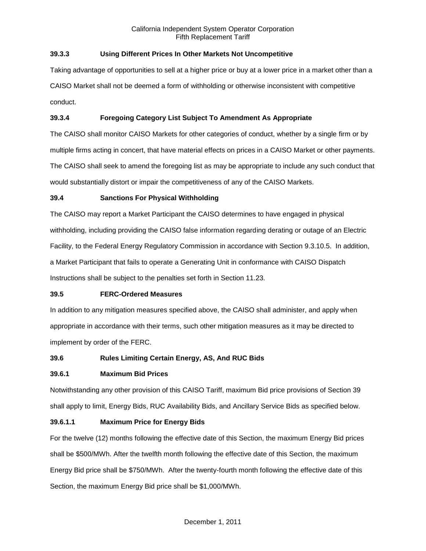# **39.3.3 Using Different Prices In Other Markets Not Uncompetitive**

Taking advantage of opportunities to sell at a higher price or buy at a lower price in a market other than a CAISO Market shall not be deemed a form of withholding or otherwise inconsistent with competitive conduct.

# **39.3.4 Foregoing Category List Subject To Amendment As Appropriate**

The CAISO shall monitor CAISO Markets for other categories of conduct, whether by a single firm or by multiple firms acting in concert, that have material effects on prices in a CAISO Market or other payments. The CAISO shall seek to amend the foregoing list as may be appropriate to include any such conduct that would substantially distort or impair the competitiveness of any of the CAISO Markets.

## **39.4 Sanctions For Physical Withholding**

The CAISO may report a Market Participant the CAISO determines to have engaged in physical withholding, including providing the CAISO false information regarding derating or outage of an Electric Facility, to the Federal Energy Regulatory Commission in accordance with Section 9.3.10.5. In addition, a Market Participant that fails to operate a Generating Unit in conformance with CAISO Dispatch Instructions shall be subject to the penalties set forth in Section 11.23.

## **39.5 FERC-Ordered Measures**

In addition to any mitigation measures specified above, the CAISO shall administer, and apply when appropriate in accordance with their terms, such other mitigation measures as it may be directed to implement by order of the FERC.

# **39.6 Rules Limiting Certain Energy, AS, And RUC Bids**

## **39.6.1 Maximum Bid Prices**

Notwithstanding any other provision of this CAISO Tariff, maximum Bid price provisions of Section 39 shall apply to limit, Energy Bids, RUC Availability Bids, and Ancillary Service Bids as specified below.

## **39.6.1.1 Maximum Price for Energy Bids**

For the twelve (12) months following the effective date of this Section, the maximum Energy Bid prices shall be \$500/MWh. After the twelfth month following the effective date of this Section, the maximum Energy Bid price shall be \$750/MWh. After the twenty-fourth month following the effective date of this Section, the maximum Energy Bid price shall be \$1,000/MWh.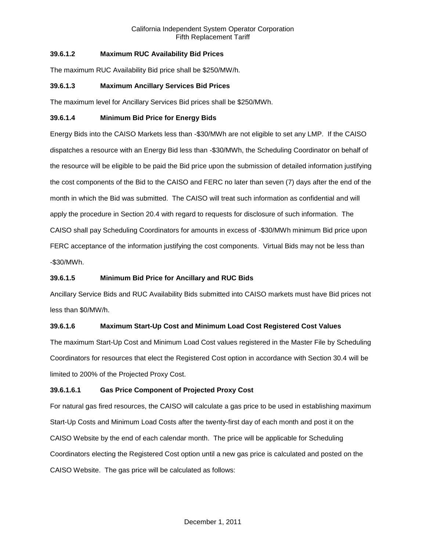# **39.6.1.2 Maximum RUC Availability Bid Prices**

The maximum RUC Availability Bid price shall be \$250/MW/h.

## **39.6.1.3 Maximum Ancillary Services Bid Prices**

The maximum level for Ancillary Services Bid prices shall be \$250/MWh.

## **39.6.1.4 Minimum Bid Price for Energy Bids**

Energy Bids into the CAISO Markets less than -\$30/MWh are not eligible to set any LMP. If the CAISO dispatches a resource with an Energy Bid less than -\$30/MWh, the Scheduling Coordinator on behalf of the resource will be eligible to be paid the Bid price upon the submission of detailed information justifying the cost components of the Bid to the CAISO and FERC no later than seven (7) days after the end of the month in which the Bid was submitted. The CAISO will treat such information as confidential and will apply the procedure in Section 20.4 with regard to requests for disclosure of such information. The CAISO shall pay Scheduling Coordinators for amounts in excess of -\$30/MWh minimum Bid price upon FERC acceptance of the information justifying the cost components. Virtual Bids may not be less than -\$30/MWh.

# **39.6.1.5 Minimum Bid Price for Ancillary and RUC Bids**

Ancillary Service Bids and RUC Availability Bids submitted into CAISO markets must have Bid prices not less than \$0/MW/h.

# **39.6.1.6 Maximum Start-Up Cost and Minimum Load Cost Registered Cost Values**

The maximum Start-Up Cost and Minimum Load Cost values registered in the Master File by Scheduling Coordinators for resources that elect the Registered Cost option in accordance with Section 30.4 will be limited to 200% of the Projected Proxy Cost.

## **39.6.1.6.1 Gas Price Component of Projected Proxy Cost**

For natural gas fired resources, the CAISO will calculate a gas price to be used in establishing maximum Start-Up Costs and Minimum Load Costs after the twenty-first day of each month and post it on the CAISO Website by the end of each calendar month. The price will be applicable for Scheduling Coordinators electing the Registered Cost option until a new gas price is calculated and posted on the CAISO Website. The gas price will be calculated as follows: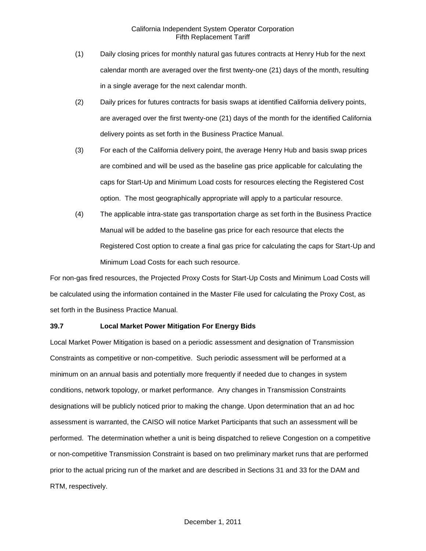- (1) Daily closing prices for monthly natural gas futures contracts at Henry Hub for the next calendar month are averaged over the first twenty-one (21) days of the month, resulting in a single average for the next calendar month.
- (2) Daily prices for futures contracts for basis swaps at identified California delivery points, are averaged over the first twenty-one (21) days of the month for the identified California delivery points as set forth in the Business Practice Manual.
- (3) For each of the California delivery point, the average Henry Hub and basis swap prices are combined and will be used as the baseline gas price applicable for calculating the caps for Start-Up and Minimum Load costs for resources electing the Registered Cost option. The most geographically appropriate will apply to a particular resource.
- (4) The applicable intra-state gas transportation charge as set forth in the Business Practice Manual will be added to the baseline gas price for each resource that elects the Registered Cost option to create a final gas price for calculating the caps for Start-Up and Minimum Load Costs for each such resource.

For non-gas fired resources, the Projected Proxy Costs for Start-Up Costs and Minimum Load Costs will be calculated using the information contained in the Master File used for calculating the Proxy Cost, as set forth in the Business Practice Manual.

## **39.7 Local Market Power Mitigation For Energy Bids**

Local Market Power Mitigation is based on a periodic assessment and designation of Transmission Constraints as competitive or non-competitive. Such periodic assessment will be performed at a minimum on an annual basis and potentially more frequently if needed due to changes in system conditions, network topology, or market performance. Any changes in Transmission Constraints designations will be publicly noticed prior to making the change. Upon determination that an ad hoc assessment is warranted, the CAISO will notice Market Participants that such an assessment will be performed. The determination whether a unit is being dispatched to relieve Congestion on a competitive or non-competitive Transmission Constraint is based on two preliminary market runs that are performed prior to the actual pricing run of the market and are described in Sections 31 and 33 for the DAM and RTM, respectively.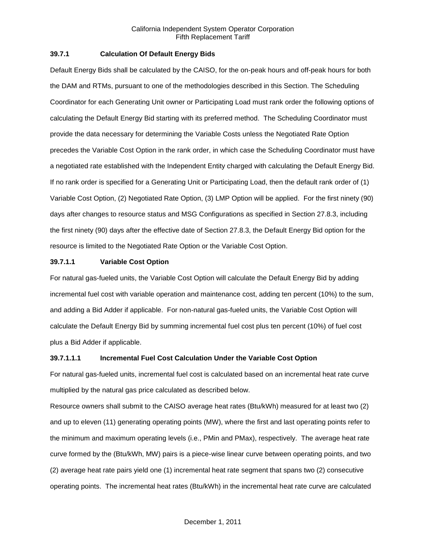## **39.7.1 Calculation Of Default Energy Bids**

Default Energy Bids shall be calculated by the CAISO, for the on-peak hours and off-peak hours for both the DAM and RTMs, pursuant to one of the methodologies described in this Section. The Scheduling Coordinator for each Generating Unit owner or Participating Load must rank order the following options of calculating the Default Energy Bid starting with its preferred method. The Scheduling Coordinator must provide the data necessary for determining the Variable Costs unless the Negotiated Rate Option precedes the Variable Cost Option in the rank order, in which case the Scheduling Coordinator must have a negotiated rate established with the Independent Entity charged with calculating the Default Energy Bid. If no rank order is specified for a Generating Unit or Participating Load, then the default rank order of (1) Variable Cost Option, (2) Negotiated Rate Option, (3) LMP Option will be applied. For the first ninety (90) days after changes to resource status and MSG Configurations as specified in Section 27.8.3, including the first ninety (90) days after the effective date of Section 27.8.3, the Default Energy Bid option for the resource is limited to the Negotiated Rate Option or the Variable Cost Option.

## **39.7.1.1 Variable Cost Option**

For natural gas-fueled units, the Variable Cost Option will calculate the Default Energy Bid by adding incremental fuel cost with variable operation and maintenance cost, adding ten percent (10%) to the sum, and adding a Bid Adder if applicable. For non-natural gas-fueled units, the Variable Cost Option will calculate the Default Energy Bid by summing incremental fuel cost plus ten percent (10%) of fuel cost plus a Bid Adder if applicable.

## **39.7.1.1.1 Incremental Fuel Cost Calculation Under the Variable Cost Option**

For natural gas-fueled units, incremental fuel cost is calculated based on an incremental heat rate curve multiplied by the natural gas price calculated as described below.

Resource owners shall submit to the CAISO average heat rates (Btu/kWh) measured for at least two (2) and up to eleven (11) generating operating points (MW), where the first and last operating points refer to the minimum and maximum operating levels (i.e., PMin and PMax), respectively. The average heat rate curve formed by the (Btu/kWh, MW) pairs is a piece-wise linear curve between operating points, and two (2) average heat rate pairs yield one (1) incremental heat rate segment that spans two (2) consecutive operating points. The incremental heat rates (Btu/kWh) in the incremental heat rate curve are calculated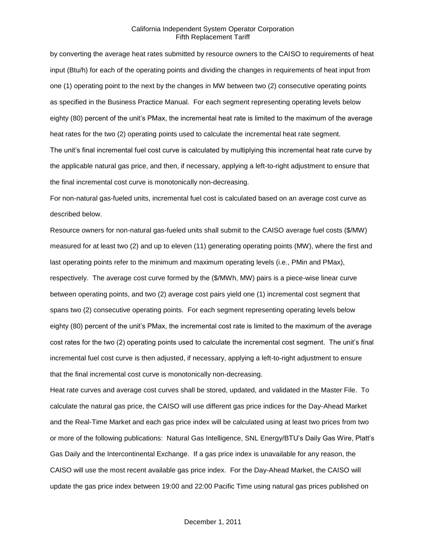by converting the average heat rates submitted by resource owners to the CAISO to requirements of heat input (Btu/h) for each of the operating points and dividing the changes in requirements of heat input from one (1) operating point to the next by the changes in MW between two (2) consecutive operating points as specified in the Business Practice Manual. For each segment representing operating levels below eighty (80) percent of the unit's PMax, the incremental heat rate is limited to the maximum of the average heat rates for the two (2) operating points used to calculate the incremental heat rate segment. The unit's final incremental fuel cost curve is calculated by multiplying this incremental heat rate curve by the applicable natural gas price, and then, if necessary, applying a left-to-right adjustment to ensure that the final incremental cost curve is monotonically non-decreasing.

For non-natural gas-fueled units, incremental fuel cost is calculated based on an average cost curve as described below.

Resource owners for non-natural gas-fueled units shall submit to the CAISO average fuel costs (\$/MW) measured for at least two (2) and up to eleven (11) generating operating points (MW), where the first and last operating points refer to the minimum and maximum operating levels (i.e., PMin and PMax), respectively. The average cost curve formed by the (\$/MWh, MW) pairs is a piece-wise linear curve between operating points, and two (2) average cost pairs yield one (1) incremental cost segment that spans two (2) consecutive operating points. For each segment representing operating levels below eighty (80) percent of the unit's PMax, the incremental cost rate is limited to the maximum of the average cost rates for the two (2) operating points used to calculate the incremental cost segment. The unit's final incremental fuel cost curve is then adjusted, if necessary, applying a left-to-right adjustment to ensure that the final incremental cost curve is monotonically non-decreasing.

Heat rate curves and average cost curves shall be stored, updated, and validated in the Master File. To calculate the natural gas price, the CAISO will use different gas price indices for the Day-Ahead Market and the Real-Time Market and each gas price index will be calculated using at least two prices from two or more of the following publications: Natural Gas Intelligence, SNL Energy/BTU's Daily Gas Wire, Platt's Gas Daily and the Intercontinental Exchange. If a gas price index is unavailable for any reason, the CAISO will use the most recent available gas price index. For the Day-Ahead Market, the CAISO will update the gas price index between 19:00 and 22:00 Pacific Time using natural gas prices published on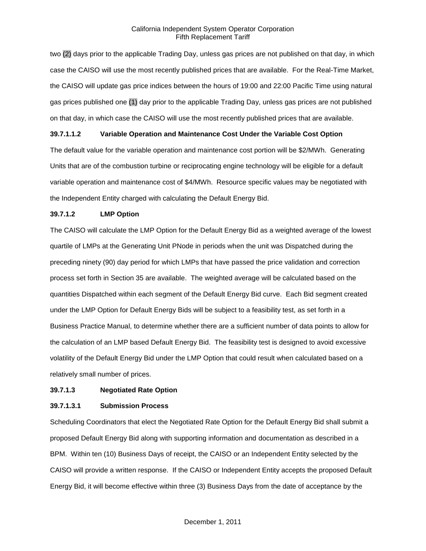two (2) days prior to the applicable Trading Day, unless gas prices are not published on that day, in which case the CAISO will use the most recently published prices that are available. For the Real-Time Market, the CAISO will update gas price indices between the hours of 19:00 and 22:00 Pacific Time using natural gas prices published one (1) day prior to the applicable Trading Day, unless gas prices are not published on that day, in which case the CAISO will use the most recently published prices that are available.

## **39.7.1.1.2 Variable Operation and Maintenance Cost Under the Variable Cost Option**

The default value for the variable operation and maintenance cost portion will be \$2/MWh. Generating Units that are of the combustion turbine or reciprocating engine technology will be eligible for a default variable operation and maintenance cost of \$4/MWh. Resource specific values may be negotiated with the Independent Entity charged with calculating the Default Energy Bid.

## **39.7.1.2 LMP Option**

The CAISO will calculate the LMP Option for the Default Energy Bid as a weighted average of the lowest quartile of LMPs at the Generating Unit PNode in periods when the unit was Dispatched during the preceding ninety (90) day period for which LMPs that have passed the price validation and correction process set forth in Section 35 are available. The weighted average will be calculated based on the quantities Dispatched within each segment of the Default Energy Bid curve. Each Bid segment created under the LMP Option for Default Energy Bids will be subject to a feasibility test, as set forth in a Business Practice Manual, to determine whether there are a sufficient number of data points to allow for the calculation of an LMP based Default Energy Bid. The feasibility test is designed to avoid excessive volatility of the Default Energy Bid under the LMP Option that could result when calculated based on a relatively small number of prices.

## **39.7.1.3 Negotiated Rate Option**

## **39.7.1.3.1 Submission Process**

Scheduling Coordinators that elect the Negotiated Rate Option for the Default Energy Bid shall submit a proposed Default Energy Bid along with supporting information and documentation as described in a BPM. Within ten (10) Business Days of receipt, the CAISO or an Independent Entity selected by the CAISO will provide a written response. If the CAISO or Independent Entity accepts the proposed Default Energy Bid, it will become effective within three (3) Business Days from the date of acceptance by the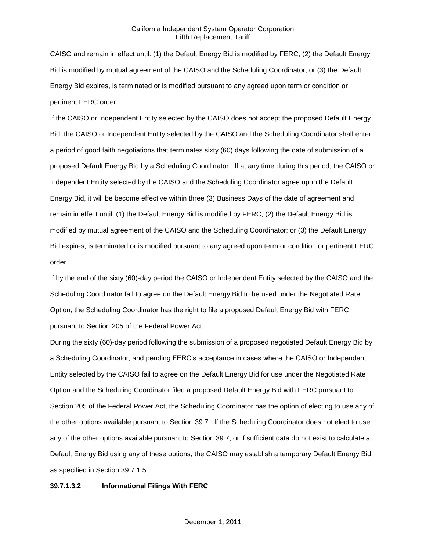CAISO and remain in effect until: (1) the Default Energy Bid is modified by FERC; (2) the Default Energy Bid is modified by mutual agreement of the CAISO and the Scheduling Coordinator; or (3) the Default Energy Bid expires, is terminated or is modified pursuant to any agreed upon term or condition or pertinent FERC order.

If the CAISO or Independent Entity selected by the CAISO does not accept the proposed Default Energy Bid, the CAISO or Independent Entity selected by the CAISO and the Scheduling Coordinator shall enter a period of good faith negotiations that terminates sixty (60) days following the date of submission of a proposed Default Energy Bid by a Scheduling Coordinator. If at any time during this period, the CAISO or Independent Entity selected by the CAISO and the Scheduling Coordinator agree upon the Default Energy Bid, it will be become effective within three (3) Business Days of the date of agreement and remain in effect until: (1) the Default Energy Bid is modified by FERC; (2) the Default Energy Bid is modified by mutual agreement of the CAISO and the Scheduling Coordinator; or (3) the Default Energy Bid expires, is terminated or is modified pursuant to any agreed upon term or condition or pertinent FERC order.

If by the end of the sixty (60)-day period the CAISO or Independent Entity selected by the CAISO and the Scheduling Coordinator fail to agree on the Default Energy Bid to be used under the Negotiated Rate Option, the Scheduling Coordinator has the right to file a proposed Default Energy Bid with FERC pursuant to Section 205 of the Federal Power Act.

During the sixty (60)-day period following the submission of a proposed negotiated Default Energy Bid by a Scheduling Coordinator, and pending FERC's acceptance in cases where the CAISO or Independent Entity selected by the CAISO fail to agree on the Default Energy Bid for use under the Negotiated Rate Option and the Scheduling Coordinator filed a proposed Default Energy Bid with FERC pursuant to Section 205 of the Federal Power Act, the Scheduling Coordinator has the option of electing to use any of the other options available pursuant to Section 39.7. If the Scheduling Coordinator does not elect to use any of the other options available pursuant to Section 39.7, or if sufficient data do not exist to calculate a Default Energy Bid using any of these options, the CAISO may establish a temporary Default Energy Bid as specified in Section 39.7.1.5.

#### **39.7.1.3.2 Informational Filings With FERC**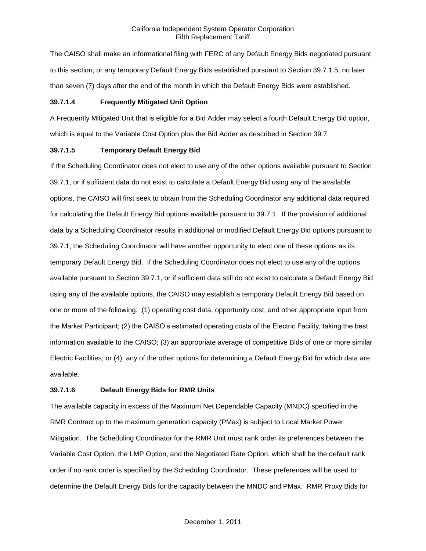The CAISO shall make an informational filing with FERC of any Default Energy Bids negotiated pursuant to this section, or any temporary Default Energy Bids established pursuant to Section 39.7.1.5, no later than seven (7) days after the end of the month in which the Default Energy Bids were established.

## **39.7.1.4 Frequently Mitigated Unit Option**

A Frequently Mitigated Unit that is eligible for a Bid Adder may select a fourth Default Energy Bid option, which is equal to the Variable Cost Option plus the Bid Adder as described in Section 39.7.

## **39.7.1.5 Temporary Default Energy Bid**

If the Scheduling Coordinator does not elect to use any of the other options available pursuant to Section 39.7.1, or if sufficient data do not exist to calculate a Default Energy Bid using any of the available options, the CAISO will first seek to obtain from the Scheduling Coordinator any additional data required for calculating the Default Energy Bid options available pursuant to 39.7.1. If the provision of additional data by a Scheduling Coordinator results in additional or modified Default Energy Bid options pursuant to 39.7.1, the Scheduling Coordinator will have another opportunity to elect one of these options as its temporary Default Energy Bid. If the Scheduling Coordinator does not elect to use any of the options available pursuant to Section 39.7.1, or if sufficient data still do not exist to calculate a Default Energy Bid using any of the available options, the CAISO may establish a temporary Default Energy Bid based on one or more of the following: (1) operating cost data, opportunity cost, and other appropriate input from the Market Participant; (2) the CAISO's estimated operating costs of the Electric Facility, taking the best information available to the CAISO; (3) an appropriate average of competitive Bids of one or more similar Electric Facilities; or (4) any of the other options for determining a Default Energy Bid for which data are available.

## **39.7.1.6 Default Energy Bids for RMR Units**

The available capacity in excess of the Maximum Net Dependable Capacity (MNDC) specified in the RMR Contract up to the maximum generation capacity (PMax) is subject to Local Market Power Mitigation. The Scheduling Coordinator for the RMR Unit must rank order its preferences between the Variable Cost Option, the LMP Option, and the Negotiated Rate Option, which shall be the default rank order if no rank order is specified by the Scheduling Coordinator. These preferences will be used to determine the Default Energy Bids for the capacity between the MNDC and PMax. RMR Proxy Bids for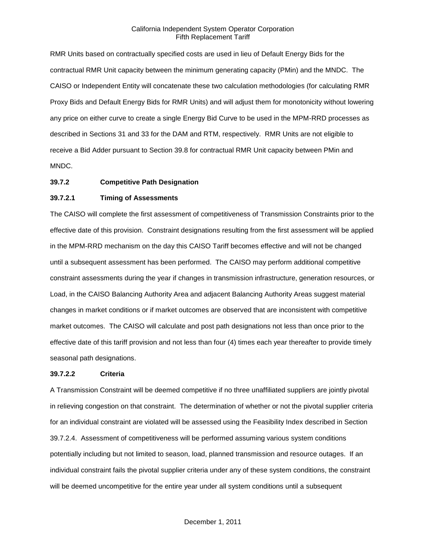RMR Units based on contractually specified costs are used in lieu of Default Energy Bids for the contractual RMR Unit capacity between the minimum generating capacity (PMin) and the MNDC. The CAISO or Independent Entity will concatenate these two calculation methodologies (for calculating RMR Proxy Bids and Default Energy Bids for RMR Units) and will adjust them for monotonicity without lowering any price on either curve to create a single Energy Bid Curve to be used in the MPM-RRD processes as described in Sections 31 and 33 for the DAM and RTM, respectively. RMR Units are not eligible to receive a Bid Adder pursuant to Section 39.8 for contractual RMR Unit capacity between PMin and MNDC.

#### **39.7.2 Competitive Path Designation**

## **39.7.2.1 Timing of Assessments**

The CAISO will complete the first assessment of competitiveness of Transmission Constraints prior to the effective date of this provision. Constraint designations resulting from the first assessment will be applied in the MPM-RRD mechanism on the day this CAISO Tariff becomes effective and will not be changed until a subsequent assessment has been performed. The CAISO may perform additional competitive constraint assessments during the year if changes in transmission infrastructure, generation resources, or Load, in the CAISO Balancing Authority Area and adjacent Balancing Authority Areas suggest material changes in market conditions or if market outcomes are observed that are inconsistent with competitive market outcomes. The CAISO will calculate and post path designations not less than once prior to the effective date of this tariff provision and not less than four (4) times each year thereafter to provide timely seasonal path designations.

#### **39.7.2.2 Criteria**

A Transmission Constraint will be deemed competitive if no three unaffiliated suppliers are jointly pivotal in relieving congestion on that constraint. The determination of whether or not the pivotal supplier criteria for an individual constraint are violated will be assessed using the Feasibility Index described in Section 39.7.2.4. Assessment of competitiveness will be performed assuming various system conditions potentially including but not limited to season, load, planned transmission and resource outages. If an individual constraint fails the pivotal supplier criteria under any of these system conditions, the constraint will be deemed uncompetitive for the entire year under all system conditions until a subsequent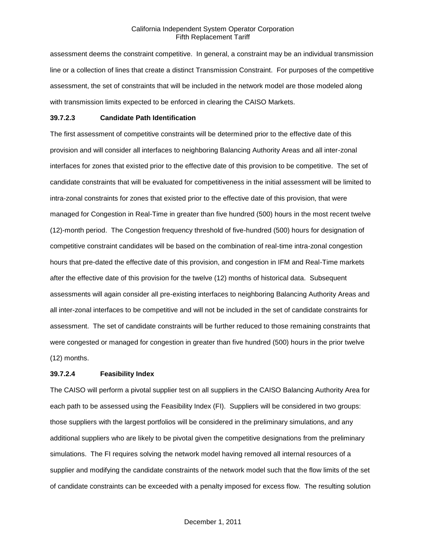assessment deems the constraint competitive. In general, a constraint may be an individual transmission line or a collection of lines that create a distinct Transmission Constraint. For purposes of the competitive assessment, the set of constraints that will be included in the network model are those modeled along with transmission limits expected to be enforced in clearing the CAISO Markets.

#### **39.7.2.3 Candidate Path Identification**

The first assessment of competitive constraints will be determined prior to the effective date of this provision and will consider all interfaces to neighboring Balancing Authority Areas and all inter-zonal interfaces for zones that existed prior to the effective date of this provision to be competitive. The set of candidate constraints that will be evaluated for competitiveness in the initial assessment will be limited to intra-zonal constraints for zones that existed prior to the effective date of this provision, that were managed for Congestion in Real-Time in greater than five hundred (500) hours in the most recent twelve (12)-month period. The Congestion frequency threshold of five-hundred (500) hours for designation of competitive constraint candidates will be based on the combination of real-time intra-zonal congestion hours that pre-dated the effective date of this provision, and congestion in IFM and Real-Time markets after the effective date of this provision for the twelve (12) months of historical data. Subsequent assessments will again consider all pre-existing interfaces to neighboring Balancing Authority Areas and all inter-zonal interfaces to be competitive and will not be included in the set of candidate constraints for assessment. The set of candidate constraints will be further reduced to those remaining constraints that were congested or managed for congestion in greater than five hundred (500) hours in the prior twelve (12) months.

## **39.7.2.4 Feasibility Index**

The CAISO will perform a pivotal supplier test on all suppliers in the CAISO Balancing Authority Area for each path to be assessed using the Feasibility Index (FI). Suppliers will be considered in two groups: those suppliers with the largest portfolios will be considered in the preliminary simulations, and any additional suppliers who are likely to be pivotal given the competitive designations from the preliminary simulations. The FI requires solving the network model having removed all internal resources of a supplier and modifying the candidate constraints of the network model such that the flow limits of the set of candidate constraints can be exceeded with a penalty imposed for excess flow. The resulting solution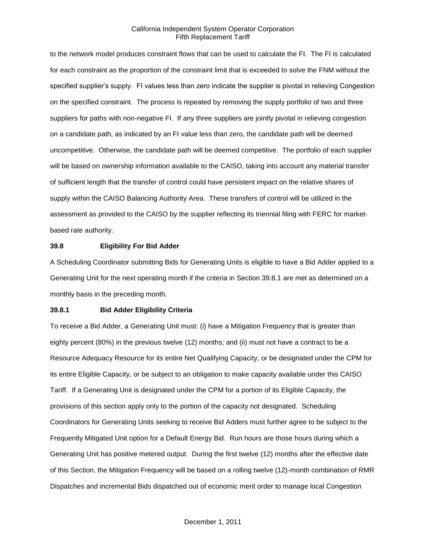to the network model produces constraint flows that can be used to calculate the FI. The FI is calculated for each constraint as the proportion of the constraint limit that is exceeded to solve the FNM without the specified supplier's supply. FI values less than zero indicate the supplier is pivotal in relieving Congestion on the specified constraint. The process is repeated by removing the supply portfolio of two and three suppliers for paths with non-negative FI. If any three suppliers are jointly pivotal in relieving congestion on a candidate path, as indicated by an FI value less than zero, the candidate path will be deemed uncompetitive. Otherwise, the candidate path will be deemed competitive. The portfolio of each supplier will be based on ownership information available to the CAISO, taking into account any material transfer of sufficient length that the transfer of control could have persistent impact on the relative shares of supply within the CAISO Balancing Authority Area. These transfers of control will be utilized in the assessment as provided to the CAISO by the supplier reflecting its triennial filing with FERC for marketbased rate authority.

#### **39.8 Eligibility For Bid Adder**

A Scheduling Coordinator submitting Bids for Generating Units is eligible to have a Bid Adder applied to a Generating Unit for the next operating month if the criteria in Section 39.8.1 are met as determined on a monthly basis in the preceding month.

#### **39.8.1 Bid Adder Eligibility Criteria**

To receive a Bid Adder, a Generating Unit must: (i) have a Mitigation Frequency that is greater than eighty percent (80%) in the previous twelve (12) months; and (ii) must not have a contract to be a Resource Adequacy Resource for its entire Net Qualifying Capacity, or be designated under the CPM for its entire Eligible Capacity, or be subject to an obligation to make capacity available under this CAISO Tariff. If a Generating Unit is designated under the CPM for a portion of its Eligible Capacity, the provisions of this section apply only to the portion of the capacity not designated. Scheduling Coordinators for Generating Units seeking to receive Bid Adders must further agree to be subject to the Frequently Mitigated Unit option for a Default Energy Bid. Run hours are those hours during which a Generating Unit has positive metered output. During the first twelve (12) months after the effective date of this Section, the Mitigation Frequency will be based on a rolling twelve (12)-month combination of RMR Dispatches and incremental Bids dispatched out of economic merit order to manage local Congestion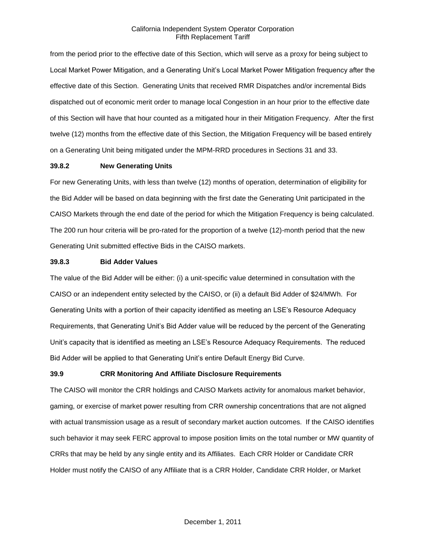from the period prior to the effective date of this Section, which will serve as a proxy for being subject to Local Market Power Mitigation, and a Generating Unit's Local Market Power Mitigation frequency after the effective date of this Section. Generating Units that received RMR Dispatches and/or incremental Bids dispatched out of economic merit order to manage local Congestion in an hour prior to the effective date of this Section will have that hour counted as a mitigated hour in their Mitigation Frequency. After the first twelve (12) months from the effective date of this Section, the Mitigation Frequency will be based entirely on a Generating Unit being mitigated under the MPM-RRD procedures in Sections 31 and 33.

## **39.8.2 New Generating Units**

For new Generating Units, with less than twelve (12) months of operation, determination of eligibility for the Bid Adder will be based on data beginning with the first date the Generating Unit participated in the CAISO Markets through the end date of the period for which the Mitigation Frequency is being calculated. The 200 run hour criteria will be pro-rated for the proportion of a twelve (12)-month period that the new Generating Unit submitted effective Bids in the CAISO markets.

#### **39.8.3 Bid Adder Values**

The value of the Bid Adder will be either: (i) a unit-specific value determined in consultation with the CAISO or an independent entity selected by the CAISO, or (ii) a default Bid Adder of \$24/MWh. For Generating Units with a portion of their capacity identified as meeting an LSE's Resource Adequacy Requirements, that Generating Unit's Bid Adder value will be reduced by the percent of the Generating Unit's capacity that is identified as meeting an LSE's Resource Adequacy Requirements. The reduced Bid Adder will be applied to that Generating Unit's entire Default Energy Bid Curve.

## **39.9 CRR Monitoring And Affiliate Disclosure Requirements**

The CAISO will monitor the CRR holdings and CAISO Markets activity for anomalous market behavior, gaming, or exercise of market power resulting from CRR ownership concentrations that are not aligned with actual transmission usage as a result of secondary market auction outcomes. If the CAISO identifies such behavior it may seek FERC approval to impose position limits on the total number or MW quantity of CRRs that may be held by any single entity and its Affiliates. Each CRR Holder or Candidate CRR Holder must notify the CAISO of any Affiliate that is a CRR Holder, Candidate CRR Holder, or Market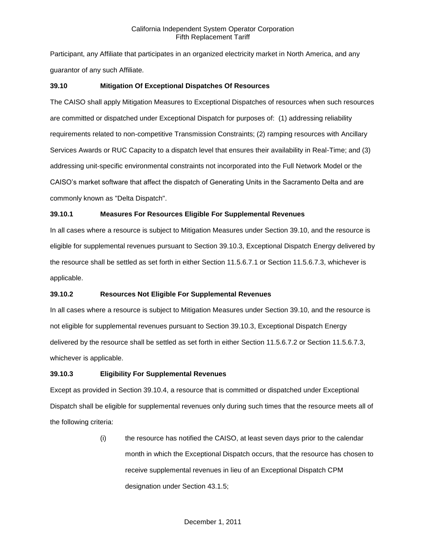Participant, any Affiliate that participates in an organized electricity market in North America, and any guarantor of any such Affiliate.

# **39.10 Mitigation Of Exceptional Dispatches Of Resources**

The CAISO shall apply Mitigation Measures to Exceptional Dispatches of resources when such resources are committed or dispatched under Exceptional Dispatch for purposes of: (1) addressing reliability requirements related to non-competitive Transmission Constraints; (2) ramping resources with Ancillary Services Awards or RUC Capacity to a dispatch level that ensures their availability in Real-Time; and (3) addressing unit-specific environmental constraints not incorporated into the Full Network Model or the CAISO's market software that affect the dispatch of Generating Units in the Sacramento Delta and are commonly known as "Delta Dispatch".

# **39.10.1 Measures For Resources Eligible For Supplemental Revenues**

In all cases where a resource is subject to Mitigation Measures under Section 39.10, and the resource is eligible for supplemental revenues pursuant to Section 39.10.3, Exceptional Dispatch Energy delivered by the resource shall be settled as set forth in either Section 11.5.6.7.1 or Section 11.5.6.7.3, whichever is applicable.

# **39.10.2 Resources Not Eligible For Supplemental Revenues**

In all cases where a resource is subject to Mitigation Measures under Section 39.10, and the resource is not eligible for supplemental revenues pursuant to Section 39.10.3, Exceptional Dispatch Energy delivered by the resource shall be settled as set forth in either Section 11.5.6.7.2 or Section 11.5.6.7.3, whichever is applicable.

# **39.10.3 Eligibility For Supplemental Revenues**

Except as provided in Section 39.10.4, a resource that is committed or dispatched under Exceptional Dispatch shall be eligible for supplemental revenues only during such times that the resource meets all of the following criteria:

> (i) the resource has notified the CAISO, at least seven days prior to the calendar month in which the Exceptional Dispatch occurs, that the resource has chosen to receive supplemental revenues in lieu of an Exceptional Dispatch CPM designation under Section 43.1.5;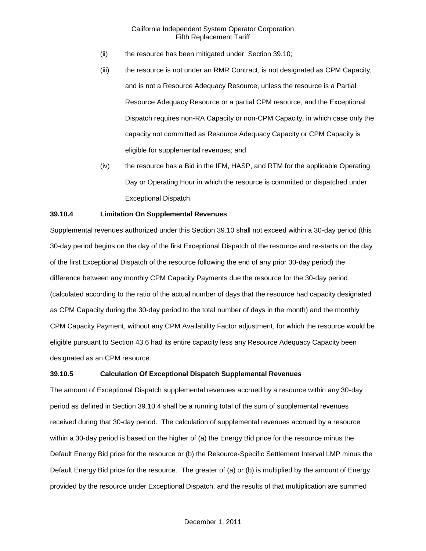- (ii) the resource has been mitigated under Section 39.10;
- (iii) the resource is not under an RMR Contract, is not designated as CPM Capacity, and is not a Resource Adequacy Resource, unless the resource is a Partial Resource Adequacy Resource or a partial CPM resource, and the Exceptional Dispatch requires non-RA Capacity or non-CPM Capacity, in which case only the capacity not committed as Resource Adequacy Capacity or CPM Capacity is eligible for supplemental revenues; and
- (iv) the resource has a Bid in the IFM, HASP, and RTM for the applicable Operating Day or Operating Hour in which the resource is committed or dispatched under Exceptional Dispatch.

# **39.10.4 Limitation On Supplemental Revenues**

Supplemental revenues authorized under this Section 39.10 shall not exceed within a 30-day period (this 30-day period begins on the day of the first Exceptional Dispatch of the resource and re-starts on the day of the first Exceptional Dispatch of the resource following the end of any prior 30-day period) the difference between any monthly CPM Capacity Payments due the resource for the 30-day period (calculated according to the ratio of the actual number of days that the resource had capacity designated as CPM Capacity during the 30-day period to the total number of days in the month) and the monthly CPM Capacity Payment, without any CPM Availability Factor adjustment, for which the resource would be eligible pursuant to Section 43.6 had its entire capacity less any Resource Adequacy Capacity been designated as an CPM resource.

#### **39.10.5 Calculation Of Exceptional Dispatch Supplemental Revenues**

The amount of Exceptional Dispatch supplemental revenues accrued by a resource within any 30-day period as defined in Section 39.10.4 shall be a running total of the sum of supplemental revenues received during that 30-day period. The calculation of supplemental revenues accrued by a resource within a 30-day period is based on the higher of (a) the Energy Bid price for the resource minus the Default Energy Bid price for the resource or (b) the Resource-Specific Settlement Interval LMP minus the Default Energy Bid price for the resource. The greater of (a) or (b) is multiplied by the amount of Energy provided by the resource under Exceptional Dispatch, and the results of that multiplication are summed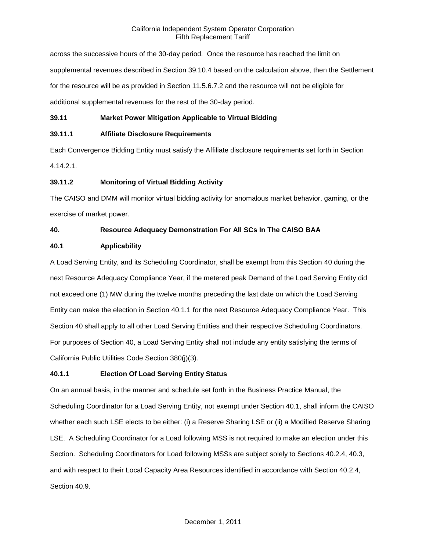across the successive hours of the 30-day period. Once the resource has reached the limit on supplemental revenues described in Section 39.10.4 based on the calculation above, then the Settlement for the resource will be as provided in Section 11.5.6.7.2 and the resource will not be eligible for additional supplemental revenues for the rest of the 30-day period.

# **39.11 Market Power Mitigation Applicable to Virtual Bidding**

# **39.11.1 Affiliate Disclosure Requirements**

Each Convergence Bidding Entity must satisfy the Affiliate disclosure requirements set forth in Section 4.14.2.1.

# **39.11.2 Monitoring of Virtual Bidding Activity**

The CAISO and DMM will monitor virtual bidding activity for anomalous market behavior, gaming, or the exercise of market power.

# **40. Resource Adequacy Demonstration For All SCs In The CAISO BAA**

# **40.1 Applicability**

A Load Serving Entity, and its Scheduling Coordinator, shall be exempt from this Section 40 during the next Resource Adequacy Compliance Year, if the metered peak Demand of the Load Serving Entity did not exceed one (1) MW during the twelve months preceding the last date on which the Load Serving Entity can make the election in Section 40.1.1 for the next Resource Adequacy Compliance Year. This Section 40 shall apply to all other Load Serving Entities and their respective Scheduling Coordinators. For purposes of Section 40, a Load Serving Entity shall not include any entity satisfying the terms of California Public Utilities Code Section 380(j)(3).

### **40.1.1 Election Of Load Serving Entity Status**

On an annual basis, in the manner and schedule set forth in the Business Practice Manual, the Scheduling Coordinator for a Load Serving Entity, not exempt under Section 40.1, shall inform the CAISO whether each such LSE elects to be either: (i) a Reserve Sharing LSE or (ii) a Modified Reserve Sharing LSE. A Scheduling Coordinator for a Load following MSS is not required to make an election under this Section. Scheduling Coordinators for Load following MSSs are subject solely to Sections 40.2.4, 40.3, and with respect to their Local Capacity Area Resources identified in accordance with Section 40.2.4, Section 40.9.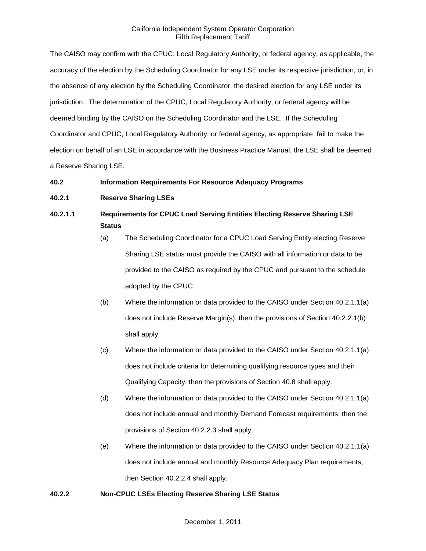The CAISO may confirm with the CPUC, Local Regulatory Authority, or federal agency, as applicable, the accuracy of the election by the Scheduling Coordinator for any LSE under its respective jurisdiction, or, in the absence of any election by the Scheduling Coordinator, the desired election for any LSE under its jurisdiction. The determination of the CPUC, Local Regulatory Authority, or federal agency will be deemed binding by the CAISO on the Scheduling Coordinator and the LSE. If the Scheduling Coordinator and CPUC, Local Regulatory Authority, or federal agency, as appropriate, fail to make the election on behalf of an LSE in accordance with the Business Practice Manual, the LSE shall be deemed a Reserve Sharing LSE.

# **40.2 Information Requirements For Resource Adequacy Programs**

# **40.2.1 Reserve Sharing LSEs**

# **40.2.1.1 Requirements for CPUC Load Serving Entities Electing Reserve Sharing LSE Status**

- (a) The Scheduling Coordinator for a CPUC Load Serving Entity electing Reserve Sharing LSE status must provide the CAISO with all information or data to be provided to the CAISO as required by the CPUC and pursuant to the schedule adopted by the CPUC.
- (b) Where the information or data provided to the CAISO under Section 40.2.1.1(a) does not include Reserve Margin(s), then the provisions of Section 40.2.2.1(b) shall apply.
- (c) Where the information or data provided to the CAISO under Section 40.2.1.1(a) does not include criteria for determining qualifying resource types and their Qualifying Capacity, then the provisions of Section 40.8 shall apply.
- (d) Where the information or data provided to the CAISO under Section 40.2.1.1(a) does not include annual and monthly Demand Forecast requirements, then the provisions of Section 40.2.2.3 shall apply.
- (e) Where the information or data provided to the CAISO under Section 40.2.1.1(a) does not include annual and monthly Resource Adequacy Plan requirements, then Section 40.2.2.4 shall apply.

### **40.2.2 Non-CPUC LSEs Electing Reserve Sharing LSE Status**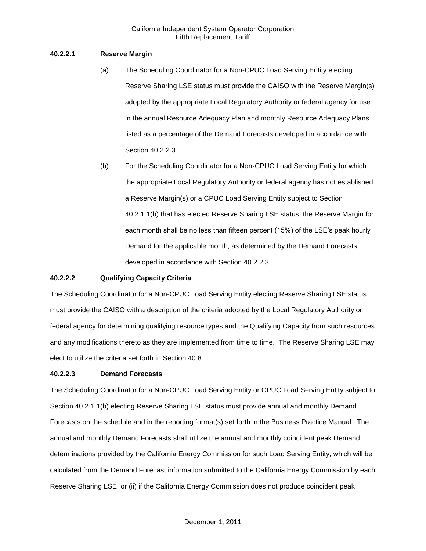# **40.2.2.1 Reserve Margin**

- (a) The Scheduling Coordinator for a Non-CPUC Load Serving Entity electing Reserve Sharing LSE status must provide the CAISO with the Reserve Margin(s) adopted by the appropriate Local Regulatory Authority or federal agency for use in the annual Resource Adequacy Plan and monthly Resource Adequacy Plans listed as a percentage of the Demand Forecasts developed in accordance with Section 40.2.2.3.
- (b) For the Scheduling Coordinator for a Non-CPUC Load Serving Entity for which the appropriate Local Regulatory Authority or federal agency has not established a Reserve Margin(s) or a CPUC Load Serving Entity subject to Section 40.2.1.1(b) that has elected Reserve Sharing LSE status, the Reserve Margin for each month shall be no less than fifteen percent (15%) of the LSE's peak hourly Demand for the applicable month, as determined by the Demand Forecasts developed in accordance with Section 40.2.2.3.

### **40.2.2.2 Qualifying Capacity Criteria**

The Scheduling Coordinator for a Non-CPUC Load Serving Entity electing Reserve Sharing LSE status must provide the CAISO with a description of the criteria adopted by the Local Regulatory Authority or federal agency for determining qualifying resource types and the Qualifying Capacity from such resources and any modifications thereto as they are implemented from time to time. The Reserve Sharing LSE may elect to utilize the criteria set forth in Section 40.8.

### **40.2.2.3 Demand Forecasts**

The Scheduling Coordinator for a Non-CPUC Load Serving Entity or CPUC Load Serving Entity subject to Section 40.2.1.1(b) electing Reserve Sharing LSE status must provide annual and monthly Demand Forecasts on the schedule and in the reporting format(s) set forth in the Business Practice Manual. The annual and monthly Demand Forecasts shall utilize the annual and monthly coincident peak Demand determinations provided by the California Energy Commission for such Load Serving Entity, which will be calculated from the Demand Forecast information submitted to the California Energy Commission by each Reserve Sharing LSE; or (ii) if the California Energy Commission does not produce coincident peak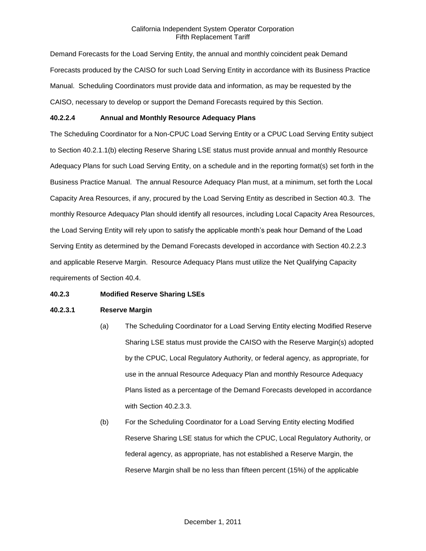Demand Forecasts for the Load Serving Entity, the annual and monthly coincident peak Demand Forecasts produced by the CAISO for such Load Serving Entity in accordance with its Business Practice Manual. Scheduling Coordinators must provide data and information, as may be requested by the CAISO, necessary to develop or support the Demand Forecasts required by this Section.

## **40.2.2.4 Annual and Monthly Resource Adequacy Plans**

The Scheduling Coordinator for a Non-CPUC Load Serving Entity or a CPUC Load Serving Entity subject to Section 40.2.1.1(b) electing Reserve Sharing LSE status must provide annual and monthly Resource Adequacy Plans for such Load Serving Entity, on a schedule and in the reporting format(s) set forth in the Business Practice Manual. The annual Resource Adequacy Plan must, at a minimum, set forth the Local Capacity Area Resources, if any, procured by the Load Serving Entity as described in Section 40.3. The monthly Resource Adequacy Plan should identify all resources, including Local Capacity Area Resources, the Load Serving Entity will rely upon to satisfy the applicable month's peak hour Demand of the Load Serving Entity as determined by the Demand Forecasts developed in accordance with Section 40.2.2.3 and applicable Reserve Margin. Resource Adequacy Plans must utilize the Net Qualifying Capacity requirements of Section 40.4.

### **40.2.3 Modified Reserve Sharing LSEs**

### **40.2.3.1 Reserve Margin**

- (a) The Scheduling Coordinator for a Load Serving Entity electing Modified Reserve Sharing LSE status must provide the CAISO with the Reserve Margin(s) adopted by the CPUC, Local Regulatory Authority, or federal agency, as appropriate, for use in the annual Resource Adequacy Plan and monthly Resource Adequacy Plans listed as a percentage of the Demand Forecasts developed in accordance with Section 40.2.3.3.
- (b) For the Scheduling Coordinator for a Load Serving Entity electing Modified Reserve Sharing LSE status for which the CPUC, Local Regulatory Authority, or federal agency, as appropriate, has not established a Reserve Margin, the Reserve Margin shall be no less than fifteen percent (15%) of the applicable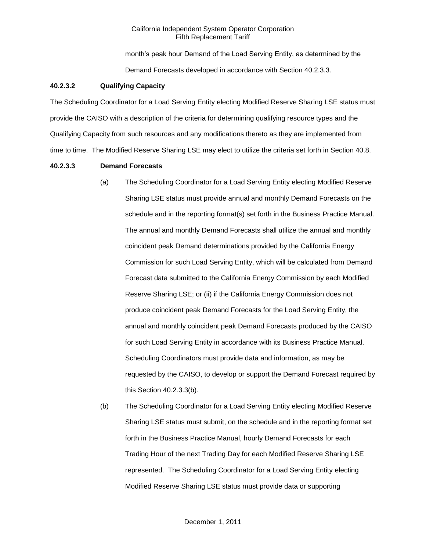month's peak hour Demand of the Load Serving Entity, as determined by the Demand Forecasts developed in accordance with Section 40.2.3.3.

### **40.2.3.2 Qualifying Capacity**

The Scheduling Coordinator for a Load Serving Entity electing Modified Reserve Sharing LSE status must provide the CAISO with a description of the criteria for determining qualifying resource types and the Qualifying Capacity from such resources and any modifications thereto as they are implemented from time to time. The Modified Reserve Sharing LSE may elect to utilize the criteria set forth in Section 40.8.

#### **40.2.3.3 Demand Forecasts**

- (a) The Scheduling Coordinator for a Load Serving Entity electing Modified Reserve Sharing LSE status must provide annual and monthly Demand Forecasts on the schedule and in the reporting format(s) set forth in the Business Practice Manual. The annual and monthly Demand Forecasts shall utilize the annual and monthly coincident peak Demand determinations provided by the California Energy Commission for such Load Serving Entity, which will be calculated from Demand Forecast data submitted to the California Energy Commission by each Modified Reserve Sharing LSE; or (ii) if the California Energy Commission does not produce coincident peak Demand Forecasts for the Load Serving Entity, the annual and monthly coincident peak Demand Forecasts produced by the CAISO for such Load Serving Entity in accordance with its Business Practice Manual. Scheduling Coordinators must provide data and information, as may be requested by the CAISO, to develop or support the Demand Forecast required by this Section 40.2.3.3(b).
- (b) The Scheduling Coordinator for a Load Serving Entity electing Modified Reserve Sharing LSE status must submit, on the schedule and in the reporting format set forth in the Business Practice Manual, hourly Demand Forecasts for each Trading Hour of the next Trading Day for each Modified Reserve Sharing LSE represented. The Scheduling Coordinator for a Load Serving Entity electing Modified Reserve Sharing LSE status must provide data or supporting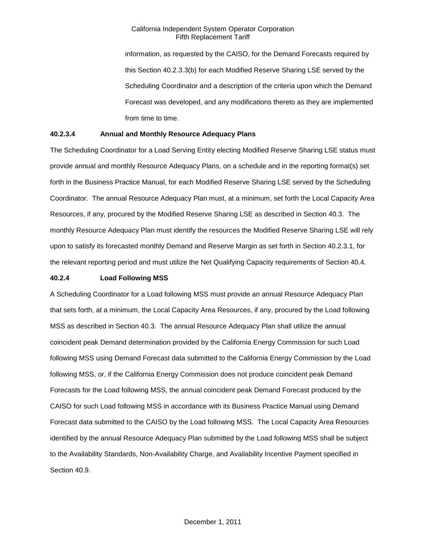information, as requested by the CAISO, for the Demand Forecasts required by this Section 40.2.3.3(b) for each Modified Reserve Sharing LSE served by the Scheduling Coordinator and a description of the criteria upon which the Demand Forecast was developed, and any modifications thereto as they are implemented from time to time.

# **40.2.3.4 Annual and Monthly Resource Adequacy Plans**

The Scheduling Coordinator for a Load Serving Entity electing Modified Reserve Sharing LSE status must provide annual and monthly Resource Adequacy Plans, on a schedule and in the reporting format(s) set forth in the Business Practice Manual, for each Modified Reserve Sharing LSE served by the Scheduling Coordinator. The annual Resource Adequacy Plan must, at a minimum, set forth the Local Capacity Area Resources, if any, procured by the Modified Reserve Sharing LSE as described in Section 40.3. The monthly Resource Adequacy Plan must identify the resources the Modified Reserve Sharing LSE will rely upon to satisfy its forecasted monthly Demand and Reserve Margin as set forth in Section 40.2.3.1, for the relevant reporting period and must utilize the Net Qualifying Capacity requirements of Section 40.4.

### **40.2.4 Load Following MSS**

A Scheduling Coordinator for a Load following MSS must provide an annual Resource Adequacy Plan that sets forth, at a minimum, the Local Capacity Area Resources, if any, procured by the Load following MSS as described in Section 40.3. The annual Resource Adequacy Plan shall utilize the annual coincident peak Demand determination provided by the California Energy Commission for such Load following MSS using Demand Forecast data submitted to the California Energy Commission by the Load following MSS, or, if the California Energy Commission does not produce coincident peak Demand Forecasts for the Load following MSS, the annual coincident peak Demand Forecast produced by the CAISO for such Load following MSS in accordance with its Business Practice Manual using Demand Forecast data submitted to the CAISO by the Load following MSS. The Local Capacity Area Resources identified by the annual Resource Adequacy Plan submitted by the Load following MSS shall be subject to the Availability Standards, Non-Availability Charge, and Availability Incentive Payment specified in Section 40.9.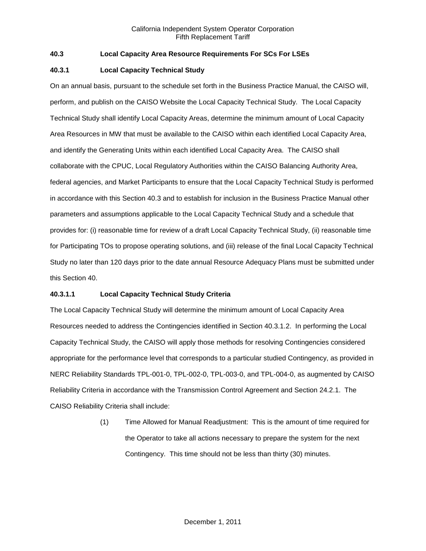# **40.3 Local Capacity Area Resource Requirements For SCs For LSEs**

## **40.3.1 Local Capacity Technical Study**

On an annual basis, pursuant to the schedule set forth in the Business Practice Manual, the CAISO will, perform, and publish on the CAISO Website the Local Capacity Technical Study. The Local Capacity Technical Study shall identify Local Capacity Areas, determine the minimum amount of Local Capacity Area Resources in MW that must be available to the CAISO within each identified Local Capacity Area, and identify the Generating Units within each identified Local Capacity Area. The CAISO shall collaborate with the CPUC, Local Regulatory Authorities within the CAISO Balancing Authority Area, federal agencies, and Market Participants to ensure that the Local Capacity Technical Study is performed in accordance with this Section 40.3 and to establish for inclusion in the Business Practice Manual other parameters and assumptions applicable to the Local Capacity Technical Study and a schedule that provides for: (i) reasonable time for review of a draft Local Capacity Technical Study, (ii) reasonable time for Participating TOs to propose operating solutions, and (iii) release of the final Local Capacity Technical Study no later than 120 days prior to the date annual Resource Adequacy Plans must be submitted under this Section 40.

### **40.3.1.1 Local Capacity Technical Study Criteria**

The Local Capacity Technical Study will determine the minimum amount of Local Capacity Area Resources needed to address the Contingencies identified in Section 40.3.1.2. In performing the Local Capacity Technical Study, the CAISO will apply those methods for resolving Contingencies considered appropriate for the performance level that corresponds to a particular studied Contingency, as provided in NERC Reliability Standards TPL-001-0, TPL-002-0, TPL-003-0, and TPL-004-0, as augmented by CAISO Reliability Criteria in accordance with the Transmission Control Agreement and Section 24.2.1. The CAISO Reliability Criteria shall include:

> (1) Time Allowed for Manual Readjustment: This is the amount of time required for the Operator to take all actions necessary to prepare the system for the next Contingency. This time should not be less than thirty (30) minutes.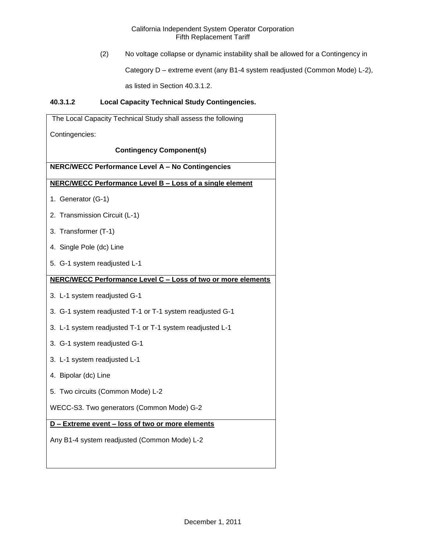(2) No voltage collapse or dynamic instability shall be allowed for a Contingency in

Category D – extreme event (any B1-4 system readjusted (Common Mode) L-2),

as listed in Section 40.3.1.2.

# **40.3.1.2 Local Capacity Technical Study Contingencies.**

| The Local Capacity Technical Study shall assess the following |
|---------------------------------------------------------------|
| Contingencies:                                                |
| <b>Contingency Component(s)</b>                               |
| <b>NERC/WECC Performance Level A - No Contingencies</b>       |
| NERC/WECC Performance Level B - Loss of a single element      |
| 1. Generator (G-1)                                            |
| 2. Transmission Circuit (L-1)                                 |
| 3. Transformer (T-1)                                          |
| 4. Single Pole (dc) Line                                      |
| 5. G-1 system readjusted L-1                                  |
| NERC/WECC Performance Level C - Loss of two or more elements  |
| 3. L-1 system readjusted G-1                                  |
| 3. G-1 system readjusted T-1 or T-1 system readjusted G-1     |
| 3. L-1 system readjusted T-1 or T-1 system readjusted L-1     |
| 3. G-1 system readjusted G-1                                  |
| 3. L-1 system readjusted L-1                                  |
| 4. Bipolar (dc) Line                                          |
| 5. Two circuits (Common Mode) L-2                             |
| WECC-S3. Two generators (Common Mode) G-2                     |
| D - Extreme event - loss of two or more elements              |
| Any B1-4 system readjusted (Common Mode) L-2                  |
|                                                               |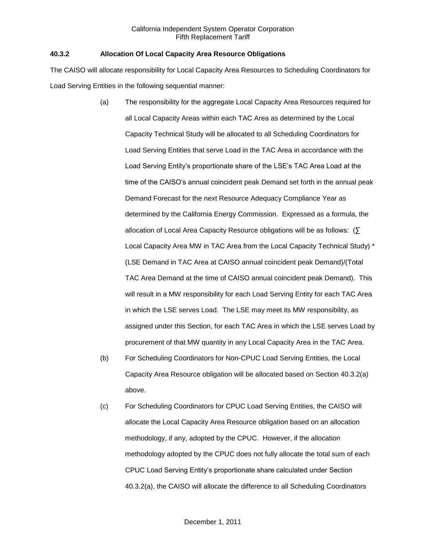# **40.3.2 Allocation Of Local Capacity Area Resource Obligations**

The CAISO will allocate responsibility for Local Capacity Area Resources to Scheduling Coordinators for Load Serving Entities in the following sequential manner:

- (a) The responsibility for the aggregate Local Capacity Area Resources required for all Local Capacity Areas within each TAC Area as determined by the Local Capacity Technical Study will be allocated to all Scheduling Coordinators for Load Serving Entities that serve Load in the TAC Area in accordance with the Load Serving Entity's proportionate share of the LSE's TAC Area Load at the time of the CAISO's annual coincident peak Demand set forth in the annual peak Demand Forecast for the next Resource Adequacy Compliance Year as determined by the California Energy Commission. Expressed as a formula, the allocation of Local Area Capacity Resource obligations will be as follows: (∑ Local Capacity Area MW in TAC Area from the Local Capacity Technical Study) \* (LSE Demand in TAC Area at CAISO annual coincident peak Demand)/(Total TAC Area Demand at the time of CAISO annual coincident peak Demand). This will result in a MW responsibility for each Load Serving Entity for each TAC Area in which the LSE serves Load. The LSE may meet its MW responsibility, as assigned under this Section, for each TAC Area in which the LSE serves Load by procurement of that MW quantity in any Local Capacity Area in the TAC Area.
- (b) For Scheduling Coordinators for Non-CPUC Load Serving Entities, the Local Capacity Area Resource obligation will be allocated based on Section 40.3.2(a) above.
- (c) For Scheduling Coordinators for CPUC Load Serving Entities, the CAISO will allocate the Local Capacity Area Resource obligation based on an allocation methodology, if any, adopted by the CPUC. However, if the allocation methodology adopted by the CPUC does not fully allocate the total sum of each CPUC Load Serving Entity's proportionate share calculated under Section 40.3.2(a), the CAISO will allocate the difference to all Scheduling Coordinators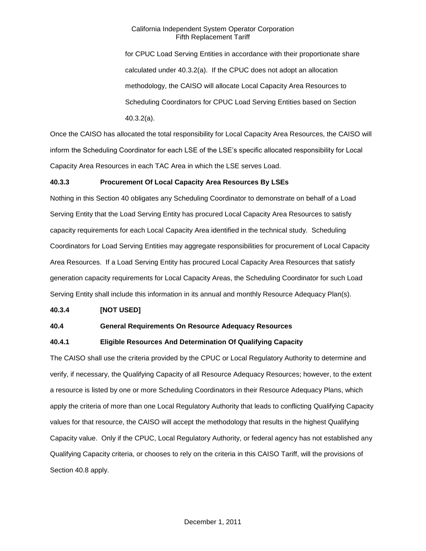for CPUC Load Serving Entities in accordance with their proportionate share calculated under 40.3.2(a). If the CPUC does not adopt an allocation methodology, the CAISO will allocate Local Capacity Area Resources to Scheduling Coordinators for CPUC Load Serving Entities based on Section 40.3.2(a).

Once the CAISO has allocated the total responsibility for Local Capacity Area Resources, the CAISO will inform the Scheduling Coordinator for each LSE of the LSE's specific allocated responsibility for Local Capacity Area Resources in each TAC Area in which the LSE serves Load.

# **40.3.3 Procurement Of Local Capacity Area Resources By LSEs**

Nothing in this Section 40 obligates any Scheduling Coordinator to demonstrate on behalf of a Load Serving Entity that the Load Serving Entity has procured Local Capacity Area Resources to satisfy capacity requirements for each Local Capacity Area identified in the technical study. Scheduling Coordinators for Load Serving Entities may aggregate responsibilities for procurement of Local Capacity Area Resources. If a Load Serving Entity has procured Local Capacity Area Resources that satisfy generation capacity requirements for Local Capacity Areas, the Scheduling Coordinator for such Load Serving Entity shall include this information in its annual and monthly Resource Adequacy Plan(s).

### **40.3.4 [NOT USED]**

### **40.4 General Requirements On Resource Adequacy Resources**

### **40.4.1 Eligible Resources And Determination Of Qualifying Capacity**

The CAISO shall use the criteria provided by the CPUC or Local Regulatory Authority to determine and verify, if necessary, the Qualifying Capacity of all Resource Adequacy Resources; however, to the extent a resource is listed by one or more Scheduling Coordinators in their Resource Adequacy Plans, which apply the criteria of more than one Local Regulatory Authority that leads to conflicting Qualifying Capacity values for that resource, the CAISO will accept the methodology that results in the highest Qualifying Capacity value. Only if the CPUC, Local Regulatory Authority, or federal agency has not established any Qualifying Capacity criteria, or chooses to rely on the criteria in this CAISO Tariff, will the provisions of Section 40.8 apply.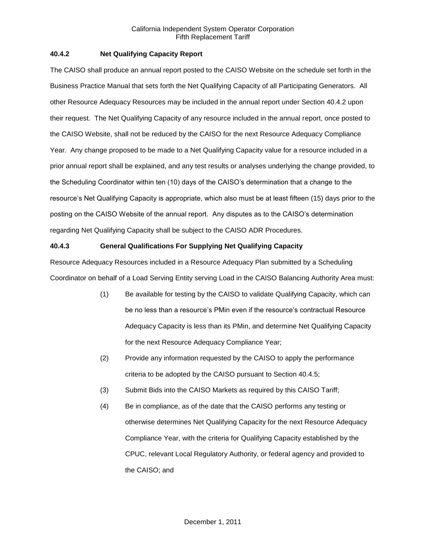# **40.4.2 Net Qualifying Capacity Report**

The CAISO shall produce an annual report posted to the CAISO Website on the schedule set forth in the Business Practice Manual that sets forth the Net Qualifying Capacity of all Participating Generators. All other Resource Adequacy Resources may be included in the annual report under Section 40.4.2 upon their request. The Net Qualifying Capacity of any resource included in the annual report, once posted to the CAISO Website, shall not be reduced by the CAISO for the next Resource Adequacy Compliance Year. Any change proposed to be made to a Net Qualifying Capacity value for a resource included in a prior annual report shall be explained, and any test results or analyses underlying the change provided, to the Scheduling Coordinator within ten (10) days of the CAISO's determination that a change to the resource's Net Qualifying Capacity is appropriate, which also must be at least fifteen (15) days prior to the posting on the CAISO Website of the annual report. Any disputes as to the CAISO's determination regarding Net Qualifying Capacity shall be subject to the CAISO ADR Procedures.

# **40.4.3 General Qualifications For Supplying Net Qualifying Capacity**

Resource Adequacy Resources included in a Resource Adequacy Plan submitted by a Scheduling Coordinator on behalf of a Load Serving Entity serving Load in the CAISO Balancing Authority Area must:

- (1) Be available for testing by the CAISO to validate Qualifying Capacity, which can be no less than a resource's PMin even if the resource's contractual Resource Adequacy Capacity is less than its PMin, and determine Net Qualifying Capacity for the next Resource Adequacy Compliance Year;
- (2) Provide any information requested by the CAISO to apply the performance criteria to be adopted by the CAISO pursuant to Section 40.4.5;
- (3) Submit Bids into the CAISO Markets as required by this CAISO Tariff;
- (4) Be in compliance, as of the date that the CAISO performs any testing or otherwise determines Net Qualifying Capacity for the next Resource Adequacy Compliance Year, with the criteria for Qualifying Capacity established by the CPUC, relevant Local Regulatory Authority, or federal agency and provided to the CAISO; and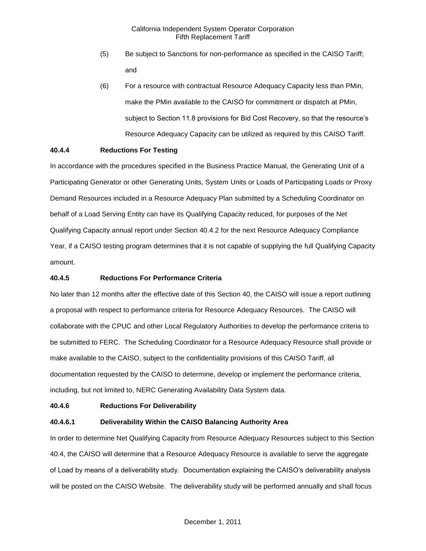- (5) Be subject to Sanctions for non-performance as specified in the CAISO Tariff; and
- (6) For a resource with contractual Resource Adequacy Capacity less than PMin, make the PMin available to the CAISO for commitment or dispatch at PMin, subject to Section 11.8 provisions for Bid Cost Recovery, so that the resource's Resource Adequacy Capacity can be utilized as required by this CAISO Tariff.

# **40.4.4 Reductions For Testing**

In accordance with the procedures specified in the Business Practice Manual, the Generating Unit of a Participating Generator or other Generating Units, System Units or Loads of Participating Loads or Proxy Demand Resources included in a Resource Adequacy Plan submitted by a Scheduling Coordinator on behalf of a Load Serving Entity can have its Qualifying Capacity reduced, for purposes of the Net Qualifying Capacity annual report under Section 40.4.2 for the next Resource Adequacy Compliance Year, if a CAISO testing program determines that it is not capable of supplying the full Qualifying Capacity amount.

### **40.4.5 Reductions For Performance Criteria**

No later than 12 months after the effective date of this Section 40, the CAISO will issue a report outlining a proposal with respect to performance criteria for Resource Adequacy Resources. The CAISO will collaborate with the CPUC and other Local Regulatory Authorities to develop the performance criteria to be submitted to FERC. The Scheduling Coordinator for a Resource Adequacy Resource shall provide or make available to the CAISO, subject to the confidentiality provisions of this CAISO Tariff, all documentation requested by the CAISO to determine, develop or implement the performance criteria, including, but not limited to, NERC Generating Availability Data System data.

### **40.4.6 Reductions For Deliverability**

### **40.4.6.1 Deliverability Within the CAISO Balancing Authority Area**

In order to determine Net Qualifying Capacity from Resource Adequacy Resources subject to this Section 40.4, the CAISO will determine that a Resource Adequacy Resource is available to serve the aggregate of Load by means of a deliverability study. Documentation explaining the CAISO's deliverability analysis will be posted on the CAISO Website. The deliverability study will be performed annually and shall focus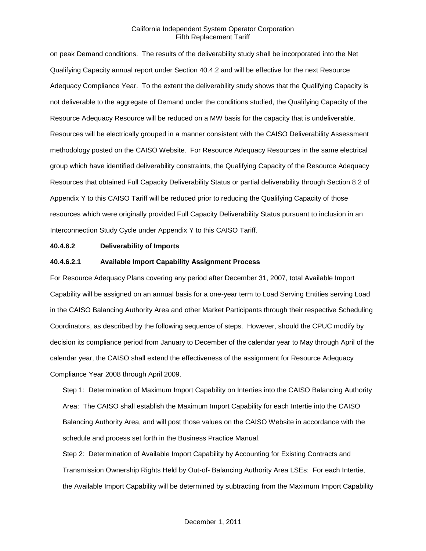on peak Demand conditions. The results of the deliverability study shall be incorporated into the Net Qualifying Capacity annual report under Section 40.4.2 and will be effective for the next Resource Adequacy Compliance Year. To the extent the deliverability study shows that the Qualifying Capacity is not deliverable to the aggregate of Demand under the conditions studied, the Qualifying Capacity of the Resource Adequacy Resource will be reduced on a MW basis for the capacity that is undeliverable. Resources will be electrically grouped in a manner consistent with the CAISO Deliverability Assessment methodology posted on the CAISO Website. For Resource Adequacy Resources in the same electrical group which have identified deliverability constraints, the Qualifying Capacity of the Resource Adequacy Resources that obtained Full Capacity Deliverability Status or partial deliverability through Section 8.2 of Appendix Y to this CAISO Tariff will be reduced prior to reducing the Qualifying Capacity of those resources which were originally provided Full Capacity Deliverability Status pursuant to inclusion in an Interconnection Study Cycle under Appendix Y to this CAISO Tariff.

#### **40.4.6.2 Deliverability of Imports**

#### **40.4.6.2.1 Available Import Capability Assignment Process**

For Resource Adequacy Plans covering any period after December 31, 2007, total Available Import Capability will be assigned on an annual basis for a one-year term to Load Serving Entities serving Load in the CAISO Balancing Authority Area and other Market Participants through their respective Scheduling Coordinators, as described by the following sequence of steps. However, should the CPUC modify by decision its compliance period from January to December of the calendar year to May through April of the calendar year, the CAISO shall extend the effectiveness of the assignment for Resource Adequacy Compliance Year 2008 through April 2009.

Step 1: Determination of Maximum Import Capability on Interties into the CAISO Balancing Authority Area: The CAISO shall establish the Maximum Import Capability for each Intertie into the CAISO Balancing Authority Area, and will post those values on the CAISO Website in accordance with the schedule and process set forth in the Business Practice Manual.

Step 2: Determination of Available Import Capability by Accounting for Existing Contracts and Transmission Ownership Rights Held by Out-of- Balancing Authority Area LSEs: For each Intertie, the Available Import Capability will be determined by subtracting from the Maximum Import Capability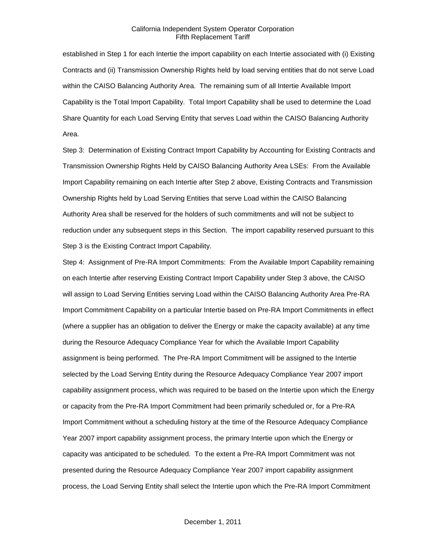established in Step 1 for each Intertie the import capability on each Intertie associated with (i) Existing Contracts and (ii) Transmission Ownership Rights held by load serving entities that do not serve Load within the CAISO Balancing Authority Area. The remaining sum of all Intertie Available Import Capability is the Total Import Capability. Total Import Capability shall be used to determine the Load Share Quantity for each Load Serving Entity that serves Load within the CAISO Balancing Authority Area.

Step 3: Determination of Existing Contract Import Capability by Accounting for Existing Contracts and Transmission Ownership Rights Held by CAISO Balancing Authority Area LSEs: From the Available Import Capability remaining on each Intertie after Step 2 above, Existing Contracts and Transmission Ownership Rights held by Load Serving Entities that serve Load within the CAISO Balancing Authority Area shall be reserved for the holders of such commitments and will not be subject to reduction under any subsequent steps in this Section. The import capability reserved pursuant to this Step 3 is the Existing Contract Import Capability.

Step 4: Assignment of Pre-RA Import Commitments: From the Available Import Capability remaining on each Intertie after reserving Existing Contract Import Capability under Step 3 above, the CAISO will assign to Load Serving Entities serving Load within the CAISO Balancing Authority Area Pre-RA Import Commitment Capability on a particular Intertie based on Pre-RA Import Commitments in effect (where a supplier has an obligation to deliver the Energy or make the capacity available) at any time during the Resource Adequacy Compliance Year for which the Available Import Capability assignment is being performed. The Pre-RA Import Commitment will be assigned to the Intertie selected by the Load Serving Entity during the Resource Adequacy Compliance Year 2007 import capability assignment process, which was required to be based on the Intertie upon which the Energy or capacity from the Pre-RA Import Commitment had been primarily scheduled or, for a Pre-RA Import Commitment without a scheduling history at the time of the Resource Adequacy Compliance Year 2007 import capability assignment process, the primary Intertie upon which the Energy or capacity was anticipated to be scheduled. To the extent a Pre-RA Import Commitment was not presented during the Resource Adequacy Compliance Year 2007 import capability assignment process, the Load Serving Entity shall select the Intertie upon which the Pre-RA Import Commitment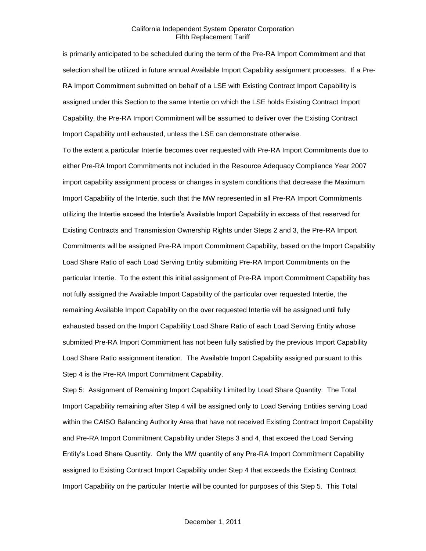is primarily anticipated to be scheduled during the term of the Pre-RA Import Commitment and that selection shall be utilized in future annual Available Import Capability assignment processes. If a Pre-RA Import Commitment submitted on behalf of a LSE with Existing Contract Import Capability is assigned under this Section to the same Intertie on which the LSE holds Existing Contract Import Capability, the Pre-RA Import Commitment will be assumed to deliver over the Existing Contract Import Capability until exhausted, unless the LSE can demonstrate otherwise.

To the extent a particular Intertie becomes over requested with Pre-RA Import Commitments due to either Pre-RA Import Commitments not included in the Resource Adequacy Compliance Year 2007 import capability assignment process or changes in system conditions that decrease the Maximum Import Capability of the Intertie, such that the MW represented in all Pre-RA Import Commitments utilizing the Intertie exceed the Intertie's Available Import Capability in excess of that reserved for Existing Contracts and Transmission Ownership Rights under Steps 2 and 3, the Pre-RA Import Commitments will be assigned Pre-RA Import Commitment Capability, based on the Import Capability Load Share Ratio of each Load Serving Entity submitting Pre-RA Import Commitments on the particular Intertie. To the extent this initial assignment of Pre-RA Import Commitment Capability has not fully assigned the Available Import Capability of the particular over requested Intertie, the remaining Available Import Capability on the over requested Intertie will be assigned until fully exhausted based on the Import Capability Load Share Ratio of each Load Serving Entity whose submitted Pre-RA Import Commitment has not been fully satisfied by the previous Import Capability Load Share Ratio assignment iteration. The Available Import Capability assigned pursuant to this Step 4 is the Pre-RA Import Commitment Capability.

Step 5: Assignment of Remaining Import Capability Limited by Load Share Quantity: The Total Import Capability remaining after Step 4 will be assigned only to Load Serving Entities serving Load within the CAISO Balancing Authority Area that have not received Existing Contract Import Capability and Pre-RA Import Commitment Capability under Steps 3 and 4, that exceed the Load Serving Entity's Load Share Quantity. Only the MW quantity of any Pre-RA Import Commitment Capability assigned to Existing Contract Import Capability under Step 4 that exceeds the Existing Contract Import Capability on the particular Intertie will be counted for purposes of this Step 5. This Total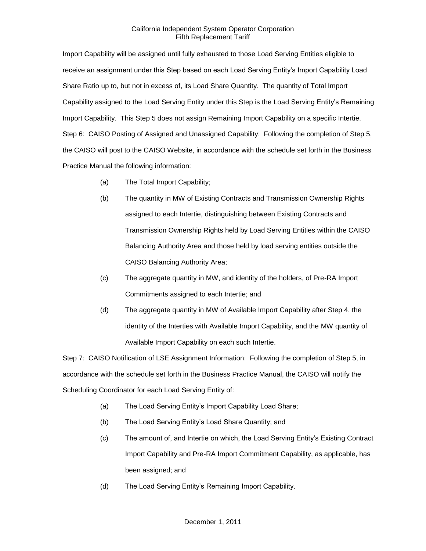Import Capability will be assigned until fully exhausted to those Load Serving Entities eligible to receive an assignment under this Step based on each Load Serving Entity's Import Capability Load Share Ratio up to, but not in excess of, its Load Share Quantity. The quantity of Total Import Capability assigned to the Load Serving Entity under this Step is the Load Serving Entity's Remaining Import Capability. This Step 5 does not assign Remaining Import Capability on a specific Intertie. Step 6: CAISO Posting of Assigned and Unassigned Capability: Following the completion of Step 5, the CAISO will post to the CAISO Website, in accordance with the schedule set forth in the Business Practice Manual the following information:

- (a) The Total Import Capability;
- (b) The quantity in MW of Existing Contracts and Transmission Ownership Rights assigned to each Intertie, distinguishing between Existing Contracts and Transmission Ownership Rights held by Load Serving Entities within the CAISO Balancing Authority Area and those held by load serving entities outside the CAISO Balancing Authority Area;
- (c) The aggregate quantity in MW, and identity of the holders, of Pre-RA Import Commitments assigned to each Intertie; and
- (d) The aggregate quantity in MW of Available Import Capability after Step 4, the identity of the Interties with Available Import Capability, and the MW quantity of Available Import Capability on each such Intertie.

Step 7: CAISO Notification of LSE Assignment Information: Following the completion of Step 5, in accordance with the schedule set forth in the Business Practice Manual, the CAISO will notify the Scheduling Coordinator for each Load Serving Entity of:

- (a) The Load Serving Entity's Import Capability Load Share;
- (b) The Load Serving Entity's Load Share Quantity; and
- (c) The amount of, and Intertie on which, the Load Serving Entity's Existing Contract Import Capability and Pre-RA Import Commitment Capability, as applicable, has been assigned; and
- (d) The Load Serving Entity's Remaining Import Capability.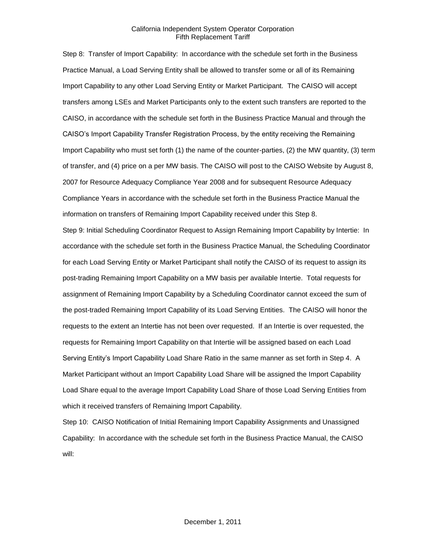Step 8: Transfer of Import Capability: In accordance with the schedule set forth in the Business Practice Manual, a Load Serving Entity shall be allowed to transfer some or all of its Remaining Import Capability to any other Load Serving Entity or Market Participant. The CAISO will accept transfers among LSEs and Market Participants only to the extent such transfers are reported to the CAISO, in accordance with the schedule set forth in the Business Practice Manual and through the CAISO's Import Capability Transfer Registration Process, by the entity receiving the Remaining Import Capability who must set forth (1) the name of the counter-parties, (2) the MW quantity, (3) term of transfer, and (4) price on a per MW basis. The CAISO will post to the CAISO Website by August 8, 2007 for Resource Adequacy Compliance Year 2008 and for subsequent Resource Adequacy Compliance Years in accordance with the schedule set forth in the Business Practice Manual the information on transfers of Remaining Import Capability received under this Step 8.

Step 9: Initial Scheduling Coordinator Request to Assign Remaining Import Capability by Intertie: In accordance with the schedule set forth in the Business Practice Manual, the Scheduling Coordinator for each Load Serving Entity or Market Participant shall notify the CAISO of its request to assign its post-trading Remaining Import Capability on a MW basis per available Intertie. Total requests for assignment of Remaining Import Capability by a Scheduling Coordinator cannot exceed the sum of the post-traded Remaining Import Capability of its Load Serving Entities. The CAISO will honor the requests to the extent an Intertie has not been over requested. If an Intertie is over requested, the requests for Remaining Import Capability on that Intertie will be assigned based on each Load Serving Entity's Import Capability Load Share Ratio in the same manner as set forth in Step 4. A Market Participant without an Import Capability Load Share will be assigned the Import Capability Load Share equal to the average Import Capability Load Share of those Load Serving Entities from which it received transfers of Remaining Import Capability.

Step 10: CAISO Notification of Initial Remaining Import Capability Assignments and Unassigned Capability: In accordance with the schedule set forth in the Business Practice Manual, the CAISO will: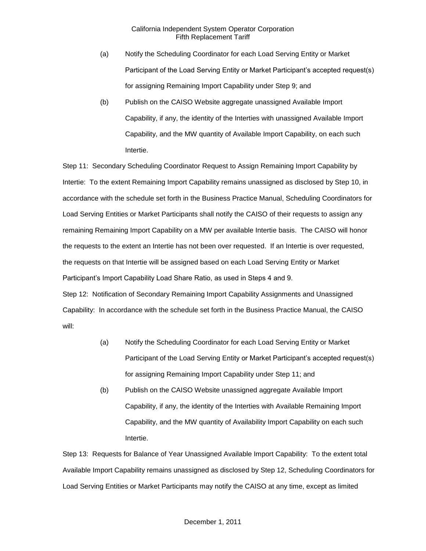- (a) Notify the Scheduling Coordinator for each Load Serving Entity or Market Participant of the Load Serving Entity or Market Participant's accepted request(s) for assigning Remaining Import Capability under Step 9; and
- (b) Publish on the CAISO Website aggregate unassigned Available Import Capability, if any, the identity of the Interties with unassigned Available Import Capability, and the MW quantity of Available Import Capability, on each such Intertie.

Step 11: Secondary Scheduling Coordinator Request to Assign Remaining Import Capability by Intertie: To the extent Remaining Import Capability remains unassigned as disclosed by Step 10, in accordance with the schedule set forth in the Business Practice Manual, Scheduling Coordinators for Load Serving Entities or Market Participants shall notify the CAISO of their requests to assign any remaining Remaining Import Capability on a MW per available Intertie basis. The CAISO will honor the requests to the extent an Intertie has not been over requested. If an Intertie is over requested, the requests on that Intertie will be assigned based on each Load Serving Entity or Market Participant's Import Capability Load Share Ratio, as used in Steps 4 and 9. Step 12: Notification of Secondary Remaining Import Capability Assignments and Unassigned Capability: In accordance with the schedule set forth in the Business Practice Manual, the CAISO will:

- (a) Notify the Scheduling Coordinator for each Load Serving Entity or Market Participant of the Load Serving Entity or Market Participant's accepted request(s) for assigning Remaining Import Capability under Step 11; and
- (b) Publish on the CAISO Website unassigned aggregate Available Import Capability, if any, the identity of the Interties with Available Remaining Import Capability, and the MW quantity of Availability Import Capability on each such Intertie.

Step 13: Requests for Balance of Year Unassigned Available Import Capability: To the extent total Available Import Capability remains unassigned as disclosed by Step 12, Scheduling Coordinators for Load Serving Entities or Market Participants may notify the CAISO at any time, except as limited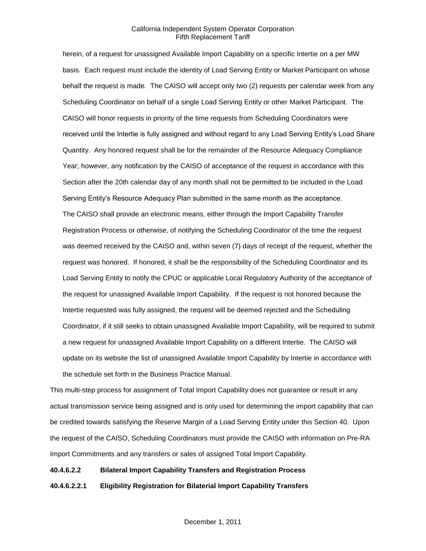herein, of a request for unassigned Available Import Capability on a specific Intertie on a per MW basis. Each request must include the identity of Load Serving Entity or Market Participant on whose behalf the request is made. The CAISO will accept only two (2) requests per calendar week from any Scheduling Coordinator on behalf of a single Load Serving Entity or other Market Participant. The CAISO will honor requests in priority of the time requests from Scheduling Coordinators were received until the Intertie is fully assigned and without regard to any Load Serving Entity's Load Share Quantity. Any honored request shall be for the remainder of the Resource Adequacy Compliance Year; however, any notification by the CAISO of acceptance of the request in accordance with this Section after the 20th calendar day of any month shall not be permitted to be included in the Load Serving Entity's Resource Adequacy Plan submitted in the same month as the acceptance. The CAISO shall provide an electronic means, either through the Import Capability Transfer Registration Process or otherwise, of notifying the Scheduling Coordinator of the time the request was deemed received by the CAISO and, within seven (7) days of receipt of the request, whether the request was honored. If honored, it shall be the responsibility of the Scheduling Coordinator and its Load Serving Entity to notify the CPUC or applicable Local Regulatory Authority of the acceptance of the request for unassigned Available Import Capability. If the request is not honored because the Intertie requested was fully assigned, the request will be deemed rejected and the Scheduling Coordinator, if it still seeks to obtain unassigned Available Import Capability, will be required to submit a new request for unassigned Available Import Capability on a different Intertie. The CAISO will update on its website the list of unassigned Available Import Capability by Intertie in accordance with the schedule set forth in the Business Practice Manual.

This multi-step process for assignment of Total Import Capability does not guarantee or result in any actual transmission service being assigned and is only used for determining the import capability that can be credited towards satisfying the Reserve Margin of a Load Serving Entity under this Section 40. Upon the request of the CAISO, Scheduling Coordinators must provide the CAISO with information on Pre-RA Import Commitments and any transfers or sales of assigned Total Import Capability.

#### **40.4.6.2.2 Bilateral Import Capability Transfers and Registration Process**

**40.4.6.2.2.1 Eligibility Registration for Bilaterial Import Capability Transfers**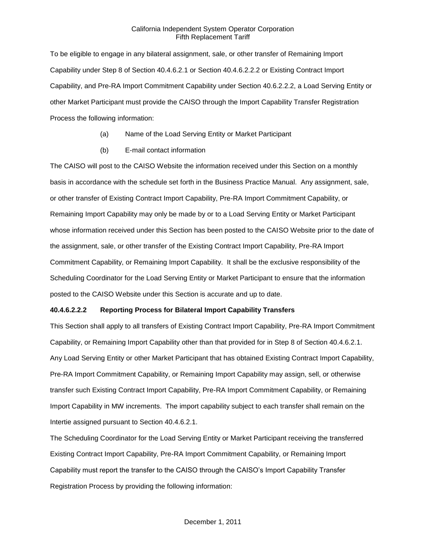To be eligible to engage in any bilateral assignment, sale, or other transfer of Remaining Import Capability under Step 8 of Section 40.4.6.2.1 or Section 40.4.6.2.2.2 or Existing Contract Import Capability, and Pre-RA Import Commitment Capability under Section 40.6.2.2.2, a Load Serving Entity or other Market Participant must provide the CAISO through the Import Capability Transfer Registration Process the following information:

- (a) Name of the Load Serving Entity or Market Participant
- (b) E-mail contact information

The CAISO will post to the CAISO Website the information received under this Section on a monthly basis in accordance with the schedule set forth in the Business Practice Manual. Any assignment, sale, or other transfer of Existing Contract Import Capability, Pre-RA Import Commitment Capability, or Remaining Import Capability may only be made by or to a Load Serving Entity or Market Participant whose information received under this Section has been posted to the CAISO Website prior to the date of the assignment, sale, or other transfer of the Existing Contract Import Capability, Pre-RA Import Commitment Capability, or Remaining Import Capability. It shall be the exclusive responsibility of the Scheduling Coordinator for the Load Serving Entity or Market Participant to ensure that the information posted to the CAISO Website under this Section is accurate and up to date.

# **40.4.6.2.2.2 Reporting Process for Bilateral Import Capability Transfers**

This Section shall apply to all transfers of Existing Contract Import Capability, Pre-RA Import Commitment Capability, or Remaining Import Capability other than that provided for in Step 8 of Section 40.4.6.2.1. Any Load Serving Entity or other Market Participant that has obtained Existing Contract Import Capability, Pre-RA Import Commitment Capability, or Remaining Import Capability may assign, sell, or otherwise transfer such Existing Contract Import Capability, Pre-RA Import Commitment Capability, or Remaining Import Capability in MW increments. The import capability subject to each transfer shall remain on the Intertie assigned pursuant to Section 40.4.6.2.1.

The Scheduling Coordinator for the Load Serving Entity or Market Participant receiving the transferred Existing Contract Import Capability, Pre-RA Import Commitment Capability, or Remaining Import Capability must report the transfer to the CAISO through the CAISO's Import Capability Transfer Registration Process by providing the following information: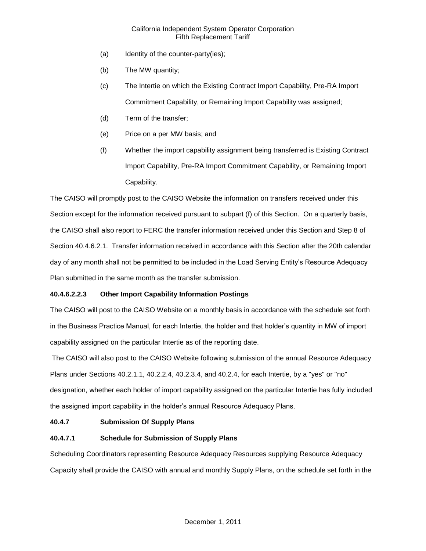- (a) Identity of the counter-party(ies);
- (b) The MW quantity;
- (c) The Intertie on which the Existing Contract Import Capability, Pre-RA Import Commitment Capability, or Remaining Import Capability was assigned;
- (d) Term of the transfer;
- (e) Price on a per MW basis; and
- (f) Whether the import capability assignment being transferred is Existing Contract Import Capability, Pre-RA Import Commitment Capability, or Remaining Import Capability.

The CAISO will promptly post to the CAISO Website the information on transfers received under this Section except for the information received pursuant to subpart (f) of this Section. On a quarterly basis, the CAISO shall also report to FERC the transfer information received under this Section and Step 8 of Section 40.4.6.2.1. Transfer information received in accordance with this Section after the 20th calendar day of any month shall not be permitted to be included in the Load Serving Entity's Resource Adequacy Plan submitted in the same month as the transfer submission.

# **40.4.6.2.2.3 Other Import Capability Information Postings**

The CAISO will post to the CAISO Website on a monthly basis in accordance with the schedule set forth in the Business Practice Manual, for each Intertie, the holder and that holder's quantity in MW of import capability assigned on the particular Intertie as of the reporting date.

The CAISO will also post to the CAISO Website following submission of the annual Resource Adequacy Plans under Sections 40.2.1.1, 40.2.2.4, 40.2.3.4, and 40.2.4, for each Intertie, by a "yes" or "no" designation, whether each holder of import capability assigned on the particular Intertie has fully included the assigned import capability in the holder's annual Resource Adequacy Plans.

# **40.4.7 Submission Of Supply Plans**

# **40.4.7.1 Schedule for Submission of Supply Plans**

Scheduling Coordinators representing Resource Adequacy Resources supplying Resource Adequacy Capacity shall provide the CAISO with annual and monthly Supply Plans, on the schedule set forth in the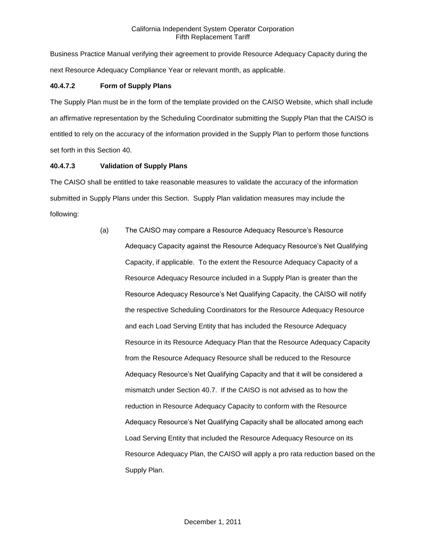Business Practice Manual verifying their agreement to provide Resource Adequacy Capacity during the next Resource Adequacy Compliance Year or relevant month, as applicable.

# **40.4.7.2 Form of Supply Plans**

The Supply Plan must be in the form of the template provided on the CAISO Website, which shall include an affirmative representation by the Scheduling Coordinator submitting the Supply Plan that the CAISO is entitled to rely on the accuracy of the information provided in the Supply Plan to perform those functions set forth in this Section 40.

# **40.4.7.3 Validation of Supply Plans**

The CAISO shall be entitled to take reasonable measures to validate the accuracy of the information submitted in Supply Plans under this Section. Supply Plan validation measures may include the following:

> (a) The CAISO may compare a Resource Adequacy Resource's Resource Adequacy Capacity against the Resource Adequacy Resource's Net Qualifying Capacity, if applicable. To the extent the Resource Adequacy Capacity of a Resource Adequacy Resource included in a Supply Plan is greater than the Resource Adequacy Resource's Net Qualifying Capacity, the CAISO will notify the respective Scheduling Coordinators for the Resource Adequacy Resource and each Load Serving Entity that has included the Resource Adequacy Resource in its Resource Adequacy Plan that the Resource Adequacy Capacity from the Resource Adequacy Resource shall be reduced to the Resource Adequacy Resource's Net Qualifying Capacity and that it will be considered a mismatch under Section 40.7. If the CAISO is not advised as to how the reduction in Resource Adequacy Capacity to conform with the Resource Adequacy Resource's Net Qualifying Capacity shall be allocated among each Load Serving Entity that included the Resource Adequacy Resource on its Resource Adequacy Plan, the CAISO will apply a pro rata reduction based on the Supply Plan.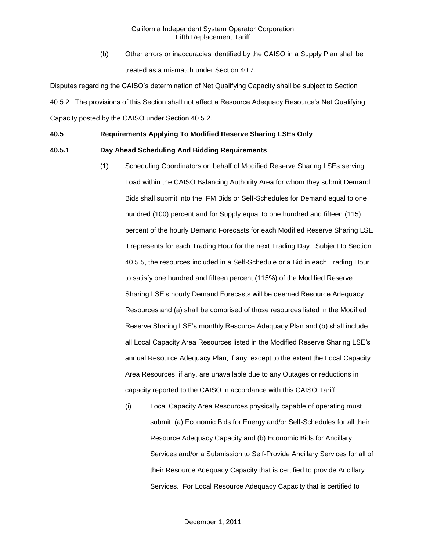(b) Other errors or inaccuracies identified by the CAISO in a Supply Plan shall be treated as a mismatch under Section 40.7.

Disputes regarding the CAISO's determination of Net Qualifying Capacity shall be subject to Section 40.5.2. The provisions of this Section shall not affect a Resource Adequacy Resource's Net Qualifying Capacity posted by the CAISO under Section 40.5.2.

## **40.5 Requirements Applying To Modified Reserve Sharing LSEs Only**

# **40.5.1 Day Ahead Scheduling And Bidding Requirements**

- (1) Scheduling Coordinators on behalf of Modified Reserve Sharing LSEs serving Load within the CAISO Balancing Authority Area for whom they submit Demand Bids shall submit into the IFM Bids or Self-Schedules for Demand equal to one hundred (100) percent and for Supply equal to one hundred and fifteen (115) percent of the hourly Demand Forecasts for each Modified Reserve Sharing LSE it represents for each Trading Hour for the next Trading Day. Subject to Section 40.5.5, the resources included in a Self-Schedule or a Bid in each Trading Hour to satisfy one hundred and fifteen percent (115%) of the Modified Reserve Sharing LSE's hourly Demand Forecasts will be deemed Resource Adequacy Resources and (a) shall be comprised of those resources listed in the Modified Reserve Sharing LSE's monthly Resource Adequacy Plan and (b) shall include all Local Capacity Area Resources listed in the Modified Reserve Sharing LSE's annual Resource Adequacy Plan, if any, except to the extent the Local Capacity Area Resources, if any, are unavailable due to any Outages or reductions in capacity reported to the CAISO in accordance with this CAISO Tariff.
	- (i) Local Capacity Area Resources physically capable of operating must submit: (a) Economic Bids for Energy and/or Self-Schedules for all their Resource Adequacy Capacity and (b) Economic Bids for Ancillary Services and/or a Submission to Self-Provide Ancillary Services for all of their Resource Adequacy Capacity that is certified to provide Ancillary Services. For Local Resource Adequacy Capacity that is certified to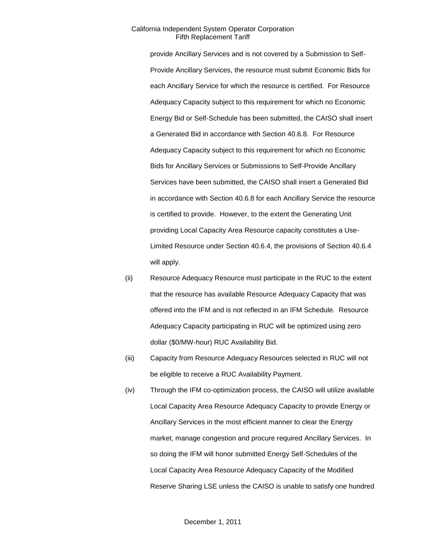provide Ancillary Services and is not covered by a Submission to Self-Provide Ancillary Services, the resource must submit Economic Bids for each Ancillary Service for which the resource is certified. For Resource Adequacy Capacity subject to this requirement for which no Economic Energy Bid or Self-Schedule has been submitted, the CAISO shall insert a Generated Bid in accordance with Section 40.6.8. For Resource Adequacy Capacity subject to this requirement for which no Economic Bids for Ancillary Services or Submissions to Self-Provide Ancillary Services have been submitted, the CAISO shall insert a Generated Bid in accordance with Section 40.6.8 for each Ancillary Service the resource is certified to provide. However, to the extent the Generating Unit providing Local Capacity Area Resource capacity constitutes a Use-Limited Resource under Section 40.6.4, the provisions of Section 40.6.4 will apply.

- (ii) Resource Adequacy Resource must participate in the RUC to the extent that the resource has available Resource Adequacy Capacity that was offered into the IFM and is not reflected in an IFM Schedule. Resource Adequacy Capacity participating in RUC will be optimized using zero dollar (\$0/MW-hour) RUC Availability Bid.
- (iii) Capacity from Resource Adequacy Resources selected in RUC will not be eligible to receive a RUC Availability Payment.
- (iv) Through the IFM co-optimization process, the CAISO will utilize available Local Capacity Area Resource Adequacy Capacity to provide Energy or Ancillary Services in the most efficient manner to clear the Energy market, manage congestion and procure required Ancillary Services. In so doing the IFM will honor submitted Energy Self-Schedules of the Local Capacity Area Resource Adequacy Capacity of the Modified Reserve Sharing LSE unless the CAISO is unable to satisfy one hundred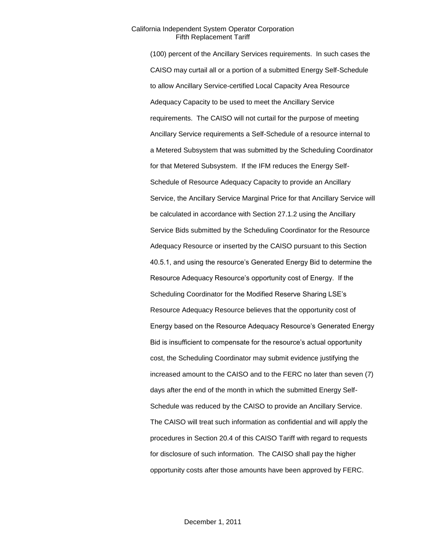(100) percent of the Ancillary Services requirements. In such cases the CAISO may curtail all or a portion of a submitted Energy Self-Schedule to allow Ancillary Service-certified Local Capacity Area Resource Adequacy Capacity to be used to meet the Ancillary Service requirements. The CAISO will not curtail for the purpose of meeting Ancillary Service requirements a Self-Schedule of a resource internal to a Metered Subsystem that was submitted by the Scheduling Coordinator for that Metered Subsystem. If the IFM reduces the Energy Self-Schedule of Resource Adequacy Capacity to provide an Ancillary Service, the Ancillary Service Marginal Price for that Ancillary Service will be calculated in accordance with Section 27.1.2 using the Ancillary Service Bids submitted by the Scheduling Coordinator for the Resource Adequacy Resource or inserted by the CAISO pursuant to this Section 40.5.1, and using the resource's Generated Energy Bid to determine the Resource Adequacy Resource's opportunity cost of Energy. If the Scheduling Coordinator for the Modified Reserve Sharing LSE's Resource Adequacy Resource believes that the opportunity cost of Energy based on the Resource Adequacy Resource's Generated Energy Bid is insufficient to compensate for the resource's actual opportunity cost, the Scheduling Coordinator may submit evidence justifying the increased amount to the CAISO and to the FERC no later than seven (7) days after the end of the month in which the submitted Energy Self-Schedule was reduced by the CAISO to provide an Ancillary Service. The CAISO will treat such information as confidential and will apply the procedures in Section 20.4 of this CAISO Tariff with regard to requests for disclosure of such information. The CAISO shall pay the higher opportunity costs after those amounts have been approved by FERC.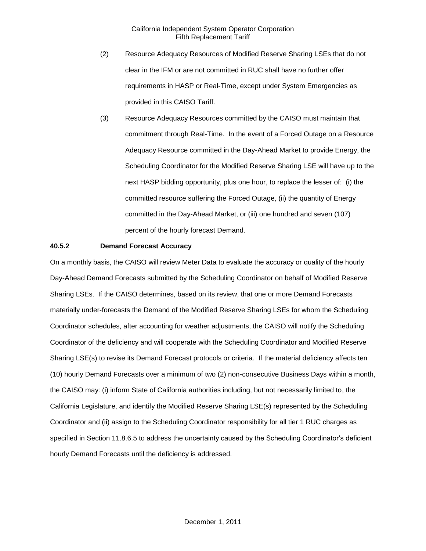- (2) Resource Adequacy Resources of Modified Reserve Sharing LSEs that do not clear in the IFM or are not committed in RUC shall have no further offer requirements in HASP or Real-Time, except under System Emergencies as provided in this CAISO Tariff.
- (3) Resource Adequacy Resources committed by the CAISO must maintain that commitment through Real-Time. In the event of a Forced Outage on a Resource Adequacy Resource committed in the Day-Ahead Market to provide Energy, the Scheduling Coordinator for the Modified Reserve Sharing LSE will have up to the next HASP bidding opportunity, plus one hour, to replace the lesser of: (i) the committed resource suffering the Forced Outage, (ii) the quantity of Energy committed in the Day-Ahead Market, or (iii) one hundred and seven (107) percent of the hourly forecast Demand.

### **40.5.2 Demand Forecast Accuracy**

On a monthly basis, the CAISO will review Meter Data to evaluate the accuracy or quality of the hourly Day-Ahead Demand Forecasts submitted by the Scheduling Coordinator on behalf of Modified Reserve Sharing LSEs. If the CAISO determines, based on its review, that one or more Demand Forecasts materially under-forecasts the Demand of the Modified Reserve Sharing LSEs for whom the Scheduling Coordinator schedules, after accounting for weather adjustments, the CAISO will notify the Scheduling Coordinator of the deficiency and will cooperate with the Scheduling Coordinator and Modified Reserve Sharing LSE(s) to revise its Demand Forecast protocols or criteria. If the material deficiency affects ten (10) hourly Demand Forecasts over a minimum of two (2) non-consecutive Business Days within a month, the CAISO may: (i) inform State of California authorities including, but not necessarily limited to, the California Legislature, and identify the Modified Reserve Sharing LSE(s) represented by the Scheduling Coordinator and (ii) assign to the Scheduling Coordinator responsibility for all tier 1 RUC charges as specified in Section 11.8.6.5 to address the uncertainty caused by the Scheduling Coordinator's deficient hourly Demand Forecasts until the deficiency is addressed.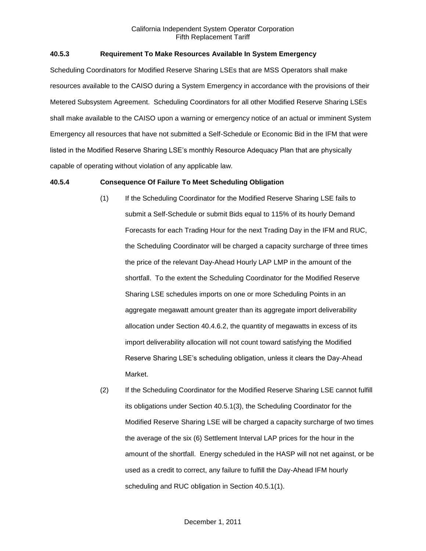# **40.5.3 Requirement To Make Resources Available In System Emergency**

Scheduling Coordinators for Modified Reserve Sharing LSEs that are MSS Operators shall make resources available to the CAISO during a System Emergency in accordance with the provisions of their Metered Subsystem Agreement. Scheduling Coordinators for all other Modified Reserve Sharing LSEs shall make available to the CAISO upon a warning or emergency notice of an actual or imminent System Emergency all resources that have not submitted a Self-Schedule or Economic Bid in the IFM that were listed in the Modified Reserve Sharing LSE's monthly Resource Adequacy Plan that are physically capable of operating without violation of any applicable law.

### **40.5.4 Consequence Of Failure To Meet Scheduling Obligation**

- (1) If the Scheduling Coordinator for the Modified Reserve Sharing LSE fails to submit a Self-Schedule or submit Bids equal to 115% of its hourly Demand Forecasts for each Trading Hour for the next Trading Day in the IFM and RUC, the Scheduling Coordinator will be charged a capacity surcharge of three times the price of the relevant Day-Ahead Hourly LAP LMP in the amount of the shortfall. To the extent the Scheduling Coordinator for the Modified Reserve Sharing LSE schedules imports on one or more Scheduling Points in an aggregate megawatt amount greater than its aggregate import deliverability allocation under Section 40.4.6.2, the quantity of megawatts in excess of its import deliverability allocation will not count toward satisfying the Modified Reserve Sharing LSE's scheduling obligation, unless it clears the Day-Ahead Market.
- (2) If the Scheduling Coordinator for the Modified Reserve Sharing LSE cannot fulfill its obligations under Section 40.5.1(3), the Scheduling Coordinator for the Modified Reserve Sharing LSE will be charged a capacity surcharge of two times the average of the six (6) Settlement Interval LAP prices for the hour in the amount of the shortfall. Energy scheduled in the HASP will not net against, or be used as a credit to correct, any failure to fulfill the Day-Ahead IFM hourly scheduling and RUC obligation in Section 40.5.1(1).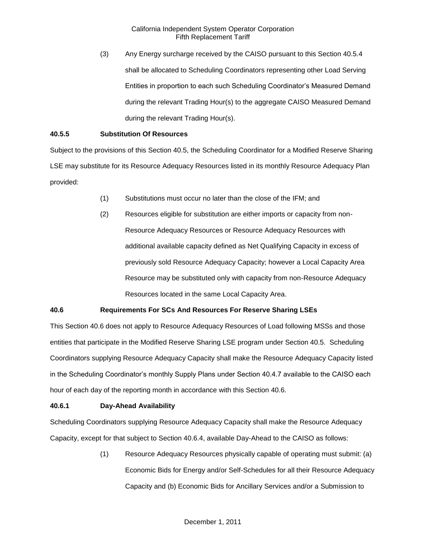(3) Any Energy surcharge received by the CAISO pursuant to this Section 40.5.4 shall be allocated to Scheduling Coordinators representing other Load Serving Entities in proportion to each such Scheduling Coordinator's Measured Demand during the relevant Trading Hour(s) to the aggregate CAISO Measured Demand during the relevant Trading Hour(s).

# **40.5.5 Substitution Of Resources**

Subject to the provisions of this Section 40.5, the Scheduling Coordinator for a Modified Reserve Sharing LSE may substitute for its Resource Adequacy Resources listed in its monthly Resource Adequacy Plan provided:

- (1) Substitutions must occur no later than the close of the IFM; and
- (2) Resources eligible for substitution are either imports or capacity from non-Resource Adequacy Resources or Resource Adequacy Resources with additional available capacity defined as Net Qualifying Capacity in excess of previously sold Resource Adequacy Capacity; however a Local Capacity Area Resource may be substituted only with capacity from non-Resource Adequacy Resources located in the same Local Capacity Area.

# **40.6 Requirements For SCs And Resources For Reserve Sharing LSEs**

This Section 40.6 does not apply to Resource Adequacy Resources of Load following MSSs and those entities that participate in the Modified Reserve Sharing LSE program under Section 40.5. Scheduling Coordinators supplying Resource Adequacy Capacity shall make the Resource Adequacy Capacity listed in the Scheduling Coordinator's monthly Supply Plans under Section 40.4.7 available to the CAISO each hour of each day of the reporting month in accordance with this Section 40.6.

### **40.6.1 Day-Ahead Availability**

Scheduling Coordinators supplying Resource Adequacy Capacity shall make the Resource Adequacy Capacity, except for that subject to Section 40.6.4, available Day-Ahead to the CAISO as follows:

> (1) Resource Adequacy Resources physically capable of operating must submit: (a) Economic Bids for Energy and/or Self-Schedules for all their Resource Adequacy Capacity and (b) Economic Bids for Ancillary Services and/or a Submission to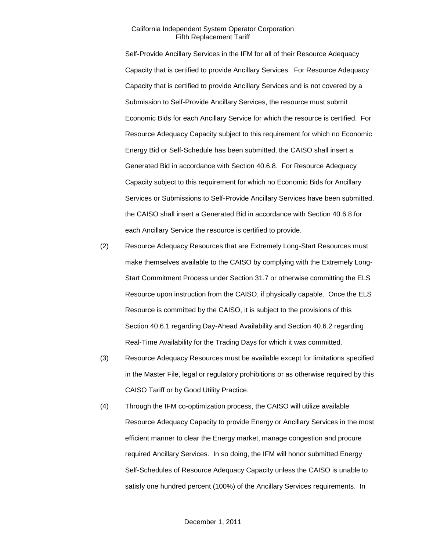Self-Provide Ancillary Services in the IFM for all of their Resource Adequacy Capacity that is certified to provide Ancillary Services. For Resource Adequacy Capacity that is certified to provide Ancillary Services and is not covered by a Submission to Self-Provide Ancillary Services, the resource must submit Economic Bids for each Ancillary Service for which the resource is certified. For Resource Adequacy Capacity subject to this requirement for which no Economic Energy Bid or Self-Schedule has been submitted, the CAISO shall insert a Generated Bid in accordance with Section 40.6.8. For Resource Adequacy Capacity subject to this requirement for which no Economic Bids for Ancillary Services or Submissions to Self-Provide Ancillary Services have been submitted, the CAISO shall insert a Generated Bid in accordance with Section 40.6.8 for each Ancillary Service the resource is certified to provide.

- (2) Resource Adequacy Resources that are Extremely Long-Start Resources must make themselves available to the CAISO by complying with the Extremely Long-Start Commitment Process under Section 31.7 or otherwise committing the ELS Resource upon instruction from the CAISO, if physically capable. Once the ELS Resource is committed by the CAISO, it is subject to the provisions of this Section 40.6.1 regarding Day-Ahead Availability and Section 40.6.2 regarding Real-Time Availability for the Trading Days for which it was committed.
- (3) Resource Adequacy Resources must be available except for limitations specified in the Master File, legal or regulatory prohibitions or as otherwise required by this CAISO Tariff or by Good Utility Practice.
- (4) Through the IFM co-optimization process, the CAISO will utilize available Resource Adequacy Capacity to provide Energy or Ancillary Services in the most efficient manner to clear the Energy market, manage congestion and procure required Ancillary Services. In so doing, the IFM will honor submitted Energy Self-Schedules of Resource Adequacy Capacity unless the CAISO is unable to satisfy one hundred percent (100%) of the Ancillary Services requirements. In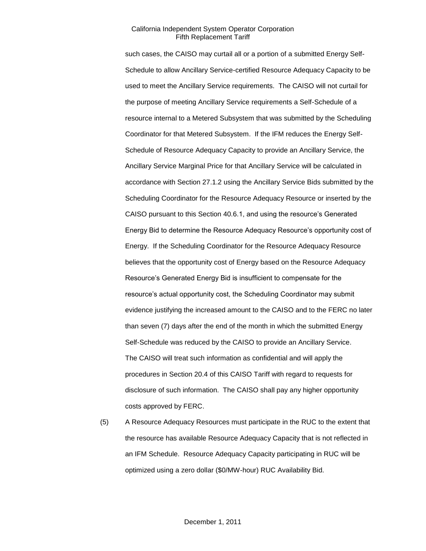such cases, the CAISO may curtail all or a portion of a submitted Energy Self-Schedule to allow Ancillary Service-certified Resource Adequacy Capacity to be used to meet the Ancillary Service requirements. The CAISO will not curtail for the purpose of meeting Ancillary Service requirements a Self-Schedule of a resource internal to a Metered Subsystem that was submitted by the Scheduling Coordinator for that Metered Subsystem. If the IFM reduces the Energy Self-Schedule of Resource Adequacy Capacity to provide an Ancillary Service, the Ancillary Service Marginal Price for that Ancillary Service will be calculated in accordance with Section 27.1.2 using the Ancillary Service Bids submitted by the Scheduling Coordinator for the Resource Adequacy Resource or inserted by the CAISO pursuant to this Section 40.6.1, and using the resource's Generated Energy Bid to determine the Resource Adequacy Resource's opportunity cost of Energy. If the Scheduling Coordinator for the Resource Adequacy Resource believes that the opportunity cost of Energy based on the Resource Adequacy Resource's Generated Energy Bid is insufficient to compensate for the resource's actual opportunity cost, the Scheduling Coordinator may submit evidence justifying the increased amount to the CAISO and to the FERC no later than seven (7) days after the end of the month in which the submitted Energy Self-Schedule was reduced by the CAISO to provide an Ancillary Service. The CAISO will treat such information as confidential and will apply the procedures in Section 20.4 of this CAISO Tariff with regard to requests for disclosure of such information. The CAISO shall pay any higher opportunity costs approved by FERC.

(5) A Resource Adequacy Resources must participate in the RUC to the extent that the resource has available Resource Adequacy Capacity that is not reflected in an IFM Schedule. Resource Adequacy Capacity participating in RUC will be optimized using a zero dollar (\$0/MW-hour) RUC Availability Bid.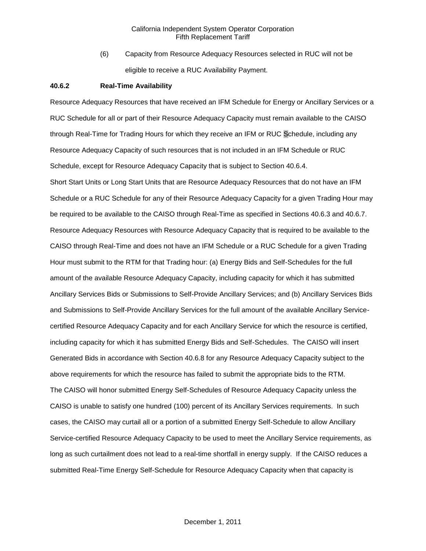(6) Capacity from Resource Adequacy Resources selected in RUC will not be eligible to receive a RUC Availability Payment.

#### **40.6.2 Real-Time Availability**

Resource Adequacy Resources that have received an IFM Schedule for Energy or Ancillary Services or a RUC Schedule for all or part of their Resource Adequacy Capacity must remain available to the CAISO through Real-Time for Trading Hours for which they receive an IFM or RUC Schedule, including any Resource Adequacy Capacity of such resources that is not included in an IFM Schedule or RUC Schedule, except for Resource Adequacy Capacity that is subject to Section 40.6.4.

Short Start Units or Long Start Units that are Resource Adequacy Resources that do not have an IFM Schedule or a RUC Schedule for any of their Resource Adequacy Capacity for a given Trading Hour may be required to be available to the CAISO through Real-Time as specified in Sections 40.6.3 and 40.6.7. Resource Adequacy Resources with Resource Adequacy Capacity that is required to be available to the CAISO through Real-Time and does not have an IFM Schedule or a RUC Schedule for a given Trading Hour must submit to the RTM for that Trading hour: (a) Energy Bids and Self-Schedules for the full amount of the available Resource Adequacy Capacity, including capacity for which it has submitted Ancillary Services Bids or Submissions to Self-Provide Ancillary Services; and (b) Ancillary Services Bids and Submissions to Self-Provide Ancillary Services for the full amount of the available Ancillary Servicecertified Resource Adequacy Capacity and for each Ancillary Service for which the resource is certified, including capacity for which it has submitted Energy Bids and Self-Schedules. The CAISO will insert Generated Bids in accordance with Section 40.6.8 for any Resource Adequacy Capacity subject to the above requirements for which the resource has failed to submit the appropriate bids to the RTM. The CAISO will honor submitted Energy Self-Schedules of Resource Adequacy Capacity unless the CAISO is unable to satisfy one hundred (100) percent of its Ancillary Services requirements. In such cases, the CAISO may curtail all or a portion of a submitted Energy Self-Schedule to allow Ancillary Service-certified Resource Adequacy Capacity to be used to meet the Ancillary Service requirements, as long as such curtailment does not lead to a real-time shortfall in energy supply. If the CAISO reduces a submitted Real-Time Energy Self-Schedule for Resource Adequacy Capacity when that capacity is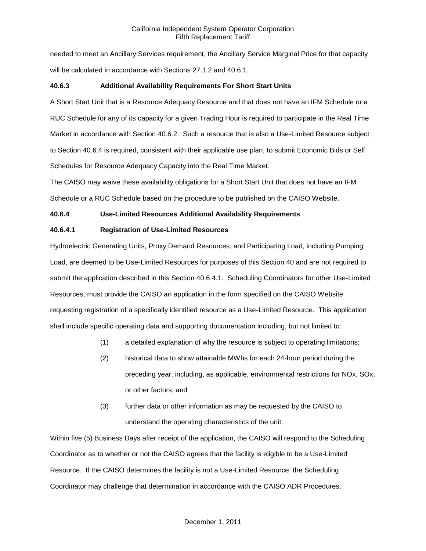needed to meet an Ancillary Services requirement, the Ancillary Service Marginal Price for that capacity will be calculated in accordance with Sections 27.1.2 and 40.6.1.

# **40.6.3 Additional Availability Requirements For Short Start Units**

A Short Start Unit that is a Resource Adequacy Resource and that does not have an IFM Schedule or a RUC Schedule for any of its capacity for a given Trading Hour is required to participate in the Real Time Market in accordance with Section 40.6.2. Such a resource that is also a Use-Limited Resource subject to Section 40.6.4 is required, consistent with their applicable use plan, to submit Economic Bids or Self Schedules for Resource Adequacy Capacity into the Real Time Market.

The CAISO may waive these availability obligations for a Short Start Unit that does not have an IFM Schedule or a RUC Schedule based on the procedure to be published on the CAISO Website.

# **40.6.4 Use-Limited Resources Additional Availability Requirements**

# **40.6.4.1 Registration of Use-Limited Resources**

Hydroelectric Generating Units, Proxy Demand Resources, and Participating Load, including Pumping Load, are deemed to be Use-Limited Resources for purposes of this Section 40 and are not required to submit the application described in this Section 40.6.4.1. Scheduling Coordinators for other Use-Limited Resources, must provide the CAISO an application in the form specified on the CAISO Website requesting registration of a specifically identified resource as a Use-Limited Resource. This application shall include specific operating data and supporting documentation including, but not limited to:

- (1) a detailed explanation of why the resource is subject to operating limitations;
- (2) historical data to show attainable MWhs for each 24-hour period during the preceding year, including, as applicable, environmental restrictions for NOx, SOx, or other factors; and
- (3) further data or other information as may be requested by the CAISO to understand the operating characteristics of the unit.

Within five (5) Business Days after receipt of the application, the CAISO will respond to the Scheduling Coordinator as to whether or not the CAISO agrees that the facility is eligible to be a Use-Limited Resource. If the CAISO determines the facility is not a Use-Limited Resource, the Scheduling Coordinator may challenge that determination in accordance with the CAISO ADR Procedures.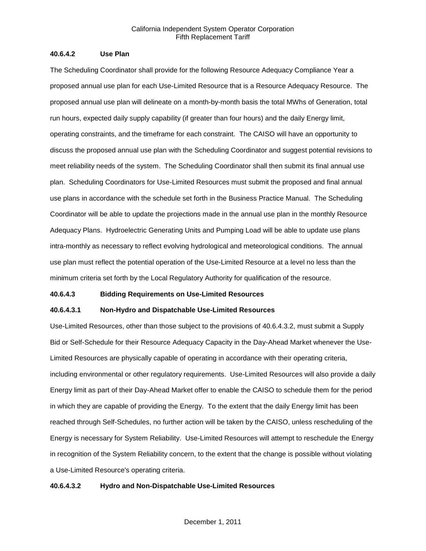### **40.6.4.2 Use Plan**

The Scheduling Coordinator shall provide for the following Resource Adequacy Compliance Year a proposed annual use plan for each Use-Limited Resource that is a Resource Adequacy Resource. The proposed annual use plan will delineate on a month-by-month basis the total MWhs of Generation, total run hours, expected daily supply capability (if greater than four hours) and the daily Energy limit, operating constraints, and the timeframe for each constraint. The CAISO will have an opportunity to discuss the proposed annual use plan with the Scheduling Coordinator and suggest potential revisions to meet reliability needs of the system. The Scheduling Coordinator shall then submit its final annual use plan. Scheduling Coordinators for Use-Limited Resources must submit the proposed and final annual use plans in accordance with the schedule set forth in the Business Practice Manual. The Scheduling Coordinator will be able to update the projections made in the annual use plan in the monthly Resource Adequacy Plans. Hydroelectric Generating Units and Pumping Load will be able to update use plans intra-monthly as necessary to reflect evolving hydrological and meteorological conditions. The annual use plan must reflect the potential operation of the Use-Limited Resource at a level no less than the minimum criteria set forth by the Local Regulatory Authority for qualification of the resource.

#### **40.6.4.3 Bidding Requirements on Use-Limited Resources**

### **40.6.4.3.1 Non-Hydro and Dispatchable Use-Limited Resources**

Use-Limited Resources, other than those subject to the provisions of 40.6.4.3.2, must submit a Supply Bid or Self-Schedule for their Resource Adequacy Capacity in the Day-Ahead Market whenever the Use-Limited Resources are physically capable of operating in accordance with their operating criteria, including environmental or other regulatory requirements. Use-Limited Resources will also provide a daily Energy limit as part of their Day-Ahead Market offer to enable the CAISO to schedule them for the period in which they are capable of providing the Energy. To the extent that the daily Energy limit has been reached through Self-Schedules, no further action will be taken by the CAISO, unless rescheduling of the Energy is necessary for System Reliability. Use-Limited Resources will attempt to reschedule the Energy in recognition of the System Reliability concern, to the extent that the change is possible without violating a Use-Limited Resource's operating criteria.

### **40.6.4.3.2 Hydro and Non-Dispatchable Use-Limited Resources**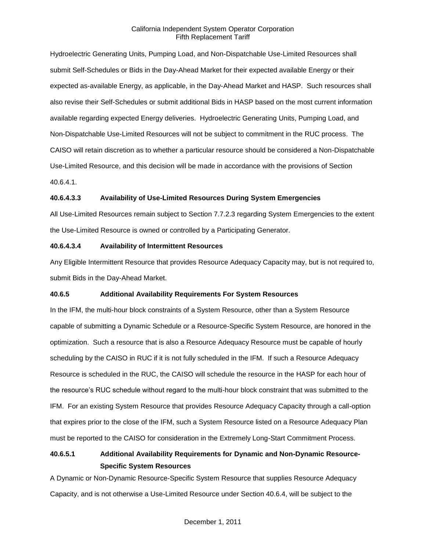Hydroelectric Generating Units, Pumping Load, and Non-Dispatchable Use-Limited Resources shall submit Self-Schedules or Bids in the Day-Ahead Market for their expected available Energy or their expected as-available Energy, as applicable, in the Day-Ahead Market and HASP. Such resources shall also revise their Self-Schedules or submit additional Bids in HASP based on the most current information available regarding expected Energy deliveries. Hydroelectric Generating Units, Pumping Load, and Non-Dispatchable Use-Limited Resources will not be subject to commitment in the RUC process. The CAISO will retain discretion as to whether a particular resource should be considered a Non-Dispatchable Use-Limited Resource, and this decision will be made in accordance with the provisions of Section 40.6.4.1.

### **40.6.4.3.3 Availability of Use-Limited Resources During System Emergencies**

All Use-Limited Resources remain subject to Section 7.7.2.3 regarding System Emergencies to the extent the Use-Limited Resource is owned or controlled by a Participating Generator.

### **40.6.4.3.4 Availability of Intermittent Resources**

Any Eligible Intermittent Resource that provides Resource Adequacy Capacity may, but is not required to, submit Bids in the Day-Ahead Market.

### **40.6.5 Additional Availability Requirements For System Resources**

In the IFM, the multi-hour block constraints of a System Resource, other than a System Resource capable of submitting a Dynamic Schedule or a Resource-Specific System Resource, are honored in the optimization. Such a resource that is also a Resource Adequacy Resource must be capable of hourly scheduling by the CAISO in RUC if it is not fully scheduled in the IFM. If such a Resource Adequacy Resource is scheduled in the RUC, the CAISO will schedule the resource in the HASP for each hour of the resource's RUC schedule without regard to the multi-hour block constraint that was submitted to the IFM. For an existing System Resource that provides Resource Adequacy Capacity through a call-option that expires prior to the close of the IFM, such a System Resource listed on a Resource Adequacy Plan must be reported to the CAISO for consideration in the Extremely Long-Start Commitment Process.

# **40.6.5.1 Additional Availability Requirements for Dynamic and Non-Dynamic Resource-Specific System Resources**

A Dynamic or Non-Dynamic Resource-Specific System Resource that supplies Resource Adequacy Capacity, and is not otherwise a Use-Limited Resource under Section 40.6.4, will be subject to the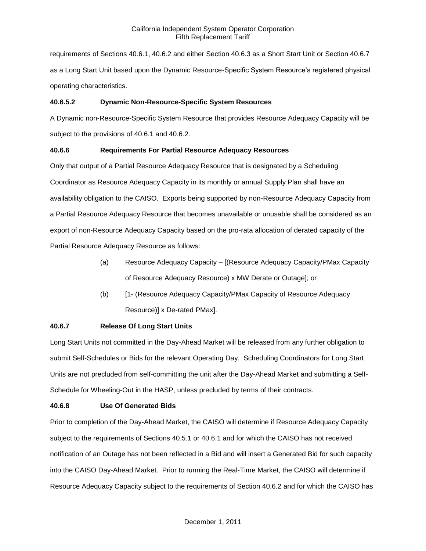requirements of Sections 40.6.1, 40.6.2 and either Section 40.6.3 as a Short Start Unit or Section 40.6.7 as a Long Start Unit based upon the Dynamic Resource-Specific System Resource's registered physical operating characteristics.

# **40.6.5.2 Dynamic Non-Resource-Specific System Resources**

A Dynamic non-Resource-Specific System Resource that provides Resource Adequacy Capacity will be subject to the provisions of 40.6.1 and 40.6.2.

# **40.6.6 Requirements For Partial Resource Adequacy Resources**

Only that output of a Partial Resource Adequacy Resource that is designated by a Scheduling Coordinator as Resource Adequacy Capacity in its monthly or annual Supply Plan shall have an availability obligation to the CAISO. Exports being supported by non-Resource Adequacy Capacity from a Partial Resource Adequacy Resource that becomes unavailable or unusable shall be considered as an export of non-Resource Adequacy Capacity based on the pro-rata allocation of derated capacity of the Partial Resource Adequacy Resource as follows:

- (a) Resource Adequacy Capacity [(Resource Adequacy Capacity/PMax Capacity of Resource Adequacy Resource) x MW Derate or Outage]; or
- (b) [1- (Resource Adequacy Capacity/PMax Capacity of Resource Adequacy Resource)] x De-rated PMax].

# **40.6.7 Release Of Long Start Units**

Long Start Units not committed in the Day-Ahead Market will be released from any further obligation to submit Self-Schedules or Bids for the relevant Operating Day. Scheduling Coordinators for Long Start Units are not precluded from self-committing the unit after the Day-Ahead Market and submitting a Self-Schedule for Wheeling-Out in the HASP, unless precluded by terms of their contracts.

# **40.6.8 Use Of Generated Bids**

Prior to completion of the Day-Ahead Market, the CAISO will determine if Resource Adequacy Capacity subject to the requirements of Sections 40.5.1 or 40.6.1 and for which the CAISO has not received notification of an Outage has not been reflected in a Bid and will insert a Generated Bid for such capacity into the CAISO Day-Ahead Market. Prior to running the Real-Time Market, the CAISO will determine if Resource Adequacy Capacity subject to the requirements of Section 40.6.2 and for which the CAISO has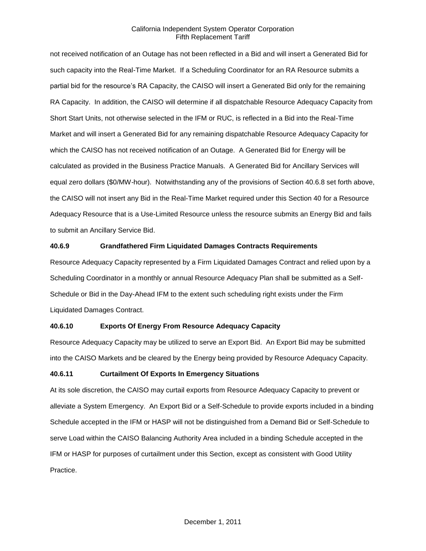not received notification of an Outage has not been reflected in a Bid and will insert a Generated Bid for such capacity into the Real-Time Market. If a Scheduling Coordinator for an RA Resource submits a partial bid for the resource's RA Capacity, the CAISO will insert a Generated Bid only for the remaining RA Capacity. In addition, the CAISO will determine if all dispatchable Resource Adequacy Capacity from Short Start Units, not otherwise selected in the IFM or RUC, is reflected in a Bid into the Real-Time Market and will insert a Generated Bid for any remaining dispatchable Resource Adequacy Capacity for which the CAISO has not received notification of an Outage. A Generated Bid for Energy will be calculated as provided in the Business Practice Manuals. A Generated Bid for Ancillary Services will equal zero dollars (\$0/MW-hour). Notwithstanding any of the provisions of Section 40.6.8 set forth above, the CAISO will not insert any Bid in the Real-Time Market required under this Section 40 for a Resource Adequacy Resource that is a Use-Limited Resource unless the resource submits an Energy Bid and fails to submit an Ancillary Service Bid.

### **40.6.9 Grandfathered Firm Liquidated Damages Contracts Requirements**

Resource Adequacy Capacity represented by a Firm Liquidated Damages Contract and relied upon by a Scheduling Coordinator in a monthly or annual Resource Adequacy Plan shall be submitted as a Self-Schedule or Bid in the Day-Ahead IFM to the extent such scheduling right exists under the Firm Liquidated Damages Contract.

### **40.6.10 Exports Of Energy From Resource Adequacy Capacity**

Resource Adequacy Capacity may be utilized to serve an Export Bid. An Export Bid may be submitted into the CAISO Markets and be cleared by the Energy being provided by Resource Adequacy Capacity.

### **40.6.11 Curtailment Of Exports In Emergency Situations**

At its sole discretion, the CAISO may curtail exports from Resource Adequacy Capacity to prevent or alleviate a System Emergency. An Export Bid or a Self-Schedule to provide exports included in a binding Schedule accepted in the IFM or HASP will not be distinguished from a Demand Bid or Self-Schedule to serve Load within the CAISO Balancing Authority Area included in a binding Schedule accepted in the IFM or HASP for purposes of curtailment under this Section, except as consistent with Good Utility Practice.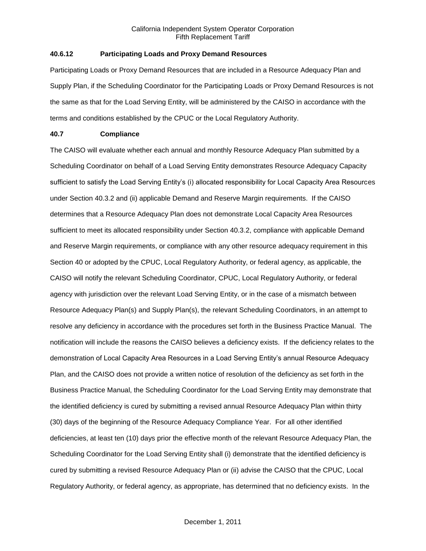# **40.6.12 Participating Loads and Proxy Demand Resources**

Participating Loads or Proxy Demand Resources that are included in a Resource Adequacy Plan and Supply Plan, if the Scheduling Coordinator for the Participating Loads or Proxy Demand Resources is not the same as that for the Load Serving Entity, will be administered by the CAISO in accordance with the terms and conditions established by the CPUC or the Local Regulatory Authority.

# **40.7 Compliance**

The CAISO will evaluate whether each annual and monthly Resource Adequacy Plan submitted by a Scheduling Coordinator on behalf of a Load Serving Entity demonstrates Resource Adequacy Capacity sufficient to satisfy the Load Serving Entity's (i) allocated responsibility for Local Capacity Area Resources under Section 40.3.2 and (ii) applicable Demand and Reserve Margin requirements. If the CAISO determines that a Resource Adequacy Plan does not demonstrate Local Capacity Area Resources sufficient to meet its allocated responsibility under Section 40.3.2, compliance with applicable Demand and Reserve Margin requirements, or compliance with any other resource adequacy requirement in this Section 40 or adopted by the CPUC, Local Regulatory Authority, or federal agency, as applicable, the CAISO will notify the relevant Scheduling Coordinator, CPUC, Local Regulatory Authority, or federal agency with jurisdiction over the relevant Load Serving Entity, or in the case of a mismatch between Resource Adequacy Plan(s) and Supply Plan(s), the relevant Scheduling Coordinators, in an attempt to resolve any deficiency in accordance with the procedures set forth in the Business Practice Manual. The notification will include the reasons the CAISO believes a deficiency exists. If the deficiency relates to the demonstration of Local Capacity Area Resources in a Load Serving Entity's annual Resource Adequacy Plan, and the CAISO does not provide a written notice of resolution of the deficiency as set forth in the Business Practice Manual, the Scheduling Coordinator for the Load Serving Entity may demonstrate that the identified deficiency is cured by submitting a revised annual Resource Adequacy Plan within thirty (30) days of the beginning of the Resource Adequacy Compliance Year. For all other identified deficiencies, at least ten (10) days prior the effective month of the relevant Resource Adequacy Plan, the Scheduling Coordinator for the Load Serving Entity shall (i) demonstrate that the identified deficiency is cured by submitting a revised Resource Adequacy Plan or (ii) advise the CAISO that the CPUC, Local Regulatory Authority, or federal agency, as appropriate, has determined that no deficiency exists. In the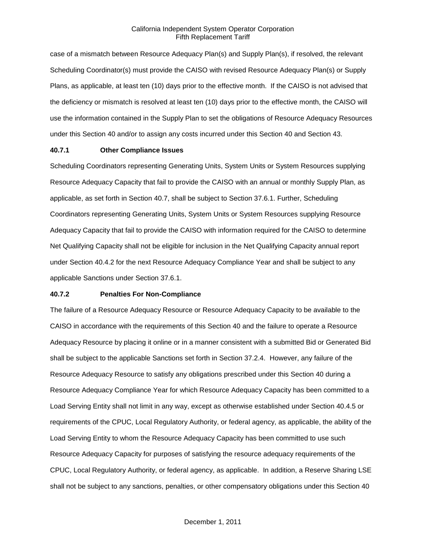case of a mismatch between Resource Adequacy Plan(s) and Supply Plan(s), if resolved, the relevant Scheduling Coordinator(s) must provide the CAISO with revised Resource Adequacy Plan(s) or Supply Plans, as applicable, at least ten (10) days prior to the effective month. If the CAISO is not advised that the deficiency or mismatch is resolved at least ten (10) days prior to the effective month, the CAISO will use the information contained in the Supply Plan to set the obligations of Resource Adequacy Resources under this Section 40 and/or to assign any costs incurred under this Section 40 and Section 43.

### **40.7.1 Other Compliance Issues**

Scheduling Coordinators representing Generating Units, System Units or System Resources supplying Resource Adequacy Capacity that fail to provide the CAISO with an annual or monthly Supply Plan, as applicable, as set forth in Section 40.7, shall be subject to Section 37.6.1. Further, Scheduling Coordinators representing Generating Units, System Units or System Resources supplying Resource Adequacy Capacity that fail to provide the CAISO with information required for the CAISO to determine Net Qualifying Capacity shall not be eligible for inclusion in the Net Qualifying Capacity annual report under Section 40.4.2 for the next Resource Adequacy Compliance Year and shall be subject to any applicable Sanctions under Section 37.6.1.

### **40.7.2 Penalties For Non-Compliance**

The failure of a Resource Adequacy Resource or Resource Adequacy Capacity to be available to the CAISO in accordance with the requirements of this Section 40 and the failure to operate a Resource Adequacy Resource by placing it online or in a manner consistent with a submitted Bid or Generated Bid shall be subject to the applicable Sanctions set forth in Section 37.2.4. However, any failure of the Resource Adequacy Resource to satisfy any obligations prescribed under this Section 40 during a Resource Adequacy Compliance Year for which Resource Adequacy Capacity has been committed to a Load Serving Entity shall not limit in any way, except as otherwise established under Section 40.4.5 or requirements of the CPUC, Local Regulatory Authority, or federal agency, as applicable, the ability of the Load Serving Entity to whom the Resource Adequacy Capacity has been committed to use such Resource Adequacy Capacity for purposes of satisfying the resource adequacy requirements of the CPUC, Local Regulatory Authority, or federal agency, as applicable. In addition, a Reserve Sharing LSE shall not be subject to any sanctions, penalties, or other compensatory obligations under this Section 40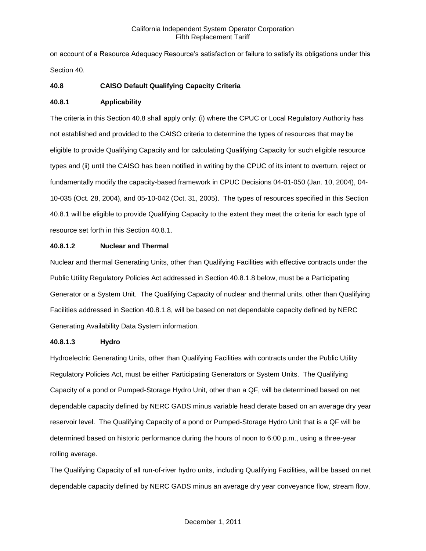on account of a Resource Adequacy Resource's satisfaction or failure to satisfy its obligations under this Section 40.

# **40.8 CAISO Default Qualifying Capacity Criteria**

# **40.8.1 Applicability**

The criteria in this Section 40.8 shall apply only: (i) where the CPUC or Local Regulatory Authority has not established and provided to the CAISO criteria to determine the types of resources that may be eligible to provide Qualifying Capacity and for calculating Qualifying Capacity for such eligible resource types and (ii) until the CAISO has been notified in writing by the CPUC of its intent to overturn, reject or fundamentally modify the capacity-based framework in CPUC Decisions 04-01-050 (Jan. 10, 2004), 04- 10-035 (Oct. 28, 2004), and 05-10-042 (Oct. 31, 2005). The types of resources specified in this Section 40.8.1 will be eligible to provide Qualifying Capacity to the extent they meet the criteria for each type of resource set forth in this Section 40.8.1.

# **40.8.1.2 Nuclear and Thermal**

Nuclear and thermal Generating Units, other than Qualifying Facilities with effective contracts under the Public Utility Regulatory Policies Act addressed in Section 40.8.1.8 below, must be a Participating Generator or a System Unit. The Qualifying Capacity of nuclear and thermal units, other than Qualifying Facilities addressed in Section 40.8.1.8, will be based on net dependable capacity defined by NERC Generating Availability Data System information.

### **40.8.1.3 Hydro**

Hydroelectric Generating Units, other than Qualifying Facilities with contracts under the Public Utility Regulatory Policies Act, must be either Participating Generators or System Units. The Qualifying Capacity of a pond or Pumped-Storage Hydro Unit, other than a QF, will be determined based on net dependable capacity defined by NERC GADS minus variable head derate based on an average dry year reservoir level. The Qualifying Capacity of a pond or Pumped-Storage Hydro Unit that is a QF will be determined based on historic performance during the hours of noon to 6:00 p.m., using a three-year rolling average.

The Qualifying Capacity of all run-of-river hydro units, including Qualifying Facilities, will be based on net dependable capacity defined by NERC GADS minus an average dry year conveyance flow, stream flow,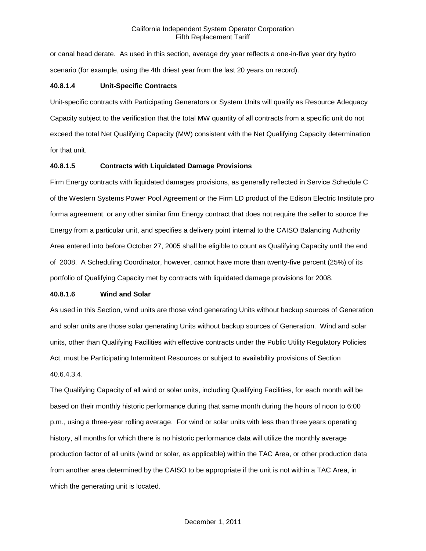or canal head derate. As used in this section, average dry year reflects a one-in-five year dry hydro scenario (for example, using the 4th driest year from the last 20 years on record).

### **40.8.1.4 Unit-Specific Contracts**

Unit-specific contracts with Participating Generators or System Units will qualify as Resource Adequacy Capacity subject to the verification that the total MW quantity of all contracts from a specific unit do not exceed the total Net Qualifying Capacity (MW) consistent with the Net Qualifying Capacity determination for that unit.

### **40.8.1.5 Contracts with Liquidated Damage Provisions**

Firm Energy contracts with liquidated damages provisions, as generally reflected in Service Schedule C of the Western Systems Power Pool Agreement or the Firm LD product of the Edison Electric Institute pro forma agreement, or any other similar firm Energy contract that does not require the seller to source the Energy from a particular unit, and specifies a delivery point internal to the CAISO Balancing Authority Area entered into before October 27, 2005 shall be eligible to count as Qualifying Capacity until the end of 2008. A Scheduling Coordinator, however, cannot have more than twenty-five percent (25%) of its portfolio of Qualifying Capacity met by contracts with liquidated damage provisions for 2008.

### **40.8.1.6 Wind and Solar**

As used in this Section, wind units are those wind generating Units without backup sources of Generation and solar units are those solar generating Units without backup sources of Generation. Wind and solar units, other than Qualifying Facilities with effective contracts under the Public Utility Regulatory Policies Act, must be Participating Intermittent Resources or subject to availability provisions of Section 40.6.4.3.4.

The Qualifying Capacity of all wind or solar units, including Qualifying Facilities, for each month will be based on their monthly historic performance during that same month during the hours of noon to 6:00 p.m., using a three-year rolling average. For wind or solar units with less than three years operating history, all months for which there is no historic performance data will utilize the monthly average production factor of all units (wind or solar, as applicable) within the TAC Area, or other production data from another area determined by the CAISO to be appropriate if the unit is not within a TAC Area, in which the generating unit is located.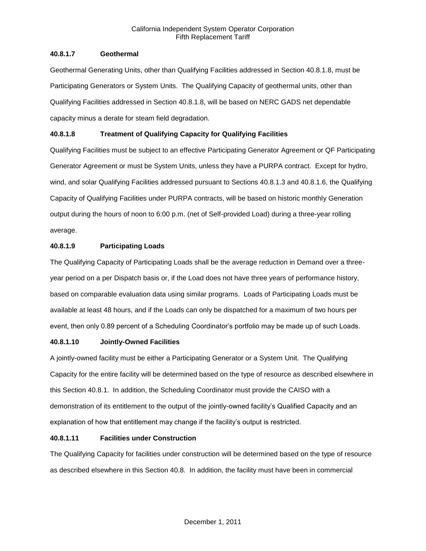# **40.8.1.7 Geothermal**

Geothermal Generating Units, other than Qualifying Facilities addressed in Section 40.8.1.8, must be Participating Generators or System Units. The Qualifying Capacity of geothermal units, other than Qualifying Facilities addressed in Section 40.8.1.8, will be based on NERC GADS net dependable capacity minus a derate for steam field degradation.

# **40.8.1.8 Treatment of Qualifying Capacity for Qualifying Facilities**

Qualifying Facilities must be subject to an effective Participating Generator Agreement or QF Participating Generator Agreement or must be System Units, unless they have a PURPA contract. Except for hydro, wind, and solar Qualifying Facilities addressed pursuant to Sections 40.8.1.3 and 40.8.1.6, the Qualifying Capacity of Qualifying Facilities under PURPA contracts, will be based on historic monthly Generation output during the hours of noon to 6:00 p.m. (net of Self-provided Load) during a three-year rolling average.

# **40.8.1.9 Participating Loads**

The Qualifying Capacity of Participating Loads shall be the average reduction in Demand over a threeyear period on a per Dispatch basis or, if the Load does not have three years of performance history, based on comparable evaluation data using similar programs. Loads of Participating Loads must be available at least 48 hours, and if the Loads can only be dispatched for a maximum of two hours per event, then only 0.89 percent of a Scheduling Coordinator's portfolio may be made up of such Loads.

# **40.8.1.10 Jointly-Owned Facilities**

A jointly-owned facility must be either a Participating Generator or a System Unit. The Qualifying Capacity for the entire facility will be determined based on the type of resource as described elsewhere in this Section 40.8.1. In addition, the Scheduling Coordinator must provide the CAISO with a demonstration of its entitlement to the output of the jointly-owned facility's Qualified Capacity and an explanation of how that entitlement may change if the facility's output is restricted.

# **40.8.1.11 Facilities under Construction**

The Qualifying Capacity for facilities under construction will be determined based on the type of resource as described elsewhere in this Section 40.8. In addition, the facility must have been in commercial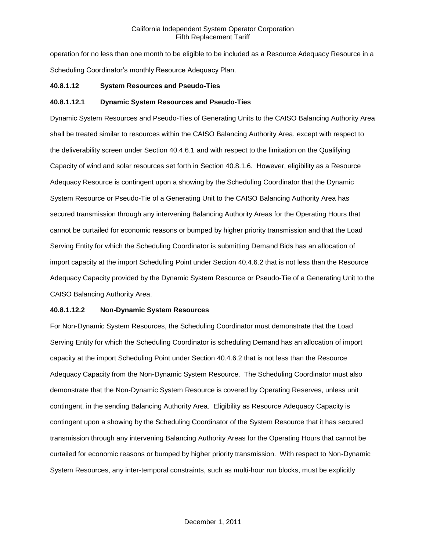operation for no less than one month to be eligible to be included as a Resource Adequacy Resource in a Scheduling Coordinator's monthly Resource Adequacy Plan.

### **40.8.1.12 System Resources and Pseudo-Ties**

# **40.8.1.12.1 Dynamic System Resources and Pseudo-Ties**

Dynamic System Resources and Pseudo-Ties of Generating Units to the CAISO Balancing Authority Area shall be treated similar to resources within the CAISO Balancing Authority Area, except with respect to the deliverability screen under Section 40.4.6.1 and with respect to the limitation on the Qualifying Capacity of wind and solar resources set forth in Section 40.8.1.6. However, eligibility as a Resource Adequacy Resource is contingent upon a showing by the Scheduling Coordinator that the Dynamic System Resource or Pseudo-Tie of a Generating Unit to the CAISO Balancing Authority Area has secured transmission through any intervening Balancing Authority Areas for the Operating Hours that cannot be curtailed for economic reasons or bumped by higher priority transmission and that the Load Serving Entity for which the Scheduling Coordinator is submitting Demand Bids has an allocation of import capacity at the import Scheduling Point under Section 40.4.6.2 that is not less than the Resource Adequacy Capacity provided by the Dynamic System Resource or Pseudo-Tie of a Generating Unit to the CAISO Balancing Authority Area.

# **40.8.1.12.2 Non-Dynamic System Resources**

For Non-Dynamic System Resources, the Scheduling Coordinator must demonstrate that the Load Serving Entity for which the Scheduling Coordinator is scheduling Demand has an allocation of import capacity at the import Scheduling Point under Section 40.4.6.2 that is not less than the Resource Adequacy Capacity from the Non-Dynamic System Resource. The Scheduling Coordinator must also demonstrate that the Non-Dynamic System Resource is covered by Operating Reserves, unless unit contingent, in the sending Balancing Authority Area. Eligibility as Resource Adequacy Capacity is contingent upon a showing by the Scheduling Coordinator of the System Resource that it has secured transmission through any intervening Balancing Authority Areas for the Operating Hours that cannot be curtailed for economic reasons or bumped by higher priority transmission. With respect to Non-Dynamic System Resources, any inter-temporal constraints, such as multi-hour run blocks, must be explicitly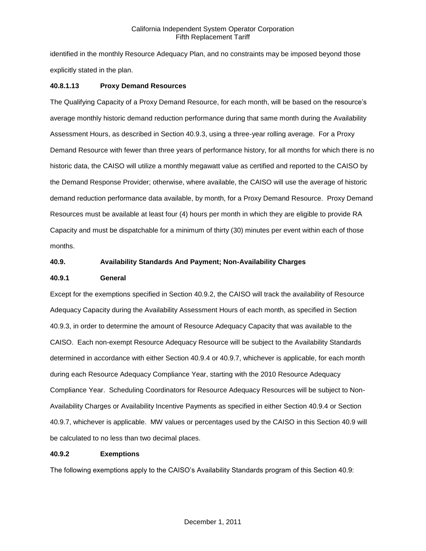identified in the monthly Resource Adequacy Plan, and no constraints may be imposed beyond those explicitly stated in the plan.

# **40.8.1.13 Proxy Demand Resources**

The Qualifying Capacity of a Proxy Demand Resource, for each month, will be based on the resource's average monthly historic demand reduction performance during that same month during the Availability Assessment Hours, as described in Section 40.9.3, using a three-year rolling average. For a Proxy Demand Resource with fewer than three years of performance history, for all months for which there is no historic data, the CAISO will utilize a monthly megawatt value as certified and reported to the CAISO by the Demand Response Provider; otherwise, where available, the CAISO will use the average of historic demand reduction performance data available, by month, for a Proxy Demand Resource. Proxy Demand Resources must be available at least four (4) hours per month in which they are eligible to provide RA Capacity and must be dispatchable for a minimum of thirty (30) minutes per event within each of those months.

### **40.9. Availability Standards And Payment; Non-Availability Charges**

### **40.9.1 General**

Except for the exemptions specified in Section 40.9.2, the CAISO will track the availability of Resource Adequacy Capacity during the Availability Assessment Hours of each month, as specified in Section 40.9.3, in order to determine the amount of Resource Adequacy Capacity that was available to the CAISO. Each non-exempt Resource Adequacy Resource will be subject to the Availability Standards determined in accordance with either Section 40.9.4 or 40.9.7, whichever is applicable, for each month during each Resource Adequacy Compliance Year, starting with the 2010 Resource Adequacy Compliance Year. Scheduling Coordinators for Resource Adequacy Resources will be subject to Non-Availability Charges or Availability Incentive Payments as specified in either Section 40.9.4 or Section 40.9.7, whichever is applicable. MW values or percentages used by the CAISO in this Section 40.9 will be calculated to no less than two decimal places.

### **40.9.2 Exemptions**

The following exemptions apply to the CAISO's Availability Standards program of this Section 40.9: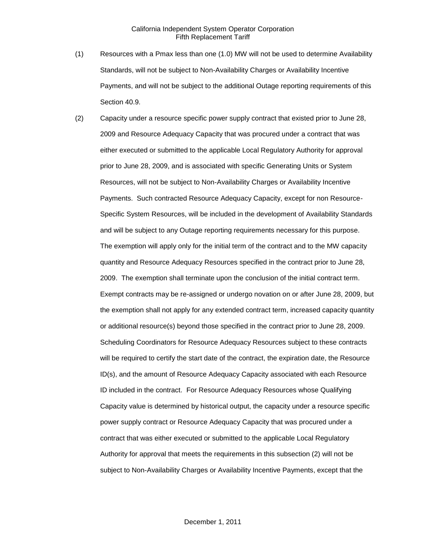- (1) Resources with a Pmax less than one (1.0) MW will not be used to determine Availability Standards, will not be subject to Non-Availability Charges or Availability Incentive Payments, and will not be subject to the additional Outage reporting requirements of this Section 40.9.
- (2) Capacity under a resource specific power supply contract that existed prior to June 28, 2009 and Resource Adequacy Capacity that was procured under a contract that was either executed or submitted to the applicable Local Regulatory Authority for approval prior to June 28, 2009, and is associated with specific Generating Units or System Resources, will not be subject to Non-Availability Charges or Availability Incentive Payments. Such contracted Resource Adequacy Capacity, except for non Resource-Specific System Resources, will be included in the development of Availability Standards and will be subject to any Outage reporting requirements necessary for this purpose. The exemption will apply only for the initial term of the contract and to the MW capacity quantity and Resource Adequacy Resources specified in the contract prior to June 28, 2009. The exemption shall terminate upon the conclusion of the initial contract term. Exempt contracts may be re-assigned or undergo novation on or after June 28, 2009, but the exemption shall not apply for any extended contract term, increased capacity quantity or additional resource(s) beyond those specified in the contract prior to June 28, 2009. Scheduling Coordinators for Resource Adequacy Resources subject to these contracts will be required to certify the start date of the contract, the expiration date, the Resource ID(s), and the amount of Resource Adequacy Capacity associated with each Resource ID included in the contract. For Resource Adequacy Resources whose Qualifying Capacity value is determined by historical output, the capacity under a resource specific power supply contract or Resource Adequacy Capacity that was procured under a contract that was either executed or submitted to the applicable Local Regulatory Authority for approval that meets the requirements in this subsection (2) will not be subject to Non-Availability Charges or Availability Incentive Payments, except that the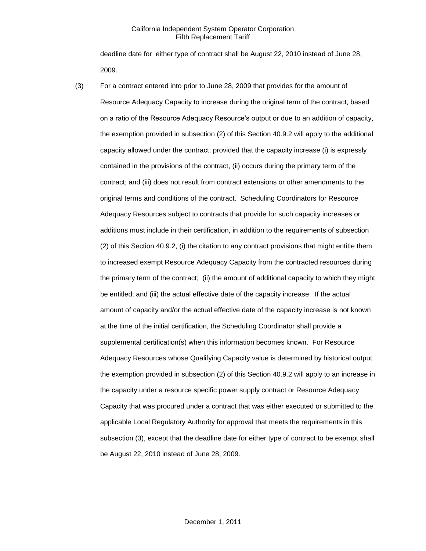deadline date for either type of contract shall be August 22, 2010 instead of June 28, 2009.

(3) For a contract entered into prior to June 28, 2009 that provides for the amount of Resource Adequacy Capacity to increase during the original term of the contract, based on a ratio of the Resource Adequacy Resource's output or due to an addition of capacity, the exemption provided in subsection (2) of this Section 40.9.2 will apply to the additional capacity allowed under the contract; provided that the capacity increase (i) is expressly contained in the provisions of the contract, (ii) occurs during the primary term of the contract; and (iii) does not result from contract extensions or other amendments to the original terms and conditions of the contract. Scheduling Coordinators for Resource Adequacy Resources subject to contracts that provide for such capacity increases or additions must include in their certification, in addition to the requirements of subsection (2) of this Section 40.9.2, (i) the citation to any contract provisions that might entitle them to increased exempt Resource Adequacy Capacity from the contracted resources during the primary term of the contract; (ii) the amount of additional capacity to which they might be entitled; and (iii) the actual effective date of the capacity increase. If the actual amount of capacity and/or the actual effective date of the capacity increase is not known at the time of the initial certification, the Scheduling Coordinator shall provide a supplemental certification(s) when this information becomes known. For Resource Adequacy Resources whose Qualifying Capacity value is determined by historical output the exemption provided in subsection (2) of this Section 40.9.2 will apply to an increase in the capacity under a resource specific power supply contract or Resource Adequacy Capacity that was procured under a contract that was either executed or submitted to the applicable Local Regulatory Authority for approval that meets the requirements in this subsection (3), except that the deadline date for either type of contract to be exempt shall be August 22, 2010 instead of June 28, 2009.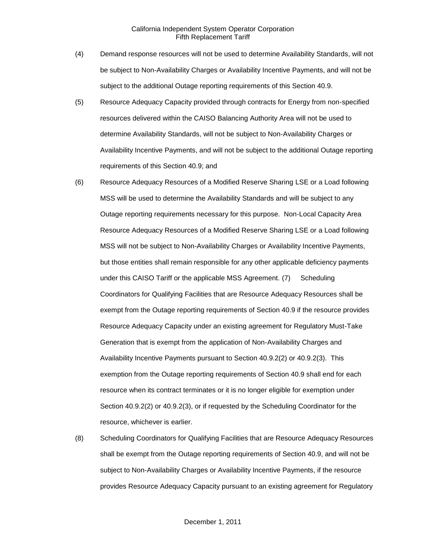- (4) Demand response resources will not be used to determine Availability Standards, will not be subject to Non-Availability Charges or Availability Incentive Payments, and will not be subject to the additional Outage reporting requirements of this Section 40.9.
- (5) Resource Adequacy Capacity provided through contracts for Energy from non-specified resources delivered within the CAISO Balancing Authority Area will not be used to determine Availability Standards, will not be subject to Non-Availability Charges or Availability Incentive Payments, and will not be subject to the additional Outage reporting requirements of this Section 40.9; and
- (6) Resource Adequacy Resources of a Modified Reserve Sharing LSE or a Load following MSS will be used to determine the Availability Standards and will be subject to any Outage reporting requirements necessary for this purpose. Non-Local Capacity Area Resource Adequacy Resources of a Modified Reserve Sharing LSE or a Load following MSS will not be subject to Non-Availability Charges or Availability Incentive Payments, but those entities shall remain responsible for any other applicable deficiency payments under this CAISO Tariff or the applicable MSS Agreement. (7) Scheduling Coordinators for Qualifying Facilities that are Resource Adequacy Resources shall be exempt from the Outage reporting requirements of Section 40.9 if the resource provides Resource Adequacy Capacity under an existing agreement for Regulatory Must-Take Generation that is exempt from the application of Non-Availability Charges and Availability Incentive Payments pursuant to Section 40.9.2(2) or 40.9.2(3). This exemption from the Outage reporting requirements of Section 40.9 shall end for each resource when its contract terminates or it is no longer eligible for exemption under Section 40.9.2(2) or 40.9.2(3), or if requested by the Scheduling Coordinator for the resource, whichever is earlier.
- (8) Scheduling Coordinators for Qualifying Facilities that are Resource Adequacy Resources shall be exempt from the Outage reporting requirements of Section 40.9, and will not be subject to Non-Availability Charges or Availability Incentive Payments, if the resource provides Resource Adequacy Capacity pursuant to an existing agreement for Regulatory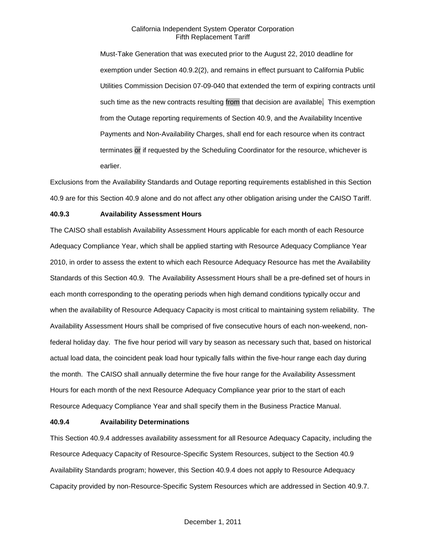Must-Take Generation that was executed prior to the August 22, 2010 deadline for exemption under Section 40.9.2(2), and remains in effect pursuant to California Public Utilities Commission Decision 07-09-040 that extended the term of expiring contracts until such time as the new contracts resulting from that decision are available. This exemption from the Outage reporting requirements of Section 40.9, and the Availability Incentive Payments and Non-Availability Charges, shall end for each resource when its contract terminates or if requested by the Scheduling Coordinator for the resource, whichever is earlier.

Exclusions from the Availability Standards and Outage reporting requirements established in this Section 40.9 are for this Section 40.9 alone and do not affect any other obligation arising under the CAISO Tariff.

### **40.9.3 Availability Assessment Hours**

The CAISO shall establish Availability Assessment Hours applicable for each month of each Resource Adequacy Compliance Year, which shall be applied starting with Resource Adequacy Compliance Year 2010, in order to assess the extent to which each Resource Adequacy Resource has met the Availability Standards of this Section 40.9. The Availability Assessment Hours shall be a pre-defined set of hours in each month corresponding to the operating periods when high demand conditions typically occur and when the availability of Resource Adequacy Capacity is most critical to maintaining system reliability. The Availability Assessment Hours shall be comprised of five consecutive hours of each non-weekend, nonfederal holiday day. The five hour period will vary by season as necessary such that, based on historical actual load data, the coincident peak load hour typically falls within the five-hour range each day during the month. The CAISO shall annually determine the five hour range for the Availability Assessment Hours for each month of the next Resource Adequacy Compliance year prior to the start of each Resource Adequacy Compliance Year and shall specify them in the Business Practice Manual.

### **40.9.4 Availability Determinations**

This Section 40.9.4 addresses availability assessment for all Resource Adequacy Capacity, including the Resource Adequacy Capacity of Resource-Specific System Resources, subject to the Section 40.9 Availability Standards program; however, this Section 40.9.4 does not apply to Resource Adequacy Capacity provided by non-Resource-Specific System Resources which are addressed in Section 40.9.7.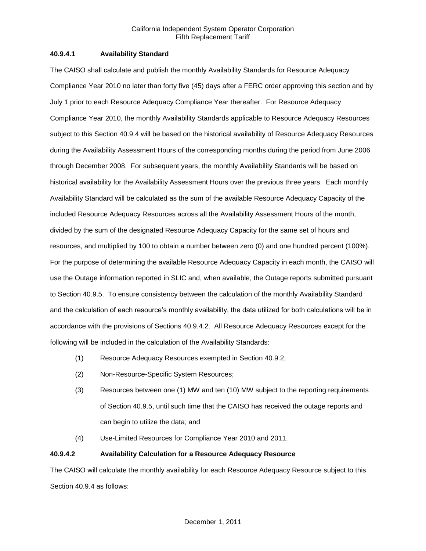### **40.9.4.1 Availability Standard**

The CAISO shall calculate and publish the monthly Availability Standards for Resource Adequacy Compliance Year 2010 no later than forty five (45) days after a FERC order approving this section and by July 1 prior to each Resource Adequacy Compliance Year thereafter. For Resource Adequacy Compliance Year 2010, the monthly Availability Standards applicable to Resource Adequacy Resources subject to this Section 40.9.4 will be based on the historical availability of Resource Adequacy Resources during the Availability Assessment Hours of the corresponding months during the period from June 2006 through December 2008. For subsequent years, the monthly Availability Standards will be based on historical availability for the Availability Assessment Hours over the previous three years. Each monthly Availability Standard will be calculated as the sum of the available Resource Adequacy Capacity of the included Resource Adequacy Resources across all the Availability Assessment Hours of the month, divided by the sum of the designated Resource Adequacy Capacity for the same set of hours and resources, and multiplied by 100 to obtain a number between zero (0) and one hundred percent (100%). For the purpose of determining the available Resource Adequacy Capacity in each month, the CAISO will use the Outage information reported in SLIC and, when available, the Outage reports submitted pursuant to Section 40.9.5. To ensure consistency between the calculation of the monthly Availability Standard and the calculation of each resource's monthly availability, the data utilized for both calculations will be in accordance with the provisions of Sections 40.9.4.2. All Resource Adequacy Resources except for the following will be included in the calculation of the Availability Standards:

- (1) Resource Adequacy Resources exempted in Section 40.9.2;
- (2) Non-Resource-Specific System Resources;
- (3) Resources between one (1) MW and ten (10) MW subject to the reporting requirements of Section 40.9.5, until such time that the CAISO has received the outage reports and can begin to utilize the data; and
- (4) Use-Limited Resources for Compliance Year 2010 and 2011.

### **40.9.4.2 Availability Calculation for a Resource Adequacy Resource**

The CAISO will calculate the monthly availability for each Resource Adequacy Resource subject to this Section 40.9.4 as follows: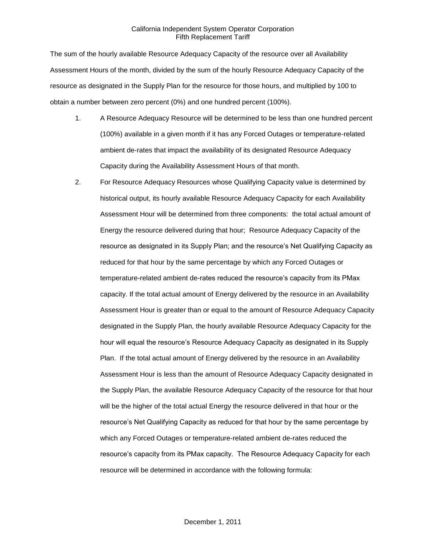The sum of the hourly available Resource Adequacy Capacity of the resource over all Availability Assessment Hours of the month, divided by the sum of the hourly Resource Adequacy Capacity of the resource as designated in the Supply Plan for the resource for those hours, and multiplied by 100 to obtain a number between zero percent (0%) and one hundred percent (100%).

- 1. A Resource Adequacy Resource will be determined to be less than one hundred percent (100%) available in a given month if it has any Forced Outages or temperature-related ambient de-rates that impact the availability of its designated Resource Adequacy Capacity during the Availability Assessment Hours of that month.
- 2. For Resource Adequacy Resources whose Qualifying Capacity value is determined by historical output, its hourly available Resource Adequacy Capacity for each Availability Assessment Hour will be determined from three components: the total actual amount of Energy the resource delivered during that hour; Resource Adequacy Capacity of the resource as designated in its Supply Plan; and the resource's Net Qualifying Capacity as reduced for that hour by the same percentage by which any Forced Outages or temperature-related ambient de-rates reduced the resource's capacity from its PMax capacity. If the total actual amount of Energy delivered by the resource in an Availability Assessment Hour is greater than or equal to the amount of Resource Adequacy Capacity designated in the Supply Plan, the hourly available Resource Adequacy Capacity for the hour will equal the resource's Resource Adequacy Capacity as designated in its Supply Plan. If the total actual amount of Energy delivered by the resource in an Availability Assessment Hour is less than the amount of Resource Adequacy Capacity designated in the Supply Plan, the available Resource Adequacy Capacity of the resource for that hour will be the higher of the total actual Energy the resource delivered in that hour or the resource's Net Qualifying Capacity as reduced for that hour by the same percentage by which any Forced Outages or temperature-related ambient de-rates reduced the resource's capacity from its PMax capacity. The Resource Adequacy Capacity for each resource will be determined in accordance with the following formula: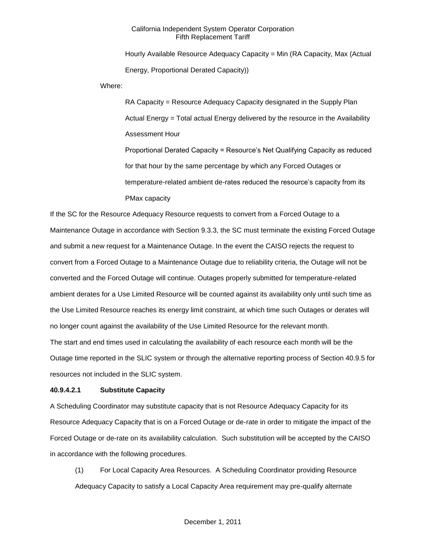Hourly Available Resource Adequacy Capacity = Min (RA Capacity, Max (Actual Energy, Proportional Derated Capacity))

Where:

RA Capacity = Resource Adequacy Capacity designated in the Supply Plan Actual Energy = Total actual Energy delivered by the resource in the Availability Assessment Hour

Proportional Derated Capacity = Resource's Net Qualifying Capacity as reduced for that hour by the same percentage by which any Forced Outages or temperature-related ambient de-rates reduced the resource's capacity from its PMax capacity

If the SC for the Resource Adequacy Resource requests to convert from a Forced Outage to a Maintenance Outage in accordance with Section 9.3.3, the SC must terminate the existing Forced Outage and submit a new request for a Maintenance Outage. In the event the CAISO rejects the request to convert from a Forced Outage to a Maintenance Outage due to reliability criteria, the Outage will not be converted and the Forced Outage will continue. Outages properly submitted for temperature-related ambient derates for a Use Limited Resource will be counted against its availability only until such time as the Use Limited Resource reaches its energy limit constraint, at which time such Outages or derates will no longer count against the availability of the Use Limited Resource for the relevant month. The start and end times used in calculating the availability of each resource each month will be the Outage time reported in the SLIC system or through the alternative reporting process of Section 40.9.5 for

resources not included in the SLIC system.

# **40.9.4.2.1 Substitute Capacity**

A Scheduling Coordinator may substitute capacity that is not Resource Adequacy Capacity for its Resource Adequacy Capacity that is on a Forced Outage or de-rate in order to mitigate the impact of the Forced Outage or de-rate on its availability calculation. Such substitution will be accepted by the CAISO in accordance with the following procedures.

(1) For Local Capacity Area Resources. A Scheduling Coordinator providing Resource Adequacy Capacity to satisfy a Local Capacity Area requirement may pre-qualify alternate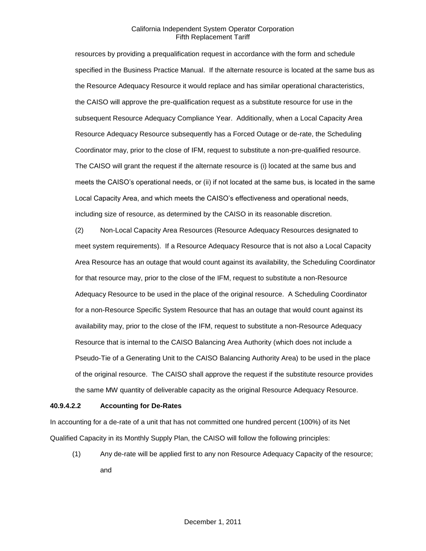resources by providing a prequalification request in accordance with the form and schedule specified in the Business Practice Manual. If the alternate resource is located at the same bus as the Resource Adequacy Resource it would replace and has similar operational characteristics, the CAISO will approve the pre-qualification request as a substitute resource for use in the subsequent Resource Adequacy Compliance Year. Additionally, when a Local Capacity Area Resource Adequacy Resource subsequently has a Forced Outage or de-rate, the Scheduling Coordinator may, prior to the close of IFM, request to substitute a non-pre-qualified resource. The CAISO will grant the request if the alternate resource is (i) located at the same bus and meets the CAISO's operational needs, or (ii) if not located at the same bus, is located in the same Local Capacity Area, and which meets the CAISO's effectiveness and operational needs, including size of resource, as determined by the CAISO in its reasonable discretion.

(2) Non-Local Capacity Area Resources (Resource Adequacy Resources designated to meet system requirements). If a Resource Adequacy Resource that is not also a Local Capacity Area Resource has an outage that would count against its availability, the Scheduling Coordinator for that resource may, prior to the close of the IFM, request to substitute a non-Resource Adequacy Resource to be used in the place of the original resource. A Scheduling Coordinator for a non-Resource Specific System Resource that has an outage that would count against its availability may, prior to the close of the IFM, request to substitute a non-Resource Adequacy Resource that is internal to the CAISO Balancing Area Authority (which does not include a Pseudo-Tie of a Generating Unit to the CAISO Balancing Authority Area) to be used in the place of the original resource. The CAISO shall approve the request if the substitute resource provides the same MW quantity of deliverable capacity as the original Resource Adequacy Resource.

### **40.9.4.2.2 Accounting for De-Rates**

In accounting for a de-rate of a unit that has not committed one hundred percent (100%) of its Net Qualified Capacity in its Monthly Supply Plan, the CAISO will follow the following principles:

(1) Any de-rate will be applied first to any non Resource Adequacy Capacity of the resource; and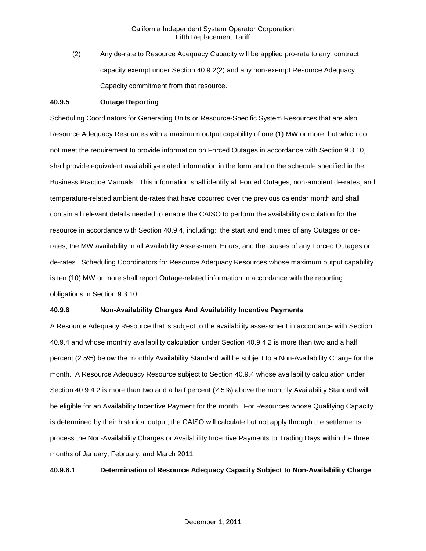(2) Any de-rate to Resource Adequacy Capacity will be applied pro-rata to any contract capacity exempt under Section 40.9.2(2) and any non-exempt Resource Adequacy Capacity commitment from that resource.

### **40.9.5 Outage Reporting**

Scheduling Coordinators for Generating Units or Resource-Specific System Resources that are also Resource Adequacy Resources with a maximum output capability of one (1) MW or more, but which do not meet the requirement to provide information on Forced Outages in accordance with Section 9.3.10, shall provide equivalent availability-related information in the form and on the schedule specified in the Business Practice Manuals. This information shall identify all Forced Outages, non-ambient de-rates, and temperature-related ambient de-rates that have occurred over the previous calendar month and shall contain all relevant details needed to enable the CAISO to perform the availability calculation for the resource in accordance with Section 40.9.4, including: the start and end times of any Outages or derates, the MW availability in all Availability Assessment Hours, and the causes of any Forced Outages or de-rates. Scheduling Coordinators for Resource Adequacy Resources whose maximum output capability is ten (10) MW or more shall report Outage-related information in accordance with the reporting obligations in Section 9.3.10.

### **40.9.6 Non-Availability Charges And Availability Incentive Payments**

A Resource Adequacy Resource that is subject to the availability assessment in accordance with Section 40.9.4 and whose monthly availability calculation under Section 40.9.4.2 is more than two and a half percent (2.5%) below the monthly Availability Standard will be subject to a Non-Availability Charge for the month. A Resource Adequacy Resource subject to Section 40.9.4 whose availability calculation under Section 40.9.4.2 is more than two and a half percent (2.5%) above the monthly Availability Standard will be eligible for an Availability Incentive Payment for the month. For Resources whose Qualifying Capacity is determined by their historical output, the CAISO will calculate but not apply through the settlements process the Non-Availability Charges or Availability Incentive Payments to Trading Days within the three months of January, February, and March 2011.

### **40.9.6.1 Determination of Resource Adequacy Capacity Subject to Non-Availability Charge**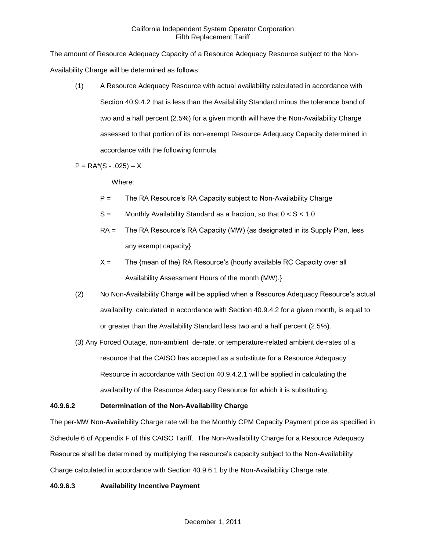The amount of Resource Adequacy Capacity of a Resource Adequacy Resource subject to the Non-Availability Charge will be determined as follows:

(1) A Resource Adequacy Resource with actual availability calculated in accordance with Section 40.9.4.2 that is less than the Availability Standard minus the tolerance band of two and a half percent (2.5%) for a given month will have the Non-Availability Charge assessed to that portion of its non-exempt Resource Adequacy Capacity determined in accordance with the following formula:

 $P = RA<sup>*</sup>(S - .025) - X$ 

Where:

- $P =$  The RA Resource's RA Capacity subject to Non-Availability Charge
- $S =$  Monthly Availability Standard as a fraction, so that  $0 < S < 1.0$
- RA = The RA Resource's RA Capacity (MW) {as designated in its Supply Plan, less any exempt capacity}
- $X =$  The {mean of the} RA Resource's {hourly available RC Capacity over all Availability Assessment Hours of the month (MW).}
- (2) No Non-Availability Charge will be applied when a Resource Adequacy Resource's actual availability, calculated in accordance with Section 40.9.4.2 for a given month, is equal to or greater than the Availability Standard less two and a half percent (2.5%).
- (3) Any Forced Outage, non-ambient de-rate, or temperature-related ambient de-rates of a resource that the CAISO has accepted as a substitute for a Resource Adequacy Resource in accordance with Section 40.9.4.2.1 will be applied in calculating the availability of the Resource Adequacy Resource for which it is substituting.

# **40.9.6.2 Determination of the Non-Availability Charge**

The per-MW Non-Availability Charge rate will be the Monthly CPM Capacity Payment price as specified in Schedule 6 of Appendix F of this CAISO Tariff. The Non-Availability Charge for a Resource Adequacy Resource shall be determined by multiplying the resource's capacity subject to the Non-Availability Charge calculated in accordance with Section 40.9.6.1 by the Non-Availability Charge rate.

# **40.9.6.3 Availability Incentive Payment**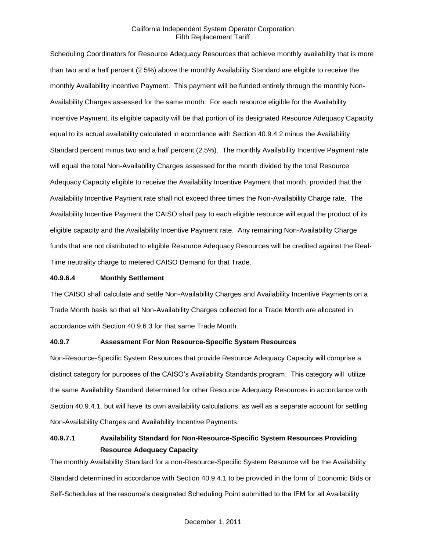Scheduling Coordinators for Resource Adequacy Resources that achieve monthly availability that is more than two and a half percent (2.5%) above the monthly Availability Standard are eligible to receive the monthly Availability Incentive Payment. This payment will be funded entirely through the monthly Non-Availability Charges assessed for the same month. For each resource eligible for the Availability Incentive Payment, its eligible capacity will be that portion of its designated Resource Adequacy Capacity equal to its actual availability calculated in accordance with Section 40.9.4.2 minus the Availability Standard percent minus two and a half percent (2.5%). The monthly Availability Incentive Payment rate will equal the total Non-Availability Charges assessed for the month divided by the total Resource Adequacy Capacity eligible to receive the Availability Incentive Payment that month, provided that the Availability Incentive Payment rate shall not exceed three times the Non-Availability Charge rate. The Availability Incentive Payment the CAISO shall pay to each eligible resource will equal the product of its eligible capacity and the Availability Incentive Payment rate. Any remaining Non-Availability Charge funds that are not distributed to eligible Resource Adequacy Resources will be credited against the Real-Time neutrality charge to metered CAISO Demand for that Trade.

### **40.9.6.4 Monthly Settlement**

The CAISO shall calculate and settle Non-Availability Charges and Availability Incentive Payments on a Trade Month basis so that all Non-Availability Charges collected for a Trade Month are allocated in accordance with Section 40.9.6.3 for that same Trade Month.

### **40.9.7 Assessment For Non Resource-Specific System Resources**

Non-Resource-Specific System Resources that provide Resource Adequacy Capacity will comprise a distinct category for purposes of the CAISO's Availability Standards program. This category will utilize the same Availability Standard determined for other Resource Adequacy Resources in accordance with Section 40.9.4.1, but will have its own availability calculations, as well as a separate account for settling Non-Availability Charges and Availability Incentive Payments.

# **40.9.7.1 Availability Standard for Non-Resource-Specific System Resources Providing Resource Adequacy Capacity**

The monthly Availability Standard for a non-Resource-Specific System Resource will be the Availability Standard determined in accordance with Section 40.9.4.1 to be provided in the form of Economic Bids or Self-Schedules at the resource's designated Scheduling Point submitted to the IFM for all Availability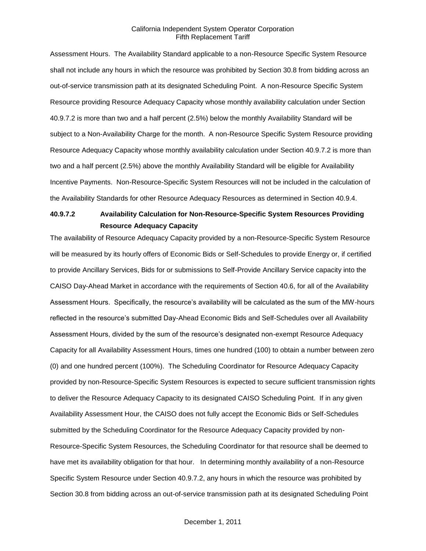Assessment Hours. The Availability Standard applicable to a non-Resource Specific System Resource shall not include any hours in which the resource was prohibited by Section 30.8 from bidding across an out-of-service transmission path at its designated Scheduling Point. A non-Resource Specific System Resource providing Resource Adequacy Capacity whose monthly availability calculation under Section 40.9.7.2 is more than two and a half percent (2.5%) below the monthly Availability Standard will be subject to a Non-Availability Charge for the month. A non-Resource Specific System Resource providing Resource Adequacy Capacity whose monthly availability calculation under Section 40.9.7.2 is more than two and a half percent (2.5%) above the monthly Availability Standard will be eligible for Availability Incentive Payments. Non-Resource-Specific System Resources will not be included in the calculation of the Availability Standards for other Resource Adequacy Resources as determined in Section 40.9.4.

# **40.9.7.2 Availability Calculation for Non-Resource-Specific System Resources Providing Resource Adequacy Capacity**

The availability of Resource Adequacy Capacity provided by a non-Resource-Specific System Resource will be measured by its hourly offers of Economic Bids or Self-Schedules to provide Energy or, if certified to provide Ancillary Services, Bids for or submissions to Self-Provide Ancillary Service capacity into the CAISO Day-Ahead Market in accordance with the requirements of Section 40.6, for all of the Availability Assessment Hours. Specifically, the resource's availability will be calculated as the sum of the MW-hours reflected in the resource's submitted Day-Ahead Economic Bids and Self-Schedules over all Availability Assessment Hours, divided by the sum of the resource's designated non-exempt Resource Adequacy Capacity for all Availability Assessment Hours, times one hundred (100) to obtain a number between zero (0) and one hundred percent (100%). The Scheduling Coordinator for Resource Adequacy Capacity provided by non-Resource-Specific System Resources is expected to secure sufficient transmission rights to deliver the Resource Adequacy Capacity to its designated CAISO Scheduling Point. If in any given Availability Assessment Hour, the CAISO does not fully accept the Economic Bids or Self-Schedules submitted by the Scheduling Coordinator for the Resource Adequacy Capacity provided by non-Resource-Specific System Resources, the Scheduling Coordinator for that resource shall be deemed to have met its availability obligation for that hour. In determining monthly availability of a non-Resource Specific System Resource under Section 40.9.7.2, any hours in which the resource was prohibited by Section 30.8 from bidding across an out-of-service transmission path at its designated Scheduling Point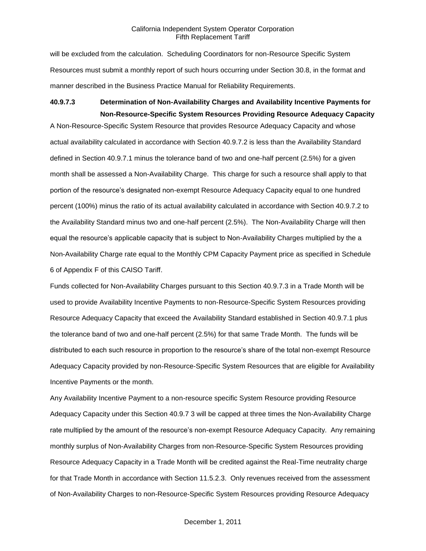will be excluded from the calculation. Scheduling Coordinators for non-Resource Specific System Resources must submit a monthly report of such hours occurring under Section 30.8, in the format and manner described in the Business Practice Manual for Reliability Requirements.

# **40.9.7.3 Determination of Non-Availability Charges and Availability Incentive Payments for Non-Resource-Specific System Resources Providing Resource Adequacy Capacity**

A Non-Resource-Specific System Resource that provides Resource Adequacy Capacity and whose actual availability calculated in accordance with Section 40.9.7.2 is less than the Availability Standard defined in Section 40.9.7.1 minus the tolerance band of two and one-half percent (2.5%) for a given month shall be assessed a Non-Availability Charge. This charge for such a resource shall apply to that portion of the resource's designated non-exempt Resource Adequacy Capacity equal to one hundred percent (100%) minus the ratio of its actual availability calculated in accordance with Section 40.9.7.2 to the Availability Standard minus two and one-half percent (2.5%). The Non-Availability Charge will then equal the resource's applicable capacity that is subject to Non-Availability Charges multiplied by the a Non-Availability Charge rate equal to the Monthly CPM Capacity Payment price as specified in Schedule 6 of Appendix F of this CAISO Tariff.

Funds collected for Non-Availability Charges pursuant to this Section 40.9.7.3 in a Trade Month will be used to provide Availability Incentive Payments to non-Resource-Specific System Resources providing Resource Adequacy Capacity that exceed the Availability Standard established in Section 40.9.7.1 plus the tolerance band of two and one-half percent (2.5%) for that same Trade Month. The funds will be distributed to each such resource in proportion to the resource's share of the total non-exempt Resource Adequacy Capacity provided by non-Resource-Specific System Resources that are eligible for Availability Incentive Payments or the month.

Any Availability Incentive Payment to a non-resource specific System Resource providing Resource Adequacy Capacity under this Section 40.9.7 3 will be capped at three times the Non-Availability Charge rate multiplied by the amount of the resource's non-exempt Resource Adequacy Capacity. Any remaining monthly surplus of Non-Availability Charges from non-Resource-Specific System Resources providing Resource Adequacy Capacity in a Trade Month will be credited against the Real-Time neutrality charge for that Trade Month in accordance with Section 11.5.2.3. Only revenues received from the assessment of Non-Availability Charges to non-Resource-Specific System Resources providing Resource Adequacy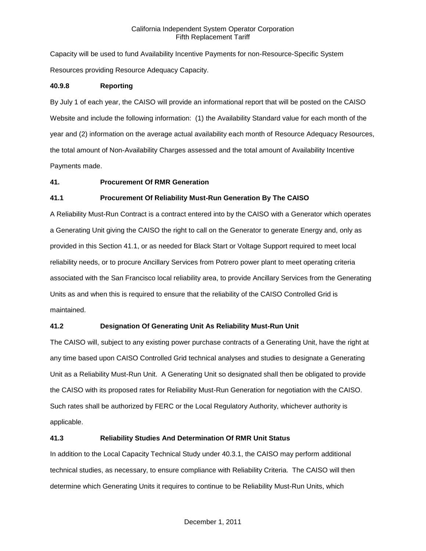Capacity will be used to fund Availability Incentive Payments for non-Resource-Specific System Resources providing Resource Adequacy Capacity.

# **40.9.8 Reporting**

By July 1 of each year, the CAISO will provide an informational report that will be posted on the CAISO Website and include the following information: (1) the Availability Standard value for each month of the year and (2) information on the average actual availability each month of Resource Adequacy Resources, the total amount of Non-Availability Charges assessed and the total amount of Availability Incentive Payments made.

# **41. Procurement Of RMR Generation**

# **41.1 Procurement Of Reliability Must-Run Generation By The CAISO**

A Reliability Must-Run Contract is a contract entered into by the CAISO with a Generator which operates a Generating Unit giving the CAISO the right to call on the Generator to generate Energy and, only as provided in this Section 41.1, or as needed for Black Start or Voltage Support required to meet local reliability needs, or to procure Ancillary Services from Potrero power plant to meet operating criteria associated with the San Francisco local reliability area, to provide Ancillary Services from the Generating Units as and when this is required to ensure that the reliability of the CAISO Controlled Grid is maintained.

### **41.2 Designation Of Generating Unit As Reliability Must-Run Unit**

The CAISO will, subject to any existing power purchase contracts of a Generating Unit, have the right at any time based upon CAISO Controlled Grid technical analyses and studies to designate a Generating Unit as a Reliability Must-Run Unit. A Generating Unit so designated shall then be obligated to provide the CAISO with its proposed rates for Reliability Must-Run Generation for negotiation with the CAISO. Such rates shall be authorized by FERC or the Local Regulatory Authority, whichever authority is applicable.

### **41.3 Reliability Studies And Determination Of RMR Unit Status**

In addition to the Local Capacity Technical Study under 40.3.1, the CAISO may perform additional technical studies, as necessary, to ensure compliance with Reliability Criteria. The CAISO will then determine which Generating Units it requires to continue to be Reliability Must-Run Units, which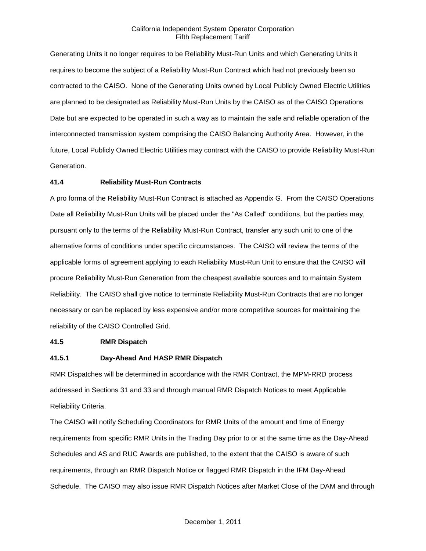Generating Units it no longer requires to be Reliability Must-Run Units and which Generating Units it requires to become the subject of a Reliability Must-Run Contract which had not previously been so contracted to the CAISO. None of the Generating Units owned by Local Publicly Owned Electric Utilities are planned to be designated as Reliability Must-Run Units by the CAISO as of the CAISO Operations Date but are expected to be operated in such a way as to maintain the safe and reliable operation of the interconnected transmission system comprising the CAISO Balancing Authority Area. However, in the future, Local Publicly Owned Electric Utilities may contract with the CAISO to provide Reliability Must-Run Generation.

### **41.4 Reliability Must-Run Contracts**

A pro forma of the Reliability Must-Run Contract is attached as Appendix G. From the CAISO Operations Date all Reliability Must-Run Units will be placed under the "As Called" conditions, but the parties may, pursuant only to the terms of the Reliability Must-Run Contract, transfer any such unit to one of the alternative forms of conditions under specific circumstances. The CAISO will review the terms of the applicable forms of agreement applying to each Reliability Must-Run Unit to ensure that the CAISO will procure Reliability Must-Run Generation from the cheapest available sources and to maintain System Reliability. The CAISO shall give notice to terminate Reliability Must-Run Contracts that are no longer necessary or can be replaced by less expensive and/or more competitive sources for maintaining the reliability of the CAISO Controlled Grid.

### **41.5 RMR Dispatch**

### **41.5.1 Day-Ahead And HASP RMR Dispatch**

RMR Dispatches will be determined in accordance with the RMR Contract, the MPM-RRD process addressed in Sections 31 and 33 and through manual RMR Dispatch Notices to meet Applicable Reliability Criteria.

The CAISO will notify Scheduling Coordinators for RMR Units of the amount and time of Energy requirements from specific RMR Units in the Trading Day prior to or at the same time as the Day-Ahead Schedules and AS and RUC Awards are published, to the extent that the CAISO is aware of such requirements, through an RMR Dispatch Notice or flagged RMR Dispatch in the IFM Day-Ahead Schedule. The CAISO may also issue RMR Dispatch Notices after Market Close of the DAM and through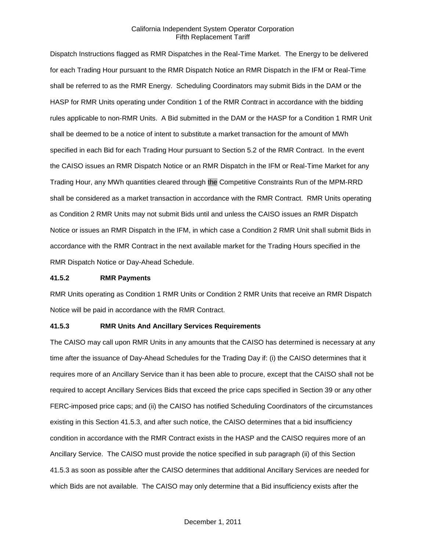Dispatch Instructions flagged as RMR Dispatches in the Real-Time Market. The Energy to be delivered for each Trading Hour pursuant to the RMR Dispatch Notice an RMR Dispatch in the IFM or Real-Time shall be referred to as the RMR Energy. Scheduling Coordinators may submit Bids in the DAM or the HASP for RMR Units operating under Condition 1 of the RMR Contract in accordance with the bidding rules applicable to non-RMR Units. A Bid submitted in the DAM or the HASP for a Condition 1 RMR Unit shall be deemed to be a notice of intent to substitute a market transaction for the amount of MWh specified in each Bid for each Trading Hour pursuant to Section 5.2 of the RMR Contract. In the event the CAISO issues an RMR Dispatch Notice or an RMR Dispatch in the IFM or Real-Time Market for any Trading Hour, any MWh quantities cleared through the Competitive Constraints Run of the MPM-RRD shall be considered as a market transaction in accordance with the RMR Contract. RMR Units operating as Condition 2 RMR Units may not submit Bids until and unless the CAISO issues an RMR Dispatch Notice or issues an RMR Dispatch in the IFM, in which case a Condition 2 RMR Unit shall submit Bids in accordance with the RMR Contract in the next available market for the Trading Hours specified in the RMR Dispatch Notice or Day-Ahead Schedule.

### **41.5.2 RMR Payments**

RMR Units operating as Condition 1 RMR Units or Condition 2 RMR Units that receive an RMR Dispatch Notice will be paid in accordance with the RMR Contract.

### **41.5.3 RMR Units And Ancillary Services Requirements**

The CAISO may call upon RMR Units in any amounts that the CAISO has determined is necessary at any time after the issuance of Day-Ahead Schedules for the Trading Day if: (i) the CAISO determines that it requires more of an Ancillary Service than it has been able to procure, except that the CAISO shall not be required to accept Ancillary Services Bids that exceed the price caps specified in Section 39 or any other FERC-imposed price caps; and (ii) the CAISO has notified Scheduling Coordinators of the circumstances existing in this Section 41.5.3, and after such notice, the CAISO determines that a bid insufficiency condition in accordance with the RMR Contract exists in the HASP and the CAISO requires more of an Ancillary Service. The CAISO must provide the notice specified in sub paragraph (ii) of this Section 41.5.3 as soon as possible after the CAISO determines that additional Ancillary Services are needed for which Bids are not available. The CAISO may only determine that a Bid insufficiency exists after the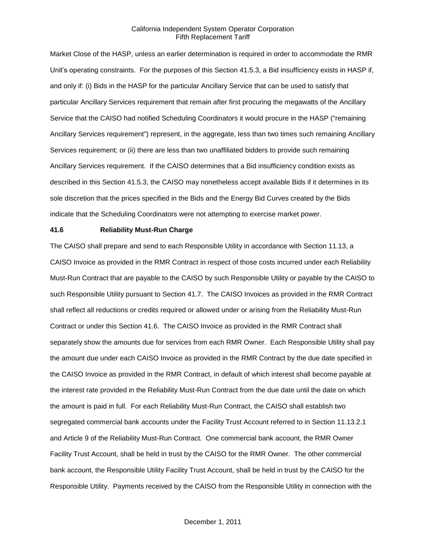Market Close of the HASP, unless an earlier determination is required in order to accommodate the RMR Unit's operating constraints. For the purposes of this Section 41.5.3, a Bid insufficiency exists in HASP if, and only if: (i) Bids in the HASP for the particular Ancillary Service that can be used to satisfy that particular Ancillary Services requirement that remain after first procuring the megawatts of the Ancillary Service that the CAISO had notified Scheduling Coordinators it would procure in the HASP ("remaining Ancillary Services requirement") represent, in the aggregate, less than two times such remaining Ancillary Services requirement; or (ii) there are less than two unaffiliated bidders to provide such remaining Ancillary Services requirement. If the CAISO determines that a Bid insufficiency condition exists as described in this Section 41.5.3, the CAISO may nonetheless accept available Bids if it determines in its sole discretion that the prices specified in the Bids and the Energy Bid Curves created by the Bids indicate that the Scheduling Coordinators were not attempting to exercise market power.

### **41.6 Reliability Must-Run Charge**

The CAISO shall prepare and send to each Responsible Utility in accordance with Section 11.13, a CAISO Invoice as provided in the RMR Contract in respect of those costs incurred under each Reliability Must-Run Contract that are payable to the CAISO by such Responsible Utility or payable by the CAISO to such Responsible Utility pursuant to Section 41.7. The CAISO Invoices as provided in the RMR Contract shall reflect all reductions or credits required or allowed under or arising from the Reliability Must-Run Contract or under this Section 41.6. The CAISO Invoice as provided in the RMR Contract shall separately show the amounts due for services from each RMR Owner. Each Responsible Utility shall pay the amount due under each CAISO Invoice as provided in the RMR Contract by the due date specified in the CAISO Invoice as provided in the RMR Contract, in default of which interest shall become payable at the interest rate provided in the Reliability Must-Run Contract from the due date until the date on which the amount is paid in full. For each Reliability Must-Run Contract, the CAISO shall establish two segregated commercial bank accounts under the Facility Trust Account referred to in Section 11.13.2.1 and Article 9 of the Reliability Must-Run Contract. One commercial bank account, the RMR Owner Facility Trust Account, shall be held in trust by the CAISO for the RMR Owner. The other commercial bank account, the Responsible Utility Facility Trust Account, shall be held in trust by the CAISO for the Responsible Utility. Payments received by the CAISO from the Responsible Utility in connection with the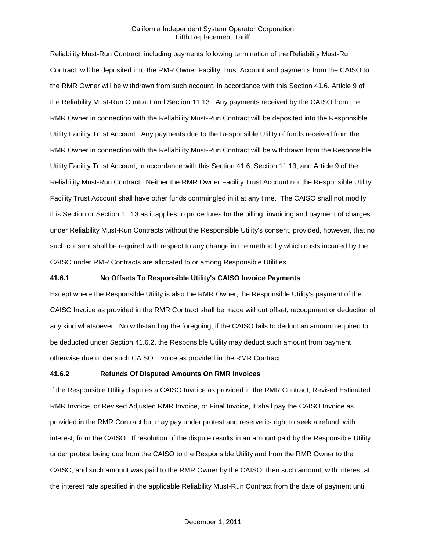Reliability Must-Run Contract, including payments following termination of the Reliability Must-Run Contract, will be deposited into the RMR Owner Facility Trust Account and payments from the CAISO to the RMR Owner will be withdrawn from such account, in accordance with this Section 41.6, Article 9 of the Reliability Must-Run Contract and Section 11.13. Any payments received by the CAISO from the RMR Owner in connection with the Reliability Must-Run Contract will be deposited into the Responsible Utility Facility Trust Account. Any payments due to the Responsible Utility of funds received from the RMR Owner in connection with the Reliability Must-Run Contract will be withdrawn from the Responsible Utility Facility Trust Account, in accordance with this Section 41.6, Section 11.13, and Article 9 of the Reliability Must-Run Contract. Neither the RMR Owner Facility Trust Account nor the Responsible Utility Facility Trust Account shall have other funds commingled in it at any time. The CAISO shall not modify this Section or Section 11.13 as it applies to procedures for the billing, invoicing and payment of charges under Reliability Must-Run Contracts without the Responsible Utility's consent, provided, however, that no such consent shall be required with respect to any change in the method by which costs incurred by the CAISO under RMR Contracts are allocated to or among Responsible Utilities.

### **41.6.1 No Offsets To Responsible Utility's CAISO Invoice Payments**

Except where the Responsible Utility is also the RMR Owner, the Responsible Utility's payment of the CAISO Invoice as provided in the RMR Contract shall be made without offset, recoupment or deduction of any kind whatsoever. Notwithstanding the foregoing, if the CAISO fails to deduct an amount required to be deducted under Section 41.6.2, the Responsible Utility may deduct such amount from payment otherwise due under such CAISO Invoice as provided in the RMR Contract.

### **41.6.2 Refunds Of Disputed Amounts On RMR Invoices**

If the Responsible Utility disputes a CAISO Invoice as provided in the RMR Contract, Revised Estimated RMR Invoice, or Revised Adjusted RMR Invoice, or Final Invoice, it shall pay the CAISO Invoice as provided in the RMR Contract but may pay under protest and reserve its right to seek a refund, with interest, from the CAISO. If resolution of the dispute results in an amount paid by the Responsible Utility under protest being due from the CAISO to the Responsible Utility and from the RMR Owner to the CAISO, and such amount was paid to the RMR Owner by the CAISO, then such amount, with interest at the interest rate specified in the applicable Reliability Must-Run Contract from the date of payment until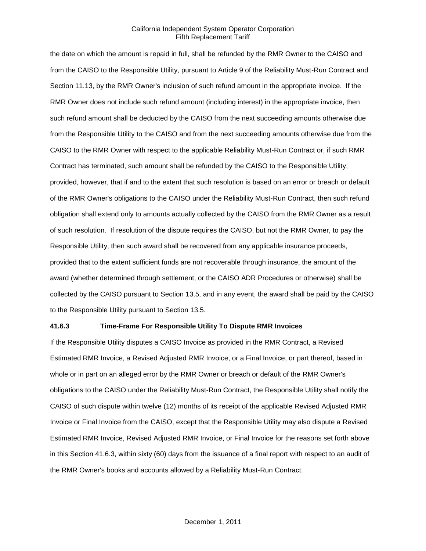the date on which the amount is repaid in full, shall be refunded by the RMR Owner to the CAISO and from the CAISO to the Responsible Utility, pursuant to Article 9 of the Reliability Must-Run Contract and Section 11.13, by the RMR Owner's inclusion of such refund amount in the appropriate invoice. If the RMR Owner does not include such refund amount (including interest) in the appropriate invoice, then such refund amount shall be deducted by the CAISO from the next succeeding amounts otherwise due from the Responsible Utility to the CAISO and from the next succeeding amounts otherwise due from the CAISO to the RMR Owner with respect to the applicable Reliability Must-Run Contract or, if such RMR Contract has terminated, such amount shall be refunded by the CAISO to the Responsible Utility; provided, however, that if and to the extent that such resolution is based on an error or breach or default of the RMR Owner's obligations to the CAISO under the Reliability Must-Run Contract, then such refund obligation shall extend only to amounts actually collected by the CAISO from the RMR Owner as a result of such resolution. If resolution of the dispute requires the CAISO, but not the RMR Owner, to pay the Responsible Utility, then such award shall be recovered from any applicable insurance proceeds, provided that to the extent sufficient funds are not recoverable through insurance, the amount of the award (whether determined through settlement, or the CAISO ADR Procedures or otherwise) shall be collected by the CAISO pursuant to Section 13.5, and in any event, the award shall be paid by the CAISO to the Responsible Utility pursuant to Section 13.5.

### **41.6.3 Time-Frame For Responsible Utility To Dispute RMR Invoices**

If the Responsible Utility disputes a CAISO Invoice as provided in the RMR Contract, a Revised Estimated RMR Invoice, a Revised Adjusted RMR Invoice, or a Final Invoice, or part thereof, based in whole or in part on an alleged error by the RMR Owner or breach or default of the RMR Owner's obligations to the CAISO under the Reliability Must-Run Contract, the Responsible Utility shall notify the CAISO of such dispute within twelve (12) months of its receipt of the applicable Revised Adjusted RMR Invoice or Final Invoice from the CAISO, except that the Responsible Utility may also dispute a Revised Estimated RMR Invoice, Revised Adjusted RMR Invoice, or Final Invoice for the reasons set forth above in this Section 41.6.3, within sixty (60) days from the issuance of a final report with respect to an audit of the RMR Owner's books and accounts allowed by a Reliability Must-Run Contract.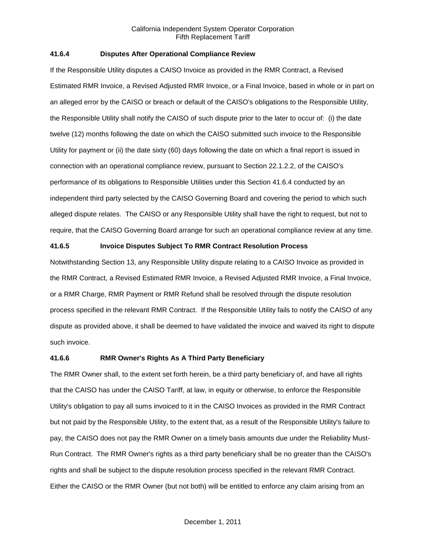## **41.6.4 Disputes After Operational Compliance Review**

If the Responsible Utility disputes a CAISO Invoice as provided in the RMR Contract, a Revised Estimated RMR Invoice, a Revised Adjusted RMR Invoice, or a Final Invoice, based in whole or in part on an alleged error by the CAISO or breach or default of the CAISO's obligations to the Responsible Utility, the Responsible Utility shall notify the CAISO of such dispute prior to the later to occur of: (i) the date twelve (12) months following the date on which the CAISO submitted such invoice to the Responsible Utility for payment or (ii) the date sixty (60) days following the date on which a final report is issued in connection with an operational compliance review, pursuant to Section 22.1.2.2, of the CAISO's performance of its obligations to Responsible Utilities under this Section 41.6.4 conducted by an independent third party selected by the CAISO Governing Board and covering the period to which such alleged dispute relates. The CAISO or any Responsible Utility shall have the right to request, but not to require, that the CAISO Governing Board arrange for such an operational compliance review at any time.

### **41.6.5 Invoice Disputes Subject To RMR Contract Resolution Process**

Notwithstanding Section 13, any Responsible Utility dispute relating to a CAISO Invoice as provided in the RMR Contract, a Revised Estimated RMR Invoice, a Revised Adjusted RMR Invoice, a Final Invoice, or a RMR Charge, RMR Payment or RMR Refund shall be resolved through the dispute resolution process specified in the relevant RMR Contract. If the Responsible Utility fails to notify the CAISO of any dispute as provided above, it shall be deemed to have validated the invoice and waived its right to dispute such invoice.

### **41.6.6 RMR Owner's Rights As A Third Party Beneficiary**

The RMR Owner shall, to the extent set forth herein, be a third party beneficiary of, and have all rights that the CAISO has under the CAISO Tariff, at law, in equity or otherwise, to enforce the Responsible Utility's obligation to pay all sums invoiced to it in the CAISO Invoices as provided in the RMR Contract but not paid by the Responsible Utility, to the extent that, as a result of the Responsible Utility's failure to pay, the CAISO does not pay the RMR Owner on a timely basis amounts due under the Reliability Must-Run Contract. The RMR Owner's rights as a third party beneficiary shall be no greater than the CAISO's rights and shall be subject to the dispute resolution process specified in the relevant RMR Contract. Either the CAISO or the RMR Owner (but not both) will be entitled to enforce any claim arising from an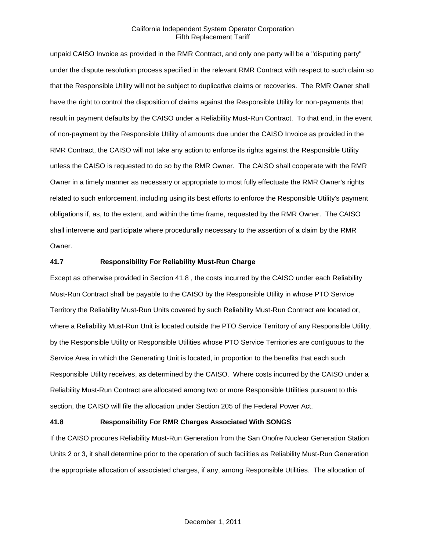unpaid CAISO Invoice as provided in the RMR Contract, and only one party will be a "disputing party" under the dispute resolution process specified in the relevant RMR Contract with respect to such claim so that the Responsible Utility will not be subject to duplicative claims or recoveries. The RMR Owner shall have the right to control the disposition of claims against the Responsible Utility for non-payments that result in payment defaults by the CAISO under a Reliability Must-Run Contract. To that end, in the event of non-payment by the Responsible Utility of amounts due under the CAISO Invoice as provided in the RMR Contract, the CAISO will not take any action to enforce its rights against the Responsible Utility unless the CAISO is requested to do so by the RMR Owner. The CAISO shall cooperate with the RMR Owner in a timely manner as necessary or appropriate to most fully effectuate the RMR Owner's rights related to such enforcement, including using its best efforts to enforce the Responsible Utility's payment obligations if, as, to the extent, and within the time frame, requested by the RMR Owner. The CAISO shall intervene and participate where procedurally necessary to the assertion of a claim by the RMR Owner.

### **41.7 Responsibility For Reliability Must-Run Charge**

Except as otherwise provided in Section 41.8 , the costs incurred by the CAISO under each Reliability Must-Run Contract shall be payable to the CAISO by the Responsible Utility in whose PTO Service Territory the Reliability Must-Run Units covered by such Reliability Must-Run Contract are located or, where a Reliability Must-Run Unit is located outside the PTO Service Territory of any Responsible Utility, by the Responsible Utility or Responsible Utilities whose PTO Service Territories are contiguous to the Service Area in which the Generating Unit is located, in proportion to the benefits that each such Responsible Utility receives, as determined by the CAISO. Where costs incurred by the CAISO under a Reliability Must-Run Contract are allocated among two or more Responsible Utilities pursuant to this section, the CAISO will file the allocation under Section 205 of the Federal Power Act.

### **41.8 Responsibility For RMR Charges Associated With SONGS**

If the CAISO procures Reliability Must-Run Generation from the San Onofre Nuclear Generation Station Units 2 or 3, it shall determine prior to the operation of such facilities as Reliability Must-Run Generation the appropriate allocation of associated charges, if any, among Responsible Utilities. The allocation of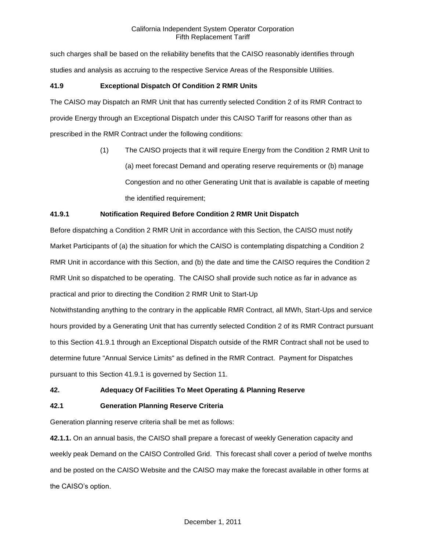such charges shall be based on the reliability benefits that the CAISO reasonably identifies through studies and analysis as accruing to the respective Service Areas of the Responsible Utilities.

# **41.9 Exceptional Dispatch Of Condition 2 RMR Units**

The CAISO may Dispatch an RMR Unit that has currently selected Condition 2 of its RMR Contract to provide Energy through an Exceptional Dispatch under this CAISO Tariff for reasons other than as prescribed in the RMR Contract under the following conditions:

> (1) The CAISO projects that it will require Energy from the Condition 2 RMR Unit to (a) meet forecast Demand and operating reserve requirements or (b) manage Congestion and no other Generating Unit that is available is capable of meeting the identified requirement;

# **41.9.1 Notification Required Before Condition 2 RMR Unit Dispatch**

Before dispatching a Condition 2 RMR Unit in accordance with this Section, the CAISO must notify Market Participants of (a) the situation for which the CAISO is contemplating dispatching a Condition 2 RMR Unit in accordance with this Section, and (b) the date and time the CAISO requires the Condition 2 RMR Unit so dispatched to be operating. The CAISO shall provide such notice as far in advance as practical and prior to directing the Condition 2 RMR Unit to Start-Up

Notwithstanding anything to the contrary in the applicable RMR Contract, all MWh, Start-Ups and service hours provided by a Generating Unit that has currently selected Condition 2 of its RMR Contract pursuant to this Section 41.9.1 through an Exceptional Dispatch outside of the RMR Contract shall not be used to determine future "Annual Service Limits" as defined in the RMR Contract. Payment for Dispatches pursuant to this Section 41.9.1 is governed by Section 11.

# **42. Adequacy Of Facilities To Meet Operating & Planning Reserve**

# **42.1 Generation Planning Reserve Criteria**

Generation planning reserve criteria shall be met as follows:

**42.1.1.** On an annual basis, the CAISO shall prepare a forecast of weekly Generation capacity and weekly peak Demand on the CAISO Controlled Grid. This forecast shall cover a period of twelve months and be posted on the CAISO Website and the CAISO may make the forecast available in other forms at the CAISO's option.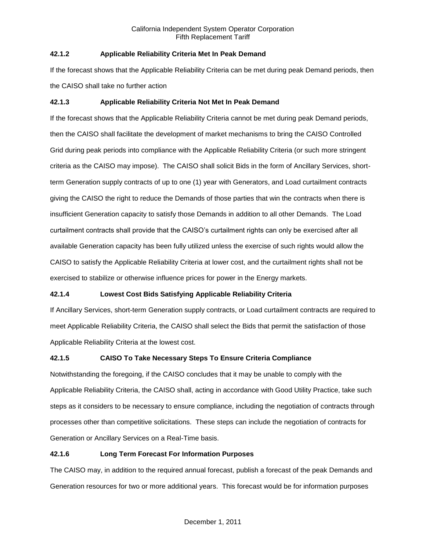# **42.1.2 Applicable Reliability Criteria Met In Peak Demand**

If the forecast shows that the Applicable Reliability Criteria can be met during peak Demand periods, then the CAISO shall take no further action

# **42.1.3 Applicable Reliability Criteria Not Met In Peak Demand**

If the forecast shows that the Applicable Reliability Criteria cannot be met during peak Demand periods, then the CAISO shall facilitate the development of market mechanisms to bring the CAISO Controlled Grid during peak periods into compliance with the Applicable Reliability Criteria (or such more stringent criteria as the CAISO may impose). The CAISO shall solicit Bids in the form of Ancillary Services, shortterm Generation supply contracts of up to one (1) year with Generators, and Load curtailment contracts giving the CAISO the right to reduce the Demands of those parties that win the contracts when there is insufficient Generation capacity to satisfy those Demands in addition to all other Demands. The Load curtailment contracts shall provide that the CAISO's curtailment rights can only be exercised after all available Generation capacity has been fully utilized unless the exercise of such rights would allow the CAISO to satisfy the Applicable Reliability Criteria at lower cost, and the curtailment rights shall not be exercised to stabilize or otherwise influence prices for power in the Energy markets.

# **42.1.4 Lowest Cost Bids Satisfying Applicable Reliability Criteria**

If Ancillary Services, short-term Generation supply contracts, or Load curtailment contracts are required to meet Applicable Reliability Criteria, the CAISO shall select the Bids that permit the satisfaction of those Applicable Reliability Criteria at the lowest cost.

# **42.1.5 CAISO To Take Necessary Steps To Ensure Criteria Compliance**

Notwithstanding the foregoing, if the CAISO concludes that it may be unable to comply with the Applicable Reliability Criteria, the CAISO shall, acting in accordance with Good Utility Practice, take such steps as it considers to be necessary to ensure compliance, including the negotiation of contracts through processes other than competitive solicitations. These steps can include the negotiation of contracts for Generation or Ancillary Services on a Real-Time basis.

# **42.1.6 Long Term Forecast For Information Purposes**

The CAISO may, in addition to the required annual forecast, publish a forecast of the peak Demands and Generation resources for two or more additional years. This forecast would be for information purposes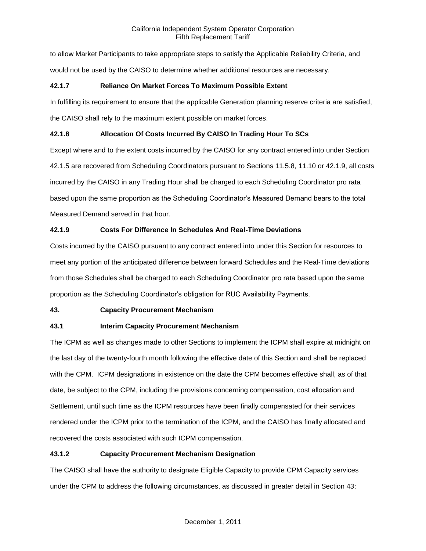to allow Market Participants to take appropriate steps to satisfy the Applicable Reliability Criteria, and would not be used by the CAISO to determine whether additional resources are necessary.

# **42.1.7 Reliance On Market Forces To Maximum Possible Extent**

In fulfilling its requirement to ensure that the applicable Generation planning reserve criteria are satisfied, the CAISO shall rely to the maximum extent possible on market forces.

# **42.1.8 Allocation Of Costs Incurred By CAISO In Trading Hour To SCs**

Except where and to the extent costs incurred by the CAISO for any contract entered into under Section 42.1.5 are recovered from Scheduling Coordinators pursuant to Sections 11.5.8, 11.10 or 42.1.9, all costs incurred by the CAISO in any Trading Hour shall be charged to each Scheduling Coordinator pro rata based upon the same proportion as the Scheduling Coordinator's Measured Demand bears to the total Measured Demand served in that hour.

# **42.1.9 Costs For Difference In Schedules And Real-Time Deviations**

Costs incurred by the CAISO pursuant to any contract entered into under this Section for resources to meet any portion of the anticipated difference between forward Schedules and the Real-Time deviations from those Schedules shall be charged to each Scheduling Coordinator pro rata based upon the same proportion as the Scheduling Coordinator's obligation for RUC Availability Payments.

# **43. Capacity Procurement Mechanism**

# **43.1 Interim Capacity Procurement Mechanism**

The ICPM as well as changes made to other Sections to implement the ICPM shall expire at midnight on the last day of the twenty-fourth month following the effective date of this Section and shall be replaced with the CPM. ICPM designations in existence on the date the CPM becomes effective shall, as of that date, be subject to the CPM, including the provisions concerning compensation, cost allocation and Settlement, until such time as the ICPM resources have been finally compensated for their services rendered under the ICPM prior to the termination of the ICPM, and the CAISO has finally allocated and recovered the costs associated with such ICPM compensation.

# **43.1.2 Capacity Procurement Mechanism Designation**

The CAISO shall have the authority to designate Eligible Capacity to provide CPM Capacity services under the CPM to address the following circumstances, as discussed in greater detail in Section 43: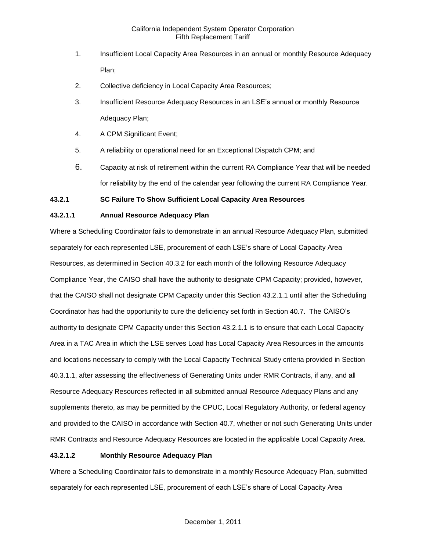- 1. Insufficient Local Capacity Area Resources in an annual or monthly Resource Adequacy Plan;
- 2. Collective deficiency in Local Capacity Area Resources;
- 3. Insufficient Resource Adequacy Resources in an LSE's annual or monthly Resource Adequacy Plan;
- 4. A CPM Significant Event;
- 5. A reliability or operational need for an Exceptional Dispatch CPM; and
- 6. Capacity at risk of retirement within the current RA Compliance Year that will be needed for reliability by the end of the calendar year following the current RA Compliance Year.

# **43.2.1 SC Failure To Show Sufficient Local Capacity Area Resources**

# **43.2.1.1 Annual Resource Adequacy Plan**

Where a Scheduling Coordinator fails to demonstrate in an annual Resource Adequacy Plan, submitted separately for each represented LSE, procurement of each LSE's share of Local Capacity Area Resources, as determined in Section 40.3.2 for each month of the following Resource Adequacy Compliance Year, the CAISO shall have the authority to designate CPM Capacity; provided, however, that the CAISO shall not designate CPM Capacity under this Section 43.2.1.1 until after the Scheduling Coordinator has had the opportunity to cure the deficiency set forth in Section 40.7. The CAISO's authority to designate CPM Capacity under this Section 43.2.1.1 is to ensure that each Local Capacity Area in a TAC Area in which the LSE serves Load has Local Capacity Area Resources in the amounts and locations necessary to comply with the Local Capacity Technical Study criteria provided in Section 40.3.1.1, after assessing the effectiveness of Generating Units under RMR Contracts, if any, and all Resource Adequacy Resources reflected in all submitted annual Resource Adequacy Plans and any supplements thereto, as may be permitted by the CPUC, Local Regulatory Authority, or federal agency and provided to the CAISO in accordance with Section 40.7, whether or not such Generating Units under RMR Contracts and Resource Adequacy Resources are located in the applicable Local Capacity Area.

# **43.2.1.2 Monthly Resource Adequacy Plan**

Where a Scheduling Coordinator fails to demonstrate in a monthly Resource Adequacy Plan, submitted separately for each represented LSE, procurement of each LSE's share of Local Capacity Area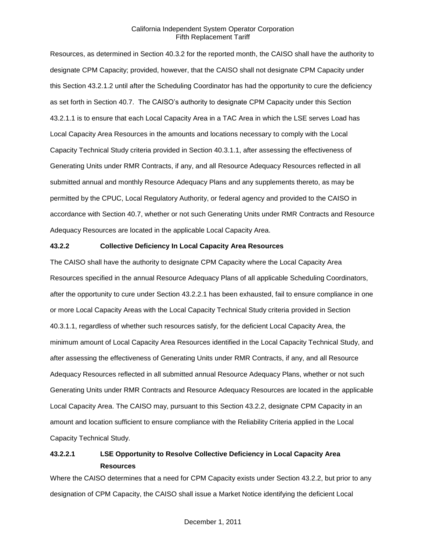Resources, as determined in Section 40.3.2 for the reported month, the CAISO shall have the authority to designate CPM Capacity; provided, however, that the CAISO shall not designate CPM Capacity under this Section 43.2.1.2 until after the Scheduling Coordinator has had the opportunity to cure the deficiency as set forth in Section 40.7. The CAISO's authority to designate CPM Capacity under this Section 43.2.1.1 is to ensure that each Local Capacity Area in a TAC Area in which the LSE serves Load has Local Capacity Area Resources in the amounts and locations necessary to comply with the Local Capacity Technical Study criteria provided in Section 40.3.1.1, after assessing the effectiveness of Generating Units under RMR Contracts, if any, and all Resource Adequacy Resources reflected in all submitted annual and monthly Resource Adequacy Plans and any supplements thereto, as may be permitted by the CPUC, Local Regulatory Authority, or federal agency and provided to the CAISO in accordance with Section 40.7, whether or not such Generating Units under RMR Contracts and Resource Adequacy Resources are located in the applicable Local Capacity Area.

### **43.2.2 Collective Deficiency In Local Capacity Area Resources**

The CAISO shall have the authority to designate CPM Capacity where the Local Capacity Area Resources specified in the annual Resource Adequacy Plans of all applicable Scheduling Coordinators, after the opportunity to cure under Section 43.2.2.1 has been exhausted, fail to ensure compliance in one or more Local Capacity Areas with the Local Capacity Technical Study criteria provided in Section 40.3.1.1, regardless of whether such resources satisfy, for the deficient Local Capacity Area, the minimum amount of Local Capacity Area Resources identified in the Local Capacity Technical Study, and after assessing the effectiveness of Generating Units under RMR Contracts, if any, and all Resource Adequacy Resources reflected in all submitted annual Resource Adequacy Plans, whether or not such Generating Units under RMR Contracts and Resource Adequacy Resources are located in the applicable Local Capacity Area. The CAISO may, pursuant to this Section 43.2.2, designate CPM Capacity in an amount and location sufficient to ensure compliance with the Reliability Criteria applied in the Local Capacity Technical Study.

# **43.2.2.1 LSE Opportunity to Resolve Collective Deficiency in Local Capacity Area Resources**

Where the CAISO determines that a need for CPM Capacity exists under Section 43.2.2, but prior to any designation of CPM Capacity, the CAISO shall issue a Market Notice identifying the deficient Local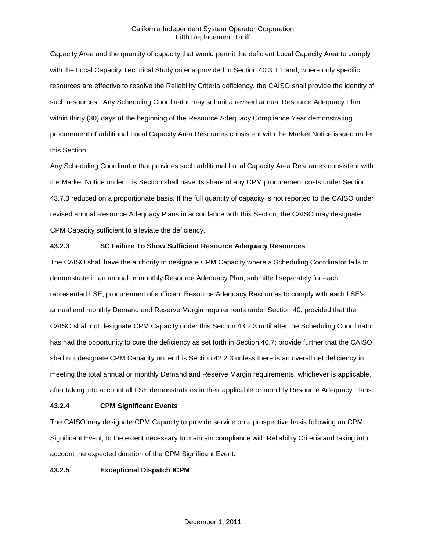Capacity Area and the quantity of capacity that would permit the deficient Local Capacity Area to comply with the Local Capacity Technical Study criteria provided in Section 40.3.1.1 and, where only specific resources are effective to resolve the Reliability Criteria deficiency, the CAISO shall provide the identity of such resources. Any Scheduling Coordinator may submit a revised annual Resource Adequacy Plan within thirty (30) days of the beginning of the Resource Adequacy Compliance Year demonstrating procurement of additional Local Capacity Area Resources consistent with the Market Notice issued under this Section.

Any Scheduling Coordinator that provides such additional Local Capacity Area Resources consistent with the Market Notice under this Section shall have its share of any CPM procurement costs under Section 43.7.3 reduced on a proportionate basis. If the full quantity of capacity is not reported to the CAISO under revised annual Resource Adequacy Plans in accordance with this Section, the CAISO may designate CPM Capacity sufficient to alleviate the deficiency.

# **43.2.3 SC Failure To Show Sufficient Resource Adequacy Resources**

The CAISO shall have the authority to designate CPM Capacity where a Scheduling Coordinator fails to demonstrate in an annual or monthly Resource Adequacy Plan, submitted separately for each represented LSE, procurement of sufficient Resource Adequacy Resources to comply with each LSE's annual and monthly Demand and Reserve Margin requirements under Section 40; provided that the CAISO shall not designate CPM Capacity under this Section 43.2.3 until after the Scheduling Coordinator has had the opportunity to cure the deficiency as set forth in Section 40.7; provide further that the CAISO shall not designate CPM Capacity under this Section 42.2.3 unless there is an overall net deficiency in meeting the total annual or monthly Demand and Reserve Margin requirements, whichever is applicable, after taking into account all LSE demonstrations in their applicable or monthly Resource Adequacy Plans.

# **43.2.4 CPM Significant Events**

The CAISO may designate CPM Capacity to provide service on a prospective basis following an CPM Significant Event, to the extent necessary to maintain compliance with Reliability Criteria and taking into account the expected duration of the CPM Significant Event.

### **43.2.5 Exceptional Dispatch ICPM**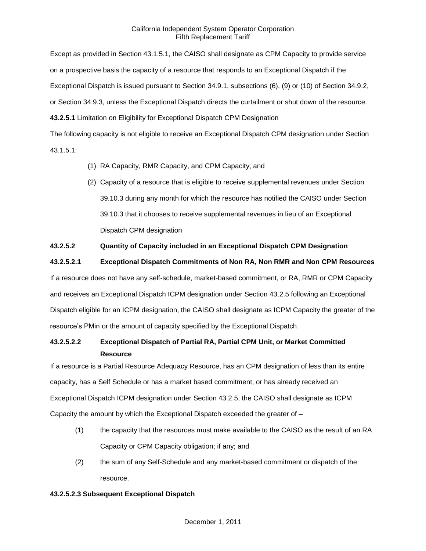Except as provided in Section 43.1.5.1, the CAISO shall designate as CPM Capacity to provide service on a prospective basis the capacity of a resource that responds to an Exceptional Dispatch if the Exceptional Dispatch is issued pursuant to Section 34.9.1, subsections (6), (9) or (10) of Section 34.9.2, or Section 34.9.3, unless the Exceptional Dispatch directs the curtailment or shut down of the resource. **43.2.5.1** Limitation on Eligibility for Exceptional Dispatch CPM Designation

The following capacity is not eligible to receive an Exceptional Dispatch CPM designation under Section 43.1.5.1:

- (1) RA Capacity, RMR Capacity, and CPM Capacity; and
- (2) Capacity of a resource that is eligible to receive supplemental revenues under Section 39.10.3 during any month for which the resource has notified the CAISO under Section 39.10.3 that it chooses to receive supplemental revenues in lieu of an Exceptional Dispatch CPM designation

# **43.2.5.2 Quantity of Capacity included in an Exceptional Dispatch CPM Designation**

**43.2.5.2.1 Exceptional Dispatch Commitments of Non RA, Non RMR and Non CPM Resources**

If a resource does not have any self-schedule, market-based commitment, or RA, RMR or CPM Capacity and receives an Exceptional Dispatch ICPM designation under Section 43.2.5 following an Exceptional Dispatch eligible for an ICPM designation, the CAISO shall designate as ICPM Capacity the greater of the resource's PMin or the amount of capacity specified by the Exceptional Dispatch.

# **43.2.5.2.2 Exceptional Dispatch of Partial RA, Partial CPM Unit, or Market Committed Resource**

If a resource is a Partial Resource Adequacy Resource, has an CPM designation of less than its entire capacity, has a Self Schedule or has a market based commitment, or has already received an Exceptional Dispatch ICPM designation under Section 43.2.5, the CAISO shall designate as ICPM Capacity the amount by which the Exceptional Dispatch exceeded the greater of –

- (1) the capacity that the resources must make available to the CAISO as the result of an RA Capacity or CPM Capacity obligation; if any; and
- (2) the sum of any Self-Schedule and any market-based commitment or dispatch of the resource.

#### **43.2.5.2.3 Subsequent Exceptional Dispatch**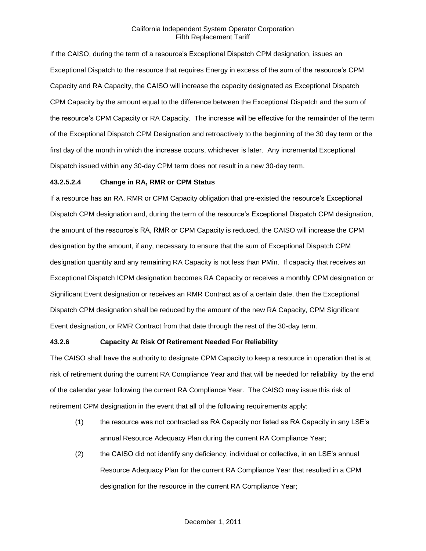If the CAISO, during the term of a resource's Exceptional Dispatch CPM designation, issues an Exceptional Dispatch to the resource that requires Energy in excess of the sum of the resource's CPM Capacity and RA Capacity, the CAISO will increase the capacity designated as Exceptional Dispatch CPM Capacity by the amount equal to the difference between the Exceptional Dispatch and the sum of the resource's CPM Capacity or RA Capacity. The increase will be effective for the remainder of the term of the Exceptional Dispatch CPM Designation and retroactively to the beginning of the 30 day term or the first day of the month in which the increase occurs, whichever is later. Any incremental Exceptional Dispatch issued within any 30-day CPM term does not result in a new 30-day term.

#### **43.2.5.2.4 Change in RA, RMR or CPM Status**

If a resource has an RA, RMR or CPM Capacity obligation that pre-existed the resource's Exceptional Dispatch CPM designation and, during the term of the resource's Exceptional Dispatch CPM designation, the amount of the resource's RA, RMR or CPM Capacity is reduced, the CAISO will increase the CPM designation by the amount, if any, necessary to ensure that the sum of Exceptional Dispatch CPM designation quantity and any remaining RA Capacity is not less than PMin. If capacity that receives an Exceptional Dispatch ICPM designation becomes RA Capacity or receives a monthly CPM designation or Significant Event designation or receives an RMR Contract as of a certain date, then the Exceptional Dispatch CPM designation shall be reduced by the amount of the new RA Capacity, CPM Significant Event designation, or RMR Contract from that date through the rest of the 30-day term.

#### **43.2.6 Capacity At Risk Of Retirement Needed For Reliability**

The CAISO shall have the authority to designate CPM Capacity to keep a resource in operation that is at risk of retirement during the current RA Compliance Year and that will be needed for reliability by the end of the calendar year following the current RA Compliance Year. The CAISO may issue this risk of retirement CPM designation in the event that all of the following requirements apply:

- (1) the resource was not contracted as RA Capacity nor listed as RA Capacity in any LSE's annual Resource Adequacy Plan during the current RA Compliance Year;
- (2) the CAISO did not identify any deficiency, individual or collective, in an LSE's annual Resource Adequacy Plan for the current RA Compliance Year that resulted in a CPM designation for the resource in the current RA Compliance Year;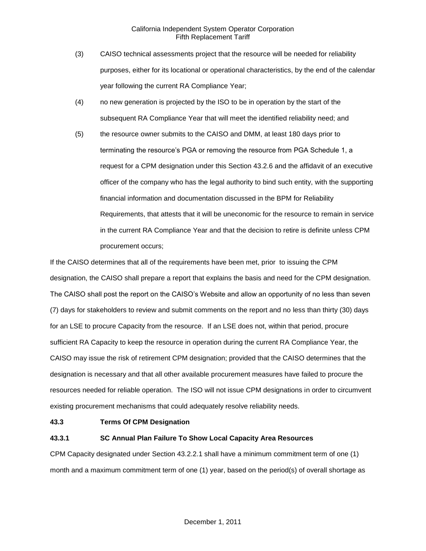- (3) CAISO technical assessments project that the resource will be needed for reliability purposes, either for its locational or operational characteristics, by the end of the calendar year following the current RA Compliance Year;
- (4) no new generation is projected by the ISO to be in operation by the start of the subsequent RA Compliance Year that will meet the identified reliability need; and
- (5) the resource owner submits to the CAISO and DMM, at least 180 days prior to terminating the resource's PGA or removing the resource from PGA Schedule 1, a request for a CPM designation under this Section 43.2.6 and the affidavit of an executive officer of the company who has the legal authority to bind such entity, with the supporting financial information and documentation discussed in the BPM for Reliability Requirements, that attests that it will be uneconomic for the resource to remain in service in the current RA Compliance Year and that the decision to retire is definite unless CPM procurement occurs;

If the CAISO determines that all of the requirements have been met, prior to issuing the CPM designation, the CAISO shall prepare a report that explains the basis and need for the CPM designation. The CAISO shall post the report on the CAISO's Website and allow an opportunity of no less than seven (7) days for stakeholders to review and submit comments on the report and no less than thirty (30) days for an LSE to procure Capacity from the resource. If an LSE does not, within that period, procure sufficient RA Capacity to keep the resource in operation during the current RA Compliance Year, the CAISO may issue the risk of retirement CPM designation; provided that the CAISO determines that the designation is necessary and that all other available procurement measures have failed to procure the resources needed for reliable operation. The ISO will not issue CPM designations in order to circumvent existing procurement mechanisms that could adequately resolve reliability needs.

#### **43.3 Terms Of CPM Designation**

# **43.3.1 SC Annual Plan Failure To Show Local Capacity Area Resources**

CPM Capacity designated under Section 43.2.2.1 shall have a minimum commitment term of one (1) month and a maximum commitment term of one (1) year, based on the period(s) of overall shortage as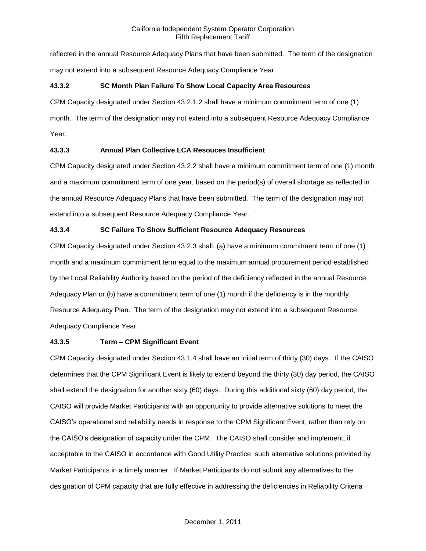reflected in the annual Resource Adequacy Plans that have been submitted. The term of the designation may not extend into a subsequent Resource Adequacy Compliance Year.

# **43.3.2 SC Month Plan Failure To Show Local Capacity Area Resources**

CPM Capacity designated under Section 43.2.1.2 shall have a minimum commitment term of one (1)

month. The term of the designation may not extend into a subsequent Resource Adequacy Compliance Year.

# **43.3.3 Annual Plan Collective LCA Resouces Insufficient**

CPM Capacity designated under Section 43.2.2 shall have a minimum commitment term of one (1) month and a maximum commitment term of one year, based on the period(s) of overall shortage as reflected in the annual Resource Adequacy Plans that have been submitted. The term of the designation may not extend into a subsequent Resource Adequacy Compliance Year.

# **43.3.4 SC Failure To Show Sufficient Resource Adequacy Resources**

CPM Capacity designated under Section 43.2.3 shall: (a) have a minimum commitment term of one (1) month and a maximum commitment term equal to the maximum annual procurement period established by the Local Reliability Authority based on the period of the deficiency reflected in the annual Resource Adequacy Plan or (b) have a commitment term of one (1) month if the deficiency is in the monthly Resource Adequacy Plan. The term of the designation may not extend into a subsequent Resource Adequacy Compliance Year.

# **43.3.5 Term – CPM Significant Event**

CPM Capacity designated under Section 43.1.4 shall have an initial term of thirty (30) days. If the CAISO determines that the CPM Significant Event is likely to extend beyond the thirty (30) day period, the CAISO shall extend the designation for another sixty (60) days. During this additional sixty (60) day period, the CAISO will provide Market Participants with an opportunity to provide alternative solutions to meet the CAISO's operational and reliability needs in response to the CPM Significant Event, rather than rely on the CAISO's designation of capacity under the CPM. The CAISO shall consider and implement, if acceptable to the CAISO in accordance with Good Utility Practice, such alternative solutions provided by Market Participants in a timely manner. If Market Participants do not submit any alternatives to the designation of CPM capacity that are fully effective in addressing the deficiencies in Reliability Criteria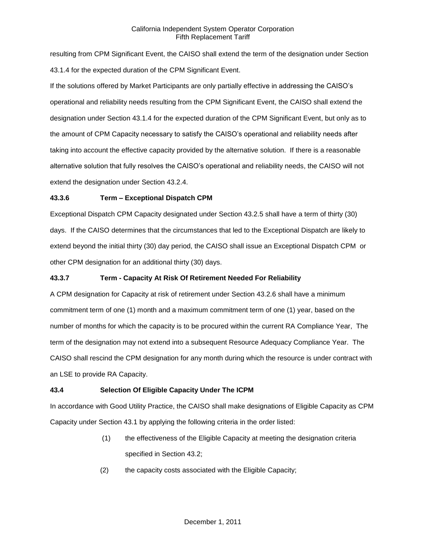resulting from CPM Significant Event, the CAISO shall extend the term of the designation under Section 43.1.4 for the expected duration of the CPM Significant Event.

If the solutions offered by Market Participants are only partially effective in addressing the CAISO's operational and reliability needs resulting from the CPM Significant Event, the CAISO shall extend the designation under Section 43.1.4 for the expected duration of the CPM Significant Event, but only as to the amount of CPM Capacity necessary to satisfy the CAISO's operational and reliability needs after taking into account the effective capacity provided by the alternative solution. If there is a reasonable alternative solution that fully resolves the CAISO's operational and reliability needs, the CAISO will not extend the designation under Section 43.2.4.

# **43.3.6 Term – Exceptional Dispatch CPM**

Exceptional Dispatch CPM Capacity designated under Section 43.2.5 shall have a term of thirty (30) days. If the CAISO determines that the circumstances that led to the Exceptional Dispatch are likely to extend beyond the initial thirty (30) day period, the CAISO shall issue an Exceptional Dispatch CPM or other CPM designation for an additional thirty (30) days.

# **43.3.7 Term - Capacity At Risk Of Retirement Needed For Reliability**

A CPM designation for Capacity at risk of retirement under Section 43.2.6 shall have a minimum commitment term of one (1) month and a maximum commitment term of one (1) year, based on the number of months for which the capacity is to be procured within the current RA Compliance Year, The term of the designation may not extend into a subsequent Resource Adequacy Compliance Year. The CAISO shall rescind the CPM designation for any month during which the resource is under contract with an LSE to provide RA Capacity.

# **43.4 Selection Of Eligible Capacity Under The ICPM**

In accordance with Good Utility Practice, the CAISO shall make designations of Eligible Capacity as CPM Capacity under Section 43.1 by applying the following criteria in the order listed:

- (1) the effectiveness of the Eligible Capacity at meeting the designation criteria specified in Section 43.2;
- (2) the capacity costs associated with the Eligible Capacity;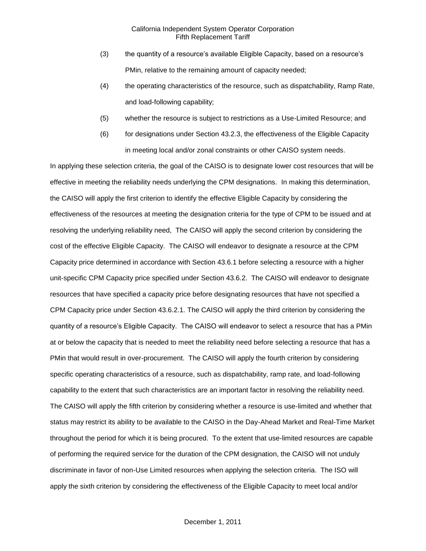- (3) the quantity of a resource's available Eligible Capacity, based on a resource's PMin, relative to the remaining amount of capacity needed;
- (4) the operating characteristics of the resource, such as dispatchability, Ramp Rate, and load-following capability;
- (5) whether the resource is subject to restrictions as a Use-Limited Resource; and
- (6) for designations under Section 43.2.3, the effectiveness of the Eligible Capacity in meeting local and/or zonal constraints or other CAISO system needs.

In applying these selection criteria, the goal of the CAISO is to designate lower cost resources that will be effective in meeting the reliability needs underlying the CPM designations. In making this determination, the CAISO will apply the first criterion to identify the effective Eligible Capacity by considering the effectiveness of the resources at meeting the designation criteria for the type of CPM to be issued and at resolving the underlying reliability need, The CAISO will apply the second criterion by considering the cost of the effective Eligible Capacity. The CAISO will endeavor to designate a resource at the CPM Capacity price determined in accordance with Section 43.6.1 before selecting a resource with a higher unit-specific CPM Capacity price specified under Section 43.6.2. The CAISO will endeavor to designate resources that have specified a capacity price before designating resources that have not specified a CPM Capacity price under Section 43.6.2.1. The CAISO will apply the third criterion by considering the quantity of a resource's Eligible Capacity. The CAISO will endeavor to select a resource that has a PMin at or below the capacity that is needed to meet the reliability need before selecting a resource that has a PMin that would result in over-procurement. The CAISO will apply the fourth criterion by considering specific operating characteristics of a resource, such as dispatchability, ramp rate, and load-following capability to the extent that such characteristics are an important factor in resolving the reliability need. The CAISO will apply the fifth criterion by considering whether a resource is use-limited and whether that status may restrict its ability to be available to the CAISO in the Day-Ahead Market and Real-Time Market throughout the period for which it is being procured. To the extent that use-limited resources are capable of performing the required service for the duration of the CPM designation, the CAISO will not unduly discriminate in favor of non-Use Limited resources when applying the selection criteria. The ISO will apply the sixth criterion by considering the effectiveness of the Eligible Capacity to meet local and/or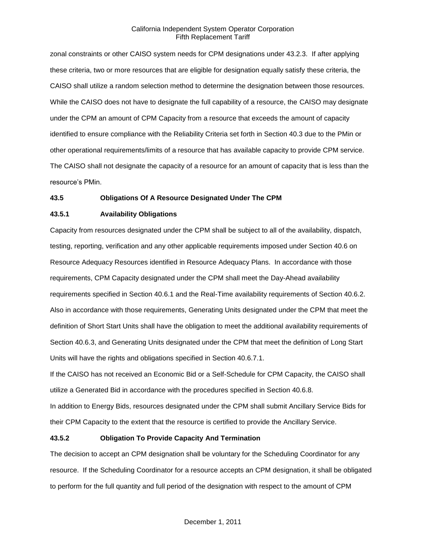zonal constraints or other CAISO system needs for CPM designations under 43.2.3. If after applying these criteria, two or more resources that are eligible for designation equally satisfy these criteria, the CAISO shall utilize a random selection method to determine the designation between those resources. While the CAISO does not have to designate the full capability of a resource, the CAISO may designate under the CPM an amount of CPM Capacity from a resource that exceeds the amount of capacity identified to ensure compliance with the Reliability Criteria set forth in Section 40.3 due to the PMin or other operational requirements/limits of a resource that has available capacity to provide CPM service. The CAISO shall not designate the capacity of a resource for an amount of capacity that is less than the resource's PMin.

#### **43.5 Obligations Of A Resource Designated Under The CPM**

### **43.5.1 Availability Obligations**

Capacity from resources designated under the CPM shall be subject to all of the availability, dispatch, testing, reporting, verification and any other applicable requirements imposed under Section 40.6 on Resource Adequacy Resources identified in Resource Adequacy Plans. In accordance with those requirements, CPM Capacity designated under the CPM shall meet the Day-Ahead availability requirements specified in Section 40.6.1 and the Real-Time availability requirements of Section 40.6.2. Also in accordance with those requirements, Generating Units designated under the CPM that meet the definition of Short Start Units shall have the obligation to meet the additional availability requirements of Section 40.6.3, and Generating Units designated under the CPM that meet the definition of Long Start Units will have the rights and obligations specified in Section 40.6.7.1.

If the CAISO has not received an Economic Bid or a Self-Schedule for CPM Capacity, the CAISO shall utilize a Generated Bid in accordance with the procedures specified in Section 40.6.8.

In addition to Energy Bids, resources designated under the CPM shall submit Ancillary Service Bids for their CPM Capacity to the extent that the resource is certified to provide the Ancillary Service.

### **43.5.2 Obligation To Provide Capacity And Termination**

The decision to accept an CPM designation shall be voluntary for the Scheduling Coordinator for any resource. If the Scheduling Coordinator for a resource accepts an CPM designation, it shall be obligated to perform for the full quantity and full period of the designation with respect to the amount of CPM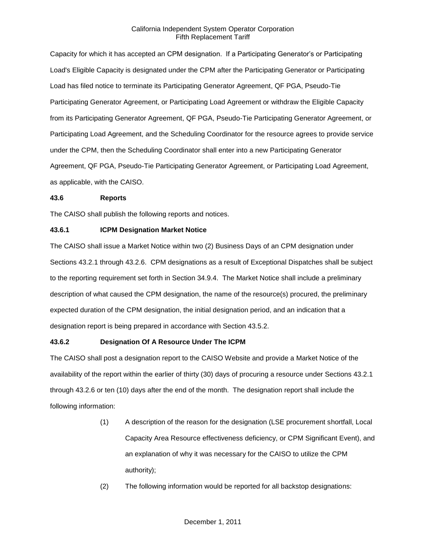Capacity for which it has accepted an CPM designation. If a Participating Generator's or Participating Load's Eligible Capacity is designated under the CPM after the Participating Generator or Participating Load has filed notice to terminate its Participating Generator Agreement, QF PGA, Pseudo-Tie Participating Generator Agreement, or Participating Load Agreement or withdraw the Eligible Capacity from its Participating Generator Agreement, QF PGA, Pseudo-Tie Participating Generator Agreement, or Participating Load Agreement, and the Scheduling Coordinator for the resource agrees to provide service under the CPM, then the Scheduling Coordinator shall enter into a new Participating Generator Agreement, QF PGA, Pseudo-Tie Participating Generator Agreement, or Participating Load Agreement, as applicable, with the CAISO.

#### **43.6 Reports**

The CAISO shall publish the following reports and notices.

# **43.6.1 ICPM Designation Market Notice**

The CAISO shall issue a Market Notice within two (2) Business Days of an CPM designation under Sections 43.2.1 through 43.2.6. CPM designations as a result of Exceptional Dispatches shall be subject to the reporting requirement set forth in Section 34.9.4. The Market Notice shall include a preliminary description of what caused the CPM designation, the name of the resource(s) procured, the preliminary expected duration of the CPM designation, the initial designation period, and an indication that a designation report is being prepared in accordance with Section 43.5.2.

# **43.6.2 Designation Of A Resource Under The ICPM**

The CAISO shall post a designation report to the CAISO Website and provide a Market Notice of the availability of the report within the earlier of thirty (30) days of procuring a resource under Sections 43.2.1 through 43.2.6 or ten (10) days after the end of the month. The designation report shall include the following information:

- (1) A description of the reason for the designation (LSE procurement shortfall, Local Capacity Area Resource effectiveness deficiency, or CPM Significant Event), and an explanation of why it was necessary for the CAISO to utilize the CPM authority);
- (2) The following information would be reported for all backstop designations: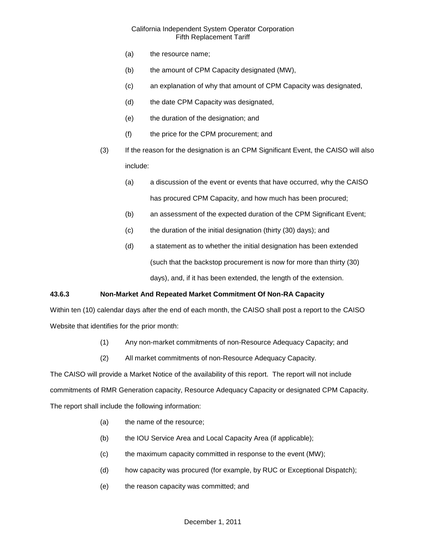- (a) the resource name;
- (b) the amount of CPM Capacity designated (MW),
- (c) an explanation of why that amount of CPM Capacity was designated,
- (d) the date CPM Capacity was designated,
- (e) the duration of the designation; and
- (f) the price for the CPM procurement; and
- (3) If the reason for the designation is an CPM Significant Event, the CAISO will also include:
	- (a) a discussion of the event or events that have occurred, why the CAISO has procured CPM Capacity, and how much has been procured;
	- (b) an assessment of the expected duration of the CPM Significant Event;
	- (c) the duration of the initial designation (thirty (30) days); and
	- (d) a statement as to whether the initial designation has been extended (such that the backstop procurement is now for more than thirty (30) days), and, if it has been extended, the length of the extension.

#### **43.6.3 Non-Market And Repeated Market Commitment Of Non-RA Capacity**

Within ten (10) calendar days after the end of each month, the CAISO shall post a report to the CAISO Website that identifies for the prior month:

- (1) Any non-market commitments of non-Resource Adequacy Capacity; and
- (2) All market commitments of non-Resource Adequacy Capacity.

The CAISO will provide a Market Notice of the availability of this report. The report will not include commitments of RMR Generation capacity, Resource Adequacy Capacity or designated CPM Capacity. The report shall include the following information:

- (a) the name of the resource;
- (b) the IOU Service Area and Local Capacity Area (if applicable);
- (c) the maximum capacity committed in response to the event (MW);
- (d) how capacity was procured (for example, by RUC or Exceptional Dispatch);
- (e) the reason capacity was committed; and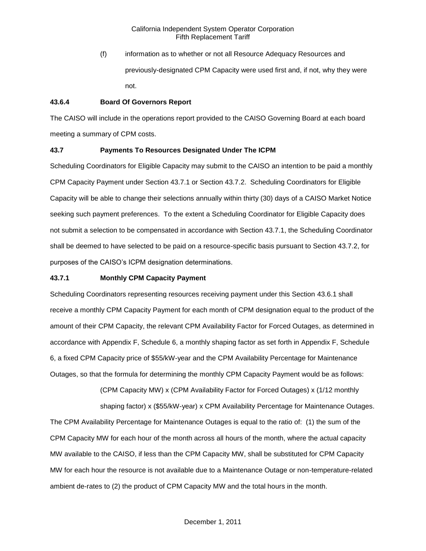(f) information as to whether or not all Resource Adequacy Resources and previously-designated CPM Capacity were used first and, if not, why they were not.

### **43.6.4 Board Of Governors Report**

The CAISO will include in the operations report provided to the CAISO Governing Board at each board meeting a summary of CPM costs.

# **43.7 Payments To Resources Designated Under The ICPM**

Scheduling Coordinators for Eligible Capacity may submit to the CAISO an intention to be paid a monthly CPM Capacity Payment under Section 43.7.1 or Section 43.7.2. Scheduling Coordinators for Eligible Capacity will be able to change their selections annually within thirty (30) days of a CAISO Market Notice seeking such payment preferences. To the extent a Scheduling Coordinator for Eligible Capacity does not submit a selection to be compensated in accordance with Section 43.7.1, the Scheduling Coordinator shall be deemed to have selected to be paid on a resource-specific basis pursuant to Section 43.7.2, for purposes of the CAISO's ICPM designation determinations.

### **43.7.1 Monthly CPM Capacity Payment**

Scheduling Coordinators representing resources receiving payment under this Section 43.6.1 shall receive a monthly CPM Capacity Payment for each month of CPM designation equal to the product of the amount of their CPM Capacity, the relevant CPM Availability Factor for Forced Outages, as determined in accordance with Appendix F, Schedule 6, a monthly shaping factor as set forth in Appendix F, Schedule 6, a fixed CPM Capacity price of \$55/kW-year and the CPM Availability Percentage for Maintenance Outages, so that the formula for determining the monthly CPM Capacity Payment would be as follows:

> (CPM Capacity MW) x (CPM Availability Factor for Forced Outages) x (1/12 monthly shaping factor) x (\$55/kW-year) x CPM Availability Percentage for Maintenance Outages.

The CPM Availability Percentage for Maintenance Outages is equal to the ratio of: (1) the sum of the CPM Capacity MW for each hour of the month across all hours of the month, where the actual capacity MW available to the CAISO, if less than the CPM Capacity MW, shall be substituted for CPM Capacity MW for each hour the resource is not available due to a Maintenance Outage or non-temperature-related ambient de-rates to (2) the product of CPM Capacity MW and the total hours in the month.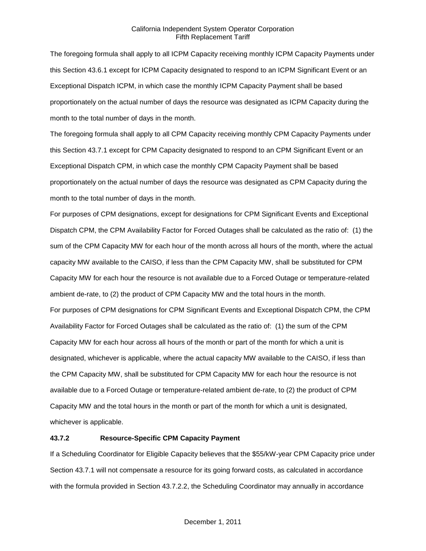The foregoing formula shall apply to all ICPM Capacity receiving monthly ICPM Capacity Payments under this Section 43.6.1 except for ICPM Capacity designated to respond to an ICPM Significant Event or an Exceptional Dispatch ICPM, in which case the monthly ICPM Capacity Payment shall be based proportionately on the actual number of days the resource was designated as ICPM Capacity during the month to the total number of days in the month.

The foregoing formula shall apply to all CPM Capacity receiving monthly CPM Capacity Payments under this Section 43.7.1 except for CPM Capacity designated to respond to an CPM Significant Event or an Exceptional Dispatch CPM, in which case the monthly CPM Capacity Payment shall be based proportionately on the actual number of days the resource was designated as CPM Capacity during the month to the total number of days in the month.

For purposes of CPM designations, except for designations for CPM Significant Events and Exceptional Dispatch CPM, the CPM Availability Factor for Forced Outages shall be calculated as the ratio of: (1) the sum of the CPM Capacity MW for each hour of the month across all hours of the month, where the actual capacity MW available to the CAISO, if less than the CPM Capacity MW, shall be substituted for CPM Capacity MW for each hour the resource is not available due to a Forced Outage or temperature-related ambient de-rate, to (2) the product of CPM Capacity MW and the total hours in the month. For purposes of CPM designations for CPM Significant Events and Exceptional Dispatch CPM, the CPM Availability Factor for Forced Outages shall be calculated as the ratio of: (1) the sum of the CPM Capacity MW for each hour across all hours of the month or part of the month for which a unit is designated, whichever is applicable, where the actual capacity MW available to the CAISO, if less than the CPM Capacity MW, shall be substituted for CPM Capacity MW for each hour the resource is not available due to a Forced Outage or temperature-related ambient de-rate, to (2) the product of CPM Capacity MW and the total hours in the month or part of the month for which a unit is designated, whichever is applicable.

### **43.7.2 Resource-Specific CPM Capacity Payment**

If a Scheduling Coordinator for Eligible Capacity believes that the \$55/kW-year CPM Capacity price under Section 43.7.1 will not compensate a resource for its going forward costs, as calculated in accordance with the formula provided in Section 43.7.2.2, the Scheduling Coordinator may annually in accordance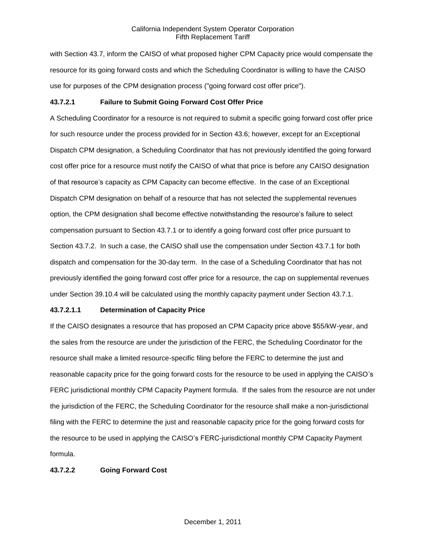with Section 43.7, inform the CAISO of what proposed higher CPM Capacity price would compensate the resource for its going forward costs and which the Scheduling Coordinator is willing to have the CAISO use for purposes of the CPM designation process ("going forward cost offer price").

# **43.7.2.1 Failure to Submit Going Forward Cost Offer Price**

A Scheduling Coordinator for a resource is not required to submit a specific going forward cost offer price for such resource under the process provided for in Section 43.6; however, except for an Exceptional Dispatch CPM designation, a Scheduling Coordinator that has not previously identified the going forward cost offer price for a resource must notify the CAISO of what that price is before any CAISO designation of that resource's capacity as CPM Capacity can become effective. In the case of an Exceptional Dispatch CPM designation on behalf of a resource that has not selected the supplemental revenues option, the CPM designation shall become effective notwithstanding the resource's failure to select compensation pursuant to Section 43.7.1 or to identify a going forward cost offer price pursuant to Section 43.7.2. In such a case, the CAISO shall use the compensation under Section 43.7.1 for both dispatch and compensation for the 30-day term. In the case of a Scheduling Coordinator that has not previously identified the going forward cost offer price for a resource, the cap on supplemental revenues under Section 39.10.4 will be calculated using the monthly capacity payment under Section 43.7.1.

#### **43.7.2.1.1 Determination of Capacity Price**

If the CAISO designates a resource that has proposed an CPM Capacity price above \$55/kW-year, and the sales from the resource are under the jurisdiction of the FERC, the Scheduling Coordinator for the resource shall make a limited resource-specific filing before the FERC to determine the just and reasonable capacity price for the going forward costs for the resource to be used in applying the CAISO's FERC jurisdictional monthly CPM Capacity Payment formula. If the sales from the resource are not under the jurisdiction of the FERC, the Scheduling Coordinator for the resource shall make a non-jurisdictional filing with the FERC to determine the just and reasonable capacity price for the going forward costs for the resource to be used in applying the CAISO's FERC-jurisdictional monthly CPM Capacity Payment formula.

#### **43.7.2.2 Going Forward Cost**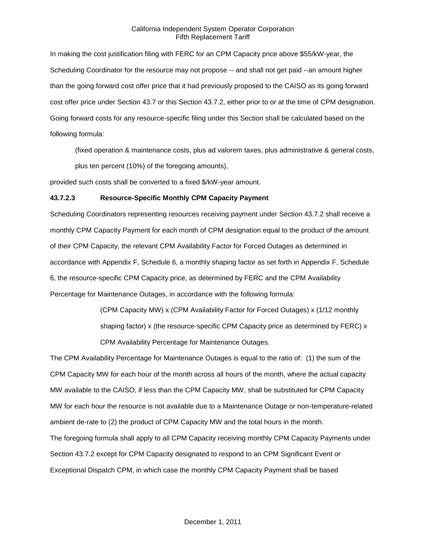In making the cost justification filing with FERC for an CPM Capacity price above \$55/kW-year, the Scheduling Coordinator for the resource may not propose -- and shall not get paid --an amount higher than the going forward cost offer price that it had previously proposed to the CAISO as its going forward cost offer price under Section 43.7 or this Section 43.7.2, either prior to or at the time of CPM designation. Going forward costs for any resource-specific filing under this Section shall be calculated based on the following formula:

(fixed operation & maintenance costs, plus ad valorem taxes, plus administrative & general costs, plus ten percent (10%) of the foregoing amounts),

provided such costs shall be converted to a fixed \$/kW-year amount.

#### **43.7.2.3 Resource-Specific Monthly CPM Capacity Payment**

Scheduling Coordinators representing resources receiving payment under Section 43.7.2 shall receive a monthly CPM Capacity Payment for each month of CPM designation equal to the product of the amount of their CPM Capacity, the relevant CPM Availability Factor for Forced Outages as determined in accordance with Appendix F, Schedule 6, a monthly shaping factor as set forth in Appendix F, Schedule 6, the resource-specific CPM Capacity price, as determined by FERC and the CPM Availability Percentage for Maintenance Outages, in accordance with the following formula:

> (CPM Capacity MW) x (CPM Availability Factor for Forced Outages) x (1/12 monthly shaping factor) x (the resource-specific CPM Capacity price as determined by FERC) x CPM Availability Percentage for Maintenance Outages.

The CPM Availability Percentage for Maintenance Outages is equal to the ratio of: (1) the sum of the CPM Capacity MW for each hour of the month across all hours of the month, where the actual capacity MW available to the CAISO, if less than the CPM Capacity MW, shall be substituted for CPM Capacity MW for each hour the resource is not available due to a Maintenance Outage or non-temperature-related ambient de-rate to (2) the product of CPM Capacity MW and the total hours in the month. The foregoing formula shall apply to all CPM Capacity receiving monthly CPM Capacity Payments under Section 43.7.2 except for CPM Capacity designated to respond to an CPM Significant Event or Exceptional Dispatch CPM, in which case the monthly CPM Capacity Payment shall be based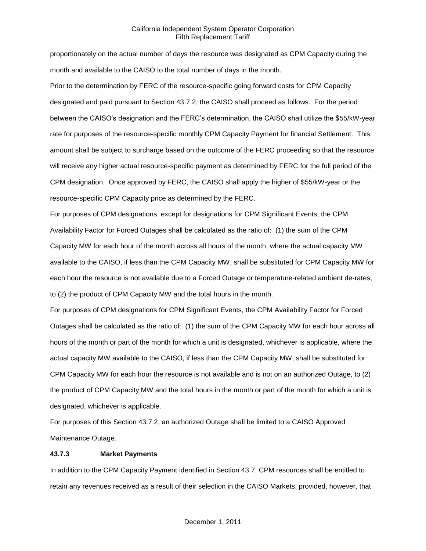proportionately on the actual number of days the resource was designated as CPM Capacity during the month and available to the CAISO to the total number of days in the month.

Prior to the determination by FERC of the resource-specific going forward costs for CPM Capacity designated and paid pursuant to Section 43.7.2, the CAISO shall proceed as follows. For the period between the CAISO's designation and the FERC's determination, the CAISO shall utilize the \$55/kW-year rate for purposes of the resource-specific monthly CPM Capacity Payment for financial Settlement. This amount shall be subject to surcharge based on the outcome of the FERC proceeding so that the resource will receive any higher actual resource-specific payment as determined by FERC for the full period of the CPM designation. Once approved by FERC, the CAISO shall apply the higher of \$55/kW-year or the resource-specific CPM Capacity price as determined by the FERC.

For purposes of CPM designations, except for designations for CPM Significant Events, the CPM Availability Factor for Forced Outages shall be calculated as the ratio of: (1) the sum of the CPM Capacity MW for each hour of the month across all hours of the month, where the actual capacity MW available to the CAISO, if less than the CPM Capacity MW, shall be substituted for CPM Capacity MW for each hour the resource is not available due to a Forced Outage or temperature-related ambient de-rates, to (2) the product of CPM Capacity MW and the total hours in the month.

For purposes of CPM designations for CPM Significant Events, the CPM Availability Factor for Forced Outages shall be calculated as the ratio of: (1) the sum of the CPM Capacity MW for each hour across all hours of the month or part of the month for which a unit is designated, whichever is applicable, where the actual capacity MW available to the CAISO, if less than the CPM Capacity MW, shall be substituted for CPM Capacity MW for each hour the resource is not available and is not on an authorized Outage, to (2) the product of CPM Capacity MW and the total hours in the month or part of the month for which a unit is designated, whichever is applicable.

For purposes of this Section 43.7.2, an authorized Outage shall be limited to a CAISO Approved Maintenance Outage.

#### **43.7.3 Market Payments**

In addition to the CPM Capacity Payment identified in Section 43.7, CPM resources shall be entitled to retain any revenues received as a result of their selection in the CAISO Markets, provided, however, that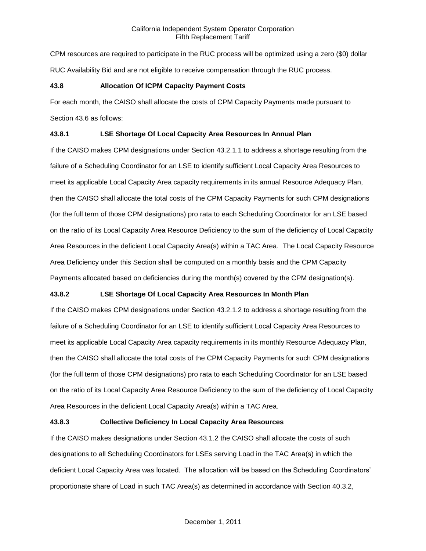CPM resources are required to participate in the RUC process will be optimized using a zero (\$0) dollar RUC Availability Bid and are not eligible to receive compensation through the RUC process.

# **43.8 Allocation Of ICPM Capacity Payment Costs**

For each month, the CAISO shall allocate the costs of CPM Capacity Payments made pursuant to Section 43.6 as follows:

# **43.8.1 LSE Shortage Of Local Capacity Area Resources In Annual Plan**

If the CAISO makes CPM designations under Section 43.2.1.1 to address a shortage resulting from the failure of a Scheduling Coordinator for an LSE to identify sufficient Local Capacity Area Resources to meet its applicable Local Capacity Area capacity requirements in its annual Resource Adequacy Plan, then the CAISO shall allocate the total costs of the CPM Capacity Payments for such CPM designations (for the full term of those CPM designations) pro rata to each Scheduling Coordinator for an LSE based on the ratio of its Local Capacity Area Resource Deficiency to the sum of the deficiency of Local Capacity Area Resources in the deficient Local Capacity Area(s) within a TAC Area. The Local Capacity Resource Area Deficiency under this Section shall be computed on a monthly basis and the CPM Capacity Payments allocated based on deficiencies during the month(s) covered by the CPM designation(s).

# **43.8.2 LSE Shortage Of Local Capacity Area Resources In Month Plan**

If the CAISO makes CPM designations under Section 43.2.1.2 to address a shortage resulting from the failure of a Scheduling Coordinator for an LSE to identify sufficient Local Capacity Area Resources to meet its applicable Local Capacity Area capacity requirements in its monthly Resource Adequacy Plan, then the CAISO shall allocate the total costs of the CPM Capacity Payments for such CPM designations (for the full term of those CPM designations) pro rata to each Scheduling Coordinator for an LSE based on the ratio of its Local Capacity Area Resource Deficiency to the sum of the deficiency of Local Capacity Area Resources in the deficient Local Capacity Area(s) within a TAC Area.

#### **43.8.3 Collective Deficiency In Local Capacity Area Resources**

If the CAISO makes designations under Section 43.1.2 the CAISO shall allocate the costs of such designations to all Scheduling Coordinators for LSEs serving Load in the TAC Area(s) in which the deficient Local Capacity Area was located. The allocation will be based on the Scheduling Coordinators' proportionate share of Load in such TAC Area(s) as determined in accordance with Section 40.3.2,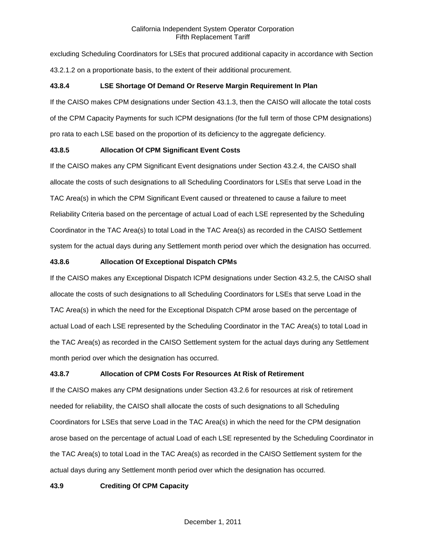excluding Scheduling Coordinators for LSEs that procured additional capacity in accordance with Section 43.2.1.2 on a proportionate basis, to the extent of their additional procurement.

# **43.8.4 LSE Shortage Of Demand Or Reserve Margin Requirement In Plan**

If the CAISO makes CPM designations under Section 43.1.3, then the CAISO will allocate the total costs of the CPM Capacity Payments for such ICPM designations (for the full term of those CPM designations) pro rata to each LSE based on the proportion of its deficiency to the aggregate deficiency.

# **43.8.5 Allocation Of CPM Significant Event Costs**

If the CAISO makes any CPM Significant Event designations under Section 43.2.4, the CAISO shall allocate the costs of such designations to all Scheduling Coordinators for LSEs that serve Load in the TAC Area(s) in which the CPM Significant Event caused or threatened to cause a failure to meet Reliability Criteria based on the percentage of actual Load of each LSE represented by the Scheduling Coordinator in the TAC Area(s) to total Load in the TAC Area(s) as recorded in the CAISO Settlement system for the actual days during any Settlement month period over which the designation has occurred.

# **43.8.6 Allocation Of Exceptional Dispatch CPMs**

If the CAISO makes any Exceptional Dispatch ICPM designations under Section 43.2.5, the CAISO shall allocate the costs of such designations to all Scheduling Coordinators for LSEs that serve Load in the TAC Area(s) in which the need for the Exceptional Dispatch CPM arose based on the percentage of actual Load of each LSE represented by the Scheduling Coordinator in the TAC Area(s) to total Load in the TAC Area(s) as recorded in the CAISO Settlement system for the actual days during any Settlement month period over which the designation has occurred.

#### **43.8.7 Allocation of CPM Costs For Resources At Risk of Retirement**

If the CAISO makes any CPM designations under Section 43.2.6 for resources at risk of retirement needed for reliability, the CAISO shall allocate the costs of such designations to all Scheduling Coordinators for LSEs that serve Load in the TAC Area(s) in which the need for the CPM designation arose based on the percentage of actual Load of each LSE represented by the Scheduling Coordinator in the TAC Area(s) to total Load in the TAC Area(s) as recorded in the CAISO Settlement system for the actual days during any Settlement month period over which the designation has occurred.

# **43.9 Crediting Of CPM Capacity**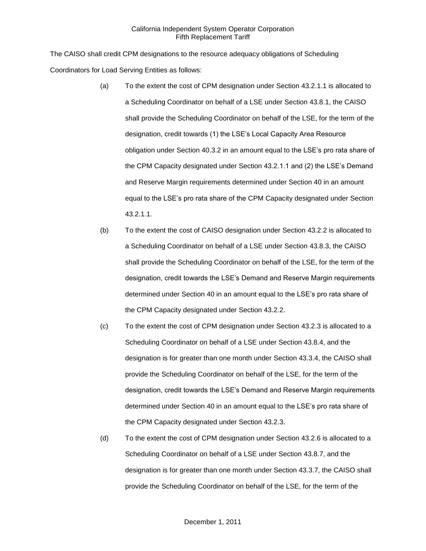The CAISO shall credit CPM designations to the resource adequacy obligations of Scheduling Coordinators for Load Serving Entities as follows:

- (a) To the extent the cost of CPM designation under Section 43.2.1.1 is allocated to a Scheduling Coordinator on behalf of a LSE under Section 43.8.1, the CAISO shall provide the Scheduling Coordinator on behalf of the LSE, for the term of the designation, credit towards (1) the LSE's Local Capacity Area Resource obligation under Section 40.3.2 in an amount equal to the LSE's pro rata share of the CPM Capacity designated under Section 43.2.1.1 and (2) the LSE's Demand and Reserve Margin requirements determined under Section 40 in an amount equal to the LSE's pro rata share of the CPM Capacity designated under Section 43.2.1.1.
- (b) To the extent the cost of CAISO designation under Section 43.2.2 is allocated to a Scheduling Coordinator on behalf of a LSE under Section 43.8.3, the CAISO shall provide the Scheduling Coordinator on behalf of the LSE, for the term of the designation, credit towards the LSE's Demand and Reserve Margin requirements determined under Section 40 in an amount equal to the LSE's pro rata share of the CPM Capacity designated under Section 43.2.2.
- (c) To the extent the cost of CPM designation under Section 43.2.3 is allocated to a Scheduling Coordinator on behalf of a LSE under Section 43.8.4, and the designation is for greater than one month under Section 43.3.4, the CAISO shall provide the Scheduling Coordinator on behalf of the LSE, for the term of the designation, credit towards the LSE's Demand and Reserve Margin requirements determined under Section 40 in an amount equal to the LSE's pro rata share of the CPM Capacity designated under Section 43.2.3.
- (d) To the extent the cost of CPM designation under Section 43.2.6 is allocated to a Scheduling Coordinator on behalf of a LSE under Section 43.8.7, and the designation is for greater than one month under Section 43.3.7, the CAISO shall provide the Scheduling Coordinator on behalf of the LSE, for the term of the